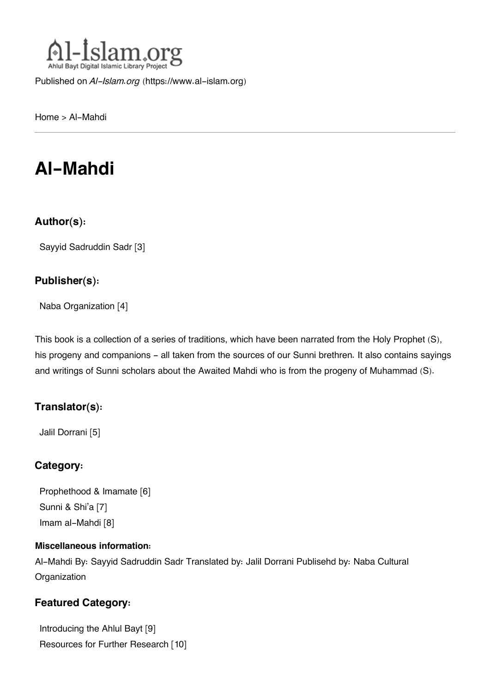

Published on *Al-Islam.org* ([https://www.al-islam.org\)](https://www.al-islam.org)

[Home](https://www.al-islam.org/) > Al-Mahdi

# **Al-Mahdi**

#### **Author(s):**

[Sayyid Sadruddin Sadr](https://www.al-islam.org/person/sayyid-sadruddin-sadr) [3]

#### **Publisher(s):**

[Naba Organization](https://www.al-islam.org/organization/naba-organization) [4]

This book is a collection of a series of traditions, which have been narrated from the Holy Prophet (S), his progeny and companions - all taken from the sources of our Sunni brethren. It also contains sayings and writings of Sunni scholars about the Awaited Mahdi who is from the progeny of Muhammad (S).

#### **Translator(s):**

[Jalil Dorrani](https://www.al-islam.org/person/jalil-dorrani) [5]

#### **Category:**

[Prophethood & Imamate](https://www.al-islam.org/library/prophethood-imamate) [6] [Sunni & Shi'a](https://www.al-islam.org/library/sunni-shia) [7] [Imam al-Mahdi](https://www.al-islam.org/library/imam-al-mahdi) [8]

#### **Miscellaneous information:**

Al-Mahdi By: Sayyid Sadruddin Sadr Translated by: Jalil Dorrani Publisehd by: Naba Cultural **Organization** 

#### **Featured Category:**

[Introducing the Ahlul Bayt](https://www.al-islam.org/feature/introducing-ahlul-bayt) [9] [Resources for Further Research](https://www.al-islam.org/feature/resources-further-research) [10]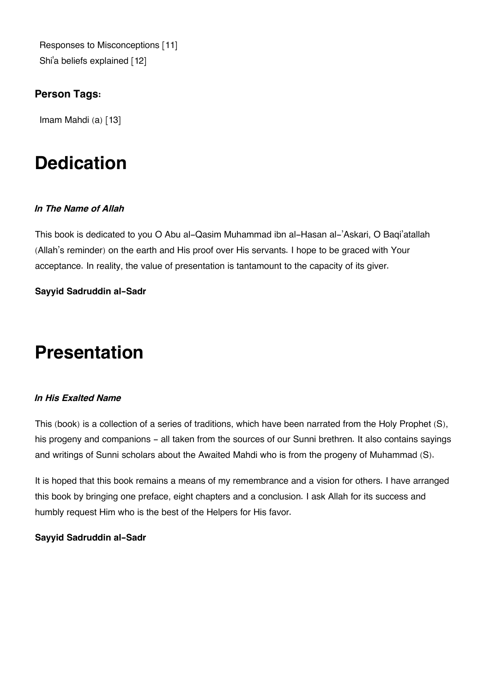[Responses to Misconceptions](https://www.al-islam.org/feature/responses-misconceptions) [11] Shi['a beliefs explained](https://www.al-islam.org/feature/shia-beliefs-explained) [12]

#### **Person Tags:**

[Imam Mahdi \(a\)](https://www.al-islam.org/person/imam-al-mahdi) [13]

# **Dedication**

#### *In The Name of Allah*

This book is dedicated to you O Abu al-Qasim Muhammad ibn al-Hasan al-'Askari, O Baqi'atallah (Allah's reminder) on the earth and His proof over His servants. I hope to be graced with Your acceptance. In reality, the value of presentation is tantamount to the capacity of its giver.

#### **Sayyid Sadruddin al-Sadr**

# **Presentation**

#### *In His Exalted Name*

This (book) is a collection of a series of traditions, which have been narrated from the Holy Prophet (S), his progeny and companions - all taken from the sources of our Sunni brethren. It also contains sayings and writings of Sunni scholars about the Awaited Mahdi who is from the progeny of Muhammad (S).

It is hoped that this book remains a means of my remembrance and a vision for others. I have arranged this book by bringing one preface, eight chapters and a conclusion. I ask Allah for its success and humbly request Him who is the best of the Helpers for His favor.

#### **Sayyid Sadruddin al-Sadr**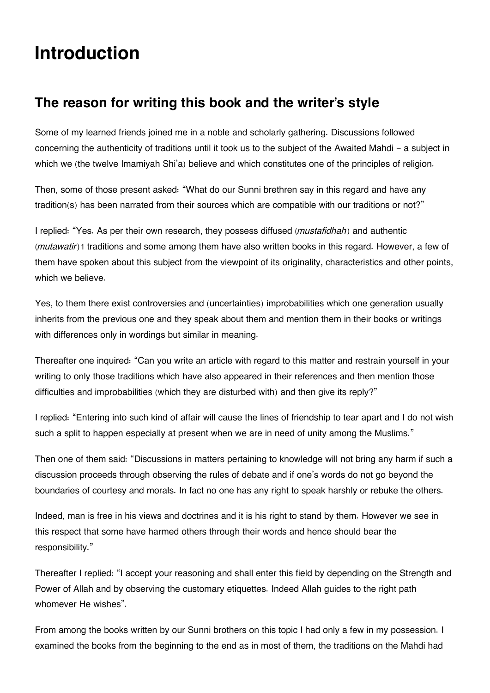# **Introduction**

## **[The reason for writing this book and the writer's style](#page--1-0)**

Some of my learned friends joined me in a noble and scholarly gathering. Discussions followed concerning the authenticity of traditions until it took us to the subject of the Awaited Mahdi - a subject in which we (the twelve Imamiyah Shi'a) believe and which constitutes one of the principles of religion.

Then, some of those present asked: "What do our Sunni brethren say in this regard and have any tradition(s) has been narrated from their sources which are compatible with our traditions or not?"

I replied: "Yes. As per their own research, they possess diffused (*mustafidhah*) and authentic (*mutawatir*)[1](#page--1-0) traditions and some among them have also written books in this regard. However, a few of them have spoken about this subject from the viewpoint of its originality, characteristics and other points, which we believe.

Yes, to them there exist controversies and (uncertainties) improbabilities which one generation usually inherits from the previous one and they speak about them and mention them in their books or writings with differences only in wordings but similar in meaning.

Thereafter one inquired: "Can you write an article with regard to this matter and restrain yourself in your writing to only those traditions which have also appeared in their references and then mention those difficulties and improbabilities (which they are disturbed with) and then give its reply?"

I replied: "Entering into such kind of affair will cause the lines of friendship to tear apart and I do not wish such a split to happen especially at present when we are in need of unity among the Muslims."

Then one of them said: "Discussions in matters pertaining to knowledge will not bring any harm if such a discussion proceeds through observing the rules of debate and if one's words do not go beyond the boundaries of courtesy and morals. In fact no one has any right to speak harshly or rebuke the others.

Indeed, man is free in his views and doctrines and it is his right to stand by them. However we see in this respect that some have harmed others through their words and hence should bear the responsibility."

Thereafter I replied: "I accept your reasoning and shall enter this field by depending on the Strength and Power of Allah and by observing the customary etiquettes. Indeed Allah guides to the right path whomever He wishes".

From among the books written by our Sunni brothers on this topic I had only a few in my possession. I examined the books from the beginning to the end as in most of them, the traditions on the Mahdi had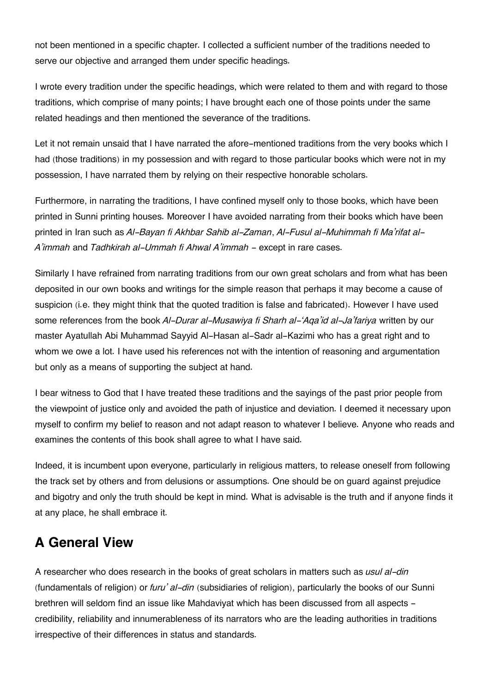not been mentioned in a specific chapter. I collected a sufficient number of the traditions needed to serve our objective and arranged them under specific headings.

I wrote every tradition under the specific headings, which were related to them and with regard to those traditions, which comprise of many points; I have brought each one of those points under the same related headings and then mentioned the severance of the traditions.

Let it not remain unsaid that I have narrated the afore-mentioned traditions from the very books which I had (those traditions) in my possession and with regard to those particular books which were not in my possession, I have narrated them by relying on their respective honorable scholars.

Furthermore, in narrating the traditions, I have confined myself only to those books, which have been printed in Sunni printing houses. Moreover I have avoided narrating from their books which have been printed in Iran such as *Al-Bayan fi Akhbar Sahib al-Zaman*, *Al-Fusul al-Muhimmah fi Ma'rifat al-A'immah* and *Tadhkirah al-Ummah fi Ahwal A'immah* - except in rare cases.

Similarly I have refrained from narrating traditions from our own great scholars and from what has been deposited in our own books and writings for the simple reason that perhaps it may become a cause of suspicion (i.e. they might think that the quoted tradition is false and fabricated). However I have used some references from the book *Al-Durar al-Musawiya fi Sharh al-'Aqa'id al-Ja'fariya* written by our master Ayatullah Abi Muhammad Sayyid Al-Hasan al-Sadr al-Kazimi who has a great right and to whom we owe a lot. I have used his references not with the intention of reasoning and argumentation but only as a means of supporting the subject at hand.

I bear witness to God that I have treated these traditions and the sayings of the past prior people from the viewpoint of justice only and avoided the path of injustice and deviation. I deemed it necessary upon myself to confirm my belief to reason and not adapt reason to whatever I believe. Anyone who reads and examines the contents of this book shall agree to what I have said.

Indeed, it is incumbent upon everyone, particularly in religious matters, to release oneself from following the track set by others and from delusions or assumptions. One should be on guard against prejudice and bigotry and only the truth should be kept in mind. What is advisable is the truth and if anyone finds it at any place, he shall embrace it.

## **[A General View](#page--1-0)**

A researcher who does research in the books of great scholars in matters such as *usul al-din* (fundamentals of religion) or *furu' al-din* (subsidiaries of religion), particularly the books of our Sunni brethren will seldom find an issue like Mahdaviyat which has been discussed from all aspects credibility, reliability and innumerableness of its narrators who are the leading authorities in traditions irrespective of their differences in status and standards.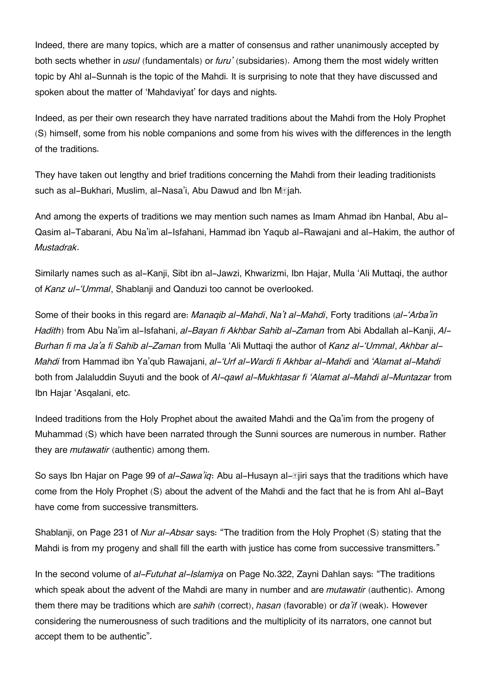Indeed, there are many topics, which are a matter of consensus and rather unanimously accepted by both sects whether in *usul* (fundamentals) or *furu'* (subsidaries). Among them the most widely written topic by Ahl al-Sunnah is the topic of the Mahdi. It is surprising to note that they have discussed and spoken about the matter of 'Mahdaviyat' for days and nights.

Indeed, as per their own research they have narrated traditions about the Mahdi from the Holy Prophet (S) himself, some from his noble companions and some from his wives with the differences in the length of the traditions.

They have taken out lengthy and brief traditions concerning the Mahdi from their leading traditionists such as al-Bukhari, Muslim, al-Nasa'i, Abu Dawud and Ibn M*siah*.

And among the experts of traditions we may mention such names as Imam Ahmad ibn Hanbal, Abu al-Qasim al-Tabarani, Abu Na'im al-Isfahani, Hammad ibn Yaqub al-Rawajani and al-Hakim, the author of *Mustadrak*.

Similarly names such as al-Kanji, Sibt ibn al-Jawzi, Khwarizmi, Ibn Hajar, Mulla 'Ali Muttaqi, the author of *Kanz ul-'Ummal*, Shablanji and Qanduzi too cannot be overlooked.

Some of their books in this regard are: *Manaqib al-Mahdi*, *Na't al-Mahdi*, Forty traditions (*al-'Arba'in Hadith*) from Abu Na'im al-Isfahani, *al-Bayan fi Akhbar Sahib al-Zaman* from Abi Abdallah al-Kanji, *Al-Burhan fi ma Ja'a fi Sahib al-Zaman* from Mulla 'Ali Muttaqi the author of *Kanz al-'Ummal*, *Akhbar al-Mahdi* from Hammad ibn Ya'qub Rawajani, *al-'Urf al-Wardi fi Akhbar al-Mahdi* and *'Alamat al-Mahdi* both from Jalaluddin Suyuti and the book of *Al-qawl al-Mukhtasar fi 'Alamat al-Mahdi al-Muntazar* from Ibn Hajar 'Asqalani, etc.

Indeed traditions from the Holy Prophet about the awaited Mahdi and the Qa'im from the progeny of Muhammad (S) which have been narrated through the Sunni sources are numerous in number. Rather they are *mutawatir* (authentic) among them.

So says Ibn Hajar on Page 99 of *al-Sawa'ig*: Abu al-Husayn al-**Ejiri says that the traditions which have** come from the Holy Prophet (S) about the advent of the Mahdi and the fact that he is from Ahl al-Bayt have come from successive transmitters.

Shablanji, on Page 231 of *Nur al-Absar* says: "The tradition from the Holy Prophet (S) stating that the Mahdi is from my progeny and shall fill the earth with justice has come from successive transmitters."

In the second volume of *al-Futuhat al-Islamiya* on Page No.322, Zayni Dahlan says: "The traditions which speak about the advent of the Mahdi are many in number and are *mutawatir* (authentic). Among them there may be traditions which are *sahih* (correct), *hasan* (favorable) or *da'if* (weak). However considering the numerousness of such traditions and the multiplicity of its narrators, one cannot but accept them to be authentic".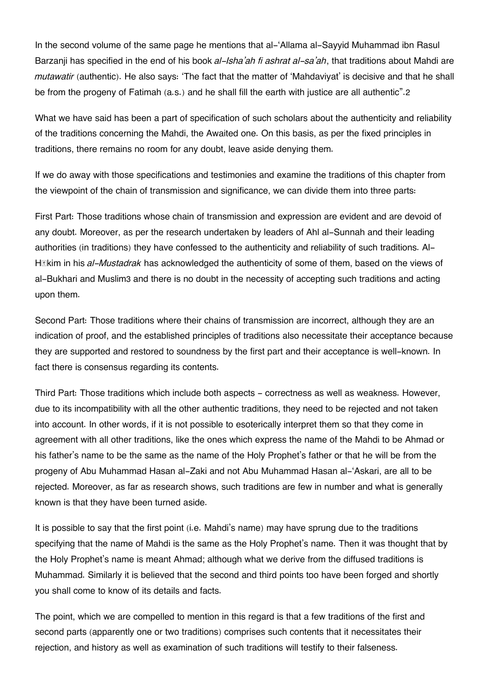In the second volume of the same page he mentions that al-'Allama al-Sayyid Muhammad ibn Rasul Barzanji has specified in the end of his book *al-Isha'ah fi ashrat al-sa'ah*, that traditions about Mahdi are *mutawatir* (authentic). He also says: 'The fact that the matter of 'Mahdaviyat' is decisive and that he shall be from the progeny of Fatimah (a.s.) and he shall fill the earth with justice are all authentic".[2](#page--1-0)

What we have said has been a part of specification of such scholars about the authenticity and reliability of the traditions concerning the Mahdi, the Awaited one. On this basis, as per the fixed principles in traditions, there remains no room for any doubt, leave aside denying them.

If we do away with those specifications and testimonies and examine the traditions of this chapter from the viewpoint of the chain of transmission and significance, we can divide them into three parts:

First Part: Those traditions whose chain of transmission and expression are evident and are devoid of any doubt. Moreover, as per the research undertaken by leaders of Ahl al-Sunnah and their leading authorities (in traditions) they have confessed to the authenticity and reliability of such traditions. Al-Hākim in his *al-Mustadrak* has acknowledged the authenticity of some of them, based on the views of al-Bukhari and Muslim[3](#page--1-0) and there is no doubt in the necessity of accepting such traditions and acting upon them.

Second Part: Those traditions where their chains of transmission are incorrect, although they are an indication of proof, and the established principles of traditions also necessitate their acceptance because they are supported and restored to soundness by the first part and their acceptance is well-known. In fact there is consensus regarding its contents.

Third Part: Those traditions which include both aspects - correctness as well as weakness. However, due to its incompatibility with all the other authentic traditions, they need to be rejected and not taken into account. In other words, if it is not possible to esoterically interpret them so that they come in agreement with all other traditions, like the ones which express the name of the Mahdi to be Ahmad or his father's name to be the same as the name of the Holy Prophet's father or that he will be from the progeny of Abu Muhammad Hasan al-Zaki and not Abu Muhammad Hasan al-'Askari, are all to be rejected. Moreover, as far as research shows, such traditions are few in number and what is generally known is that they have been turned aside.

It is possible to say that the first point (i.e. Mahdi's name) may have sprung due to the traditions specifying that the name of Mahdi is the same as the Holy Prophet's name. Then it was thought that by the Holy Prophet's name is meant Ahmad; although what we derive from the diffused traditions is Muhammad. Similarly it is believed that the second and third points too have been forged and shortly you shall come to know of its details and facts.

The point, which we are compelled to mention in this regard is that a few traditions of the first and second parts (apparently one or two traditions) comprises such contents that it necessitates their rejection, and history as well as examination of such traditions will testify to their falseness.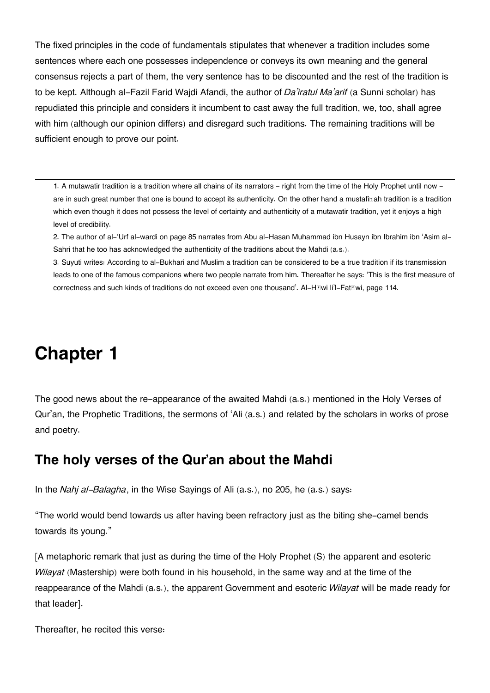The fixed principles in the code of fundamentals stipulates that whenever a tradition includes some sentences where each one possesses independence or conveys its own meaning and the general consensus rejects a part of them, the very sentence has to be discounted and the rest of the tradition is to be kept. Although al-Fazil Farid Wajdi Afandi, the author of *Da'iratul Ma'arif* (a Sunni scholar) has repudiated this principle and considers it incumbent to cast away the full tradition, we, too, shall agree with him (although our opinion differs) and disregard such traditions. The remaining traditions will be sufficient enough to prove our point.

[1.](#page--1-0) A mutawatir tradition is a tradition where all chains of its narrators - right from the time of the Holy Prophet until now are in such great number that one is bound to accept its authenticity. On the other hand a mustafillah tradition is a tradition which even though it does not possess the level of certainty and authenticity of a mutawatir tradition, yet it enjoys a high level of credibility.

[2.](#page--1-0) The author of al-'Urf al-wardi on page 85 narrates from Abu al-Hasan Muhammad ibn Husayn ibn Ibrahim ibn 'Asim al-Sahri that he too has acknowledged the authenticity of the traditions about the Mahdi (a.s.).

[3.](#page--1-0) Suyuti writes: According to al-Bukhari and Muslim a tradition can be considered to be a true tradition if its transmission leads to one of the famous companions where two people narrate from him. Thereafter he says: 'This is the first measure of correctness and such kinds of traditions do not exceed even one thousand'. Al-Hāwi li'l-Fatāwi, page 114.

# **Chapter 1**

The good news about the re-appearance of the awaited Mahdi (a.s.) mentioned in the Holy Verses of Qur'an, the Prophetic Traditions, the sermons of 'Ali (a.s.) and related by the scholars in works of prose and poetry.

### **[The holy verses of the Qur'an about the Mahdi](#page--1-0)**

In the *Nahj al-Balagha*, in the Wise Sayings of Ali (a.s.), no 205, he (a.s.) says:

"The world would bend towards us after having been refractory just as the biting she-camel bends towards its young."

[A metaphoric remark that just as during the time of the Holy Prophet (S) the apparent and esoteric *Wilayat* (Mastership) were both found in his household, in the same way and at the time of the reappearance of the Mahdi (a.s.), the apparent Government and esoteric *Wilayat* will be made ready for that leader].

Thereafter, he recited this verse: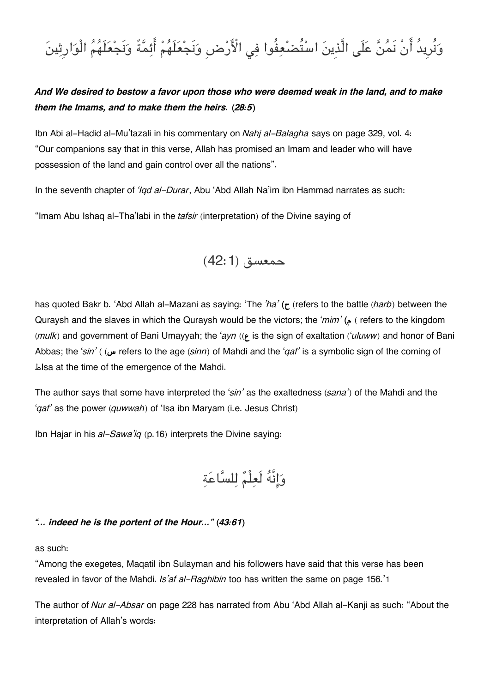# وَنُرِيدُ أَنْ نَمُنَّ عَلَى الَّذِينَ اسْتُضْعِفُوا فِي الْأَرْضِ وَنَجْعَلَهُمْ أَئِمَّةً وَنَجْعَلَهُمُ الْوَارِثِينَ

#### *And We desired to bestow a favor upon those who were deemed weak in the land, and to make them the Imams, and to make them the heirs. (28:5)*

Ibn Abi al-Hadid al-Mu'tazali in his commentary on *Nahj al-Balagha* says on page 329, vol. 4: "Our companions say that in this verse, Allah has promised an Imam and leader who will have possession of the land and gain control over all the nations".

In the seventh chapter of *'Iqd al-Durar*, Abu 'Abd Allah Na'im ibn Hammad narrates as such:

"Imam Abu Ishaq al-Tha'labi in the *tafsir* (interpretation) of the Divine saying of



has quoted Bakr b. 'Abd Allah al-Mazani as saying: 'The *'ha'* **(ح**) refers to the battle (*harb*) between the Quraysh and the slaves in which the Quraysh would be the victors; the '*mim'* **(م** ) refers to the kingdom (*mulk*) and government of Bani Umayyah; the '*ayn* ((**ع** is the sign of exaltation ('*uluww*) and honor of Bani Abbas; the '*sin'* ( (**س** refers to the age (*sinn*) of Mahdi and the '*qaf'* is a symbolic sign of the coming of طIsa at the time of the emergence of the Mahdi.

The author says that some have interpreted the '*sin'* as the exaltedness (*sana'*) of the Mahdi and the '*qaf'* as the power (*quwwah*) of 'Isa ibn Maryam (i.e. Jesus Christ)

Ibn Hajar in his *al-Sawa'iq* (p.16) interprets the Divine saying:

وانَّه لَعلْم للساعة

#### *"… indeed he is the portent of the Hour…" (43:61)*

as such:

"Among the exegetes, Maqatil ibn Sulayman and his followers have said that this verse has been revealed in favor of the Mahdi. *Is'af al-Raghibin* too has written the same on page 156.'[1](#page--1-0)

The author of *Nur al-Absar* on page 228 has narrated from Abu 'Abd Allah al-Kanji as such: "About the interpretation of Allah's words: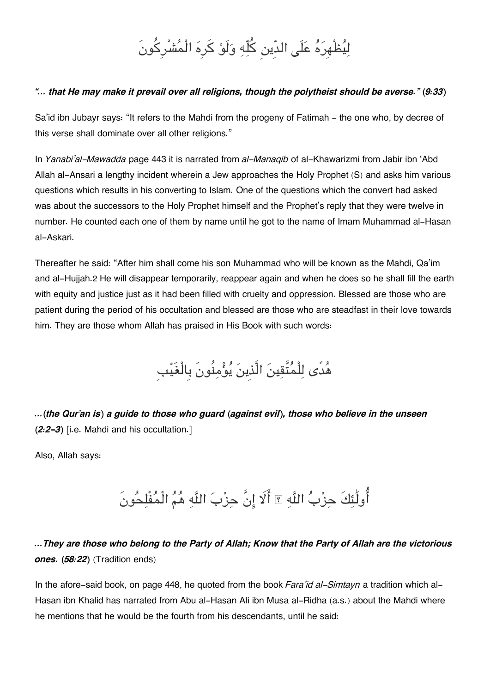# لِيُظْهِرَهُ عَلَى الدِّين كُلِّهِ وَلَوْ كَرِهَ الْمُشْرِكُونَ

#### *"… that He may make it prevail over all religions, though the polytheist should be averse." (9:33)*

Sa'id ibn Jubayr says: "It refers to the Mahdi from the progeny of Fatimah - the one who, by decree of this verse shall dominate over all other religions."

In *Yanabi'al-Mawadda* page 443 it is narrated from *al-Manaqib* of al-Khawarizmi from Jabir ibn 'Abd Allah al-Ansari a lengthy incident wherein a Jew approaches the Holy Prophet (S) and asks him various questions which results in his converting to Islam. One of the questions which the convert had asked was about the successors to the Holy Prophet himself and the Prophet's reply that they were twelve in number. He counted each one of them by name until he got to the name of Imam Muhammad al-Hasan al-Askari.

Thereafter he said: "After him shall come his son Muhammad who will be known as the Mahdi, Qa'im and al-Hujjah.[2](#page--1-0) He will disappear temporarily, reappear again and when he does so he shall fill the earth with equity and justice just as it had been filled with cruelty and oppression. Blessed are those who are patient during the period of his occultation and blessed are those who are steadfast in their love towards him. They are those whom Allah has praised in His Book with such words:

هدًى للْمتَّقين الَّذِين يومنُونَ بِالْغَيبِ

*…(the Qur'an is) a guide to those who guard (against evil), those who believe in the unseen (2:2-3)* [i.e. Mahdi and his occultation.]

Also, Allah says:

أُولَٰئِكَ حِزْبُ اللَّهِ ؟! أَلَا إِنَّ حِزْبَ اللَّهِ هُمُ الْمُفْلِحُونَ

*…They are those who belong to the Party of Allah; Know that the Party of Allah are the victorious ones. (58:22)* (Tradition ends)

In the afore-said book, on page 448, he quoted from the book *Fara'id al-Simtayn* a tradition which al-Hasan ibn Khalid has narrated from Abu al-Hasan Ali ibn Musa al-Ridha (a.s.) about the Mahdi where he mentions that he would be the fourth from his descendants, until he said: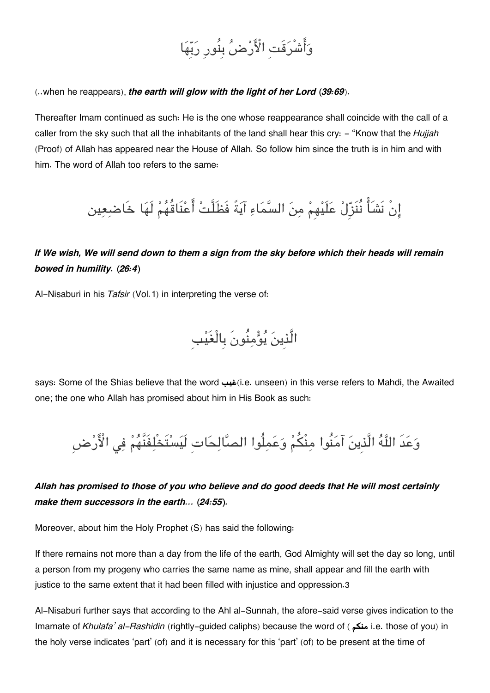# وَأَشْرَقَتِ الْأَرْضُ بِنُورِ رَبِّهَا

(..when he reappears), *the earth will glow with the light of her Lord (39:69*).

Thereafter Imam continued as such: He is the one whose reappearance shall coincide with the call of a caller from the sky such that all the inhabitants of the land shall hear this cry: - "Know that the *Hujjah* (Proof) of Allah has appeared near the House of Allah. So follow him since the truth is in him and with him. The word of Allah too refers to the same:

انْ نَشَا نُنَزِل علَيهِم من السماء آيةً فَظَلَّت اعنَاقُهم لَها خَاضعين

*If We wish, We will send down to them a sign from the sky before which their heads will remain bowed in humility. (26:4)*

Al-Nisaburi in his *Tafsir* (Vol.1) in interpreting the verse of:

الَّذِينَ يُوُّمِنُونَ بِالْغَيْبِ

says: Some of the Shias believe that the word **غيب**)i.e. unseen) in this verse refers to Mahdi, the Awaited one; the one who Allah has promised about him in His Book as such:

وَعَدَ اللَّهُ الَّذِينَ آمَنُوا مِنْكُمْ وَعَمِلُوا الصَّالِحَاتِ لَيَسْتَخْلِفَنَّهُمْ فِي الْأَرْضِ

*Allah has promised to those of you who believe and do good deeds that He will most certainly make them successors in the earth... (24:55).*

Moreover, about him the Holy Prophet (S) has said the following:

If there remains not more than a day from the life of the earth, God Almighty will set the day so long, until a person from my progeny who carries the same name as mine, shall appear and fill the earth with justice to the same extent that it had been filled with injustice and oppression.[3](#page--1-0)

Al-Nisaburi further says that according to the Ahl al-Sunnah, the afore-said verse gives indication to the Imamate of *Khulafa' al-Rashidin* (rightly-guided caliphs) because the word of ( **ممن** i.e. those of you) in the holy verse indicates 'part' (of) and it is necessary for this 'part' (of) to be present at the time of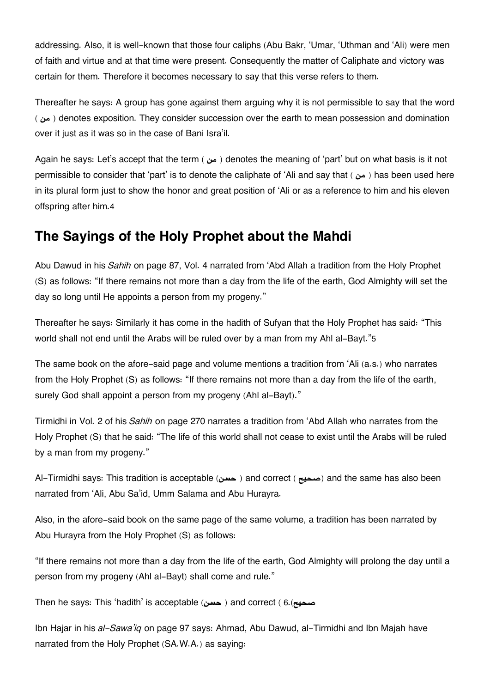addressing. Also, it is well-known that those four caliphs (Abu Bakr, 'Umar, 'Uthman and 'Ali) were men of faith and virtue and at that time were present. Consequently the matter of Caliphate and victory was certain for them. Therefore it becomes necessary to say that this verse refers to them.

Thereafter he says: A group has gone against them arguing why it is not permissible to say that the word ( **من** ( denotes exposition. They consider succession over the earth to mean possession and domination over it just as it was so in the case of Bani Isra'il.

Again he says: Let's accept that the term ( **من** ( denotes the meaning of 'part' but on what basis is it not permissible to consider that 'part' is to denote the caliphate of 'Ali and say that ( **من** ) has been used here in its plural form just to show the honor and great position of 'Ali or as a reference to him and his eleven offspring after him.[4](#page--1-0)

## **[The Sayings of the Holy Prophet about the Mahdi](#page--1-0)**

Abu Dawud in his *Sahih* on page 87, Vol. 4 narrated from 'Abd Allah a tradition from the Holy Prophet (S) as follows: "If there remains not more than a day from the life of the earth, God Almighty will set the day so long until He appoints a person from my progeny."

Thereafter he says: Similarly it has come in the hadith of Sufyan that the Holy Prophet has said: "This world shall not end until the Arabs will be ruled over by a man from my Ahl al-Bayt."[5](#page--1-0)

The same book on the afore-said page and volume mentions a tradition from 'Ali (a.s.) who narrates from the Holy Prophet (S) as follows: "If there remains not more than a day from the life of the earth, surely God shall appoint a person from my progeny (Ahl al-Bayt)."

Tirmidhi in Vol. 2 of his *Sahih* on page 270 narrates a tradition from 'Abd Allah who narrates from the Holy Prophet (S) that he said: "The life of this world shall not cease to exist until the Arabs will be ruled by a man from my progeny."

Al-Tirmidhi says: This tradition is acceptable (**حسن** ( and correct ( **صحيح** (and the same has also been narrated from 'Ali, Abu Sa'id, Umm Salama and Abu Hurayra.

Also, in the afore-said book on the same page of the same volume, a tradition has been narrated by Abu Hurayra from the Holy Prophet (S) as follows:

"If there remains not more than a day from the life of the earth, God Almighty will prolong the day until a person from my progeny (Ahl al-Bayt) shall come and rule."

Then he says: This 'hadith' is acceptable (**حسن** ( and correct ( [6](#page--1-0).(**صحيح**

Ibn Hajar in his *al-Sawa'iq* on page 97 says: Ahmad, Abu Dawud, al-Tirmidhi and Ibn Majah have narrated from the Holy Prophet (SA.W.A.) as saying: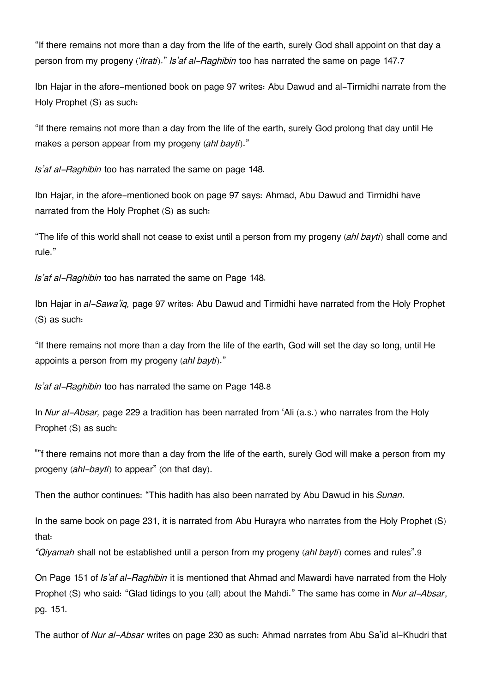"If there remains not more than a day from the life of the earth, surely God shall appoint on that day a person from my progeny ('*itrati*)." *Is'af al-Raghibin* too has narrated the same on page 147.[7](#page--1-0)

Ibn Hajar in the afore-mentioned book on page 97 writes: Abu Dawud and al-Tirmidhi narrate from the Holy Prophet (S) as such:

"If there remains not more than a day from the life of the earth, surely God prolong that day until He makes a person appear from my progeny (*ahl bayti*)."

*Is'af al-Raghibin* too has narrated the same on page 148.

Ibn Hajar, in the afore-mentioned book on page 97 says: Ahmad, Abu Dawud and Tirmidhi have narrated from the Holy Prophet (S) as such:

"The life of this world shall not cease to exist until a person from my progeny (*ahl bayti*) shall come and rule."

*Is'af al-Raghibin* too has narrated the same on Page 148.

Ibn Hajar in *al-Sawa'iq,* page 97 writes: Abu Dawud and Tirmidhi have narrated from the Holy Prophet (S) as such:

"If there remains not more than a day from the life of the earth, God will set the day so long, until He appoints a person from my progeny (*ahl bayti*)."

*Is'af al-Raghibin* too has narrated the same on Page 148.[8](#page--1-0)

In *Nur al-Absar,* page 229 a tradition has been narrated from 'Ali (a.s.) who narrates from the Holy Prophet (S) as such:

""f there remains not more than a day from the life of the earth, surely God will make a person from my progeny (*ahl-bayti*) to appear" (on that day).

Then the author continues: "This hadith has also been narrated by Abu Dawud in his *Sunan*.

In the same book on page 231, it is narrated from Abu Hurayra who narrates from the Holy Prophet (S) that:

*"Qiyamah* shall not be established until a person from my progeny (*ahl bayti*) comes and rules".[9](#page--1-0)

On Page 151 of *Is'af al-Raghibin* it is mentioned that Ahmad and Mawardi have narrated from the Holy Prophet (S) who said: "Glad tidings to you (all) about the Mahdi." The same has come in *Nur al-Absar*, pg. 151.

The author of *Nur al-Absar* writes on page 230 as such: Ahmad narrates from Abu Sa'id al-Khudri that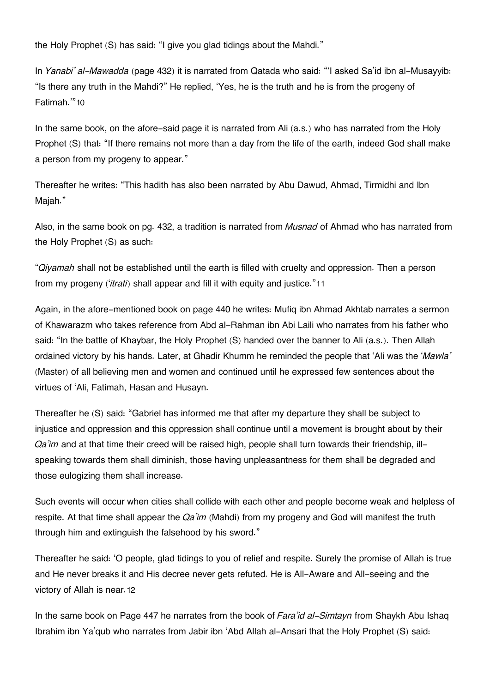the Holy Prophet (S) has said: "I give you glad tidings about the Mahdi."

In *Yanabi' al-Mawadda* (page 432) it is narrated from Qatada who said: "'I asked Sa'id ibn al-Musayyib: "Is there any truth in the Mahdi?" He replied, 'Yes, he is the truth and he is from the progeny of Fatimah.'"[10](#page--1-0)

In the same book, on the afore-said page it is narrated from Ali (a.s.) who has narrated from the Holy Prophet (S) that: "If there remains not more than a day from the life of the earth, indeed God shall make a person from my progeny to appear."

Thereafter he writes: "This hadith has also been narrated by Abu Dawud, Ahmad, Tirmidhi and Ibn Majah."

Also, in the same book on pg. 432, a tradition is narrated from *Musnad* of Ahmad who has narrated from the Holy Prophet (S) as such:

"*Qiyamah* shall not be established until the earth is filled with cruelty and oppression. Then a person from my progeny ('*itrati*) shall appear and fill it with equity and justice."[11](#page--1-0)

Again, in the afore-mentioned book on page 440 he writes: Mufiq ibn Ahmad Akhtab narrates a sermon of Khawarazm who takes reference from Abd al-Rahman ibn Abi Laili who narrates from his father who said: "In the battle of Khaybar, the Holy Prophet (S) handed over the banner to Ali (a.s.). Then Allah ordained victory by his hands. Later, at Ghadir Khumm he reminded the people that 'Ali was the '*Mawla'* (Master) of all believing men and women and continued until he expressed few sentences about the virtues of 'Ali, Fatimah, Hasan and Husayn.

Thereafter he (S) said: "Gabriel has informed me that after my departure they shall be subject to injustice and oppression and this oppression shall continue until a movement is brought about by their *Qa'im* and at that time their creed will be raised high, people shall turn towards their friendship, illspeaking towards them shall diminish, those having unpleasantness for them shall be degraded and those eulogizing them shall increase.

Such events will occur when cities shall collide with each other and people become weak and helpless of respite. At that time shall appear the *Qa'im* (Mahdi) from my progeny and God will manifest the truth through him and extinguish the falsehood by his sword."

Thereafter he said: 'O people, glad tidings to you of relief and respite. Surely the promise of Allah is true and He never breaks it and His decree never gets refuted. He is All-Aware and All-seeing and the victory of Allah is near.[12](#page--1-0)

In the same book on Page 447 he narrates from the book of *Fara'id al-Simtayn* from Shaykh Abu Ishaq Ibrahim ibn Ya'qub who narrates from Jabir ibn 'Abd Allah al-Ansari that the Holy Prophet (S) said: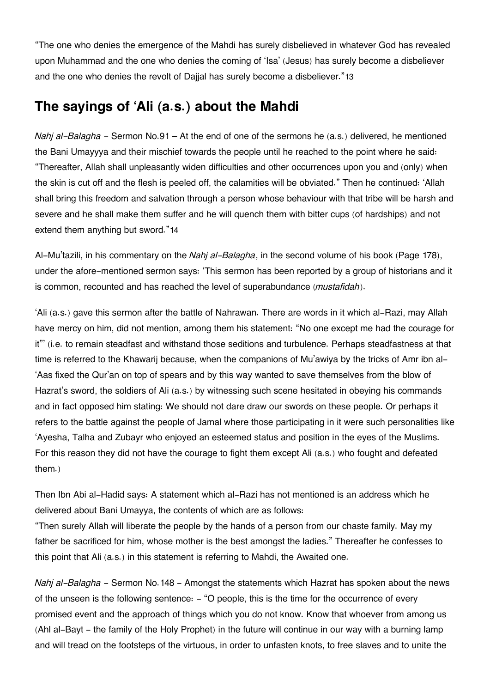"The one who denies the emergence of the Mahdi has surely disbelieved in whatever God has revealed upon Muhammad and the one who denies the coming of 'Isa' (Jesus) has surely become a disbeliever and the one who denies the revolt of Dajjal has surely become a disbeliever."[13](#page--1-0)

### **[The sayings of 'Ali \(a.s.\) about the Mahdi](#page--1-0)**

*Nahj al-Balagha* - Sermon No.91 – At the end of one of the sermons he (a.s.) delivered, he mentioned the Bani Umayyya and their mischief towards the people until he reached to the point where he said: "Thereafter, Allah shall unpleasantly widen difficulties and other occurrences upon you and (only) when the skin is cut off and the flesh is peeled off, the calamities will be obviated." Then he continued: 'Allah shall bring this freedom and salvation through a person whose behaviour with that tribe will be harsh and severe and he shall make them suffer and he will quench them with bitter cups (of hardships) and not extend them anything but sword."[14](#page--1-0)

Al-Mu'tazili, in his commentary on the *Nahj al-Balagha*, in the second volume of his book (Page 178), under the afore-mentioned sermon says: 'This sermon has been reported by a group of historians and it is common, recounted and has reached the level of superabundance (*mustafidah*).

'Ali (a.s.) gave this sermon after the battle of Nahrawan. There are words in it which al-Razi, may Allah have mercy on him, did not mention, among them his statement: "No one except me had the courage for it"' (i.e. to remain steadfast and withstand those seditions and turbulence. Perhaps steadfastness at that time is referred to the Khawarij because, when the companions of Mu'awiya by the tricks of Amr ibn al- 'Aas fixed the Qur'an on top of spears and by this way wanted to save themselves from the blow of Hazrat's sword, the soldiers of Ali (a.s.) by witnessing such scene hesitated in obeying his commands and in fact opposed him stating: We should not dare draw our swords on these people. Or perhaps it refers to the battle against the people of Jamal where those participating in it were such personalities like 'Ayesha, Talha and Zubayr who enjoyed an esteemed status and position in the eyes of the Muslims. For this reason they did not have the courage to fight them except Ali (a.s.) who fought and defeated them.)

Then Ibn Abi al-Hadid says: A statement which al-Razi has not mentioned is an address which he delivered about Bani Umayya, the contents of which are as follows:

"Then surely Allah will liberate the people by the hands of a person from our chaste family. May my father be sacrificed for him, whose mother is the best amongst the ladies." Thereafter he confesses to this point that Ali (a.s.) in this statement is referring to Mahdi, the Awaited one.

*Nahj al-Balagha* - Sermon No.148 - Amongst the statements which Hazrat has spoken about the news of the unseen is the following sentence: - "O people, this is the time for the occurrence of every promised event and the approach of things which you do not know. Know that whoever from among us (Ahl al-Bayt - the family of the Holy Prophet) in the future will continue in our way with a burning lamp and will tread on the footsteps of the virtuous, in order to unfasten knots, to free slaves and to unite the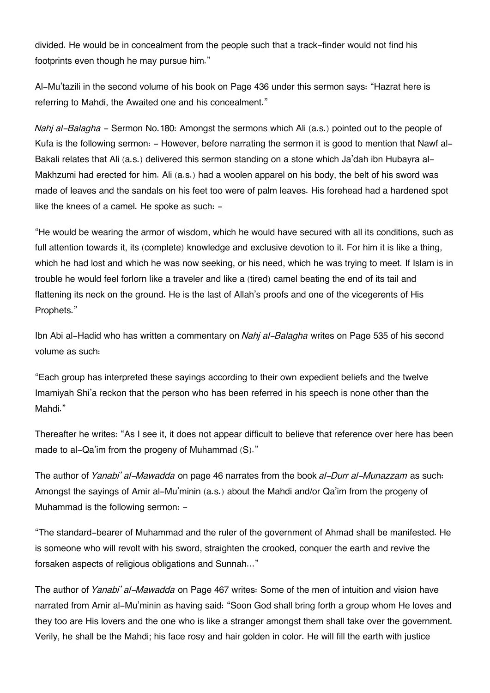divided. He would be in concealment from the people such that a track-finder would not find his footprints even though he may pursue him."

Al-Mu'tazili in the second volume of his book on Page 436 under this sermon says: "Hazrat here is referring to Mahdi, the Awaited one and his concealment."

*Nahj al-Balagha* - Sermon No.180: Amongst the sermons which Ali (a.s.) pointed out to the people of Kufa is the following sermon: - However, before narrating the sermon it is good to mention that Nawf al-Bakali relates that Ali (a.s.) delivered this sermon standing on a stone which Ja'dah ibn Hubayra al-Makhzumi had erected for him. Ali (a.s.) had a woolen apparel on his body, the belt of his sword was made of leaves and the sandals on his feet too were of palm leaves. His forehead had a hardened spot like the knees of a camel. He spoke as such: -

"He would be wearing the armor of wisdom, which he would have secured with all its conditions, such as full attention towards it, its (complete) knowledge and exclusive devotion to it. For him it is like a thing, which he had lost and which he was now seeking, or his need, which he was trying to meet. If Islam is in trouble he would feel forlorn like a traveler and like a (tired) camel beating the end of its tail and flattening its neck on the ground. He is the last of Allah's proofs and one of the vicegerents of His Prophets."

Ibn Abi al-Hadid who has written a commentary on *Nahj al-Balagha* writes on Page 535 of his second volume as such:

"Each group has interpreted these sayings according to their own expedient beliefs and the twelve Imamiyah Shi'a reckon that the person who has been referred in his speech is none other than the Mahdi."

Thereafter he writes: "As I see it, it does not appear difficult to believe that reference over here has been made to al-Qa'im from the progeny of Muhammad (S)."

The author of *Yanabi' al-Mawadda* on page 46 narrates from the book *al-Durr al-Munazzam* as such: Amongst the sayings of Amir al-Mu'minin (a.s.) about the Mahdi and/or Qa'im from the progeny of Muhammad is the following sermon: -

"The standard-bearer of Muhammad and the ruler of the government of Ahmad shall be manifested. He is someone who will revolt with his sword, straighten the crooked, conquer the earth and revive the forsaken aspects of religious obligations and Sunnah…"

The author of *Yanabi' al-Mawadda* on Page 467 writes: Some of the men of intuition and vision have narrated from Amir al-Mu'minin as having said: "Soon God shall bring forth a group whom He loves and they too are His lovers and the one who is like a stranger amongst them shall take over the government. Verily, he shall be the Mahdi; his face rosy and hair golden in color. He will fill the earth with justice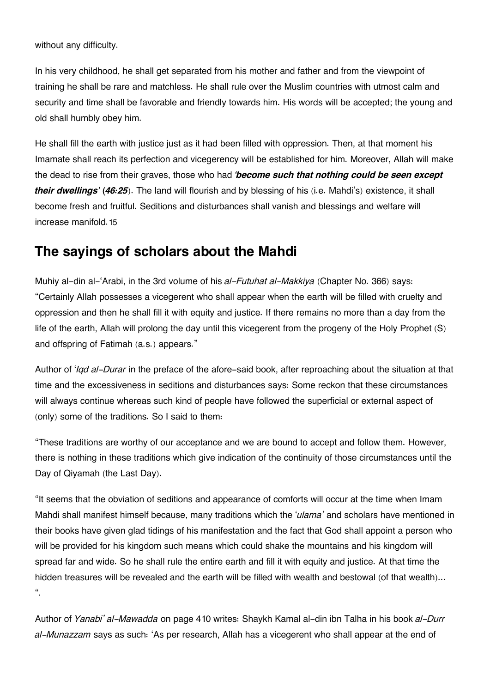without any difficulty.

In his very childhood, he shall get separated from his mother and father and from the viewpoint of training he shall be rare and matchless. He shall rule over the Muslim countries with utmost calm and security and time shall be favorable and friendly towards him. His words will be accepted; the young and old shall humbly obey him.

He shall fill the earth with justice just as it had been filled with oppression. Then, at that moment his Imamate shall reach its perfection and vicegerency will be established for him. Moreover, Allah will make the dead to rise from their graves, those who had *'become such that nothing could be seen except their dwellings' (46:25*). The land will flourish and by blessing of his (i.e. Mahdi's) existence, it shall become fresh and fruitful. Seditions and disturbances shall vanish and blessings and welfare will increase manifold.[15](#page--1-0)

### **[The sayings of scholars about the Mahdi](#page--1-0)**

Muhiy al-din al-'Arabi, in the 3rd volume of his *al-Futuhat al-Makkiya* (Chapter No. 366) says: "Certainly Allah possesses a vicegerent who shall appear when the earth will be filled with cruelty and oppression and then he shall fill it with equity and justice. If there remains no more than a day from the life of the earth, Allah will prolong the day until this vicegerent from the progeny of the Holy Prophet (S) and offspring of Fatimah (a.s.) appears."

Author of '*Iqd al-Durar* in the preface of the afore-said book, after reproaching about the situation at that time and the excessiveness in seditions and disturbances says: Some reckon that these circumstances will always continue whereas such kind of people have followed the superficial or external aspect of (only) some of the traditions. So I said to them:

"These traditions are worthy of our acceptance and we are bound to accept and follow them. However, there is nothing in these traditions which give indication of the continuity of those circumstances until the Day of Qiyamah (the Last Day).

"It seems that the obviation of seditions and appearance of comforts will occur at the time when Imam Mahdi shall manifest himself because, many traditions which the '*ulama'* and scholars have mentioned in their books have given glad tidings of his manifestation and the fact that God shall appoint a person who will be provided for his kingdom such means which could shake the mountains and his kingdom will spread far and wide. So he shall rule the entire earth and fill it with equity and justice. At that time the hidden treasures will be revealed and the earth will be filled with wealth and bestowal (of that wealth)...  $\frac{a}{a}$ 

Author of *Yanabi' al-Mawadda* on page 410 writes: Shaykh Kamal al-din ibn Talha in his book *al-Durr al-Munazzam* says as such: 'As per research, Allah has a vicegerent who shall appear at the end of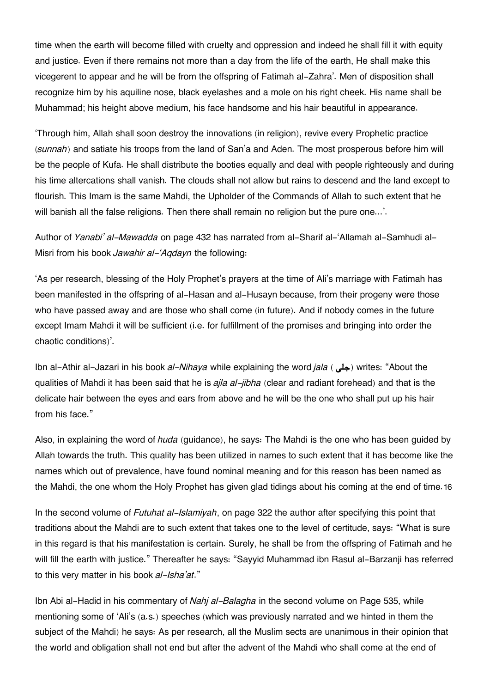time when the earth will become filled with cruelty and oppression and indeed he shall fill it with equity and justice. Even if there remains not more than a day from the life of the earth, He shall make this vicegerent to appear and he will be from the offspring of Fatimah al-Zahra'. Men of disposition shall recognize him by his aquiline nose, black eyelashes and a mole on his right cheek. His name shall be Muhammad; his height above medium, his face handsome and his hair beautiful in appearance.

'Through him, Allah shall soon destroy the innovations (in religion), revive every Prophetic practice (*sunnah*) and satiate his troops from the land of San'a and Aden. The most prosperous before him will be the people of Kufa. He shall distribute the booties equally and deal with people righteously and during his time altercations shall vanish. The clouds shall not allow but rains to descend and the land except to flourish. This Imam is the same Mahdi, the Upholder of the Commands of Allah to such extent that he will banish all the false religions. Then there shall remain no religion but the pure one...'.

Author of *Yanabi' al-Mawadda* on page 432 has narrated from al-Sharif al-'Allamah al-Samhudi al-Misri from his book *Jawahir al-'Aqdayn* the following:

'As per research, blessing of the Holy Prophet's prayers at the time of Ali's marriage with Fatimah has been manifested in the offspring of al-Hasan and al-Husayn because, from their progeny were those who have passed away and are those who shall come (in future). And if nobody comes in the future except Imam Mahdi it will be sufficient (i.e. for fulfillment of the promises and bringing into order the chaotic conditions)'.

Ibn al-Athir al-Jazari in his book *al-Nihaya* while explaining the word *jala* ( جلي ) writes: "About the qualities of Mahdi it has been said that he is *ajla al-jibha* (clear and radiant forehead) and that is the delicate hair between the eyes and ears from above and he will be the one who shall put up his hair from his face."

Also, in explaining the word of *huda* (guidance), he says: The Mahdi is the one who has been guided by Allah towards the truth. This quality has been utilized in names to such extent that it has become like the names which out of prevalence, have found nominal meaning and for this reason has been named as the Mahdi, the one whom the Holy Prophet has given glad tidings about his coming at the end of time.[16](#page--1-0)

In the second volume of *Futuhat al-Islamiyah*, on page 322 the author after specifying this point that traditions about the Mahdi are to such extent that takes one to the level of certitude, says: "What is sure in this regard is that his manifestation is certain. Surely, he shall be from the offspring of Fatimah and he will fill the earth with justice." Thereafter he says: "Sayyid Muhammad ibn Rasul al-Barzanji has referred to this very matter in his book *al-Isha'at*."

Ibn Abi al-Hadid in his commentary of *Nahj al-Balagha* in the second volume on Page 535, while mentioning some of 'Ali's (a.s.) speeches (which was previously narrated and we hinted in them the subject of the Mahdi) he says: As per research, all the Muslim sects are unanimous in their opinion that the world and obligation shall not end but after the advent of the Mahdi who shall come at the end of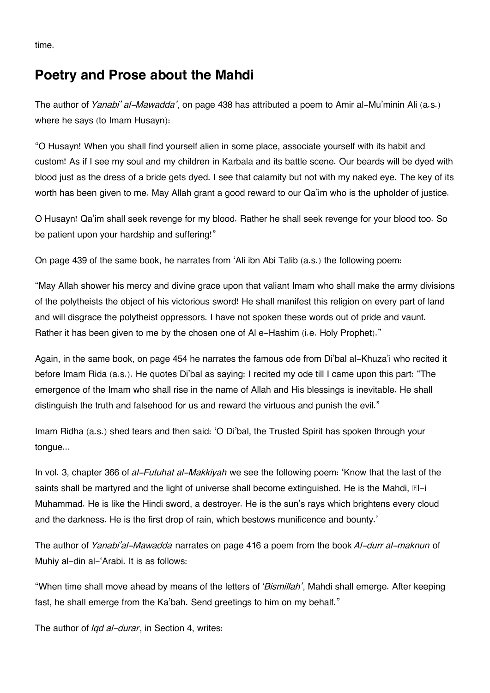time.

### **[Poetry and Prose about the Mahdi](#page--1-0)**

The author of *Yanabi' al-Mawadda'*, on page 438 has attributed a poem to Amir al-Mu'minin Ali (a.s.) where he says (to Imam Husayn):

"O Husayn! When you shall find yourself alien in some place, associate yourself with its habit and custom! As if I see my soul and my children in Karbala and its battle scene. Our beards will be dyed with blood just as the dress of a bride gets dyed. I see that calamity but not with my naked eye. The key of its worth has been given to me. May Allah grant a good reward to our Qa'im who is the upholder of justice.

O Husayn! Qa'im shall seek revenge for my blood. Rather he shall seek revenge for your blood too. So be patient upon your hardship and suffering!"

On page 439 of the same book, he narrates from 'Ali ibn Abi Talib (a.s.) the following poem:

"May Allah shower his mercy and divine grace upon that valiant Imam who shall make the army divisions of the polytheists the object of his victorious sword! He shall manifest this religion on every part of land and will disgrace the polytheist oppressors. I have not spoken these words out of pride and vaunt. Rather it has been given to me by the chosen one of Al e-Hashim (i.e. Holy Prophet)."

Again, in the same book, on page 454 he narrates the famous ode from Di'bal al-Khuza'i who recited it before Imam Rida (a.s.). He quotes Di'bal as saying: I recited my ode till I came upon this part: "The emergence of the Imam who shall rise in the name of Allah and His blessings is inevitable. He shall distinguish the truth and falsehood for us and reward the virtuous and punish the evil."

Imam Ridha (a.s.) shed tears and then said: 'O Di'bal, the Trusted Spirit has spoken through your tongue...

In vol. 3, chapter 366 of *al-Futuhat al-Makkiyah* we see the following poem: 'Know that the last of the saints shall be martyred and the light of universe shall become extinguished. He is the Mahdi,  $\mathbb{E}$ l-i Muhammad. He is like the Hindi sword, a destroyer. He is the sun's rays which brightens every cloud and the darkness. He is the first drop of rain, which bestows munificence and bounty.'

The author of *Yanabi'al-Mawadda* narrates on page 416 a poem from the book *Al-durr al-maknun* of Muhiy al-din al-'Arabi. It is as follows:

"When time shall move ahead by means of the letters of '*Bismillah'*, Mahdi shall emerge. After keeping fast, he shall emerge from the Ka'bah. Send greetings to him on my behalf."

The author of *Iqd al-durar*, in Section 4, writes: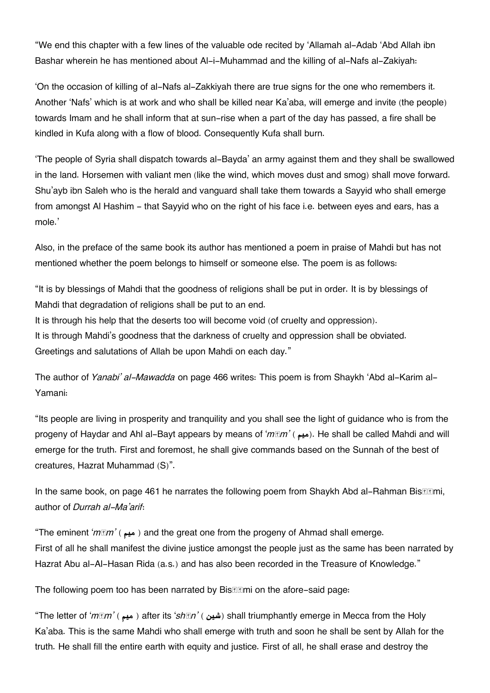"We end this chapter with a few lines of the valuable ode recited by 'Allamah al-Adab 'Abd Allah ibn Bashar wherein he has mentioned about Al-i-Muhammad and the killing of al-Nafs al-Zakiyah:

'On the occasion of killing of al-Nafs al-Zakkiyah there are true signs for the one who remembers it. Another 'Nafs' which is at work and who shall be killed near Ka'aba, will emerge and invite (the people) towards Imam and he shall inform that at sun-rise when a part of the day has passed, a fire shall be kindled in Kufa along with a flow of blood. Consequently Kufa shall burn.

'The people of Syria shall dispatch towards al-Bayda' an army against them and they shall be swallowed in the land. Horsemen with valiant men (like the wind, which moves dust and smog) shall move forward. Shu'ayb ibn Saleh who is the herald and vanguard shall take them towards a Sayyid who shall emerge from amongst Al Hashim - that Sayyid who on the right of his face i.e. between eyes and ears, has a mole.'

Also, in the preface of the same book its author has mentioned a poem in praise of Mahdi but has not mentioned whether the poem belongs to himself or someone else. The poem is as follows:

"It is by blessings of Mahdi that the goodness of religions shall be put in order. It is by blessings of Mahdi that degradation of religions shall be put to an end.

It is through his help that the deserts too will become void (of cruelty and oppression). It is through Mahdi's goodness that the darkness of cruelty and oppression shall be obviated. Greetings and salutations of Allah be upon Mahdi on each day."

The author of *Yanabi' al-Mawadda* on page 466 writes: This poem is from Shaykh 'Abd al-Karim al-Yamani:

"Its people are living in prosperity and tranquility and you shall see the light of guidance who is from the progeny of Haydar and Ahl al-Bayt appears by means of '*mm'* (ميم). He shall be called Mahdi and will emerge for the truth. First and foremost, he shall give commands based on the Sunnah of the best of creatures, Hazrat Muhammad (S)".

In the same book, on page 461 he narrates the following poem from Shaykh Abd al-Rahman Bis author of *Durrah al-Ma'arif*:

"The eminent '*m* $\mathbb{F}m'$  ( میم $($  and the great one from the progeny of Ahmad shall emerge. First of all he shall manifest the divine justice amongst the people just as the same has been narrated by Hazrat Abu al-Al-Hasan Rida (a.s.) and has also been recorded in the Treasure of Knowledge."

The following poem too has been narrated by Bis**thermi** on the afore-said page:

"The letter of '*msm'* ( ميم ) after its '*shn'* ( شين ) shall triumphantly emerge in Mecca from the Holy Ka'aba. This is the same Mahdi who shall emerge with truth and soon he shall be sent by Allah for the truth. He shall fill the entire earth with equity and justice. First of all, he shall erase and destroy the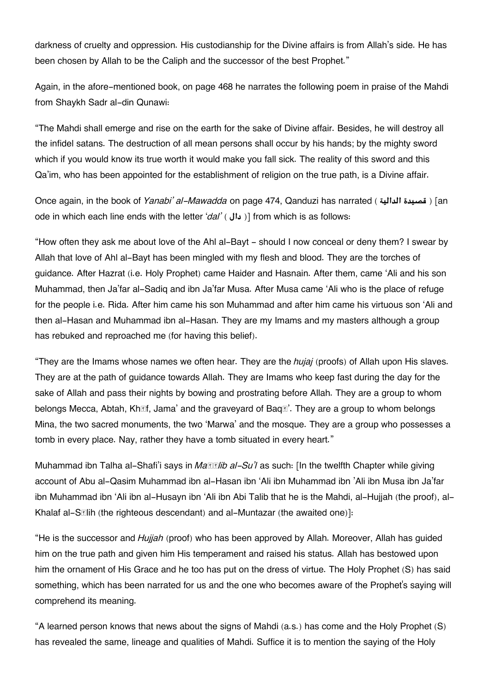darkness of cruelty and oppression. His custodianship for the Divine affairs is from Allah's side. He has been chosen by Allah to be the Caliph and the successor of the best Prophet."

Again, in the afore-mentioned book, on page 468 he narrates the following poem in praise of the Mahdi from Shaykh Sadr al-din Qunawi:

"The Mahdi shall emerge and rise on the earth for the sake of Divine affair. Besides, he will destroy all the infidel satans. The destruction of all mean persons shall occur by his hands; by the mighty sword which if you would know its true worth it would make you fall sick. The reality of this sword and this Qa'im, who has been appointed for the establishment of religion on the true path, is a Divine affair.

Once again, in the book of *Yanabi' al-Mawadda* on page 474, Qanduzi has narrated ( **الدالية قصيدة**] (an ode in which each line ends with the letter '*dal'* ( **دال** [( from which is as follows:

"How often they ask me about love of the Ahl al-Bayt - should I now conceal or deny them? I swear by Allah that love of Ahl al-Bayt has been mingled with my flesh and blood. They are the torches of guidance. After Hazrat (i.e. Holy Prophet) came Haider and Hasnain. After them, came 'Ali and his son Muhammad, then Ja'far al-Sadiq and ibn Ja'far Musa. After Musa came 'Ali who is the place of refuge for the people i.e. Rida. After him came his son Muhammad and after him came his virtuous son 'Ali and then al-Hasan and Muhammad ibn al-Hasan. They are my Imams and my masters although a group has rebuked and reproached me (for having this belief).

"They are the Imams whose names we often hear. They are the *hujaj* (proofs) of Allah upon His slaves. They are at the path of guidance towards Allah. They are Imams who keep fast during the day for the sake of Allah and pass their nights by bowing and prostrating before Allah. They are a group to whom belongs Mecca, Abtah, Khīf, Jama' and the graveyard of Baqī'. They are a group to whom belongs Mina, the two sacred monuments, the two 'Marwa' and the mosque. They are a group who possesses a tomb in every place. Nay, rather they have a tomb situated in every heart."

Muhammad ibn Talha al-Shafi'i says in *Matilib al-Su'l* as such: [In the twelfth Chapter while giving account of Abu al-Qasim Muhammad ibn al-Hasan ibn 'Ali ibn Muhammad ibn 'Ali ibn Musa ibn Ja'far ibn Muhammad ibn 'Ali ibn al-Husayn ibn 'Ali ibn Abi Talib that he is the Mahdi, al-Hujjah (the proof), al-Khalaf al-Sālih (the righteous descendant) and al-Muntazar (the awaited one)]:

"He is the successor and *Hujjah* (proof) who has been approved by Allah. Moreover, Allah has guided him on the true path and given him His temperament and raised his status. Allah has bestowed upon him the ornament of His Grace and he too has put on the dress of virtue. The Holy Prophet (S) has said something, which has been narrated for us and the one who becomes aware of the Prophet's saying will comprehend its meaning.

"A learned person knows that news about the signs of Mahdi (a.s.) has come and the Holy Prophet (S) has revealed the same, lineage and qualities of Mahdi. Suffice it is to mention the saying of the Holy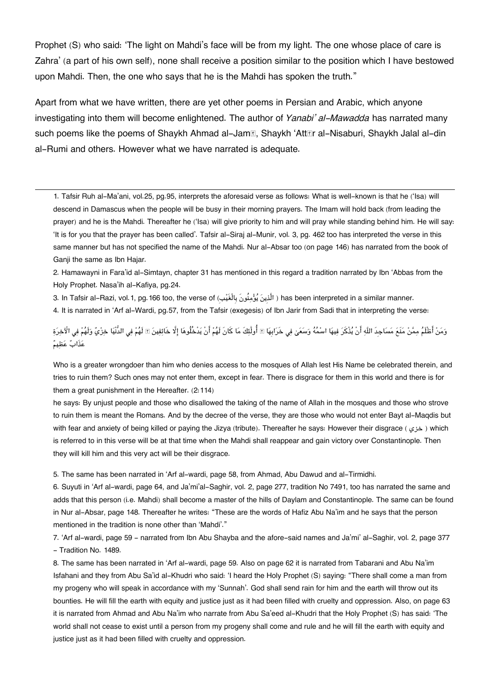Prophet (S) who said: 'The light on Mahdi's face will be from my light. The one whose place of care is Zahra' (a part of his own self), none shall receive a position similar to the position which I have bestowed upon Mahdi. Then, the one who says that he is the Mahdi has spoken the truth."

Apart from what we have written, there are yet other poems in Persian and Arabic, which anyone investigating into them will become enlightened. The author of *Yanabi' al-Mawadda* has narrated many such poems like the poems of Shaykh Ahmad al-Jam**<b>E**, Shaykh 'Att**Er** al-Nisaburi, Shaykh Jalal al-din al-Rumi and others. However what we have narrated is adequate.

[1.](#page--1-0) Tafsir Ruh al-Ma'ani, vol.25, pg.95, interprets the aforesaid verse as follows: What is well-known is that he ('Isa) will descend in Damascus when the people will be busy in their morning prayers. The Imam will hold back (from leading the prayer) and he is the Mahdi. Thereafter he ('Isa) will give priority to him and will pray while standing behind him. He will say: 'It is for you that the prayer has been called'. Tafsir al-Siraj al-Munir, vol. 3, pg. 462 too has interpreted the verse in this same manner but has not specified the name of the Mahdi. Nur al-Absar too (on page 146) has narrated from the book of Ganji the same as Ibn Hajar.

[2.](#page--1-0) Hamawayni in Fara'id al-Simtayn, chapter 31 has mentioned in this regard a tradition narrated by Ibn 'Abbas from the Holy Prophet. Nasa'ih al-Kafiya, pg.24.

[3.](#page--1-0) In Tafsir al-Razi, vol.1, pg.166 too, the verse of (ِبيَغْالِب َونُنموي ينِالَّذ ( has been interpreted in a similar manner.

[4.](#page--1-0) It is narrated in 'Arf al-Wardi, pg.57, from the Tafsir (exegesis) of Ibn Jarir from Sadi that in interpreting the verse:

وَمَنْ أَظْلَمُ ممَّنْ مَنَعَ مَسَاجِدَ اللَّه أَنْ يُذْكَرَ فيهَا اسْمُهُ وَسَعَىٰ في خَرَابِهَا ۩ أُولَٰئكَ مَا كَانَ لَهُمْ أَنْ يَدْخُلُوهَا إِلَّا خَائفينَ ۩ لَفُمْ وَي غَرَابِها ۞ أُولَٰئكَ مَا كَانَ لَهُمْ أَنْ يَد عَذَابٌ عَظِيمٌ

Who is a greater wrongdoer than him who denies access to the mosques of Allah lest His Name be celebrated therein, and tries to ruin them? Such ones may not enter them, except in fear. There is disgrace for them in this world and there is for them a great punishment in the Hereafter. (2:114)

he says: By unjust people and those who disallowed the taking of the name of Allah in the mosques and those who strove to ruin them is meant the Romans. And by the decree of the verse, they are those who would not enter Bayt al-Maqdis but with fear and anxiety of being killed or paying the Jizya (tribute). Thereafter he says: However their disgrace ( خزى ) which is referred to in this verse will be at that time when the Mahdi shall reappear and gain victory over Constantinople. Then they will kill him and this very act will be their disgrace.

[5.](#page--1-0) The same has been narrated in 'Arf al-wardi, page 58, from Ahmad, Abu Dawud and al-Tirmidhi.

[6.](#page--1-0) Suyuti in 'Arf al-wardi, page 64, and Ja'mi'al-Saghir, vol. 2, page 277, tradition No 7491, too has narrated the same and adds that this person (i.e. Mahdi) shall become a master of the hills of Daylam and Constantinople. The same can be found in Nur al-Absar, page 148. Thereafter he writes: "These are the words of Hafiz Abu Na'im and he says that the person mentioned in the tradition is none other than 'Mahdi'."

[7.](#page--1-0) 'Arf al-wardi, page 59 - narrated from Ibn Abu Shayba and the afore-said names and Ja'mi' al-Saghir, vol. 2, page 377 - Tradition No. 1489.

[8.](#page--1-0) The same has been narrated in 'Arf al-wardi, page 59. Also on page 62 it is narrated from Tabarani and Abu Na'im Isfahani and they from Abu Sa'id al-Khudri who said: 'I heard the Holy Prophet (S) saying: "There shall come a man from my progeny who will speak in accordance with my 'Sunnah'. God shall send rain for him and the earth will throw out its bounties. He will fill the earth with equity and justice just as it had been filled with cruelty and oppression. Also, on page 63 it is narrated from Ahmad and Abu Na'im who narrate from Abu Sa'eed al-Khudri that the Holy Prophet (S) has said: 'The world shall not cease to exist until a person from my progeny shall come and rule and he will fill the earth with equity and justice just as it had been filled with cruelty and oppression.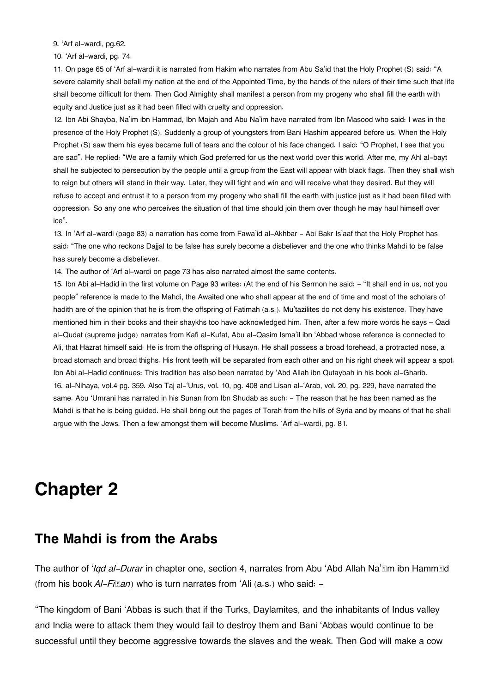[9.](#page--1-0) 'Arf al-wardi, pg.62.

[10.](#page--1-0) 'Arf al-wardi, pg. 74.

[11.](#page--1-0) On page 65 of 'Arf al-wardi it is narrated from Hakim who narrates from Abu Sa'id that the Holy Prophet (S) said: "A severe calamity shall befall my nation at the end of the Appointed Time, by the hands of the rulers of their time such that life shall become difficult for them. Then God Almighty shall manifest a person from my progeny who shall fill the earth with equity and Justice just as it had been filled with cruelty and oppression.

[12.](#page--1-0) Ibn Abi Shayba, Na'im ibn Hammad, Ibn Majah and Abu Na'im have narrated from Ibn Masood who said: I was in the presence of the Holy Prophet (S). Suddenly a group of youngsters from Bani Hashim appeared before us. When the Holy Prophet (S) saw them his eyes became full of tears and the colour of his face changed. I said: "O Prophet, I see that you are sad". He replied: "We are a family which God preferred for us the next world over this world. After me, my Ahl al-bayt shall he subjected to persecution by the people until a group from the East will appear with black flags. Then they shall wish to reign but others will stand in their way. Later, they will fight and win and will receive what they desired. But they will refuse to accept and entrust it to a person from my progeny who shall fill the earth with justice just as it had been filled with oppression. So any one who perceives the situation of that time should join them over though he may haul himself over ice".

[13.](#page--1-0) In 'Arf al-wardi (page 83) a narration has come from Fawa'id al-Akhbar - Abi Bakr Is'aaf that the Holy Prophet has said: "The one who reckons Dajjal to be false has surely become a disbeliever and the one who thinks Mahdi to be false has surely become a disbeliever.

[14.](#page--1-0) The author of 'Arf al-wardi on page 73 has also narrated almost the same contents.

[15.](#page--1-0) Ibn Abi al-Hadid in the first volume on Page 93 writes: (At the end of his Sermon he said: - "It shall end in us, not you people" reference is made to the Mahdi, the Awaited one who shall appear at the end of time and most of the scholars of hadith are of the opinion that he is from the offspring of Fatimah (a.s.). Mu'tazilites do not deny his existence. They have mentioned him in their books and their shaykhs too have acknowledged him. Then, after a few more words he says – Qadi al-Qudat (supreme judge) narrates from Kafi al-Kufat, Abu al-Qasim Isma'il ibn 'Abbad whose reference is connected to Ali, that Hazrat himself said: He is from the offspring of Husayn. He shall possess a broad forehead, a protracted nose, a broad stomach and broad thighs. His front teeth will be separated from each other and on his right cheek will appear a spot. Ibn Abi al-Hadid continues: This tradition has also been narrated by 'Abd Allah ibn Qutaybah in his book al-Gharib. [16.](#page--1-0) al-Nihaya, vol.4 pg. 359. Also Taj al-'Urus, vol. 10, pg. 408 and Lisan al-'Arab, vol. 20, pg. 229, have narrated the same. Abu 'Umrani has narrated in his Sunan from Ibn Shudab as such: - The reason that he has been named as the Mahdi is that he is being guided. He shall bring out the pages of Torah from the hills of Syria and by means of that he shall argue with the Jews. Then a few amongst them will become Muslims. 'Arf al-wardi, pg. 81.

## **Chapter 2**

### **[The Mahdi is from the Arabs](#page--1-0)**

The author of *'Iqd al-Durar* in chapter one, section 4, narrates from Abu 'Abd Allah Na'*I*m ibn Hamm*I*d (from his book *AI-Fitian*) who is turn narrates from 'Ali (a.s.) who said: -

"The kingdom of Bani 'Abbas is such that if the Turks, Daylamites, and the inhabitants of Indus valley and India were to attack them they would fail to destroy them and Bani 'Abbas would continue to be successful until they become aggressive towards the slaves and the weak. Then God will make a cow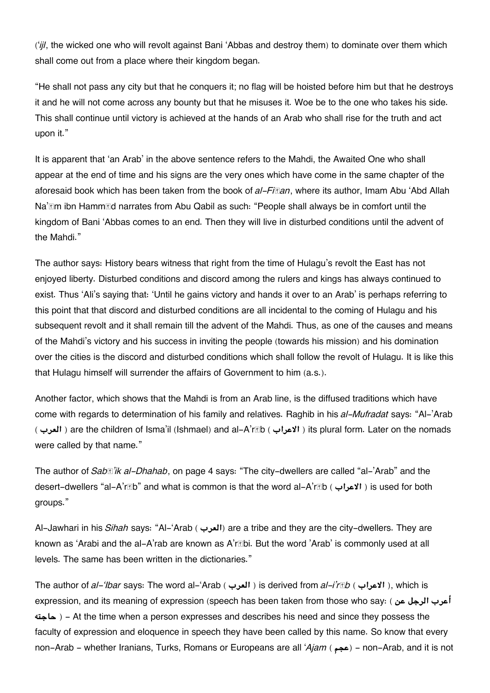('*ijl*, the wicked one who will revolt against Bani 'Abbas and destroy them) to dominate over them which shall come out from a place where their kingdom began.

"He shall not pass any city but that he conquers it; no flag will be hoisted before him but that he destroys it and he will not come across any bounty but that he misuses it. Woe be to the one who takes his side. This shall continue until victory is achieved at the hands of an Arab who shall rise for the truth and act upon it."

It is apparent that 'an Arab' in the above sentence refers to the Mahdi, the Awaited One who shall appear at the end of time and his signs are the very ones which have come in the same chapter of the aforesaid book which has been taken from the book of *al-Fiṭan*, where its author, Imam Abu 'Abd Allah Na'*I'm* ibn Hamm*I'd narrates from Abu Qabil as such: "People shall always be in comfort until the* kingdom of Bani 'Abbas comes to an end. Then they will live in disturbed conditions until the advent of the Mahdi."

The author says: History bears witness that right from the time of Hulagu's revolt the East has not enjoyed liberty. Disturbed conditions and discord among the rulers and kings has always continued to exist. Thus 'Ali's saying that: 'Until he gains victory and hands it over to an Arab' is perhaps referring to this point that that discord and disturbed conditions are all incidental to the coming of Hulagu and his subsequent revolt and it shall remain till the advent of the Mahdi. Thus, as one of the causes and means of the Mahdi's victory and his success in inviting the people (towards his mission) and his domination over the cities is the discord and disturbed conditions which shall follow the revolt of Hulagu. It is like this that Hulagu himself will surrender the affairs of Government to him (a.s.).

Another factor, which shows that the Mahdi is from an Arab line, is the diffused traditions which have come with regards to determination of his family and relatives. Raghib in his *al-Mufradat* says: "Al-'Arab ( **العرب** ( are the children of Isma'il (Ishmael) and al-A'rāb ( **الاعراب** ( its plural form. Later on the nomads were called by that name."

The author of *Sabā'ik al-Dhahab*, on page 4 says: "The city-dwellers are called "al-'Arab" and the desert-dwellers "al-A'rāb" and what is common is that the word al-A'rāb ( **الاعراب** ( is used for both groups."

Al-Jawhari in his *Sihah* says: "Al-'Arab ( **العرب** (are a tribe and they are the city-dwellers. They are known as 'Arabi and the al-A'rab are known as A'rābi. But the word 'Arab' is commonly used at all levels. The same has been written in the dictionaries."

The author of *al-'Ibar* says: The word al-'Arab ( **العرب** ( is derived from *al-i'rāb* ( **الاعراب**( , which is expression, and its meaning of expression (speech has been taken from those who say: ( **عن الرجل أعرب حاجته** ( - At the time when a person expresses and describes his need and since they possess the faculty of expression and eloquence in speech they have been called by this name. So know that every non-Arab - whether Iranians, Turks, Romans or Europeans are all '*Ajam* (عجم) - non-Arab, and it is not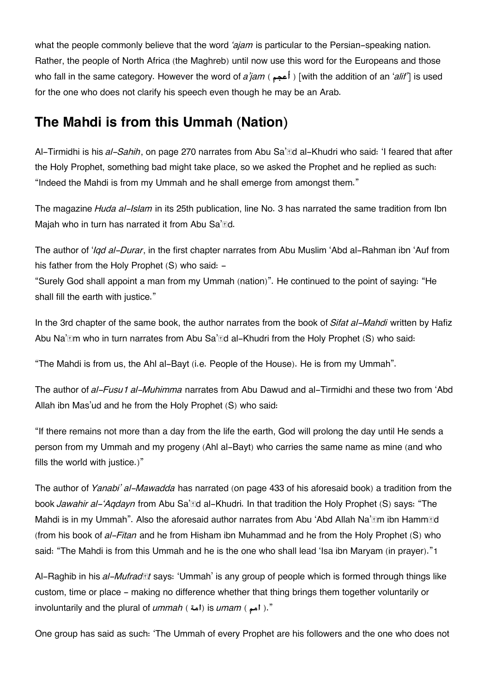what the people commonly believe that the word *'ajam* is particular to the Persian-speaking nation. Rather, the people of North Africa (the Maghreb) until now use this word for the Europeans and those who fall in the same category. However the word of *a'jam* ( **أعجم**] ( with the addition of an '*alif'*] is used for the one who does not clarify his speech even though he may be an Arab.

## **[The Mahdi is from this Ummah \(Nation\)](#page--1-0)**

Al-Tirmidhi is his *al-Sahih*, on page 270 narrates from Abu Sa'īd al-Khudri who said: 'I feared that after the Holy Prophet, something bad might take place, so we asked the Prophet and he replied as such: "Indeed the Mahdi is from my Ummah and he shall emerge from amongst them."

The magazine *Huda al-Islam* in its 25th publication, line No. 3 has narrated the same tradition from Ibn Majah who in turn has narrated it from Abu Sa'nd.

The author of '*Iqd al-Durar*, in the first chapter narrates from Abu Muslim 'Abd al-Rahman ibn 'Auf from his father from the Holy Prophet (S) who said: -

"Surely God shall appoint a man from my Ummah (nation)". He continued to the point of saying: "He shall fill the earth with justice."

In the 3rd chapter of the same book, the author narrates from the book of *Sifat al-Mahdi* written by Hafiz Abu Na'*Im* who in turn narrates from Abu Sa'*IId al-Khudri* from the Holy Prophet (S) who said:

"The Mahdi is from us, the Ahl al-Bayt (i.e. People of the House). He is from my Ummah".

The author of *al-Fusu1 al-Muhimma* narrates from Abu Dawud and al-Tirmidhi and these two from 'Abd Allah ibn Mas'ud and he from the Holy Prophet (S) who said:

"If there remains not more than a day from the life the earth, God will prolong the day until He sends a person from my Ummah and my progeny (Ahl al-Bayt) who carries the same name as mine (and who fills the world with justice.)"

The author of *Yanabi' al-Mawadda* has narrated (on page 433 of his aforesaid book) a tradition from the book *Jawahir al-'Aqdayn* from Abu Sa'īd al-Khudri. In that tradition the Holy Prophet (S) says: "The Mahdi is in my Ummah". Also the aforesaid author narrates from Abu 'Abd Allah Na'**Em ibn HammEd** (from his book of *al-Fitan* and he from Hisham ibn Muhammad and he from the Holy Prophet (S) who said: "The Mahdi is from this Ummah and he is the one who shall lead 'Isa ibn Maryam (in prayer)."[1](#page--1-0)

Al-Raghib in his *al-Mufradāt* says: 'Ummah' is any group of people which is formed through things like custom, time or place - making no difference whether that thing brings them together voluntarily or involuntarily and the plural of *ummah* ( أمة) is *umam* ( .")."

One group has said as such: 'The Ummah of every Prophet are his followers and the one who does not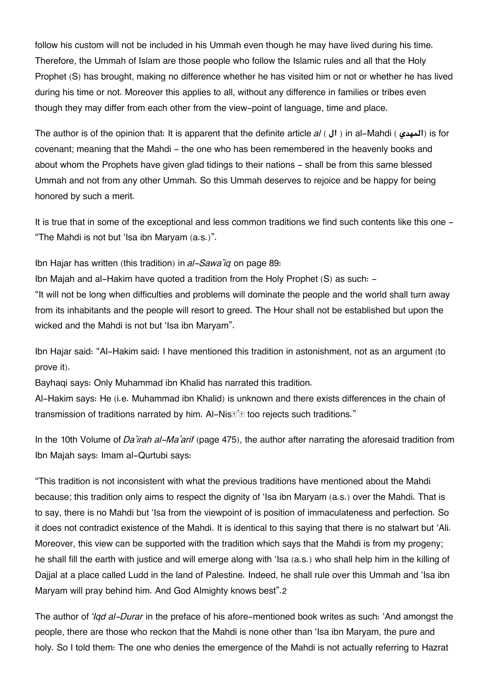follow his custom will not be included in his Ummah even though he may have lived during his time. Therefore, the Ummah of Islam are those people who follow the Islamic rules and all that the Holy Prophet (S) has brought, making no difference whether he has visited him or not or whether he has lived during his time or not. Moreover this applies to all, without any difference in families or tribes even though they may differ from each other from the view-point of language, time and place.

The author is of the opinion that: It is apparent that the definite article *al* ( **ال** ( in al-Mahdi ( **المهدي** (is for covenant; meaning that the Mahdi - the one who has been remembered in the heavenly books and about whom the Prophets have given glad tidings to their nations - shall be from this same blessed Ummah and not from any other Ummah. So this Ummah deserves to rejoice and be happy for being honored by such a merit.

It is true that in some of the exceptional and less common traditions we find such contents like this one -"The Mahdi is not but 'Isa ibn Maryam (a.s.)".

Ibn Hajar has written (this tradition) in *al-Sawa'iq* on page 89:

Ibn Majah and al-Hakim have quoted a tradition from the Holy Prophet (S) as such: - "It will not be long when difficulties and problems will dominate the people and the world shall turn away from its inhabitants and the people will resort to greed. The Hour shall not be established but upon the wicked and the Mahdi is not but 'Isa ibn Maryam".

Ibn Hajar said: "Al-Hakim said: I have mentioned this tradition in astonishment, not as an argument (to prove it).

Bayhaqi says: Only Muhammad ibn Khalid has narrated this tradition.

Al-Hakim says: He (i.e. Muhammad ibn Khalid) is unknown and there exists differences in the chain of transmission of traditions narrated by him. Al-Nis<sup>®'</sup> too rejects such traditions."

In the 10th Volume of *Da'irah al-Ma'arif* (page 475), the author after narrating the aforesaid tradition from Ibn Majah says: Imam al-Qurtubi says:

"This tradition is not inconsistent with what the previous traditions have mentioned about the Mahdi because; this tradition only aims to respect the dignity of 'Isa ibn Maryam (a.s.) over the Mahdi. That is to say, there is no Mahdi but 'Isa from the viewpoint of is position of immaculateness and perfection. So it does not contradict existence of the Mahdi. It is identical to this saying that there is no stalwart but 'Ali. Moreover, this view can be supported with the tradition which says that the Mahdi is from my progeny; he shall fill the earth with justice and will emerge along with 'Isa (a.s.) who shall help him in the killing of Dajjal at a place called Ludd in the land of Palestine. Indeed, he shall rule over this Ummah and 'Isa ibn Maryam will pray behind him. And God Almighty knows best".[2](#page--1-0)

The author of *'Iqd al-Durar* in the preface of his afore-mentioned book writes as such: 'And amongst the people, there are those who reckon that the Mahdi is none other than 'Isa ibn Maryam, the pure and holy. So I told them: The one who denies the emergence of the Mahdi is not actually referring to Hazrat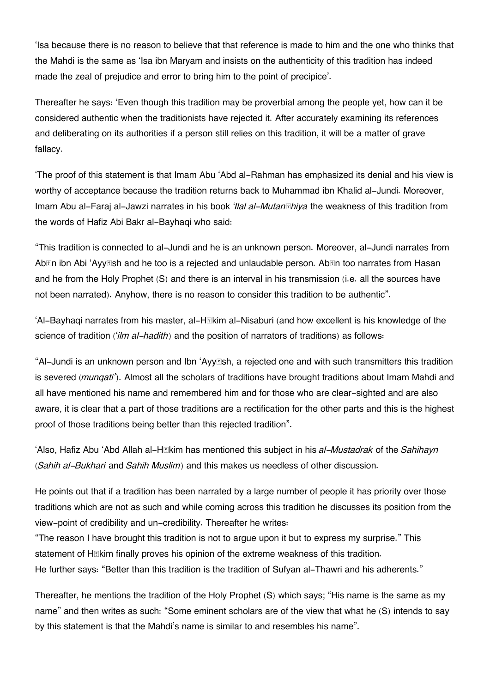'Isa because there is no reason to believe that that reference is made to him and the one who thinks that the Mahdi is the same as 'Isa ibn Maryam and insists on the authenticity of this tradition has indeed made the zeal of prejudice and error to bring him to the point of precipice'.

Thereafter he says: 'Even though this tradition may be proverbial among the people yet, how can it be considered authentic when the traditionists have rejected it. After accurately examining its references and deliberating on its authorities if a person still relies on this tradition, it will be a matter of grave fallacy.

'The proof of this statement is that Imam Abu 'Abd al-Rahman has emphasized its denial and his view is worthy of acceptance because the tradition returns back to Muhammad ibn Khalid al-Jundi. Moreover, Imam Abu al-Faraj al-Jawzi narrates in his book *'Ilal al-Mutanāhiya* the weakness of this tradition from the words of Hafiz Abi Bakr al-Bayhaqi who said:

"This tradition is connected to al-Jundi and he is an unknown person. Moreover, al-Jundi narrates from Ab $\text{In}$  **ibn Abi 'AyyEsh and he too is a rejected and unlaudable person. Ab<b>En** too narrates from Hasan and he from the Holy Prophet (S) and there is an interval in his transmission (i.e. all the sources have not been narrated). Anyhow, there is no reason to consider this tradition to be authentic".

'Al-Bayhaqi narrates from his master, al-Hākim al-Nisaburi (and how excellent is his knowledge of the science of tradition ('*ilm al-hadith*) and the position of narrators of traditions) as follows:

"Al-Jundi is an unknown person and Ibn 'Ayyāsh, a rejected one and with such transmitters this tradition is severed (*munqati'*). Almost all the scholars of traditions have brought traditions about Imam Mahdi and all have mentioned his name and remembered him and for those who are clear-sighted and are also aware, it is clear that a part of those traditions are a rectification for the other parts and this is the highest proof of those traditions being better than this rejected tradition".

'Also, Hafiz Abu 'Abd Allah al-Hākim has mentioned this subject in his *al-Mustadrak* of the *Sahihayn* (*Sahih al-Bukhari* and *Sahih Muslim*) and this makes us needless of other discussion.

He points out that if a tradition has been narrated by a large number of people it has priority over those traditions which are not as such and while coming across this tradition he discusses its position from the view-point of credibility and un-credibility. Thereafter he writes:

"The reason I have brought this tradition is not to argue upon it but to express my surprise." This statement of H*II*kim finally proves his opinion of the extreme weakness of this tradition. He further says: "Better than this tradition is the tradition of Sufyan al-Thawri and his adherents."

Thereafter, he mentions the tradition of the Holy Prophet (S) which says; "His name is the same as my name" and then writes as such: "Some eminent scholars are of the view that what he (S) intends to say by this statement is that the Mahdi's name is similar to and resembles his name".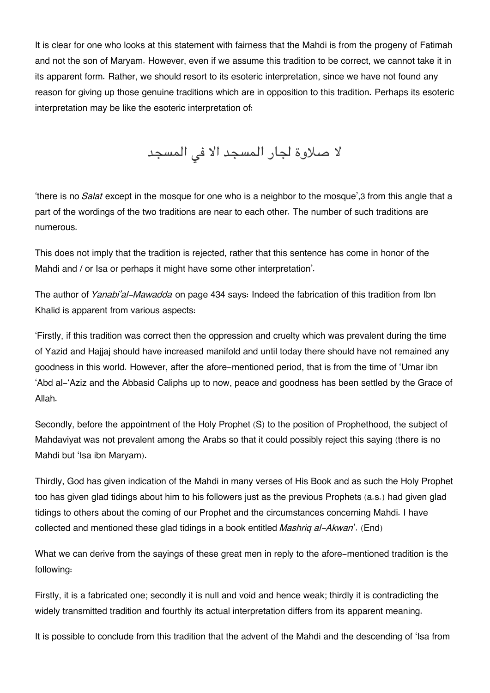It is clear for one who looks at this statement with fairness that the Mahdi is from the progeny of Fatimah and not the son of Maryam. However, even if we assume this tradition to be correct, we cannot take it in its apparent form. Rather, we should resort to its esoteric interpretation, since we have not found any reason for giving up those genuine traditions which are in opposition to this tradition. Perhaps its esoteric interpretation may be like the esoteric interpretation of:

لا صلاوة لجار المسجد الا فى المسجد

'there is no *Salat* except in the mosque for one who is a neighbor to the mosque',[3](#page--1-0) from this angle that a part of the wordings of the two traditions are near to each other. The number of such traditions are numerous.

This does not imply that the tradition is rejected, rather that this sentence has come in honor of the Mahdi and / or Isa or perhaps it might have some other interpretation'.

The author of *Yanabi'al-Mawadda* on page 434 says: Indeed the fabrication of this tradition from Ibn Khalid is apparent from various aspects:

'Firstly, if this tradition was correct then the oppression and cruelty which was prevalent during the time of Yazid and Hajjaj should have increased manifold and until today there should have not remained any goodness in this world. However, after the afore-mentioned period, that is from the time of 'Umar ibn 'Abd al-'Aziz and the Abbasid Caliphs up to now, peace and goodness has been settled by the Grace of Allah.

Secondly, before the appointment of the Holy Prophet (S) to the position of Prophethood, the subject of Mahdaviyat was not prevalent among the Arabs so that it could possibly reject this saying (there is no Mahdi but 'Isa ibn Maryam).

Thirdly, God has given indication of the Mahdi in many verses of His Book and as such the Holy Prophet too has given glad tidings about him to his followers just as the previous Prophets (a.s.) had given glad tidings to others about the coming of our Prophet and the circumstances concerning Mahdi. I have collected and mentioned these glad tidings in a book entitled *Mashriq al-Akwan*'. (End)

What we can derive from the sayings of these great men in reply to the afore-mentioned tradition is the following:

Firstly, it is a fabricated one; secondly it is null and void and hence weak; thirdly it is contradicting the widely transmitted tradition and fourthly its actual interpretation differs from its apparent meaning.

It is possible to conclude from this tradition that the advent of the Mahdi and the descending of 'Isa from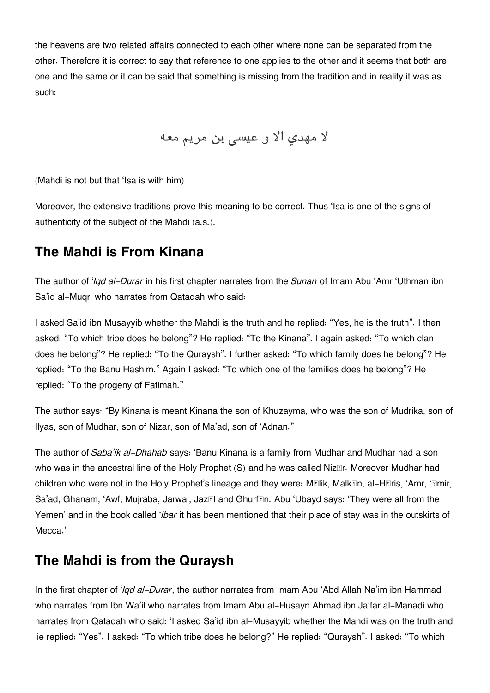the heavens are two related affairs connected to each other where none can be separated from the other. Therefore it is correct to say that reference to one applies to the other and it seems that both are one and the same or it can be said that something is missing from the tradition and in reality it was as such:

لا مهدي الا و عيسى بن مريم معه

(Mahdi is not but that 'Isa is with him)

Moreover, the extensive traditions prove this meaning to be correct. Thus 'Isa is one of the signs of authenticity of the subject of the Mahdi (a.s.).

## **[The Mahdi is From Kinana](#page--1-0)**

The author of '*Iqd al-Durar* in his first chapter narrates from the *Sunan* of Imam Abu 'Amr 'Uthman ibn Sa'id al-Muqri who narrates from Qatadah who said:

I asked Sa'id ibn Musayyib whether the Mahdi is the truth and he replied: "Yes, he is the truth". I then asked: "To which tribe does he belong"? He replied: "To the Kinana". I again asked: "To which clan does he belong"? He replied: "To the Quraysh". I further asked: "To which family does he belong"? He replied: "To the Banu Hashim." Again I asked: "To which one of the families does he belong"? He replied: "To the progeny of Fatimah."

The author says: "By Kinana is meant Kinana the son of Khuzayma, who was the son of Mudrika, son of Ilyas, son of Mudhar, son of Nizar, son of Ma'ad, son of 'Adnan."

The author of *Saba'ik al-Dhahab* says: 'Banu Kinana is a family from Mudhar and Mudhar had a son who was in the ancestral line of the Holy Prophet (S) and he was called Niz $\mathbb{E}$ r. Moreover Mudhar had children who were not in the Holy Prophet's lineage and they were: Mālik, Malkān, al-Hāris, 'Amr, 'Āmir, Sa'ad, Ghanam, 'Awf, Mujraba, Jarwal, Jaz**zil and Ghurf***n*. Abu 'Ubayd says: 'They were all from the Yemen' and in the book called '*Ibar* it has been mentioned that their place of stay was in the outskirts of Mecca.'

## **[The Mahdi is from the Quraysh](#page--1-0)**

In the first chapter of '*Iqd al-Durar*, the author narrates from Imam Abu 'Abd Allah Na'im ibn Hammad who narrates from Ibn Wa'il who narrates from Imam Abu al-Husayn Ahmad ibn Ja'far al-Manadi who narrates from Qatadah who said: 'I asked Sa'id ibn al-Musayyib whether the Mahdi was on the truth and lie replied: "Yes". I asked: "To which tribe does he belong?" He replied: "Quraysh". I asked: "To which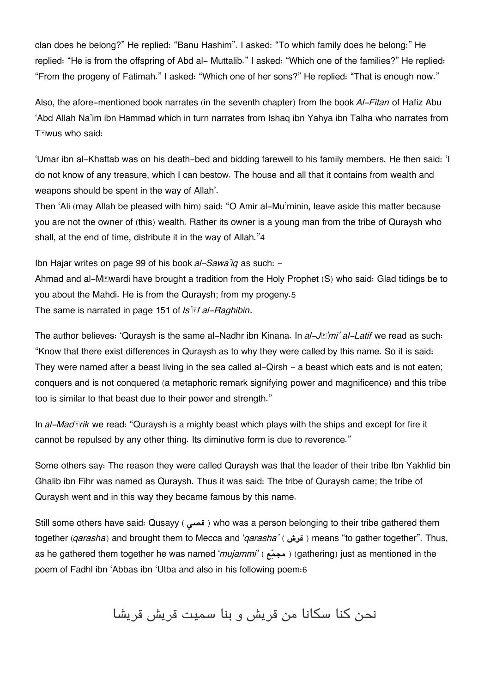clan does he belong?" He replied: "Banu Hashim". I asked: "To which family does he belong:" He replied: "He is from the offspring of Abd al- Muttalib." I asked: "Which one of the families?" He replied: "From the progeny of Fatimah." I asked: "Which one of her sons?" He replied: "That is enough now."

Also, the afore-mentioned book narrates (in the seventh chapter) from the book *Al-Fitan* of Hafiz Abu 'Abd Allah Na'im ibn Hammad which in turn narrates from Ishaq ibn Yahya ibn Talha who narrates from Tāwus who said:

'Umar ibn al-Khattab was on his death-bed and bidding farewell to his family members. He then said: 'I do not know of any treasure, which I can bestow. The house and all that it contains from wealth and weapons should be spent in the way of Allah'.

Then 'Ali (may Allah be pleased with him) said: "O Amir al-Mu'minin, leave aside this matter because you are not the owner of (this) wealth. Rather its owner is a young man from the tribe of Quraysh who shall, at the end of time, distribute it in the way of Allah."[4](#page--1-0)

Ibn Hajar writes on page 99 of his book *al-Sawa'iq* as such: -

Ahmad and al-Māwardi have brought a tradition from the Holy Prophet (S) who said: Glad tidings be to you about the Mahdi. He is from the Quraysh; from my progeny.[5](#page--1-0) The same is narrated in page 151 of *Is'āf al-Raghibin*.

The author believes: 'Quraysh is the same al-Nadhr ibn Kinana. In *al-Jā'mi' al-Latif* we read as such: "Know that there exist differences in Quraysh as to why they were called by this name. So it is said: They were named after a beast living in the sea called al-Qirsh - a beast which eats and is not eaten; conquers and is not conquered (a metaphoric remark signifying power and magnificence) and this tribe too is similar to that beast due to their power and strength."

In *al-Madārik* we read: "Quraysh is a mighty beast which plays with the ships and except for fire it cannot be repulsed by any other thing. Its diminutive form is due to reverence."

Some others say: The reason they were called Quraysh was that the leader of their tribe Ibn Yakhlid bin Ghalib ibn Fihr was named as Quraysh. Thus it was said: The tribe of Quraysh came; the tribe of Quraysh went and in this way they became famous by this name.

Still some others have said: Qusayy ( **قص** ( who was a person belonging to their tribe gathered them together (*garasha*) and brought them to Mecca and '*garasha'* ( قرش) means "to gather together". Thus, as he gathered them together he was named '*mujammi'* ( **عمجم**) ( gathering) just as mentioned in the poem of Fadhl ibn 'Abbas ibn 'Utba and also in his following poem:[6](#page--1-0)

نحن كنا سكانا من قريش و بنا سميت قريش قريشا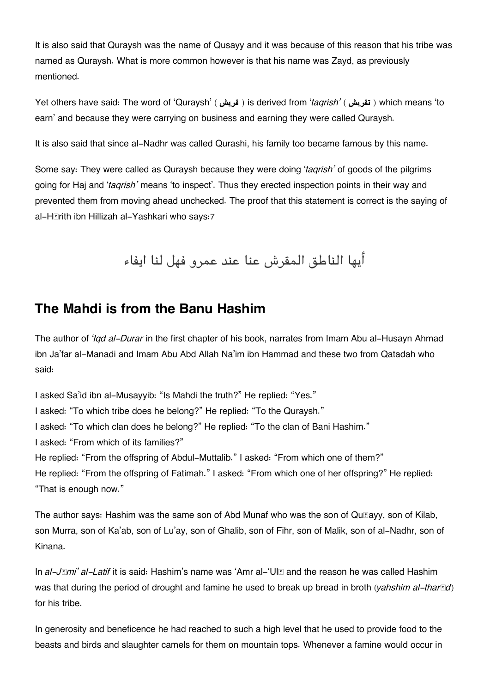It is also said that Quraysh was the name of Qusayy and it was because of this reason that his tribe was named as Quraysh. What is more common however is that his name was Zayd, as previously mentioned.

Yet others have said: The word of 'Quraysh' ( **قريش** ( is derived from '*taqrish'* ( **تقريش** ( which means 'to earn' and because they were carrying on business and earning they were called Quraysh.

It is also said that since al-Nadhr was called Qurashi, his family too became famous by this name.

Some say: They were called as Quraysh because they were doing '*taqrish'* of goods of the pilgrims going for Haj and '*taqrish'* means 'to inspect'. Thus they erected inspection points in their way and prevented them from moving ahead unchecked. The proof that this statement is correct is the saying of al-Hārith ibn Hillizah al-Yashkari who says:[7](#page--1-0)

أيها الناطق المقرش عنا عند عمرو فهل لنا ايفاء

### **[The Mahdi is from the Banu Hashim](#page--1-0)**

The author of *'Iqd al-Durar* in the first chapter of his book, narrates from Imam Abu al-Husayn Ahmad ibn Ja'far al-Manadi and Imam Abu Abd Allah Na'im ibn Hammad and these two from Qatadah who said:

I asked Sa'id ibn al-Musayyib: "Is Mahdi the truth?" He replied: "Yes." I asked: "To which tribe does he belong?" He replied: "To the Quraysh." I asked: "To which clan does he belong?" He replied: "To the clan of Bani Hashim." I asked: "From which of its families?" He replied: "From the offspring of Abdul-Muttalib." I asked: "From which one of them?" He replied: "From the offspring of Fatimah." I asked: "From which one of her offspring?" He replied: "That is enough now."

The author says: Hashim was the same son of Abd Munaf who was the son of Qu<br>
<sub>[degay</sub>, son of Kilab, son Murra, son of Ka'ab, son of Lu'ay, son of Ghalib, son of Fihr, son of Malik, son of al-Nadhr, son of Kinana.

In *al-JImi' al-Latif* it is said: Hashim's name was 'Amr al-'UI**I** and the reason he was called Hashim was that during the period of drought and famine he used to break up bread in broth (*yahshim al-tharīd*) for his tribe.

In generosity and beneficence he had reached to such a high level that he used to provide food to the beasts and birds and slaughter camels for them on mountain tops. Whenever a famine would occur in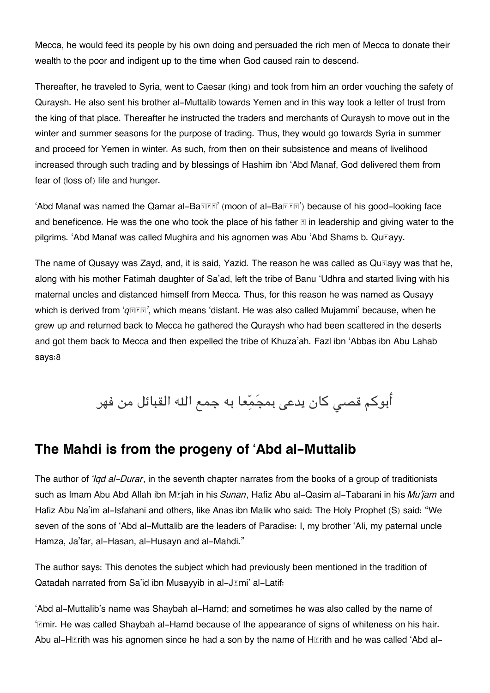Mecca, he would feed its people by his own doing and persuaded the rich men of Mecca to donate their wealth to the poor and indigent up to the time when God caused rain to descend.

Thereafter, he traveled to Syria, went to Caesar (king) and took from him an order vouching the safety of Quraysh. He also sent his brother al-Muttalib towards Yemen and in this way took a letter of trust from the king of that place. Thereafter he instructed the traders and merchants of Quraysh to move out in the winter and summer seasons for the purpose of trading. Thus, they would go towards Syria in summer and proceed for Yemen in winter. As such, from then on their subsistence and means of livelihood increased through such trading and by blessings of Hashim ibn 'Abd Manaf, God delivered them from fear of (loss of) life and hunger.

'Abd Manaf was named the Qamar al-Ba<br> **Election** (moon of al-Ba**llan**') because of his good-looking face and beneficence. He was the one who took the place of his father  $\mathbb E$  in leadership and giving water to the pilgrims. 'Abd Manaf was called Mughira and his agnomen was Abu 'Abd Shams b. Qu**klayy**.

The name of Qusayy was Zayd, and, it is said, Yazid. The reason he was called as Qu $\mathbb{F}_q$ ayy was that he, along with his mother Fatimah daughter of Sa'ad, left the tribe of Banu 'Udhra and started living with his maternal uncles and distanced himself from Mecca. Thus, for this reason he was named as Qusayy which is derived from ' $q \text{R}$ **f**', which means 'distant. He was also called Mujammi' because, when he grew up and returned back to Mecca he gathered the Quraysh who had been scattered in the deserts and got them back to Mecca and then expelled the tribe of Khuza'ah. Fazl ibn 'Abbas ibn Abu Lahab says:[8](#page--1-0)

أبوكم قصى كان يدعى بمجَمّعا به جمع الله القبائل من فهر

### **[The Mahdi is from the progeny of 'Abd al-Muttalib](#page--1-0)**

The author of *'Iqd al-Durar*, in the seventh chapter narrates from the books of a group of traditionists such as Imam Abu Abd Allah ibn Mājah in his *Sunan*, Hafiz Abu al-Qasim al-Tabarani in his *Mu'jam* and Hafiz Abu Na'im al-Isfahani and others, like Anas ibn Malik who said: The Holy Prophet (S) said: "We seven of the sons of 'Abd al-Muttalib are the leaders of Paradise: I, my brother 'Ali, my paternal uncle Hamza, Ja'far, al-Hasan, al-Husayn and al-Mahdi."

The author says: This denotes the subject which had previously been mentioned in the tradition of Qatadah narrated from Sa'id ibn Musayyib in al-Jāmi' al-Latif:

'Abd al-Muttalib's name was Shaybah al-Hamd; and sometimes he was also called by the name of 'Imir. He was called Shaybah al-Hamd because of the appearance of signs of whiteness on his hair. Abu al-H**Trith was his agnomen since he had a son** by the name of H**Trith and he was called 'Abd al-**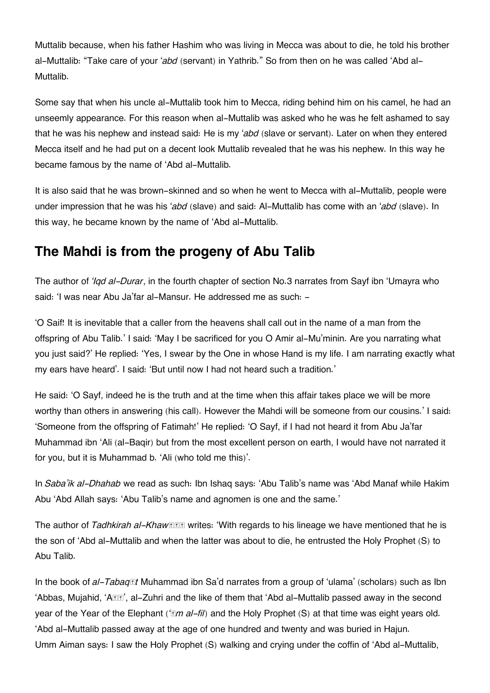Muttalib because, when his father Hashim who was living in Mecca was about to die, he told his brother al-Muttalib: "Take care of your '*abd* (servant) in Yathrib." So from then on he was called 'Abd al-Muttalib.

Some say that when his uncle al-Muttalib took him to Mecca, riding behind him on his camel, he had an unseemly appearance. For this reason when al-Muttalib was asked who he was he felt ashamed to say that he was his nephew and instead said: He is my '*abd* (slave or servant). Later on when they entered Mecca itself and he had put on a decent look Muttalib revealed that he was his nephew. In this way he became famous by the name of 'Abd al-Muttalib.

It is also said that he was brown-skinned and so when he went to Mecca with al-Muttalib, people were under impression that he was his '*abd* (slave) and said: Al-Muttalib has come with an '*abd* (slave). In this way, he became known by the name of 'Abd al-Muttalib.

## **[The Mahdi is from the progeny of Abu Talib](#page--1-0)**

The author of *'Iqd al-Durar*, in the fourth chapter of section No.3 narrates from Sayf ibn 'Umayra who said: 'I was near Abu Ja'far al-Mansur. He addressed me as such: -

'O Saif! It is inevitable that a caller from the heavens shall call out in the name of a man from the offspring of Abu Talib.' I said: 'May I be sacrificed for you O Amir al-Mu'minin. Are you narrating what you just said?' He replied: 'Yes, I swear by the One in whose Hand is my life. I am narrating exactly what my ears have heard'. I said: 'But until now I had not heard such a tradition.'

He said: 'O Sayf, indeed he is the truth and at the time when this affair takes place we will be more worthy than others in answering (his call). However the Mahdi will be someone from our cousins.' I said: 'Someone from the offspring of Fatimah!' He replied: 'O Sayf, if I had not heard it from Abu Ja'far Muhammad ibn 'Ali (al-Baqir) but from the most excellent person on earth, I would have not narrated it for you, but it is Muhammad b. 'Ali (who told me this)'.

In *Saba'ik al-Dhahab* we read as such: Ibn Ishaq says: 'Abu Talib's name was 'Abd Manaf while Hakim Abu 'Abd Allah says: 'Abu Talib's name and agnomen is one and the same.'

The author of *Tadhkirah al-Khaw***ss** writes: 'With regards to his lineage we have mentioned that he is the son of 'Abd al-Muttalib and when the latter was about to die, he entrusted the Holy Prophet (S) to Abu Talib.

In the book of *al-Tabaqāt* Muhammad ibn Sa'd narrates from a group of 'ulama' (scholars) such as Ibn 'Abbas, Mujahid, 'A**RR'**, al-Zuhri and the like of them that 'Abd al-Muttalib passed away in the second year of the Year of the Elephant *('ām al-fil*) and the Holy Prophet (S) at that time was eight years old. 'Abd al-Muttalib passed away at the age of one hundred and twenty and was buried in Hajun. Umm Aiman says: I saw the Holy Prophet (S) walking and crying under the coffin of 'Abd al-Muttalib,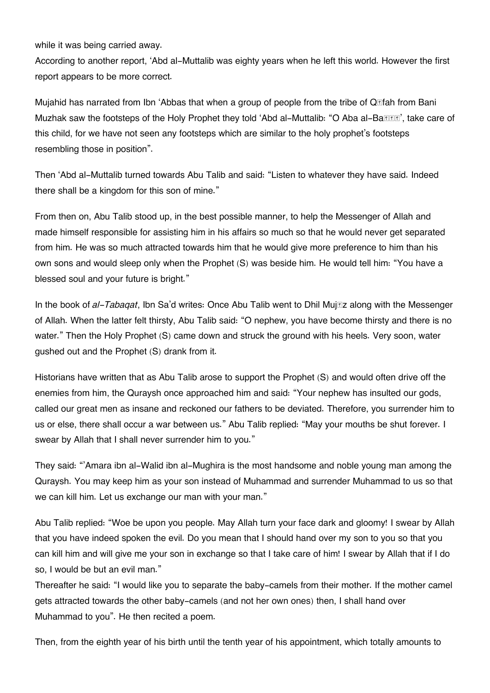while it was being carried away.

According to another report, 'Abd al-Muttalib was eighty years when he left this world. However the first report appears to be more correct.

Mujahid has narrated from Ibn 'Abbas that when a group of people from the tribe of  $Q_{\mathbb{S}}$  fah from Bani Muzhak saw the footsteps of the Holy Prophet they told 'Abd al-Muttalib: "O Aba al-Battler", take care of this child, for we have not seen any footsteps which are similar to the holy prophet's footsteps resembling those in position".

Then 'Abd al-Muttalib turned towards Abu Talib and said: "Listen to whatever they have said. Indeed there shall be a kingdom for this son of mine."

From then on, Abu Talib stood up, in the best possible manner, to help the Messenger of Allah and made himself responsible for assisting him in his affairs so much so that he would never get separated from him. He was so much attracted towards him that he would give more preference to him than his own sons and would sleep only when the Prophet (S) was beside him. He would tell him: "You have a blessed soul and your future is bright."

In the book of *al-Tabaqat*, Ibn Sa'd writes: Once Abu Talib went to Dhil Mujāz along with the Messenger of Allah. When the latter felt thirsty, Abu Talib said: "O nephew, you have become thirsty and there is no water." Then the Holy Prophet (S) came down and struck the ground with his heels. Very soon, water gushed out and the Prophet (S) drank from it.

Historians have written that as Abu Talib arose to support the Prophet (S) and would often drive off the enemies from him, the Quraysh once approached him and said: "Your nephew has insulted our gods, called our great men as insane and reckoned our fathers to be deviated. Therefore, you surrender him to us or else, there shall occur a war between us." Abu Talib replied: "May your mouths be shut forever. I swear by Allah that I shall never surrender him to you."

They said: "'Amara ibn al-Walid ibn al-Mughira is the most handsome and noble young man among the Quraysh. You may keep him as your son instead of Muhammad and surrender Muhammad to us so that we can kill him. Let us exchange our man with your man."

Abu Talib replied: "Woe be upon you people. May Allah turn your face dark and gloomy! I swear by Allah that you have indeed spoken the evil. Do you mean that I should hand over my son to you so that you can kill him and will give me your son in exchange so that I take care of him! I swear by Allah that if I do so, I would be but an evil man."

Thereafter he said: "I would like you to separate the baby-camels from their mother. If the mother camel gets attracted towards the other baby-camels (and not her own ones) then, I shall hand over Muhammad to you". He then recited a poem.

Then, from the eighth year of his birth until the tenth year of his appointment, which totally amounts to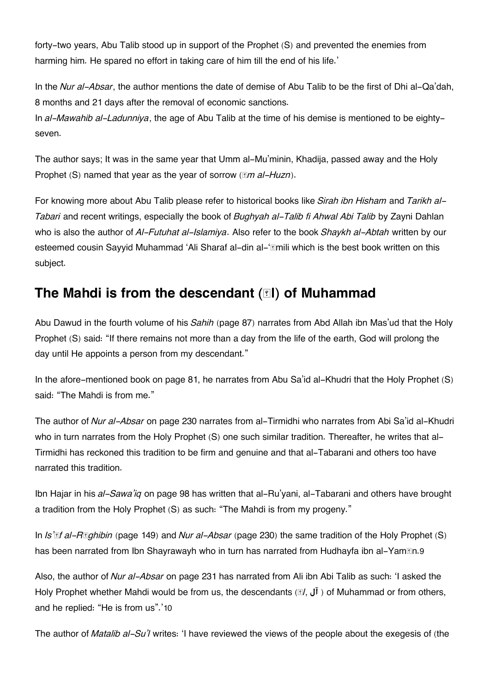forty-two years, Abu Talib stood up in support of the Prophet (S) and prevented the enemies from harming him. He spared no effort in taking care of him till the end of his life.'

In the *Nur al-Absar*, the author mentions the date of demise of Abu Talib to be the first of Dhi al-Qa'dah, 8 months and 21 days after the removal of economic sanctions.

In *al-Mawahib al-Ladunniya*, the age of Abu Talib at the time of his demise is mentioned to be eightyseven.

The author says; It was in the same year that Umm al-Mu'minin, Khadija, passed away and the Holy Prophet (S) named that year as the year of sorrow (*<i>M* al-Huzn).

For knowing more about Abu Talib please refer to historical books like *Sirah ibn Hisham* and *Tarikh al-Tabari* and recent writings, especially the book of *Bughyah al-Talib fi Ahwal Abi Talib* by Zayni Dahlan who is also the author of *Al-Futuhat al-Islamiya*. Also refer to the book *Shaykh al-Abtah* written by our esteemed cousin Sayyid Muhammad 'Ali Sharaf al-din al-'**Emili which is the best book written on this** subject.

## **The Mahdi is from the descendant (EI) of Muhammad**

Abu Dawud in the fourth volume of his *Sahih* (page 87) narrates from Abd Allah ibn Mas'ud that the Holy Prophet (S) said: "If there remains not more than a day from the life of the earth, God will prolong the day until He appoints a person from my descendant."

In the afore-mentioned book on page 81, he narrates from Abu Sa'id al-Khudri that the Holy Prophet (S) said: "The Mahdi is from me."

The author of *Nur al-Absar* on page 230 narrates from al-Tirmidhi who narrates from Abi Sa'id al-Khudri who in turn narrates from the Holy Prophet (S) one such similar tradition. Thereafter, he writes that al-Tirmidhi has reckoned this tradition to be firm and genuine and that al-Tabarani and others too have narrated this tradition.

Ibn Hajar in his *al-Sawa'iq* on page 98 has written that al-Ru'yani, al-Tabarani and others have brought a tradition from the Holy Prophet (S) as such: "The Mahdi is from my progeny."

In *Is'āf al-Rāghibin* (page 149) and *Nur al-Absar* (page 230) the same tradition of the Holy Prophet (S) has been narrated from Ibn Shayrawayh who in turn has narrated from Hudhayfa ibn al-Yam**ter**.[9](#page--1-0)

Also, the author of *Nur al-Absar* on page 231 has narrated from Ali ibn Abi Talib as such: 'I asked the Holy Prophet whether Mahdi would be from us, the descendants ( $\mathbb{I}$ ,  $\mathbb{I}$ ) of Muhammad or from others, and he replied: "He is from us".'[10](#page--1-0)

The author of *Matalib al-Su'l* writes: 'I have reviewed the views of the people about the exegesis of (the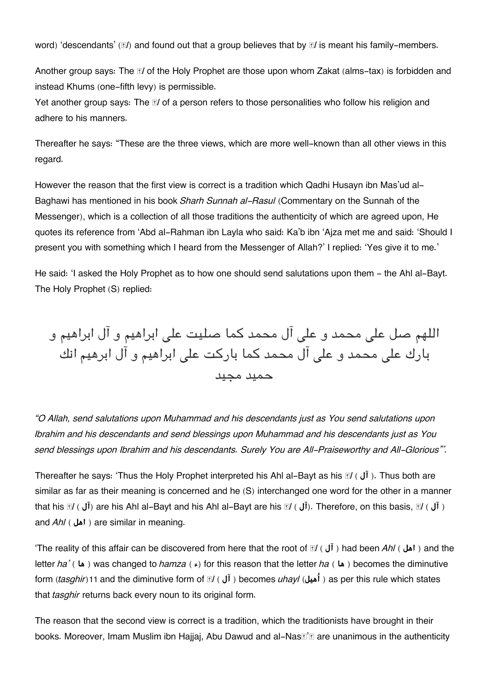word) 'descendants' (*A*) and found out that a group believes that by *M* is meant his family-members.

Another group says: The *<i>A* of the Holy Prophet are those upon whom Zakat (alms-tax) is forbidden and instead Khums (one-fifth levy) is permissible.

Yet another group says: The *M* of a person refers to those personalities who follow his religion and adhere to his manners.

Thereafter he says: "These are the three views, which are more well-known than all other views in this regard.

However the reason that the first view is correct is a tradition which Qadhi Husayn ibn Mas'ud al-Baghawi has mentioned in his book *Sharh Sunnah al-Rasul* (Commentary on the Sunnah of the Messenger), which is a collection of all those traditions the authenticity of which are agreed upon, He quotes its reference from 'Abd al-Rahman ibn Layla who said: Ka'b ibn 'Ajza met me and said: 'Should I present you with something which I heard from the Messenger of Allah?' I replied: 'Yes give it to me.'

He said: 'I asked the Holy Prophet as to how one should send salutations upon them - the Ahl al-Bayt. The Holy Prophet (S) replied:

اللهم صل عل محمد و عل آل محمد كما صليت عل ابراهيم و آل ابراهيم و بارك عل محمد و عل آل محمد كما باركت عل ابراهيم و آل ابرهيم انك حميد مجيد

*"O Allah, send salutations upon Muhammad and his descendants just as You send salutations upon Ibrahim and his descendants and send blessings upon Muhammad and his descendants just as You send blessings upon Ibrahim and his descendants. Surely You are All-Praiseworthy and All-Glorious"'.*

Thereafter he says: 'Thus the Holy Prophet interpreted his Ahl al-Bayt as his *II* (**i**). Thus both are similar as far as their meaning is concerned and he (S) interchanged one word for the other in a manner that his *Āl* ( **آل** (are his Ahl al-Bayt and his Ahl al-Bayt are his *Āl* ( **آل**(. Therefore, on this basis, *Āl* ( **آل**( and *Ahl* ( أهل ) are similar in meaning.

'The reality of this affair can be discovered from here that the root of *Āl* ( **آل** ( had been *Ahl* ( **اهل** ( and the letter *ha'* ( **ها** ( was changed to *hamza* ( **ء** (for this reason that the letter *ha* ( **ها** ( becomes the diminutive form (*tasghir*)[11](#page--1-0) and the diminutive form of *Āl* ( **آل** ( becomes *uhayl* (**هيلُا** ( as per this rule which states that *tasghir* returns back every noun to its original form.

The reason that the second view is correct is a tradition, which the traditionists have brought in their books. Moreover, Imam Muslim ibn Hajjaj, Abu Dawud and al-Nas*i'n* **are unanimous in the authenticity**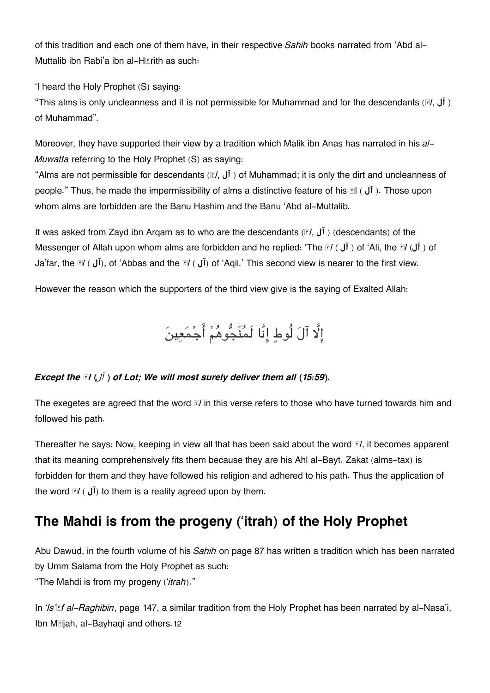of this tradition and each one of them have, in their respective *Sahih* books narrated from 'Abd al-Muttalib ibn Rabi'a ibn al-Hārith as such:

'I heard the Holy Prophet (S) saying:

"This alms is only uncleanness and it is not permissible for Muhammad and for the descendants (*āl*, **آل**( of Muhammad".

Moreover, they have supported their view by a tradition which Malik ibn Anas has narrated in his *al-Muwatta* referring to the Holy Prophet (S) as saying:

"Alms are not permissible for descendants (*āl*, **آل** ( of Muhammad; it is only the dirt and uncleanness of people." Thus, he made the impermissibility of alms a distinctive feature of his **II** (  $\mathbf{I}(\mathbf{I})$ ). Those upon whom alms are forbidden are the Banu Hashim and the Banu 'Abd al-Muttalib.

It was asked from Zayd ibn Arqam as to who are the descendants (*āl*, **آل**) ( descendants) of the Messenger of Allah upon whom alms are forbidden and he replied: 'The *al* ( **ji** ) of 'Ali, the *al* (**Ji** ) of Ja'far, the *āl* ( **آل**(, of 'Abbas and the *āl* ( **آل** (of 'Aqil.' This second view is nearer to the first view.

However the reason which the supporters of the third view give is the saying of Exalted Allah:

إِلَّا آلَ لُوطٍ إِنَّا لَمُنَجُّوهُمْ أَجْمَعِينَ

#### *Except the*  $\mathbb{I}(\sqrt{I})$  *of Lot; We will most surely deliver them all (15:59).*

The exegetes are agreed that the word *āl* in this verse refers to those who have turned towards him and followed his path.

Thereafter he says: Now, keeping in view all that has been said about the word *āl*, it becomes apparent that its meaning comprehensively fits them because they are his Ahl al-Bayt. Zakat (alms-tax) is forbidden for them and they have followed his religion and adhered to his path. Thus the application of the word  $\mathbb{I}$  ( $\mathbf{J}$ i) to them is a reality agreed upon by them.

## **[The Mahdi is from the progeny \('itrah\) of the Holy Prophet](#page--1-0)**

Abu Dawud, in the fourth volume of his *Sahih* on page 87 has written a tradition which has been narrated by Umm Salama from the Holy Prophet as such: "The Mahdi is from my progeny ('*itrah*)."

In *'Is'āf al-Raghibin*, page 147, a similar tradition from the Holy Prophet has been narrated by al-Nasa'i, Ibn M*siah, al-Bayhagi and others.[12](#page--1-0)*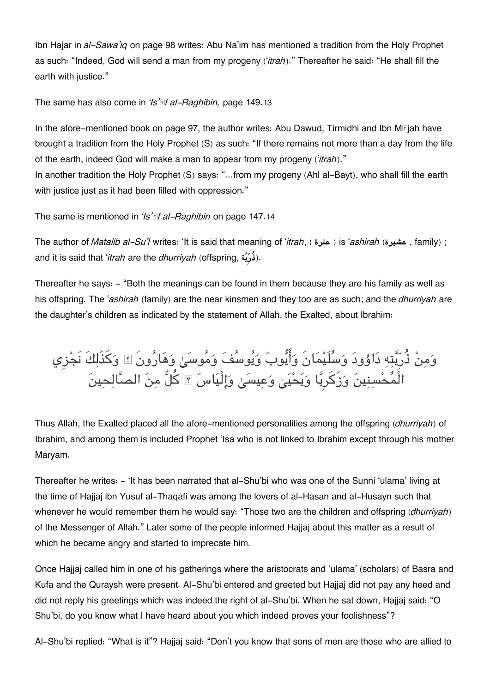Ibn Hajar in *al-Sawa'iq* on page 98 writes: Abu Na'im has mentioned a tradition from the Holy Prophet as such: "Indeed, God will send a man from my progeny ('*itrah*)." Thereafter he said: "He shall fill the earth with justice."

The same has also come in *'Is'āf al-Raghibin,* page 149.[13](#page--1-0)

In the afore-mentioned book on page 97, the author writes: Abu Dawud, Tirmidhi and Ibn M*ajah have* brought a tradition from the Holy Prophet (S) as such: "If there remains not more than a day from the life of the earth, indeed God will make a man to appear from my progeny ('*itrah*)."

In another tradition the Holy Prophet (S) says: "...from my progeny (Ahl al-Bayt), who shall fill the earth with justice just as it had been filled with oppression."

The same is mentioned in *'Is'āf al-Raghibin* on page 147.[14](#page--1-0)

The author of *Matalib al-Su'l* writes: 'It is said that meaning of '*itrah*, ( **عترة** ( is '*ashirah* (**عشيرة** , family) ; and it is said that '*itrah* are the *dhurriyah* (offspring, **ةيِرُذ**(.

Thereafter he says: - "Both the meanings can be found in them because they are his family as well as his offspring. The '*ashirah* (family) are the near kinsmen and they too are as such; and the *dhurriyah* are the daughter's children as indicated by the statement of Allah, the Exalted, about Ibrahim:

وَمِنْ ذُرِّيَّتِهِ دَاوُودَ وَسَلَيْمَانَ وَأَيُّوبَ وَيُوسَفَ وَمَوسَىٰ وَهَارُونَ ۩ وَكذَٰلِكَ نَجْزِي الْمَحْسِنِينَ وَزِكْرِيَا وَيَحْيَىٰ وَعِيسَىٰ وَإِلَيَاسَ ۩ كلّ مِنَ الصَّالِحِينَ

Thus Allah, the Exalted placed all the afore-mentioned personalities among the offspring (*dhurriyah*) of Ibrahim, and among them is included Prophet 'Isa who is not linked to Ibrahim except through his mother Maryam.

Thereafter he writes: - 'It has been narrated that al-Shu'bi who was one of the Sunni 'ulama' living at the time of Hajjaj ibn Yusuf al-Thaqafi was among the lovers of al-Hasan and al-Husayn such that whenever he would remember them he would say: "Those two are the children and offspring (*dhurriyah*) of the Messenger of Allah." Later some of the people informed Hajjaj about this matter as a result of which he became angry and started to imprecate him.

Once Hajjaj called him in one of his gatherings where the aristocrats and 'ulama' (scholars) of Basra and Kufa and the Quraysh were present. Al-Shu'bi entered and greeted but Haijaj did not pay any heed and did not reply his greetings which was indeed the right of al-Shu'bi. When he sat down, Hajjaj said: "O Shu'bi, do you know what I have heard about you which indeed proves your foolishness"?

Al-Shu'bi replied: "What is it"? Hajjaj said: "Don't you know that sons of men are those who are allied to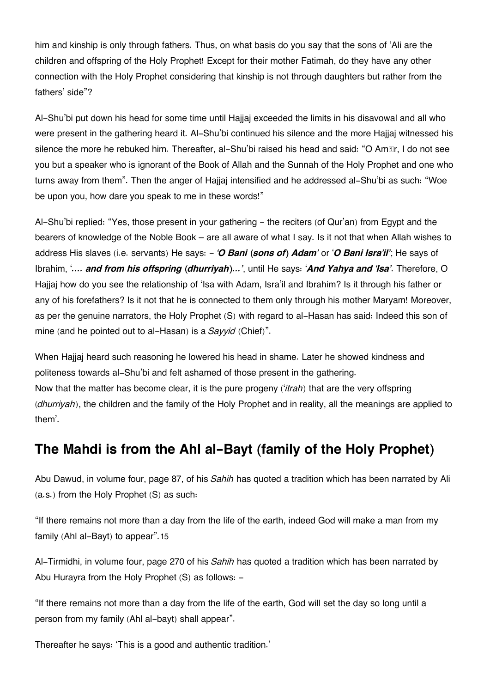him and kinship is only through fathers. Thus, on what basis do you say that the sons of 'Ali are the children and offspring of the Holy Prophet! Except for their mother Fatimah, do they have any other connection with the Holy Prophet considering that kinship is not through daughters but rather from the fathers' side"?

Al-Shu'bi put down his head for some time until Hajjaj exceeded the limits in his disavowal and all who were present in the gathering heard it. Al-Shu'bi continued his silence and the more Hajjaj witnessed his silence the more he rebuked him. Thereafter, al-Shu'bi raised his head and said: "O Amīr, I do not see you but a speaker who is ignorant of the Book of Allah and the Sunnah of the Holy Prophet and one who turns away from them". Then the anger of Hajjaj intensified and he addressed al-Shu'bi as such: "Woe be upon you, how dare you speak to me in these words!"

Al-Shu'bi replied: "Yes, those present in your gathering - the reciters (of Qur'an) from Egypt and the bearers of knowledge of the Noble Book – are all aware of what I say. Is it not that when Allah wishes to address His slaves (i.e. servants) He says: - *'O Bani (sons of) Adam'* or '*O Bani Isra'il'*; He says of Ibrahim, '*.... and from his offspring (dhurriyah)…'*, until He says: '*And Yahya and 'Isa'*. Therefore, O Hajjaj how do you see the relationship of 'Isa with Adam, Isra'il and Ibrahim? Is it through his father or any of his forefathers? Is it not that he is connected to them only through his mother Maryam! Moreover, as per the genuine narrators, the Holy Prophet (S) with regard to al-Hasan has said: Indeed this son of mine (and he pointed out to al-Hasan) is a *Sayyid* (Chief)".

When Hajjaj heard such reasoning he lowered his head in shame. Later he showed kindness and politeness towards al-Shu'bi and felt ashamed of those present in the gathering. Now that the matter has become clear, it is the pure progeny ('*itrah*) that are the very offspring (*dhurriyah*), the children and the family of the Holy Prophet and in reality, all the meanings are applied to them'.

# **[The Mahdi is from the Ahl al-Bayt \(family of the Holy Prophet\)](#page--1-0)**

Abu Dawud, in volume four, page 87, of his *Sahih* has quoted a tradition which has been narrated by Ali (a.s.) from the Holy Prophet (S) as such:

"If there remains not more than a day from the life of the earth, indeed God will make a man from my family (Ahl al-Bayt) to appear".[15](#page--1-0)

Al-Tirmidhi, in volume four, page 270 of his *Sahih* has quoted a tradition which has been narrated by Abu Hurayra from the Holy Prophet (S) as follows: -

"If there remains not more than a day from the life of the earth, God will set the day so long until a person from my family (Ahl al-bayt) shall appear".

Thereafter he says: 'This is a good and authentic tradition.'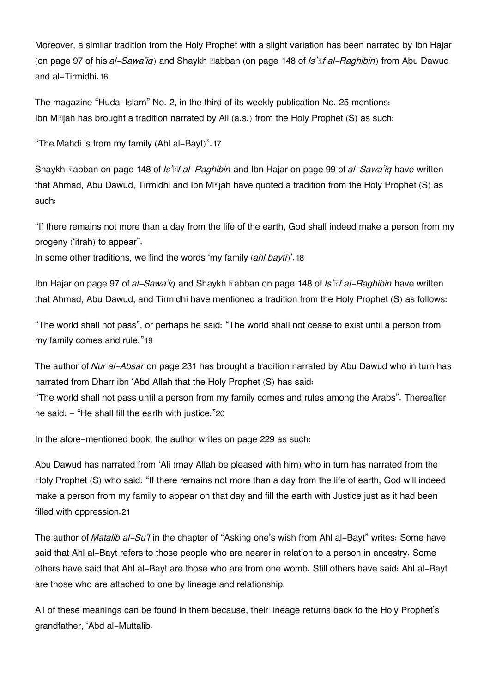Moreover, a similar tradition from the Holy Prophet with a slight variation has been narrated by Ibn Hajar (on page 97 of his *al-Sawa'iq*) and Shaykh Ṣabban (on page 148 of *Is'āf al-Raghibin*) from Abu Dawud and al-Tirmidhi.[16](#page--1-0)

The magazine "Huda-Islam" No. 2, in the third of its weekly publication No. 25 mentions: Ibn  $M$ **E** jah has brought a tradition narrated by Ali (a.s.) from the Holy Prophet (S) as such:

"The Mahdi is from my family (Ahl al-Bayt)".[17](#page--1-0)

Shaykh Ṣabban on page 148 of *Is'āf al-Raghibin* and Ibn Hajar on page 99 of *al-Sawa'iq* have written that Ahmad, Abu Dawud, Tirmidhi and Ibn M**ejah have quoted a tradition from the Holy** Prophet (S) as such:

"If there remains not more than a day from the life of the earth, God shall indeed make a person from my progeny ('itrah) to appear".

In some other traditions, we find the words 'my family (*ahl bayti*)'.[18](#page--1-0)

Ibn Hajar on page 97 of *al-Sawa'iq* and Shaykh Ṣabban on page 148 of *Is'āf al-Raghibin* have written that Ahmad, Abu Dawud, and Tirmidhi have mentioned a tradition from the Holy Prophet (S) as follows:

"The world shall not pass", or perhaps he said: "The world shall not cease to exist until a person from my family comes and rule."[19](#page--1-0)

The author of *Nur al-Absar* on page 231 has brought a tradition narrated by Abu Dawud who in turn has narrated from Dharr ibn 'Abd Allah that the Holy Prophet (S) has said:

"The world shall not pass until a person from my family comes and rules among the Arabs". Thereafter he said: - "He shall fill the earth with justice."[20](#page--1-0)

In the afore-mentioned book, the author writes on page 229 as such:

Abu Dawud has narrated from 'Ali (may Allah be pleased with him) who in turn has narrated from the Holy Prophet (S) who said: "If there remains not more than a day from the life of earth, God will indeed make a person from my family to appear on that day and fill the earth with Justice just as it had been filled with oppression.[21](#page--1-0)

The author of *Matalib al-Su'l* in the chapter of "Asking one's wish from Ahl al-Bayt" writes: Some have said that Ahl al-Bayt refers to those people who are nearer in relation to a person in ancestry. Some others have said that Ahl al-Bayt are those who are from one womb. Still others have said: Ahl al-Bayt are those who are attached to one by lineage and relationship.

All of these meanings can be found in them because, their lineage returns back to the Holy Prophet's grandfather, 'Abd al-Muttalib.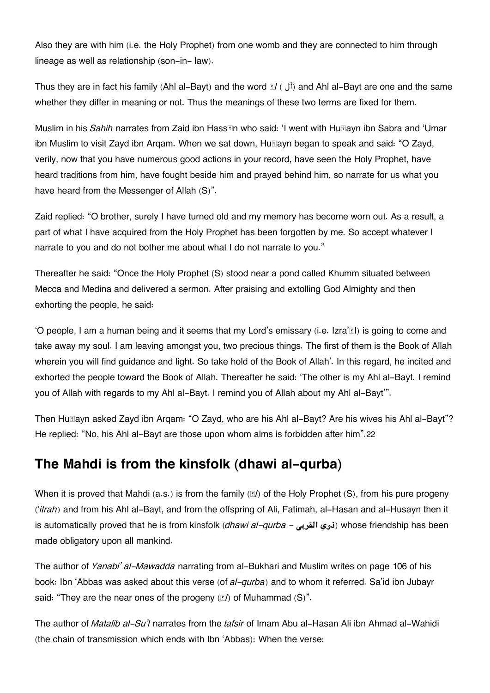Also they are with him (i.e. the Holy Prophet) from one womb and they are connected to him through lineage as well as relationship (son-in- law).

Thus they are in fact his family (Ahl al-Bayt) and the word *al* (*J*<sup> $\tilde{I}$ </sup>) and Ahl al-Bayt are one and the same whether they differ in meaning or not. Thus the meanings of these two terms are fixed for them.

Muslim in his *Sahih* narrates from Zaid ibn Hass**th who said: 'I went with HuEayn ibn Sabra and 'Umar** ibn Muslim to visit Zayd ibn Argam. When we sat down, Hu**Rayn began to speak and said: "O Zayd**, verily, now that you have numerous good actions in your record, have seen the Holy Prophet, have heard traditions from him, have fought beside him and prayed behind him, so narrate for us what you have heard from the Messenger of Allah (S)".

Zaid replied: "O brother, surely I have turned old and my memory has become worn out. As a result, a part of what I have acquired from the Holy Prophet has been forgotten by me. So accept whatever I narrate to you and do not bother me about what I do not narrate to you."

Thereafter he said: "Once the Holy Prophet (S) stood near a pond called Khumm situated between Mecca and Medina and delivered a sermon. After praising and extolling God Almighty and then exhorting the people, he said:

'O people, I am a human being and it seems that my Lord's emissary (i.e. Izra' $\mathbb{E}$ I) is going to come and take away my soul. I am leaving amongst you, two precious things. The first of them is the Book of Allah wherein you will find guidance and light. So take hold of the Book of Allah'. In this regard, he incited and exhorted the people toward the Book of Allah. Thereafter he said: 'The other is my Ahl al-Bayt. I remind you of Allah with regards to my Ahl al-Bayt. I remind you of Allah about my Ahl al-Bayt'".

Then Hu $\text{Rayn}$  asked Zayd ibn Argam: "O Zayd, who are his Ahl al-Bayt? Are his wives his Ahl al-Bayt"? He replied: "No, his Ahl al-Bayt are those upon whom alms is forbidden after him".[22](#page--1-0)

# **[The Mahdi is from the kinsfolk \(dhawi al-qurba\)](#page--1-0)**

When it is proved that Mahdi (a.s.) is from the family (*āl*) of the Holy Prophet (S), from his pure progeny ('*itrah*) and from his Ahl al-Bayt, and from the offspring of Ali, Fatimah, al-Hasan and al-Husayn then it is automatically proved that he is from kinsfolk (*dhawi al-qurba - ذوى* القربى (whose friendship has been made obligatory upon all mankind.

The author of *Yanabi' al-Mawadda* narrating from al-Bukhari and Muslim writes on page 106 of his book: Ibn 'Abbas was asked about this verse (of *al-qurba*) and to whom it referred. Sa'id ibn Jubayr said: "They are the near ones of the progeny (*āl*) of Muhammad (S)".

The author of *Matalib al-Su'l* narrates from the *tafsir* of Imam Abu al-Hasan Ali ibn Ahmad al-Wahidi (the chain of transmission which ends with Ibn 'Abbas): When the verse: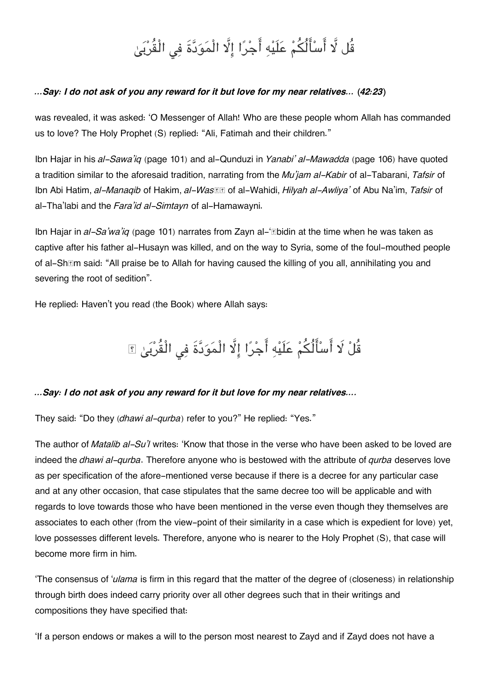# قُل لَّا أَسْأَلُكُمْ عَلَيْهِ أَجْرًا إِلَّا الْمَوَدَّةَ فِي الْقُرْبَيٰ

### *…Say: I do not ask of you any reward for it but love for my near relatives… (42:23)*

was revealed, it was asked: 'O Messenger of Allah! Who are these people whom Allah has commanded us to love? The Holy Prophet (S) replied: "Ali, Fatimah and their children."

Ibn Hajar in his *al-Sawa'iq* (page 101) and al-Qunduzi in *Yanabi' al-Mawadda* (page 106) have quoted a tradition similar to the aforesaid tradition, narrating from the *Mu'jam al-Kabir* of al-Tabarani, *Tafsir* of Ibn Abi Hatim, *al-Manaqib* of Hakim, *al-Wasīṭ* of al-Wahidi, *Hilyah al-Awliya'* of Abu Na'im, *Tafsir* of al-Tha'labi and the *Fara'id al-Simtayn* of al-Hamawayni.

Ibn Hajar in *al-Sa'wa'iq* (page 101) narrates from Zayn al-'Libidin at the time when he was taken as captive after his father al-Husayn was killed, and on the way to Syria, some of the foul-mouthed people of al-Shām said: "All praise be to Allah for having caused the killing of you all, annihilating you and severing the root of sedition".

He replied: Haven't you read (the Book) where Allah says:

قُلْ لَا أَسْأَلُكُمْ عَلَيْهِ أَجْرًا إِلَّا الْمَوَدَّةَ فِي الْقُرْبَىٰ ۩

### *…Say: I do not ask of you any reward for it but love for my near relatives….*

They said: "Do they (*dhawi al-qurba*) refer to you?" He replied: "Yes."

The author of *Matalib al-Su'l* writes: 'Know that those in the verse who have been asked to be loved are indeed the *dhawi al-qurba*. Therefore anyone who is bestowed with the attribute of *qurba* deserves love as per specification of the afore-mentioned verse because if there is a decree for any particular case and at any other occasion, that case stipulates that the same decree too will be applicable and with regards to love towards those who have been mentioned in the verse even though they themselves are associates to each other (from the view-point of their similarity in a case which is expedient for love) yet, love possesses different levels. Therefore, anyone who is nearer to the Holy Prophet (S), that case will become more firm in him.

'The consensus of '*ulama* is firm in this regard that the matter of the degree of (closeness) in relationship through birth does indeed carry priority over all other degrees such that in their writings and compositions they have specified that:

'If a person endows or makes a will to the person most nearest to Zayd and if Zayd does not have a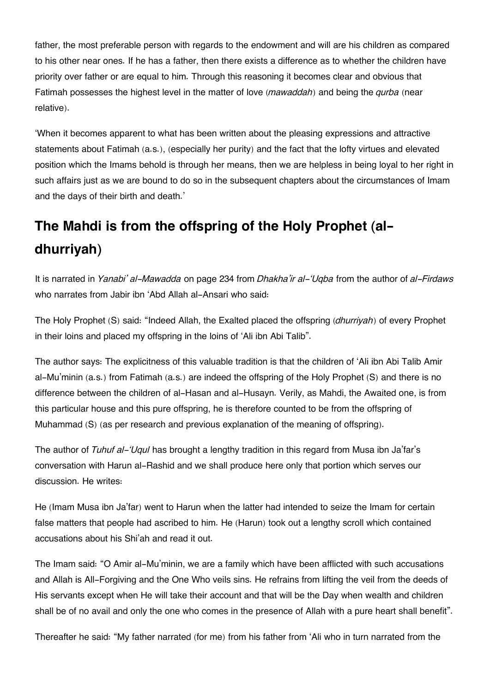father, the most preferable person with regards to the endowment and will are his children as compared to his other near ones. If he has a father, then there exists a difference as to whether the children have priority over father or are equal to him. Through this reasoning it becomes clear and obvious that Fatimah possesses the highest level in the matter of love (*mawaddah*) and being the *qurba* (near relative).

'When it becomes apparent to what has been written about the pleasing expressions and attractive statements about Fatimah (a.s.), (especially her purity) and the fact that the lofty virtues and elevated position which the Imams behold is through her means, then we are helpless in being loyal to her right in such affairs just as we are bound to do so in the subsequent chapters about the circumstances of Imam and the days of their birth and death.'

# **[The Mahdi is from the offspring of the Holy Prophet \(al](#page--1-0)[dhurriyah\)](#page--1-0)**

It is narrated in *Yanabi' al-Mawadda* on page 234 from *Dhakha'ir al-'Uqba* from the author of *al-Firdaws* who narrates from Jabir ibn 'Abd Allah al-Ansari who said:

The Holy Prophet (S) said: "Indeed Allah, the Exalted placed the offspring (*dhurriyah*) of every Prophet in their loins and placed my offspring in the loins of 'Ali ibn Abi Talib".

The author says: The explicitness of this valuable tradition is that the children of 'Ali ibn Abi Talib Amir al-Mu'minin (a.s.) from Fatimah (a.s.) are indeed the offspring of the Holy Prophet (S) and there is no difference between the children of al-Hasan and al-Husayn. Verily, as Mahdi, the Awaited one, is from this particular house and this pure offspring, he is therefore counted to be from the offspring of Muhammad (S) (as per research and previous explanation of the meaning of offspring).

The author of *Tuhuf al-'Uqul* has brought a lengthy tradition in this regard from Musa ibn Ja'far's conversation with Harun al-Rashid and we shall produce here only that portion which serves our discussion. He writes:

He (Imam Musa ibn Ja'far) went to Harun when the latter had intended to seize the Imam for certain false matters that people had ascribed to him. He (Harun) took out a lengthy scroll which contained accusations about his Shi'ah and read it out.

The Imam said: "O Amir al-Mu'minin, we are a family which have been afflicted with such accusations and Allah is All-Forgiving and the One Who veils sins. He refrains from lifting the veil from the deeds of His servants except when He will take their account and that will be the Day when wealth and children shall be of no avail and only the one who comes in the presence of Allah with a pure heart shall benefit".

Thereafter he said: "My father narrated (for me) from his father from 'Ali who in turn narrated from the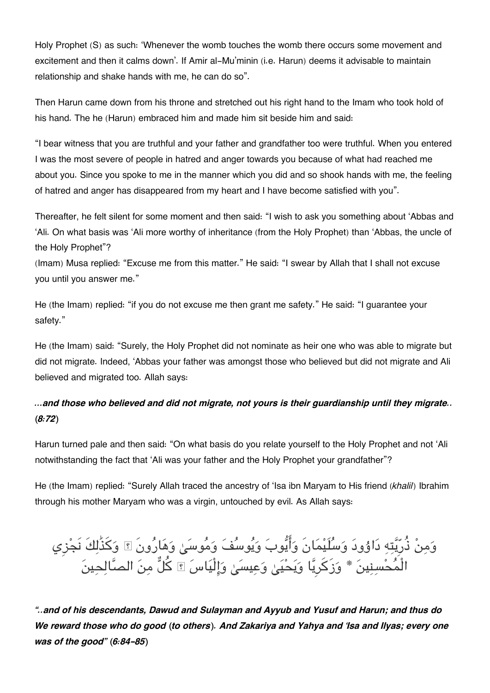Holy Prophet (S) as such: 'Whenever the womb touches the womb there occurs some movement and excitement and then it calms down'. If Amir al-Mu'minin (i.e. Harun) deems it advisable to maintain relationship and shake hands with me, he can do so".

Then Harun came down from his throne and stretched out his right hand to the Imam who took hold of his hand. The he (Harun) embraced him and made him sit beside him and said:

"I bear witness that you are truthful and your father and grandfather too were truthful. When you entered I was the most severe of people in hatred and anger towards you because of what had reached me about you. Since you spoke to me in the manner which you did and so shook hands with me, the feeling of hatred and anger has disappeared from my heart and I have become satisfied with you".

Thereafter, he felt silent for some moment and then said: "I wish to ask you something about 'Abbas and 'Ali. On what basis was 'Ali more worthy of inheritance (from the Holy Prophet) than 'Abbas, the uncle of the Holy Prophet"?

(Imam) Musa replied: "Excuse me from this matter." He said: "I swear by Allah that I shall not excuse you until you answer me."

He (the Imam) replied: "if you do not excuse me then grant me safety." He said: "I guarantee your safety."

He (the Imam) said: "Surely, the Holy Prophet did not nominate as heir one who was able to migrate but did not migrate. Indeed, 'Abbas your father was amongst those who believed but did not migrate and Ali believed and migrated too. Allah says:

### *…and those who believed and did not migrate, not yours is their guardianship until they migrate.. (8:72)*

Harun turned pale and then said: "On what basis do you relate yourself to the Holy Prophet and not 'Ali notwithstanding the fact that 'Ali was your father and the Holy Prophet your grandfather"?

He (the Imam) replied: "Surely Allah traced the ancestry of 'Isa ibn Maryam to His friend (*khalil*) Ibrahim through his mother Maryam who was a virgin, untouched by evil. As Allah says:

وَمِنْ ذُرِّيَّتِهِ دَاوُودَ وَسَلَيْمَانَ وَأَيُّوبَ وَيُوسَفَ وَمَوسَىٰ وَهَارُونَ ۩ وَكذَٰلِكَ نَجْزِي الْمَحْسِنِينَ \* وَزِكَرِيّا وَيَحْيَىٰ وَعِيسَىٰ وَإِلَيَاسَ ۩ كلّ مِنَ الصَّالِحِينَ

*"..and of his descendants, Dawud and Sulayman and Ayyub and Yusuf and Harun; and thus do We reward those who do good (to others). And Zakariya and Yahya and 'Isa and Ilyas; every one was of the good" (6:84-85)*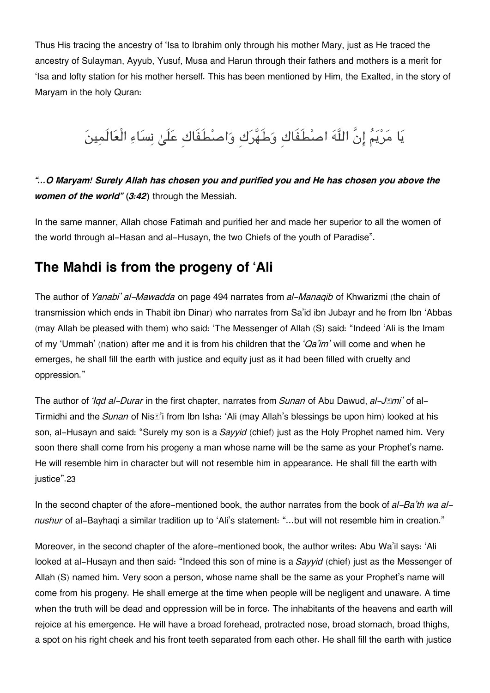Thus His tracing the ancestry of 'Isa to Ibrahim only through his mother Mary, just as He traced the ancestry of Sulayman, Ayyub, Yusuf, Musa and Harun through their fathers and mothers is a merit for 'Isa and lofty station for his mother herself. This has been mentioned by Him, the Exalted, in the story of Maryam in the holy Quran:

# يَا مَرْيَمُ إِنَّ اللَّهَ اصْطَفَاك وَطَهَّرَك وَاصْطَفَاك عَلَىٰ نِسَاءِ الْعَالَمِينَ

### *"…O Maryam! Surely Allah has chosen you and purified you and He has chosen you above the women of the world" (3:42)* through the Messiah.

In the same manner, Allah chose Fatimah and purified her and made her superior to all the women of the world through al-Hasan and al-Husayn, the two Chiefs of the youth of Paradise".

## **[The Mahdi is from the progeny of 'Ali](#page--1-0)**

The author of *Yanabi' al-Mawadda* on page 494 narrates from *al-Manaqib* of Khwarizmi (the chain of transmission which ends in Thabit ibn Dinar) who narrates from Sa'id ibn Jubayr and he from Ibn 'Abbas (may Allah be pleased with them) who said: 'The Messenger of Allah (S) said: "Indeed 'Ali is the Imam of my 'Ummah' (nation) after me and it is from his children that the '*Qa'im'* will come and when he emerges, he shall fill the earth with justice and equity just as it had been filled with cruelty and oppression."

The author of *'Iqd al-Durar* in the first chapter, narrates from *Sunan* of Abu Dawud, *al-Jāmi'* of al-Tirmidhi and the *Sunan* of Nisā'i from Ibn Isha: 'Ali (may Allah's blessings be upon him) looked at his son, al-Husayn and said: "Surely my son is a *Sayyid* (chief) just as the Holy Prophet named him. Very soon there shall come from his progeny a man whose name will be the same as your Prophet's name. He will resemble him in character but will not resemble him in appearance. He shall fill the earth with iustice".[23](#page--1-0)

In the second chapter of the afore-mentioned book, the author narrates from the book of *al-Ba'th wa alnushur* of al-Bayhaqi a similar tradition up to 'Ali's statement: "…but will not resemble him in creation."

Moreover, in the second chapter of the afore-mentioned book, the author writes: Abu Wa'il says: 'Ali looked at al-Husayn and then said: "Indeed this son of mine is a *Sayyid* (chief) just as the Messenger of Allah (S) named him. Very soon a person, whose name shall be the same as your Prophet's name will come from his progeny. He shall emerge at the time when people will be negligent and unaware. A time when the truth will be dead and oppression will be in force. The inhabitants of the heavens and earth will rejoice at his emergence. He will have a broad forehead, protracted nose, broad stomach, broad thighs, a spot on his right cheek and his front teeth separated from each other. He shall fill the earth with justice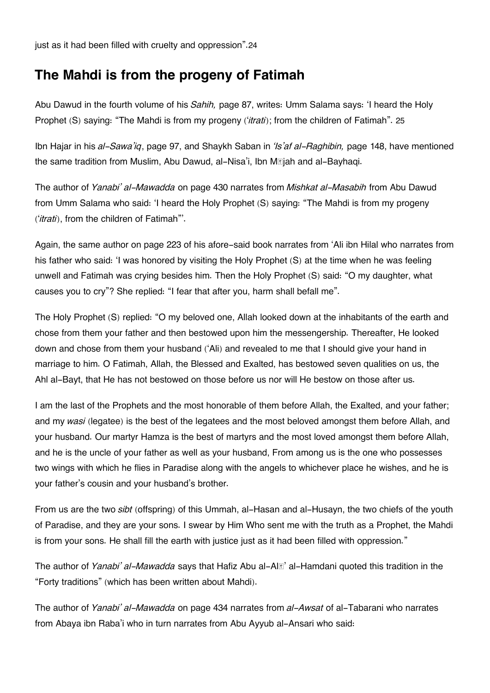just as it had been filled with cruelty and oppression".[24](#page--1-0)

## **[The Mahdi is from the progeny of Fatimah](#page--1-0)**

Abu Dawud in the fourth volume of his *Sahih,* page 87, writes: Umm Salama says: 'I heard the Holy Prophet (S) saying: "The Mahdi is from my progeny ('*itrati*); from the children of Fatimah". [25](#page--1-0)

Ibn Hajar in his *al-Sawa'iq*, page 97, and Shaykh Saban in *'Is'af al-Raghibin,* page 148, have mentioned the same tradition from Muslim, Abu Dawud, al-Nisa'i, Ibn Mājah and al-Bayhaqi.

The author of *Yanabi' al-Mawadda* on page 430 narrates from *Mishkat al-Masabih* from Abu Dawud from Umm Salama who said: 'I heard the Holy Prophet (S) saying: "The Mahdi is from my progeny ('*itrati*), from the children of Fatimah"'.

Again, the same author on page 223 of his afore-said book narrates from 'Ali ibn Hilal who narrates from his father who said: 'I was honored by visiting the Holy Prophet (S) at the time when he was feeling unwell and Fatimah was crying besides him. Then the Holy Prophet (S) said: "O my daughter, what causes you to cry"? She replied: "I fear that after you, harm shall befall me".

The Holy Prophet (S) replied: "O my beloved one, Allah looked down at the inhabitants of the earth and chose from them your father and then bestowed upon him the messengership. Thereafter, He looked down and chose from them your husband ('Ali) and revealed to me that I should give your hand in marriage to him. O Fatimah, Allah, the Blessed and Exalted, has bestowed seven qualities on us, the Ahl al-Bayt, that He has not bestowed on those before us nor will He bestow on those after us.

I am the last of the Prophets and the most honorable of them before Allah, the Exalted, and your father; and my *wasi* (legatee) is the best of the legatees and the most beloved amongst them before Allah, and your husband. Our martyr Hamza is the best of martyrs and the most loved amongst them before Allah, and he is the uncle of your father as well as your husband, From among us is the one who possesses two wings with which he flies in Paradise along with the angels to whichever place he wishes, and he is your father's cousin and your husband's brother.

From us are the two *sibt* (offspring) of this Ummah, al-Hasan and al-Husayn, the two chiefs of the youth of Paradise, and they are your sons. I swear by Him Who sent me with the truth as a Prophet, the Mahdi is from your sons. He shall fill the earth with justice just as it had been filled with oppression."

The author of *Yanabi' al-Mawadda* says that Hafiz Abu al-Alā' al-Hamdani quoted this tradition in the "Forty traditions" (which has been written about Mahdi).

The author of *Yanabi' al-Mawadda* on page 434 narrates from *al-Awsat* of al-Tabarani who narrates from Abaya ibn Raba'i who in turn narrates from Abu Ayyub al-Ansari who said: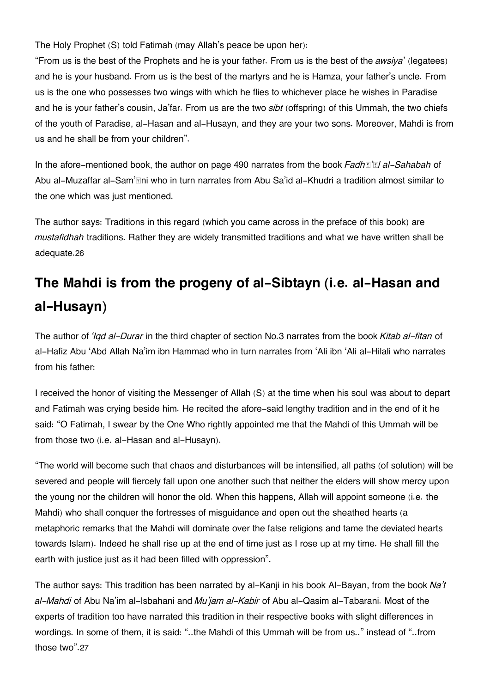The Holy Prophet (S) told Fatimah (may Allah's peace be upon her):

"From us is the best of the Prophets and he is your father. From us is the best of the *awsiya*' (legatees) and he is your husband. From us is the best of the martyrs and he is Hamza, your father's uncle. From us is the one who possesses two wings with which he flies to whichever place he wishes in Paradise and he is your father's cousin, Ja'far. From us are the two *sibt* (offspring) of this Ummah, the two chiefs of the youth of Paradise, al-Hasan and al-Husayn, and they are your two sons. Moreover, Mahdi is from us and he shall be from your children".

In the afore-mentioned book, the author on page 490 narrates from the book *Fadh*<sup>*n*</sup> al-Sahabah of Abu al-Muzaffar al-Sam'āni who in turn narrates from Abu Sa'id al-Khudri a tradition almost similar to the one which was just mentioned.

The author says: Traditions in this regard (which you came across in the preface of this book) are *mustafidhah* traditions. Rather they are widely transmitted traditions and what we have written shall be adequate.[26](#page--1-0)

# **[The Mahdi is from the progeny of al-Sibtayn \(i.e. al-Hasan and](#page--1-0) [al-Husayn\)](#page--1-0)**

The author of *'Iqd al-Durar* in the third chapter of section No.3 narrates from the book *Kitab al-fitan* of al-Hafiz Abu 'Abd Allah Na'im ibn Hammad who in turn narrates from 'Ali ibn 'Ali al-Hilali who narrates from his father:

I received the honor of visiting the Messenger of Allah (S) at the time when his soul was about to depart and Fatimah was crying beside him. He recited the afore-said lengthy tradition and in the end of it he said: "O Fatimah, I swear by the One Who rightly appointed me that the Mahdi of this Ummah will be from those two (i.e. al-Hasan and al-Husayn).

"The world will become such that chaos and disturbances will be intensified, all paths (of solution) will be severed and people will fiercely fall upon one another such that neither the elders will show mercy upon the young nor the children will honor the old. When this happens, Allah will appoint someone (i.e. the Mahdi) who shall conquer the fortresses of misguidance and open out the sheathed hearts (a metaphoric remarks that the Mahdi will dominate over the false religions and tame the deviated hearts towards Islam). Indeed he shall rise up at the end of time just as I rose up at my time. He shall fill the earth with justice just as it had been filled with oppression".

The author says: This tradition has been narrated by al-Kanji in his book Al-Bayan, from the book *Na't al-Mahdi* of Abu Na'im al-Isbahani and *Mu'jam al-Kabir* of Abu al-Qasim al-Tabarani. Most of the experts of tradition too have narrated this tradition in their respective books with slight differences in wordings. In some of them, it is said: "..the Mahdi of this Ummah will be from us.." instead of "..from those two".[27](#page--1-0)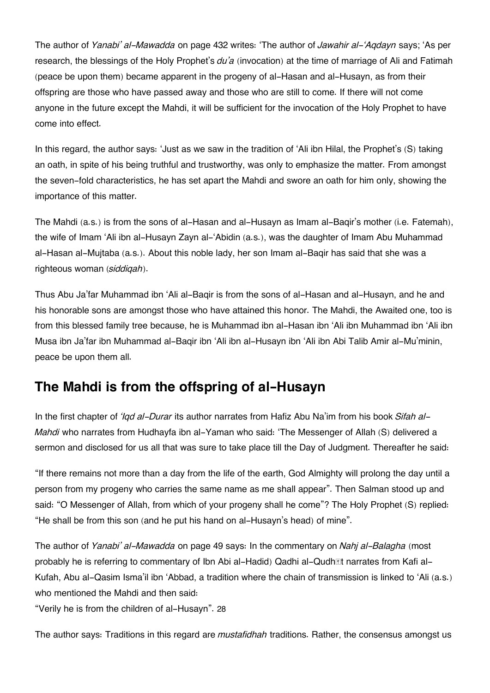The author of *Yanabi' al-Mawadda* on page 432 writes: 'The author of *Jawahir al-'Aqdayn* says; 'As per research, the blessings of the Holy Prophet's *du'a* (invocation) at the time of marriage of Ali and Fatimah (peace be upon them) became apparent in the progeny of al-Hasan and al-Husayn, as from their offspring are those who have passed away and those who are still to come. If there will not come anyone in the future except the Mahdi, it will be sufficient for the invocation of the Holy Prophet to have come into effect.

In this regard, the author says: 'Just as we saw in the tradition of 'Ali ibn Hilal, the Prophet's (S) taking an oath, in spite of his being truthful and trustworthy, was only to emphasize the matter. From amongst the seven-fold characteristics, he has set apart the Mahdi and swore an oath for him only, showing the importance of this matter.

The Mahdi (a.s.) is from the sons of al-Hasan and al-Husayn as Imam al-Baqir's mother (i.e. Fatemah), the wife of Imam 'Ali ibn al-Husayn Zayn al-'Abidin (a.s.), was the daughter of Imam Abu Muhammad al-Hasan al-Mujtaba (a.s.). About this noble lady, her son Imam al-Baqir has said that she was a righteous woman (*siddiqah*).

Thus Abu Ja'far Muhammad ibn 'Ali al-Baqir is from the sons of al-Hasan and al-Husayn, and he and his honorable sons are amongst those who have attained this honor. The Mahdi, the Awaited one, too is from this blessed family tree because, he is Muhammad ibn al-Hasan ibn 'Ali ibn Muhammad ibn 'Ali ibn Musa ibn Ja'far ibn Muhammad al-Baqir ibn 'Ali ibn al-Husayn ibn 'Ali ibn Abi Talib Amir al-Mu'minin, peace be upon them all.

# **[The Mahdi is from the offspring of al-Husayn](#page--1-0)**

In the first chapter of *'Iqd al-Durar* its author narrates from Hafiz Abu Na'im from his book *Sifah al-Mahdi* who narrates from Hudhayfa ibn al-Yaman who said: 'The Messenger of Allah (S) delivered a sermon and disclosed for us all that was sure to take place till the Day of Judgment. Thereafter he said:

"If there remains not more than a day from the life of the earth, God Almighty will prolong the day until a person from my progeny who carries the same name as me shall appear". Then Salman stood up and said: "O Messenger of Allah, from which of your progeny shall he come"? The Holy Prophet (S) replied: "He shall be from this son (and he put his hand on al-Husayn's head) of mine".

The author of *Yanabi' al-Mawadda* on page 49 says: In the commentary on *Nahj al-Balagha* (most probably he is referring to commentary of Ibn Abi al-Hadid) Qadhi al-Qudh**tet narrates from Kafi al-**Kufah, Abu al-Qasim Isma'il ibn 'Abbad, a tradition where the chain of transmission is linked to 'Ali (a.s.) who mentioned the Mahdi and then said:

"Verily he is from the children of al-Husayn". [28](#page--1-0)

The author says: Traditions in this regard are *mustafidhah* traditions. Rather, the consensus amongst us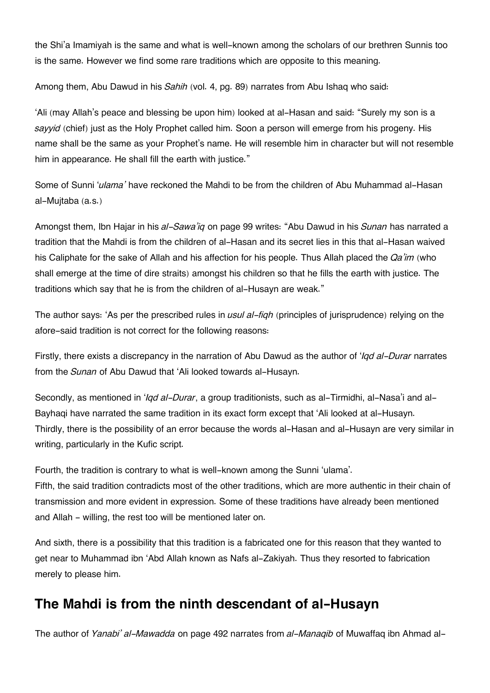the Shi'a Imamiyah is the same and what is well-known among the scholars of our brethren Sunnis too is the same. However we find some rare traditions which are opposite to this meaning.

Among them, Abu Dawud in his *Sahih* (vol. 4, pg. 89) narrates from Abu Ishaq who said:

'Ali (may Allah's peace and blessing be upon him) looked at al-Hasan and said: "Surely my son is a *sayyid* (chief) just as the Holy Prophet called him. Soon a person will emerge from his progeny. His name shall be the same as your Prophet's name. He will resemble him in character but will not resemble him in appearance. He shall fill the earth with justice."

Some of Sunni '*ulama'* have reckoned the Mahdi to be from the children of Abu Muhammad al-Hasan al-Mujtaba (a.s.)

Amongst them, Ibn Hajar in his *al-Sawa'iq* on page 99 writes: "Abu Dawud in his *Sunan* has narrated a tradition that the Mahdi is from the children of al-Hasan and its secret lies in this that al-Hasan waived his Caliphate for the sake of Allah and his affection for his people. Thus Allah placed the *Qa'im* (who shall emerge at the time of dire straits) amongst his children so that he fills the earth with justice. The traditions which say that he is from the children of al-Husayn are weak."

The author says: 'As per the prescribed rules in *usul al-fiqh* (principles of jurisprudence) relying on the afore-said tradition is not correct for the following reasons:

Firstly, there exists a discrepancy in the narration of Abu Dawud as the author of '*Iqd al-Durar* narrates from the *Sunan* of Abu Dawud that 'Ali looked towards al-Husayn.

Secondly, as mentioned in '*Iqd al-Durar*, a group traditionists, such as al-Tirmidhi, al-Nasa'i and al-Bayhaqi have narrated the same tradition in its exact form except that 'Ali looked at al-Husayn. Thirdly, there is the possibility of an error because the words al-Hasan and al-Husayn are very similar in writing, particularly in the Kufic script.

Fourth, the tradition is contrary to what is well-known among the Sunni 'ulama'. Fifth, the said tradition contradicts most of the other traditions, which are more authentic in their chain of transmission and more evident in expression. Some of these traditions have already been mentioned and Allah - willing, the rest too will be mentioned later on.

And sixth, there is a possibility that this tradition is a fabricated one for this reason that they wanted to get near to Muhammad ibn 'Abd Allah known as Nafs al-Zakiyah. Thus they resorted to fabrication merely to please him.

# **[The Mahdi is from the ninth descendant of al-Husayn](#page--1-0)**

The author of *Yanabi' al-Mawadda* on page 492 narrates from *al-Manaqib* of Muwaffaq ibn Ahmad al-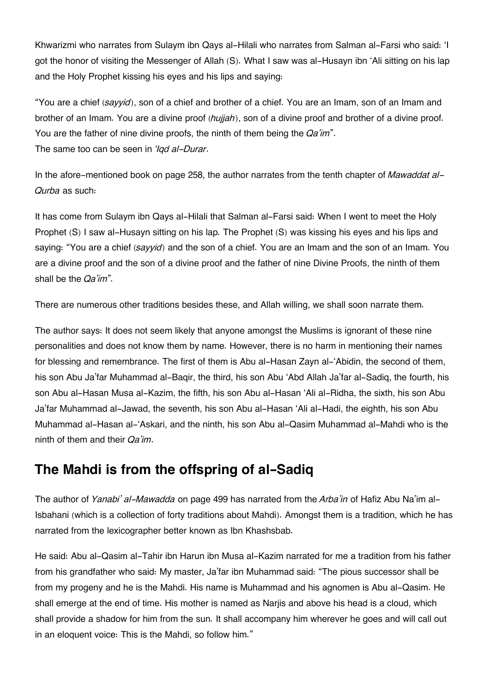Khwarizmi who narrates from Sulaym ibn Qays al-Hilali who narrates from Salman al-Farsi who said: 'I got the honor of visiting the Messenger of Allah (S). What I saw was al-Husayn ibn 'Ali sitting on his lap and the Holy Prophet kissing his eyes and his lips and saying:

"You are a chief (*sayyid*), son of a chief and brother of a chief. You are an Imam, son of an Imam and brother of an Imam. You are a divine proof (*hujjah*), son of a divine proof and brother of a divine proof. You are the father of nine divine proofs, the ninth of them being the *Qa'im*". The same too can be seen in *'Iqd al-Durar*.

In the afore-mentioned book on page 258, the author narrates from the tenth chapter of *Mawaddat al-Qurba* as such:

It has come from Sulaym ibn Qays al-Hilali that Salman al-Farsi said: When I went to meet the Holy Prophet (S) I saw al-Husayn sitting on his lap. The Prophet (S) was kissing his eyes and his lips and saying: "You are a chief (*sayyid*) and the son of a chief. You are an Imam and the son of an Imam. You are a divine proof and the son of a divine proof and the father of nine Divine Proofs, the ninth of them shall be the *Qa'im*"*.*

There are numerous other traditions besides these, and Allah willing, we shall soon narrate them.

The author says: It does not seem likely that anyone amongst the Muslims is ignorant of these nine personalities and does not know them by name. However, there is no harm in mentioning their names for blessing and remembrance. The first of them is Abu al-Hasan Zayn al-'Abidin, the second of them, his son Abu Ja'far Muhammad al-Baqir, the third, his son Abu 'Abd Allah Ja'far al-Sadiq, the fourth, his son Abu al-Hasan Musa al-Kazim, the fifth, his son Abu al-Hasan 'Ali al-Ridha, the sixth, his son Abu Ja'far Muhammad al-Jawad, the seventh, his son Abu al-Hasan 'Ali al-Hadi, the eighth, his son Abu Muhammad al-Hasan al-'Askari, and the ninth, his son Abu al-Qasim Muhammad al-Mahdi who is the ninth of them and their *Qa'im*.

# **[The Mahdi is from the offspring of al-Sadiq](#page--1-0)**

The author of *Yanabi' al-Mawadda* on page 499 has narrated from the *Arba'in* of Hafiz Abu Na'im al-Isbahani (which is a collection of forty traditions about Mahdi). Amongst them is a tradition, which he has narrated from the lexicographer better known as Ibn Khashsbab.

He said: Abu al-Qasim al-Tahir ibn Harun ibn Musa al-Kazim narrated for me a tradition from his father from his grandfather who said: My master, Ja'far ibn Muhammad said: "The pious successor shall be from my progeny and he is the Mahdi. His name is Muhammad and his agnomen is Abu al-Qasim. He shall emerge at the end of time. His mother is named as Narjis and above his head is a cloud, which shall provide a shadow for him from the sun. It shall accompany him wherever he goes and will call out in an eloquent voice: This is the Mahdi, so follow him."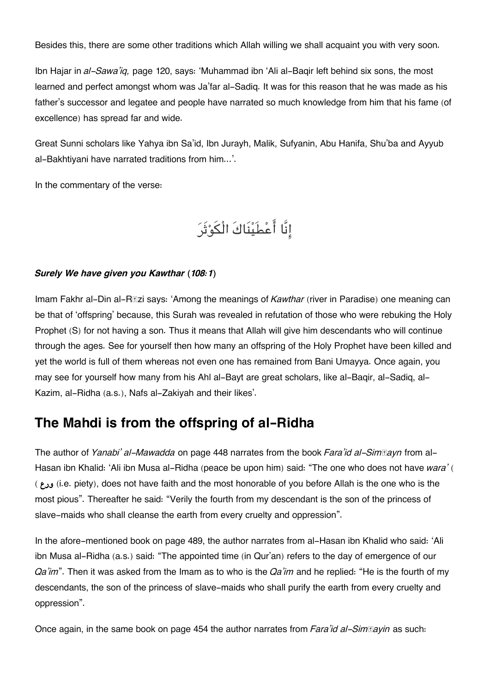Besides this, there are some other traditions which Allah willing we shall acquaint you with very soon.

Ibn Hajar in *al-Sawa'iq,* page 120, says: 'Muhammad ibn 'Ali al-Baqir left behind six sons, the most learned and perfect amongst whom was Ja'far al-Sadiq. It was for this reason that he was made as his father's successor and legatee and people have narrated so much knowledge from him that his fame (of excellence) has spread far and wide.

Great Sunni scholars like Yahya ibn Sa'id, Ibn Jurayh, Malik, Sufyanin, Abu Hanifa, Shu'ba and Ayyub al-Bakhtiyani have narrated traditions from him...'.

In the commentary of the verse:

انَّا اعطَينَاكَ الْوثَر

#### *Surely We have given you Kawthar (108:1)*

Imam Fakhr al-Din al-R**Ezi says: 'Among the meanings of** *Kawthar* (river in Paradise) one meaning can be that of 'offspring' because, this Surah was revealed in refutation of those who were rebuking the Holy Prophet (S) for not having a son. Thus it means that Allah will give him descendants who will continue through the ages. See for yourself then how many an offspring of the Holy Prophet have been killed and yet the world is full of them whereas not even one has remained from Bani Umayya. Once again, you may see for yourself how many from his Ahl al-Bayt are great scholars, like al-Baqir, al-Sadiq, al-Kazim, al-Ridha (a.s.), Nafs al-Zakiyah and their likes'.

## **[The Mahdi is from the offspring of al-Ridha](#page--1-0)**

The author of *Yanabi' al-Mawadda* on page 448 narrates from the book *Fara'id al-Sim* sayn from al-Hasan ibn Khalid: 'Ali ibn Musa al-Ridha (peace be upon him) said: "The one who does not have *wara'* ( ( **ورع**) i.e. piety), does not have faith and the most honorable of you before Allah is the one who is the most pious". Thereafter he said: "Verily the fourth from my descendant is the son of the princess of slave-maids who shall cleanse the earth from every cruelty and oppression".

In the afore-mentioned book on page 489, the author narrates from al-Hasan ibn Khalid who said: 'Ali ibn Musa al-Ridha (a.s.) said: "The appointed time (in Qur'an) refers to the day of emergence of our *Qa'im*". Then it was asked from the Imam as to who is the *Qa'im* and he replied: "He is the fourth of my descendants, the son of the princess of slave-maids who shall purify the earth from every cruelty and oppression".

Once again, in the same book on page 454 the author narrates from *Fara'id al-Simtayin* as such: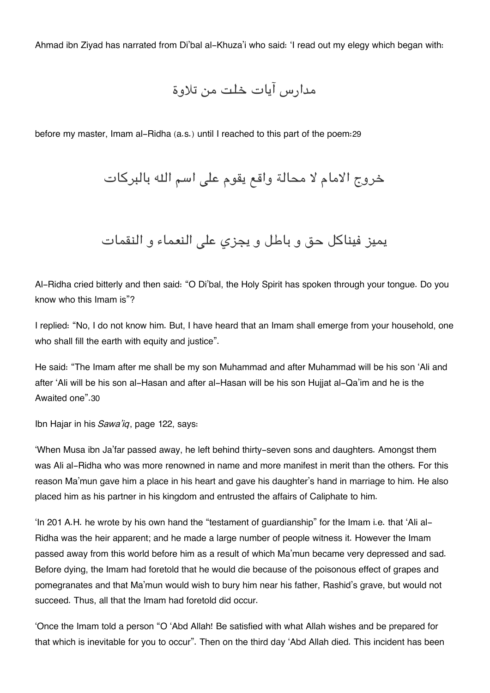Ahmad ibn Ziyad has narrated from Di'bal al-Khuza'i who said: 'I read out my elegy which began with:

مدارس آيات خلت من تلاوة

before my master, Imam al-Ridha (a.s.) until I reached to this part of the poem:[29](#page--1-0)

خروج الامام لا محالة واقع يقوم على اسم الله بالبركات

يميز فيناكل حق و باطل و يجزي على النعماء و النقمات

Al-Ridha cried bitterly and then said: "O Di'bal, the Holy Spirit has spoken through your tongue. Do you know who this Imam is"?

I replied: "No, I do not know him. But, I have heard that an Imam shall emerge from your household, one who shall fill the earth with equity and justice".

He said: "The Imam after me shall be my son Muhammad and after Muhammad will be his son 'Ali and after 'Ali will be his son al-Hasan and after al-Hasan will be his son Hujjat al-Qa'im and he is the Awaited one".[30](#page--1-0)

Ibn Hajar in his *Sawa'iq*, page 122, says:

'When Musa ibn Ja'far passed away, he left behind thirty-seven sons and daughters. Amongst them was Ali al-Ridha who was more renowned in name and more manifest in merit than the others. For this reason Ma'mun gave him a place in his heart and gave his daughter's hand in marriage to him. He also placed him as his partner in his kingdom and entrusted the affairs of Caliphate to him.

'In 201 A.H. he wrote by his own hand the "testament of guardianship" for the Imam i.e. that 'Ali al-Ridha was the heir apparent; and he made a large number of people witness it. However the Imam passed away from this world before him as a result of which Ma'mun became very depressed and sad. Before dying, the Imam had foretold that he would die because of the poisonous effect of grapes and pomegranates and that Ma'mun would wish to bury him near his father, Rashid's grave, but would not succeed. Thus, all that the Imam had foretold did occur.

'Once the Imam told a person "O 'Abd Allah! Be satisfied with what Allah wishes and be prepared for that which is inevitable for you to occur". Then on the third day 'Abd Allah died. This incident has been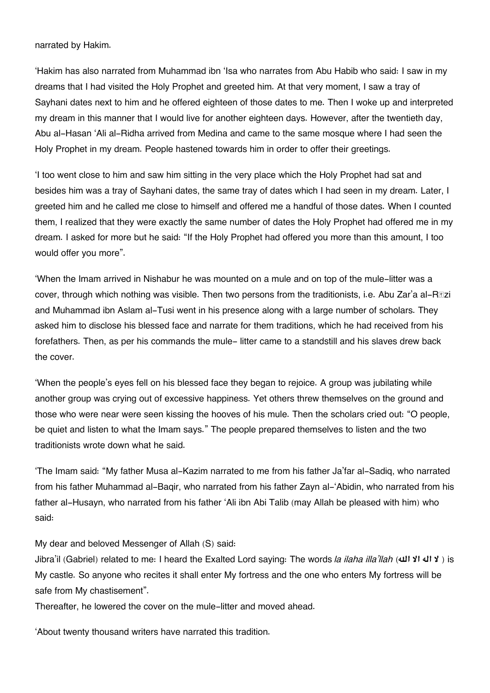narrated by Hakim.

'Hakim has also narrated from Muhammad ibn 'Isa who narrates from Abu Habib who said: I saw in my dreams that I had visited the Holy Prophet and greeted him. At that very moment, I saw a tray of Sayhani dates next to him and he offered eighteen of those dates to me. Then I woke up and interpreted my dream in this manner that I would live for another eighteen days. However, after the twentieth day, Abu al-Hasan 'Ali al-Ridha arrived from Medina and came to the same mosque where I had seen the Holy Prophet in my dream. People hastened towards him in order to offer their greetings.

'I too went close to him and saw him sitting in the very place which the Holy Prophet had sat and besides him was a tray of Sayhani dates, the same tray of dates which I had seen in my dream. Later, I greeted him and he called me close to himself and offered me a handful of those dates. When I counted them, I realized that they were exactly the same number of dates the Holy Prophet had offered me in my dream. I asked for more but he said: "If the Holy Prophet had offered you more than this amount, I too would offer you more".

'When the Imam arrived in Nishabur he was mounted on a mule and on top of the mule-litter was a cover, through which nothing was visible. Then two persons from the traditionists, i.e. Abu Zar'a al-Rāzi and Muhammad ibn Aslam al-Tusi went in his presence along with a large number of scholars. They asked him to disclose his blessed face and narrate for them traditions, which he had received from his forefathers. Then, as per his commands the mule- litter came to a standstill and his slaves drew back the cover.

'When the people's eyes fell on his blessed face they began to rejoice. A group was jubilating while another group was crying out of excessive happiness. Yet others threw themselves on the ground and those who were near were seen kissing the hooves of his mule. Then the scholars cried out: "O people, be quiet and listen to what the Imam says." The people prepared themselves to listen and the two traditionists wrote down what he said.

'The Imam said: "My father Musa al-Kazim narrated to me from his father Ja'far al-Sadiq, who narrated from his father Muhammad al-Baqir, who narrated from his father Zayn al-'Abidin, who narrated from his father al-Husayn, who narrated from his father 'Ali ibn Abi Talib (may Allah be pleased with him) who said:

My dear and beloved Messenger of Allah (S) said:

Jibra'il (Gabriel) related to me: I heard the Exalted Lord saying: The words *la ilaha illa'llah* (**هال الا اله لا** ( is My castle. So anyone who recites it shall enter My fortress and the one who enters My fortress will be safe from My chastisement".

Thereafter, he lowered the cover on the mule-litter and moved ahead.

'About twenty thousand writers have narrated this tradition.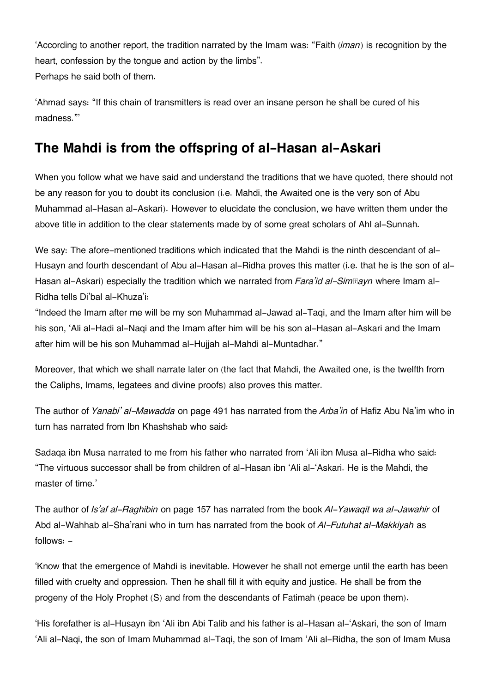'According to another report, the tradition narrated by the Imam was: "Faith (*iman*) is recognition by the heart, confession by the tongue and action by the limbs". Perhaps he said both of them.

'Ahmad says: "If this chain of transmitters is read over an insane person he shall be cured of his madness."'

# **[The Mahdi is from the offspring of al-Hasan al-Askari](#page--1-0)**

When you follow what we have said and understand the traditions that we have quoted, there should not be any reason for you to doubt its conclusion (i.e. Mahdi, the Awaited one is the very son of Abu Muhammad al-Hasan al-Askari). However to elucidate the conclusion, we have written them under the above title in addition to the clear statements made by of some great scholars of Ahl al-Sunnah.

We say: The afore-mentioned traditions which indicated that the Mahdi is the ninth descendant of al-Husayn and fourth descendant of Abu al-Hasan al-Ridha proves this matter (i.e. that he is the son of al-Hasan al-Askari) especially the tradition which we narrated from *Fara'id al-Sim®ayn* where Imam al-Ridha tells Di'bal al-Khuza'i:

"Indeed the Imam after me will be my son Muhammad al-Jawad al-Taqi, and the Imam after him will be his son, 'Ali al-Hadi al-Naqi and the Imam after him will be his son al-Hasan al-Askari and the Imam after him will be his son Muhammad al-Hujjah al-Mahdi al-Muntadhar."

Moreover, that which we shall narrate later on (the fact that Mahdi, the Awaited one, is the twelfth from the Caliphs, Imams, legatees and divine proofs) also proves this matter.

The author of *Yanabi' al-Mawadda* on page 491 has narrated from the *Arba'in* of Hafiz Abu Na'im who in turn has narrated from Ibn Khashshab who said:

Sadaqa ibn Musa narrated to me from his father who narrated from 'Ali ibn Musa al-Ridha who said: "The virtuous successor shall be from children of al-Hasan ibn 'Ali al-'Askari. He is the Mahdi, the master of time.'

The author of *Is'af al-Raghibin* on page 157 has narrated from the book *Al-Yawaqit wa al-Jawahir* of Abd al-Wahhab al-Sha'rani who in turn has narrated from the book of *Al-Futuhat al-Makkiyah* as follows: -

'Know that the emergence of Mahdi is inevitable. However he shall not emerge until the earth has been filled with cruelty and oppression. Then he shall fill it with equity and justice. He shall be from the progeny of the Holy Prophet (S) and from the descendants of Fatimah (peace be upon them).

'His forefather is al-Husayn ibn 'Ali ibn Abi Talib and his father is al-Hasan al-'Askari, the son of Imam 'Ali al-Naqi, the son of Imam Muhammad al-Taqi, the son of Imam 'Ali al-Ridha, the son of Imam Musa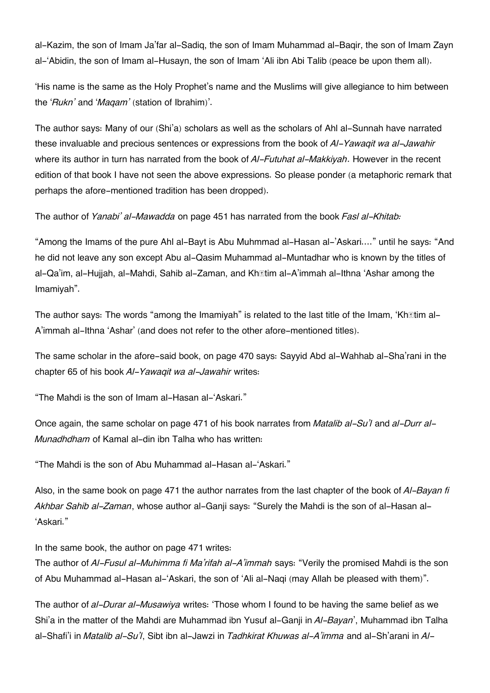al-Kazim, the son of Imam Ja'far al-Sadiq, the son of Imam Muhammad al-Baqir, the son of Imam Zayn al-'Abidin, the son of Imam al-Husayn, the son of Imam 'Ali ibn Abi Talib (peace be upon them all).

'His name is the same as the Holy Prophet's name and the Muslims will give allegiance to him between the '*Rukn'* and '*Maqam'* (station of Ibrahim)'.

The author says: Many of our (Shi'a) scholars as well as the scholars of Ahl al-Sunnah have narrated these invaluable and precious sentences or expressions from the book of *Al-Yawaqit wa al-Jawahir* where its author in turn has narrated from the book of *Al-Futuhat al-Makkiyah*. However in the recent edition of that book I have not seen the above expressions. So please ponder (a metaphoric remark that perhaps the afore-mentioned tradition has been dropped).

The author of *Yanabi' al-Mawadda* on page 451 has narrated from the book *Fasl al-Khitab:*

"Among the Imams of the pure Ahl al-Bayt is Abu Muhmmad al-Hasan al-'Askari…." until he says: "And he did not leave any son except Abu al-Qasim Muhammad al-Muntadhar who is known by the titles of al-Qa'im, al-Hujjah, al-Mahdi, Sahib al-Zaman, and Khātim al-A'immah al-Ithna 'Ashar among the Imamiyah".

The author says: The words "among the Imamiyah" is related to the last title of the Imam, 'Kh**atim al-**A'immah al-Ithna 'Ashar' (and does not refer to the other afore-mentioned titles).

The same scholar in the afore-said book, on page 470 says: Sayyid Abd al-Wahhab al-Sha'rani in the chapter 65 of his book *Al-Yawaqit wa al-Jawahir* writes:

"The Mahdi is the son of Imam al-Hasan al-'Askari."

Once again, the same scholar on page 471 of his book narrates from *Matalib al-Su'l* and *al-Durr al-Munadhdham* of Kamal al-din ibn Talha who has written:

"The Mahdi is the son of Abu Muhammad al-Hasan al-'Askari."

Also, in the same book on page 471 the author narrates from the last chapter of the book of *Al-Bayan fi Akhbar Sahib al-Zaman*, whose author al-Ganji says: "Surely the Mahdi is the son of al-Hasan al- 'Askari."

In the same book, the author on page 471 writes:

The author of *Al-Fusul al-Muhimma fi Ma'rifah al-A'immah* says: "Verily the promised Mahdi is the son of Abu Muhammad al-Hasan al-'Askari, the son of 'Ali al-Naqi (may Allah be pleased with them)".

The author of *al-Durar al-Musawiya* writes: 'Those whom I found to be having the same belief as we Shi'a in the matter of the Mahdi are Muhammad ibn Yusuf al-Ganji in *Al-Bayan*', Muhammad ibn Talha al-Shafi'i in *Matalib al-Su'l*, Sibt ibn al-Jawzi in *Tadhkirat Khuwas al-A'imma* and al-Sh'arani in *Al-*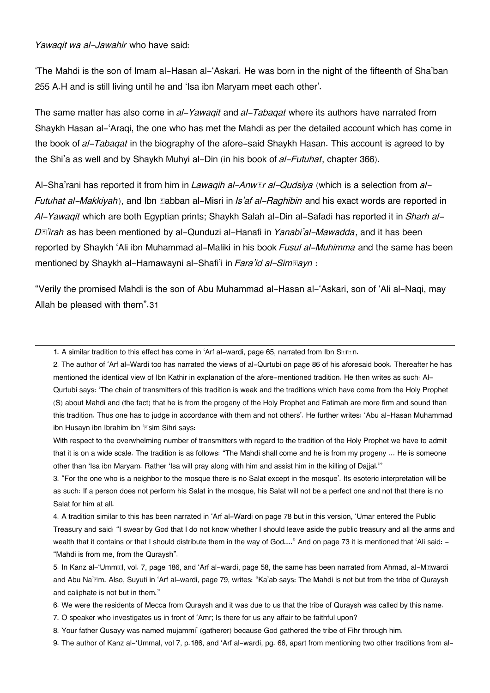#### *Yawaqit wa al-Jawahir* who have said:

'The Mahdi is the son of Imam al-Hasan al-'Askari. He was born in the night of the fifteenth of Sha'ban 255 A.H and is still living until he and 'Isa ibn Maryam meet each other'.

The same matter has also come in *al-Yawaqit* and *al-Tabaqat* where its authors have narrated from Shaykh Hasan al-'Araqi, the one who has met the Mahdi as per the detailed account which has come in the book of *al-Tabaqat* in the biography of the afore-said Shaykh Hasan. This account is agreed to by the Shi'a as well and by Shaykh Muhyi al-Din (in his book of *al-Futuhat*, chapter 366).

Al-Sha'rani has reported it from him in *Lawaqih al-Anwār al-Qudsiya* (which is a selection from *al-Futuhat al-Makkiyah*), and Ibn **Eabban al-Misri in** *Is'af al-Raghibin* and his exact words are reported in *Al-Yawaqit* which are both Egyptian prints; Shaykh Salah al-Din al-Safadi has reported it in *Sharh al-Dā'irah* as has been mentioned by al-Qunduzi al-Hanafi in *Yanabi'al-Mawadda*, and it has been reported by Shaykh 'Ali ibn Muhammad al-Maliki in his book *Fusul al-Muhimma* and the same has been mentioned by Shaykh al-Hamawayni al-Shafi'i in *Fara'id al-Simtayn* :

"Verily the promised Mahdi is the son of Abu Muhammad al-Hasan al-'Askari, son of 'Ali al-Naqi, may Allah be pleased with them".[31](#page--1-0)

[1.](#page--1-0) A similar tradition to this effect has come in 'Arf al-wardi, page 65, narrated from Ibn SEIEn.

[2.](#page--1-0) The author of 'Arf al-Wardi too has narrated the views of al-Qurtubi on page 86 of his aforesaid book. Thereafter he has mentioned the identical view of Ibn Kathir in explanation of the afore-mentioned tradition. He then writes as such: Al-Qurtubi says: 'The chain of transmitters of this tradition is weak and the traditions which have come from the Holy Prophet (S) about Mahdi and (the fact) that he is from the progeny of the Holy Prophet and Fatimah are more firm and sound than this tradition. Thus one has to judge in accordance with them and not others'. He further writes: 'Abu al-Hasan Muhammad ibn Husayn ibn Ibrahim ibn '*Isim Sihri says:* 

With respect to the overwhelming number of transmitters with regard to the tradition of the Holy Prophet we have to admit that it is on a wide scale. The tradition is as follows: "The Mahdi shall come and he is from my progeny … He is someone other than 'Isa ibn Maryam. Rather 'Isa will pray along with him and assist him in the killing of Dajjal."'

[3.](#page--1-0) "For the one who is a neighbor to the mosque there is no Salat except in the mosque'. Its esoteric interpretation will be as such: If a person does not perform his Salat in the mosque, his Salat will not be a perfect one and not that there is no Salat for him at all.

[4.](#page--1-0) A tradition similar to this has been narrated in 'Arf al-Wardi on page 78 but in this version, 'Umar entered the Public Treasury and said: "I swear by God that I do not know whether I should leave aside the public treasury and all the arms and wealth that it contains or that I should distribute them in the way of God...." And on page 73 it is mentioned that 'Ali said: -"Mahdi is from me, from the Quraysh".

[5.](#page--1-0) In Kanz al-'Ummāl, vol. 7, page 186, and 'Arf al-wardi, page 58, the same has been narrated from Ahmad, al-Māwardi and Abu Na'īm. Also, Suyuti in 'Arf al-wardi, page 79, writes: "Ka'ab says: The Mahdi is not but from the tribe of Quraysh and caliphate is not but in them."

[6.](#page--1-0) We were the residents of Mecca from Quraysh and it was due to us that the tribe of Quraysh was called by this name.

[7.](#page--1-0) O speaker who investigates us in front of 'Amr; Is there for us any affair to be faithful upon?

[8.](#page--1-0) Your father Qusayy was named mujammi' (gatherer) because God gathered the tribe of Fihr through him.

[9.](#page--1-0) The author of Kanz al-'Ummal, vol 7, p.186, and 'Arf al-wardi, pg. 66, apart from mentioning two other traditions from al-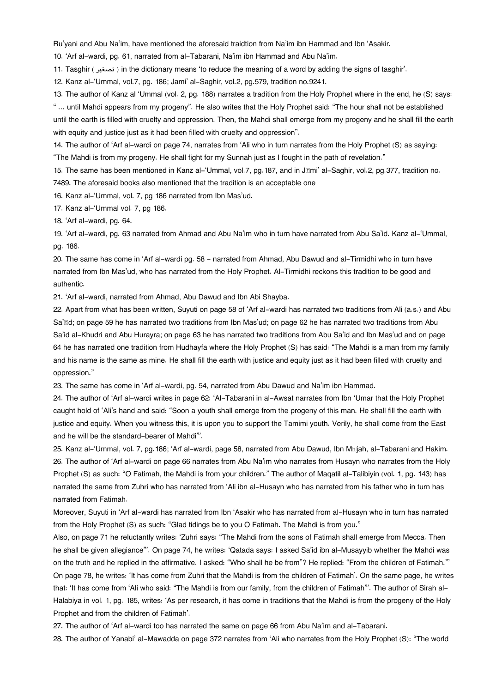Ru'yani and Abu Na'im, have mentioned the aforesaid traidtion from Na'im ibn Hammad and Ibn 'Asakir.

[10.](#page--1-0) 'Arf al-wardi, pg. 61, narrated from al-Tabarani, Na'im ibn Hammad and Abu Na'im.

[11.](#page--1-0) Tasghir ( تصغير ( in the dictionary means 'to reduce the meaning of a word by adding the signs of tasghir'.

[12.](#page--1-0) Kanz al-'Ummal, vol.7, pg. 186; Jami' al-Saghir, vol.2, pg.579, tradition no.9241.

[13.](#page--1-0) The author of Kanz al 'Ummal (vol. 2, pg. 188) narrates a tradition from the Holy Prophet where in the end, he (S) says:

" ... until Mahdi appears from my progeny". He also writes that the Holy Prophet said: "The hour shall not be established until the earth is filled with cruelty and oppression. Then, the Mahdi shall emerge from my progeny and he shall fill the earth with equity and justice just as it had been filled with cruelty and oppression".

[14.](#page--1-0) The author of 'Arf al-wardi on page 74, narrates from 'Ali who in turn narrates from the Holy Prophet (S) as saying: "The Mahdi is from my progeny. He shall fight for my Sunnah just as I fought in the path of revelation."

[15.](#page--1-0) The same has been mentioned in Kanz al-'Ummal, vol.7, pg. 187, and in J*mi' al-Saghir, vol.2, pg. 377, tradition no.* 7489. The aforesaid books also mentioned that the tradition is an acceptable one

[16.](#page--1-0) Kanz al-'Ummal, vol. 7, pg 186 narrated from Ibn Mas'ud.

[17.](#page--1-0) Kanz al-'Ummal vol. 7, pg 186.

[18.](#page--1-0) 'Arf al-wardi, pg. 64.

[19.](#page--1-0) 'Arf al-wardi, pg. 63 narrated from Ahmad and Abu Na'im who in turn have narrated from Abu Sa'id. Kanz al-'Ummal, pg. 186.

[20.](#page--1-0) The same has come in 'Arf al-wardi pg. 58 - narrated from Ahmad, Abu Dawud and al-Tirmidhi who in turn have narrated from Ibn Mas'ud, who has narrated from the Holy Prophet. Al-Tirmidhi reckons this tradition to be good and authentic.

[21.](#page--1-0) 'Arf al-wardi, narrated from Ahmad, Abu Dawud and Ibn Abi Shayba.

[22.](#page--1-0) Apart from what has been written, Suyuti on page 58 of 'Arf al-wardi has narrated two traditions from Ali (a.s.) and Abu Sa' $\bar{a}$ d; on page 59 he has narrated two traditions from Ibn Mas'ud; on page 62 he has narrated two traditions from Abu Sa'id al-Khudri and Abu Hurayra; on page 63 he has narrated two traditions from Abu Sa'id and Ibn Mas'ud and on page 64 he has narrated one tradition from Hudhayfa where the Holy Prophet (S) has said: "The Mahdi is a man from my family and his name is the same as mine. He shall fill the earth with justice and equity just as it had been filled with cruelty and oppression."

[23.](#page--1-0) The same has come in 'Arf al-wardi, pg. 54, narrated from Abu Dawud and Na'im ibn Hammad.

[24.](#page--1-0) The author of 'Arf al-wardi writes in page 62: 'Al-Tabarani in al-Awsat narrates from Ibn 'Umar that the Holy Prophet caught hold of 'Ali's hand and said: "Soon a youth shall emerge from the progeny of this man. He shall fill the earth with justice and equity. When you witness this, it is upon you to support the Tamimi youth. Verily, he shall come from the East and he will be the standard-bearer of Mahdi"'.

[25.](#page--1-0) Kanz al-'Ummal, vol. 7, pg.186; 'Arf al-wardi, page 58, narrated from Abu Dawud, Ibn Mājah, al-Tabarani and Hakim. [26.](#page--1-0) The author of 'Arf al-wardi on page 66 narrates from Abu Na'im who narrates from Husayn who narrates from the Holy Prophet (S) as such: "O Fatimah, the Mahdi is from your children." The author of Maqatil al-Talibiyin (vol. 1, pg. 143) has narrated the same from Zuhri who has narrated from 'Ali ibn al-Husayn who has narrated from his father who in turn has narrated from Fatimah.

Moreover, Suyuti in 'Arf al-wardi has narrated from Ibn 'Asakir who has narrated from al-Husayn who in turn has narrated from the Holy Prophet (S) as such: "Glad tidings be to you O Fatimah. The Mahdi is from you."

Also, on page 71 he reluctantly writes: 'Zuhri says: "The Mahdi from the sons of Fatimah shall emerge from Mecca. Then he shall be given allegiance"'. On page 74, he writes: 'Qatada says: I asked Sa'id ibn al-Musayyib whether the Mahdi was on the truth and he replied in the affirmative. I asked: "Who shall he be from"? He replied: "From the children of Fatimah."' On page 78, he writes: 'It has come from Zuhri that the Mahdi is from the children of Fatimah'. On the same page, he writes that: 'It has come from 'Ali who said: "The Mahdi is from our family, from the children of Fatimah"'. The author of Sirah al-Halabiya in vol. 1, pg. 185, writes: 'As per research, it has come in traditions that the Mahdi is from the progeny of the Holy Prophet and from the children of Fatimah'.

[27.](#page--1-0) The author of 'Arf al-wardi too has narrated the same on page 66 from Abu Na'im and al-Tabarani.

[28.](#page--1-0) The author of Yanabi' al-Mawadda on page 372 narrates from 'Ali who narrates from the Holy Prophet (S): "The world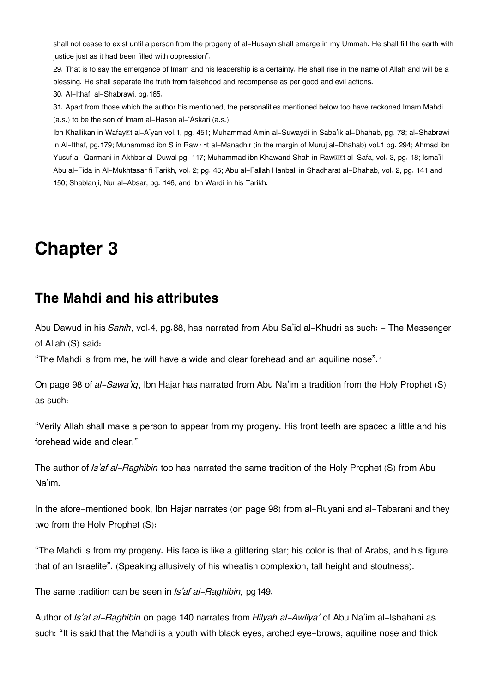shall not cease to exist until a person from the progeny of al-Husayn shall emerge in my Ummah. He shall fill the earth with justice just as it had been filled with oppression".

[29.](#page--1-0) That is to say the emergence of Imam and his leadership is a certainty. He shall rise in the name of Allah and will be a blessing. He shall separate the truth from falsehood and recompense as per good and evil actions. [30.](#page--1-0) Al-Ithaf, al-Shabrawi, pg.165.

[31.](#page--1-0) Apart from those which the author his mentioned, the personalities mentioned below too have reckoned Imam Mahdi (a.s.) to be the son of Imam al-Hasan al-'Askari (a.s.):

Ibn Khallikan in Wafayāt al-A'yan vol.1, pg. 451; Muhammad Amin al-Suwaydi in Saba'ik al-Dhahab, pg. 78; al-Shabrawi in Al-Ithaf, pg. 179; Muhammad ibn S in Raw**III al-Manadhir (in the margin of Muruj** al-Dhahab) vol. 1 pg. 294; Ahmad ibn Yusuf al-Qarmani in Akhbar al-Duwal pg. 117; Muhammad ibn Khawand Shah in Raw**III al-Safa, vol. 3, pg. 18; Isma'il** Abu al-Fida in Al-Mukhtasar fi Tarikh, vol. 2; pg. 45; Abu al-Fallah Hanbali in Shadharat al-Dhahab, vol. 2, pg. 141 and 150; Shablanji, Nur al-Absar, pg. 146, and Ibn Wardi in his Tarikh.

# **Chapter 3**

### **[The Mahdi and his attributes](#page--1-0)**

Abu Dawud in his *Sahih*, vol.4, pg.88, has narrated from Abu Sa'id al-Khudri as such: - The Messenger of Allah (S) said:

"The Mahdi is from me, he will have a wide and clear forehead and an aquiline nose".[1](#page--1-0)

On page 98 of *al-Sawa'iq*, Ibn Hajar has narrated from Abu Na'im a tradition from the Holy Prophet (S) as such: -

"Verily Allah shall make a person to appear from my progeny. His front teeth are spaced a little and his forehead wide and clear."

The author of *Is'af al-Raghibin* too has narrated the same tradition of the Holy Prophet (S) from Abu Na'im.

In the afore-mentioned book, Ibn Hajar narrates (on page 98) from al-Ruyani and al-Tabarani and they two from the Holy Prophet (S):

"The Mahdi is from my progeny. His face is like a glittering star; his color is that of Arabs, and his figure that of an Israelite". (Speaking allusively of his wheatish complexion, tall height and stoutness).

The same tradition can be seen in *Is'af al-Raghibin,* pg149.

Author of *Is'af al-Raghibin* on page 140 narrates from *Hilyah al-Awliya'* of Abu Na'im al-Isbahani as such: "It is said that the Mahdi is a youth with black eyes, arched eye-brows, aquiline nose and thick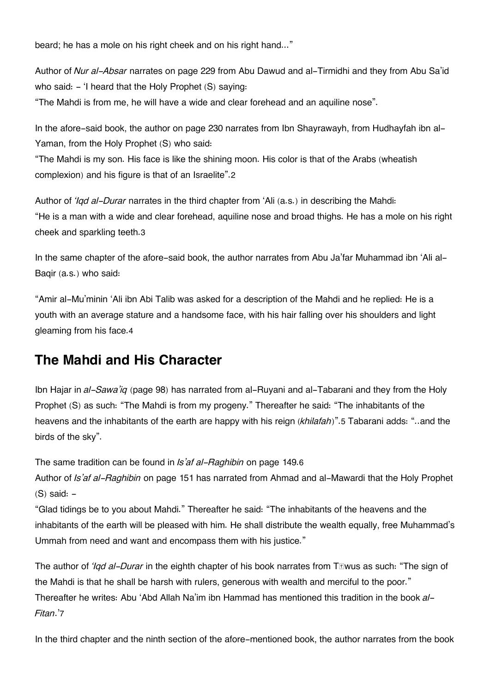beard; he has a mole on his right cheek and on his right hand..."

Author of *Nur al-Absar* narrates on page 229 from Abu Dawud and al-Tirmidhi and they from Abu Sa'id who said: - 'I heard that the Holy Prophet (S) saying:

"The Mahdi is from me, he will have a wide and clear forehead and an aquiline nose".

In the afore-said book, the author on page 230 narrates from Ibn Shayrawayh, from Hudhayfah ibn al-Yaman, from the Holy Prophet (S) who said:

"The Mahdi is my son. His face is like the shining moon. His color is that of the Arabs (wheatish complexion) and his figure is that of an Israelite".[2](#page--1-0)

Author of *'Iqd al-Durar* narrates in the third chapter from 'Ali (a.s.) in describing the Mahdi: "He is a man with a wide and clear forehead, aquiline nose and broad thighs. He has a mole on his right cheek and sparkling teeth.[3](#page--1-0)

In the same chapter of the afore-said book, the author narrates from Abu Ja'far Muhammad ibn 'Ali al-Baqir (a.s.) who said:

"Amir al-Mu'minin 'Ali ibn Abi Talib was asked for a description of the Mahdi and he replied: He is a youth with an average stature and a handsome face, with his hair falling over his shoulders and light gleaming from his face.[4](#page--1-0)

# **[The Mahdi and His Character](#page--1-0)**

Ibn Hajar in *al-Sawa'iq* (page 98) has narrated from al-Ruyani and al-Tabarani and they from the Holy Prophet (S) as such: "The Mahdi is from my progeny." Thereafter he said: "The inhabitants of the heavens and the inhabitants of the earth are happy with his reign (*khilafah*)".[5](#page--1-0) Tabarani adds: "..and the birds of the sky".

The same tradition can be found in *Is'af al-Raghibin* on page 149.[6](#page--1-0)

Author of *Is'af al-Raghibin* on page 151 has narrated from Ahmad and al-Mawardi that the Holy Prophet  $(S)$  said:  $-$ 

"Glad tidings be to you about Mahdi." Thereafter he said: "The inhabitants of the heavens and the inhabitants of the earth will be pleased with him. He shall distribute the wealth equally, free Muhammad's Ummah from need and want and encompass them with his justice."

The author of *'Iqd al-Durar* in the eighth chapter of his book narrates from Tāwus as such: "The sign of the Mahdi is that he shall be harsh with rulers, generous with wealth and merciful to the poor." Thereafter he writes: Abu 'Abd Allah Na'im ibn Hammad has mentioned this tradition in the book *al-Fitan*.'[7](#page--1-0)

In the third chapter and the ninth section of the afore-mentioned book, the author narrates from the book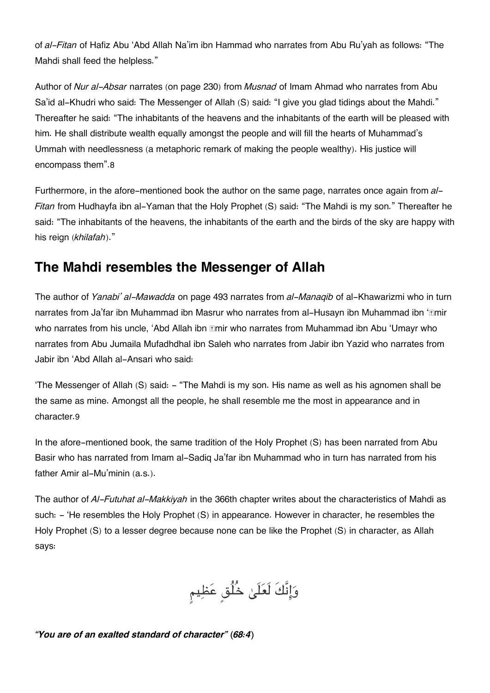of *al-Fitan* of Hafiz Abu 'Abd Allah Na'im ibn Hammad who narrates from Abu Ru'yah as follows: "The Mahdi shall feed the helpless."

Author of *Nur al-Absar* narrates (on page 230) from *Musnad* of Imam Ahmad who narrates from Abu Sa'id al-Khudri who said: The Messenger of Allah (S) said: "I give you glad tidings about the Mahdi." Thereafter he said: "The inhabitants of the heavens and the inhabitants of the earth will be pleased with him. He shall distribute wealth equally amongst the people and will fill the hearts of Muhammad's Ummah with needlessness (a metaphoric remark of making the people wealthy). His justice will encompass them".[8](#page--1-0)

Furthermore, in the afore-mentioned book the author on the same page, narrates once again from *al-Fitan* from Hudhayfa ibn al-Yaman that the Holy Prophet (S) said: "The Mahdi is my son." Thereafter he said: "The inhabitants of the heavens, the inhabitants of the earth and the birds of the sky are happy with his reign (*khilafah*)."

# **[The Mahdi resembles the Messenger of Allah](#page--1-0)**

The author of *Yanabi' al-Mawadda* on page 493 narrates from *al-Manaqib* of al-Khawarizmi who in turn narrates from Ja'far ibn Muhammad ibn Masrur who narrates from al-Husayn ibn Muhammad ibn '**Emir** who narrates from his uncle, 'Abd Allah ibn *Emir who narrates from Muhammad ibn Abu* 'Umayr who narrates from Abu Jumaila Mufadhdhal ibn Saleh who narrates from Jabir ibn Yazid who narrates from Jabir ibn 'Abd Allah al-Ansari who said:

'The Messenger of Allah (S) said: - "The Mahdi is my son. His name as well as his agnomen shall be the same as mine. Amongst all the people, he shall resemble me the most in appearance and in character.[9](#page--1-0)

In the afore-mentioned book, the same tradition of the Holy Prophet (S) has been narrated from Abu Basir who has narrated from Imam al-Sadiq Ja'far ibn Muhammad who in turn has narrated from his father Amir al-Mu'minin (a.s.).

The author of *Al-Futuhat al-Makkiyah* in the 366th chapter writes about the characteristics of Mahdi as such:  $-$  'He resembles the Holy Prophet (S) in appearance. However in character, he resembles the Holy Prophet (S) to a lesser degree because none can be like the Prophet (S) in character, as Allah says:

وَإِنَّكَ لَعَلَىٰ خُلُقٍ عَظِيمٍ

*"You are of an exalted standard of character" (68:4)*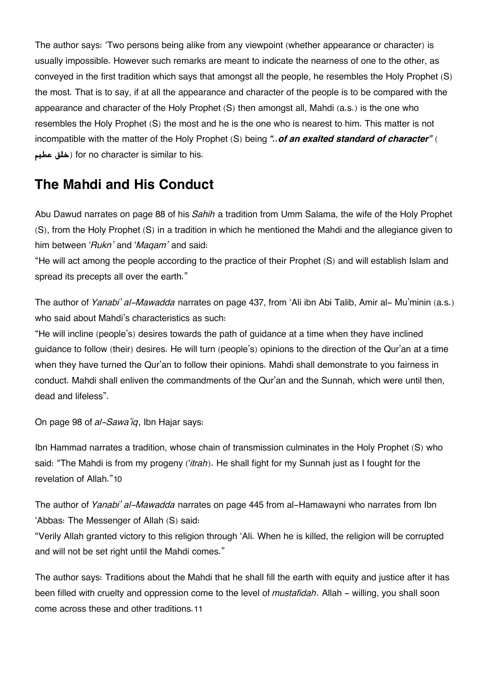The author says: 'Two persons being alike from any viewpoint (whether appearance or character) is usually impossible. However such remarks are meant to indicate the nearness of one to the other, as conveyed in the first tradition which says that amongst all the people, he resembles the Holy Prophet (S) the most. That is to say, if at all the appearance and character of the people is to be compared with the appearance and character of the Holy Prophet (S) then amongst all, Mahdi (a.s.) is the one who resembles the Holy Prophet (S) the most and he is the one who is nearest to him. This matter is not incompatible with the matter of the Holy Prophet (S) being *"..of an exalted standard of character"* ( **عطيم خلق** (for no character is similar to his.

# **[The Mahdi and His Conduct](#page--1-0)**

Abu Dawud narrates on page 88 of his *Sahih* a tradition from Umm Salama, the wife of the Holy Prophet (S), from the Holy Prophet (S) in a tradition in which he mentioned the Mahdi and the allegiance given to him between '*Rukn'* and '*Maqam'* and said:

"He will act among the people according to the practice of their Prophet (S) and will establish Islam and spread its precepts all over the earth."

The author of *Yanabi' al-Mawadda* narrates on page 437, from 'Ali ibn Abi Talib, Amir al- Mu'minin (a.s.) who said about Mahdi's characteristics as such:

"He will incline (people's) desires towards the path of guidance at a time when they have inclined guidance to follow (their) desires. He will turn (people's) opinions to the direction of the Qur'an at a time when they have turned the Qur'an to follow their opinions. Mahdi shall demonstrate to you fairness in conduct. Mahdi shall enliven the commandments of the Qur'an and the Sunnah, which were until then, dead and lifeless".

On page 98 of *al-Sawa'iq*, Ibn Hajar says:

Ibn Hammad narrates a tradition, whose chain of transmission culminates in the Holy Prophet (S) who said: "The Mahdi is from my progeny ('*itrah*). He shall fight for my Sunnah just as I fought for the revelation of Allah."[10](#page--1-0)

The author of *Yanabi' al-Mawadda* narrates on page 445 from al-Hamawayni who narrates from Ibn 'Abbas: The Messenger of Allah (S) said:

"Verily Allah granted victory to this religion through 'Ali. When he is killed, the religion will be corrupted and will not be set right until the Mahdi comes."

The author says: Traditions about the Mahdi that he shall fill the earth with equity and justice after it has been filled with cruelty and oppression come to the level of *mustafidah*. Allah - willing, you shall soon come across these and other traditions.[11](#page--1-0)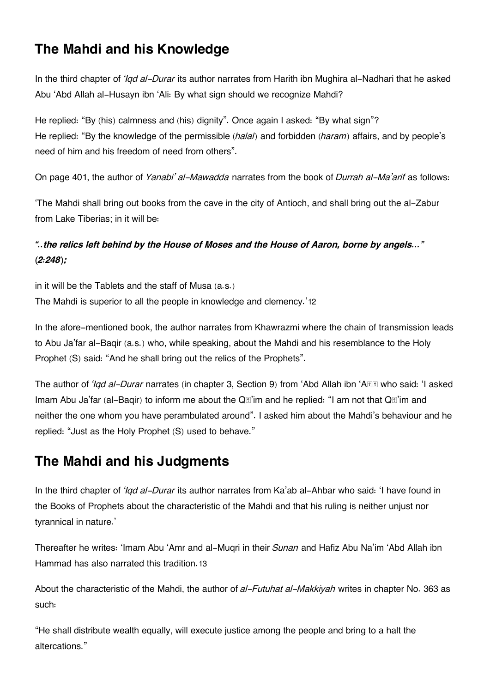# **[The Mahdi and his Knowledge](#page--1-0)**

In the third chapter of *'Iqd al-Durar* its author narrates from Harith ibn Mughira al-Nadhari that he asked Abu 'Abd Allah al-Husayn ibn 'Ali: By what sign should we recognize Mahdi?

He replied: "By (his) calmness and (his) dignity". Once again I asked: "By what sign"? He replied: "By the knowledge of the permissible (*halal*) and forbidden (*haram*) affairs, and by people's need of him and his freedom of need from others".

On page 401, the author of *Yanabi' al-Mawadda* narrates from the book of *Durrah al-Ma'arif* as follows:

'The Mahdi shall bring out books from the cave in the city of Antioch, and shall bring out the al-Zabur from Lake Tiberias; in it will be:

### *"..the relics left behind by the House of Moses and the House of Aaron, borne by angels…" (2:248);*

in it will be the Tablets and the staff of Musa (a.s.) The Mahdi is superior to all the people in knowledge and clemency.'[12](#page--1-0)

In the afore-mentioned book, the author narrates from Khawrazmi where the chain of transmission leads to Abu Ja'far al-Baqir (a.s.) who, while speaking, about the Mahdi and his resemblance to the Holy Prophet (S) said: "And he shall bring out the relics of the Prophets".

The author of *'Iqd al-Durar* narrates (in chapter 3, Section 9) from 'Abd Allah ibn 'A**RR** who said: 'I asked Imam Abu Ja'far (al-Baqir) to inform me about the Q**a'im and he replied: "I am not that Q**a'im and neither the one whom you have perambulated around". I asked him about the Mahdi's behaviour and he replied: "Just as the Holy Prophet (S) used to behave."

# **[The Mahdi and his Judgments](#page--1-0)**

In the third chapter of *'Iqd al-Durar* its author narrates from Ka'ab al-Ahbar who said: 'I have found in the Books of Prophets about the characteristic of the Mahdi and that his ruling is neither unjust nor tyrannical in nature.'

Thereafter he writes: 'Imam Abu 'Amr and al-Muqri in their *Sunan* and Hafiz Abu Na'im 'Abd Allah ibn Hammad has also narrated this tradition.[13](#page--1-0)

About the characteristic of the Mahdi, the author of *al-Futuhat al-Makkiyah* writes in chapter No. 363 as such:

"He shall distribute wealth equally, will execute justice among the people and bring to a halt the altercations."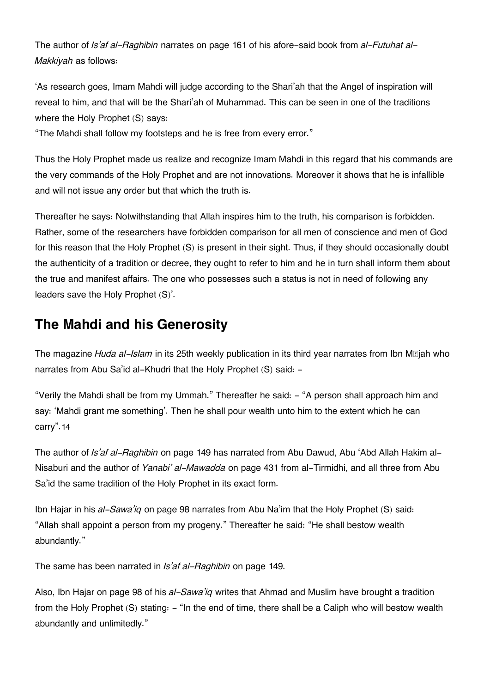The author of *Is'af al-Raghibin* narrates on page 161 of his afore-said book from *al-Futuhat al-Makkiyah* as follows:

'As research goes, Imam Mahdi will judge according to the Shari'ah that the Angel of inspiration will reveal to him, and that will be the Shari'ah of Muhammad. This can be seen in one of the traditions where the Holy Prophet (S) says:

"The Mahdi shall follow my footsteps and he is free from every error."

Thus the Holy Prophet made us realize and recognize Imam Mahdi in this regard that his commands are the very commands of the Holy Prophet and are not innovations. Moreover it shows that he is infallible and will not issue any order but that which the truth is.

Thereafter he says: Notwithstanding that Allah inspires him to the truth, his comparison is forbidden. Rather, some of the researchers have forbidden comparison for all men of conscience and men of God for this reason that the Holy Prophet (S) is present in their sight. Thus, if they should occasionally doubt the authenticity of a tradition or decree, they ought to refer to him and he in turn shall inform them about the true and manifest affairs. The one who possesses such a status is not in need of following any leaders save the Holy Prophet (S)'.

# **[The Mahdi and his Generosity](#page--1-0)**

The magazine *Huda al-Islam* in its 25th weekly publication in its third year narrates from Ibn Mājah who narrates from Abu Sa'id al-Khudri that the Holy Prophet (S) said: -

"Verily the Mahdi shall be from my Ummah." Thereafter he said: - "A person shall approach him and say: 'Mahdi grant me something'. Then he shall pour wealth unto him to the extent which he can carry".[14](#page--1-0)

The author of *Is'af al-Raghibin* on page 149 has narrated from Abu Dawud, Abu 'Abd Allah Hakim al-Nisaburi and the author of *Yanabi' al-Mawadda* on page 431 from al-Tirmidhi, and all three from Abu Sa'id the same tradition of the Holy Prophet in its exact form.

Ibn Hajar in his *al-Sawa'iq* on page 98 narrates from Abu Na'im that the Holy Prophet (S) said: "Allah shall appoint a person from my progeny." Thereafter he said: "He shall bestow wealth abundantly."

The same has been narrated in *Is'af al-Raghibin* on page 149.

Also, Ibn Hajar on page 98 of his *al-Sawa'iq* writes that Ahmad and Muslim have brought a tradition from the Holy Prophet (S) stating: - "In the end of time, there shall be a Caliph who will bestow wealth abundantly and unlimitedly."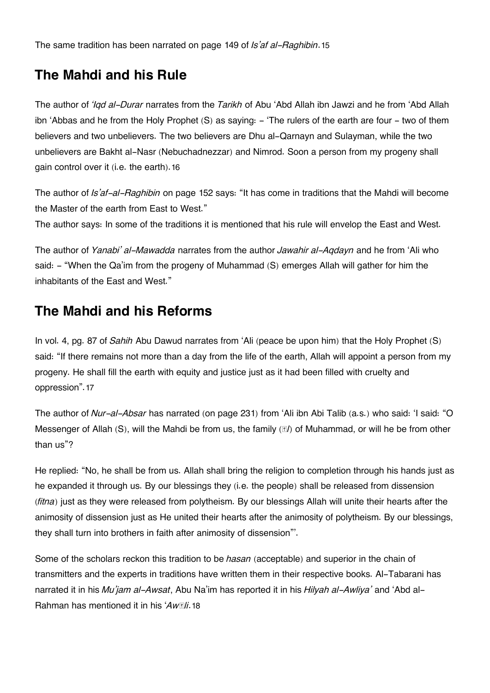The same tradition has been narrated on page 149 of *Is'af al-Raghibin*.[15](#page--1-0)

# **[The Mahdi and his Rule](#page--1-0)**

The author of *'Iqd al-Durar* narrates from the *Tarikh* of Abu 'Abd Allah ibn Jawzi and he from 'Abd Allah ibn 'Abbas and he from the Holy Prophet (S) as saying: - 'The rulers of the earth are four - two of them believers and two unbelievers. The two believers are Dhu al-Qarnayn and Sulayman, while the two unbelievers are Bakht al-Nasr (Nebuchadnezzar) and Nimrod. Soon a person from my progeny shall gain control over it (i.e. the earth).[16](#page--1-0)

The author of *Is'af-al-Raghibin* on page 152 says: "It has come in traditions that the Mahdi will become the Master of the earth from East to West."

The author says: In some of the traditions it is mentioned that his rule will envelop the East and West.

The author of *Yanabi' al-Mawadda* narrates from the author *Jawahir al-Aqdayn* and he from 'Ali who said: - "When the Qa'im from the progeny of Muhammad (S) emerges Allah will gather for him the inhabitants of the East and West."

## **[The Mahdi and his Reforms](#page--1-0)**

In vol. 4, pg. 87 of *Sahih* Abu Dawud narrates from 'Ali (peace be upon him) that the Holy Prophet (S) said: "If there remains not more than a day from the life of the earth, Allah will appoint a person from my progeny. He shall fill the earth with equity and justice just as it had been filled with cruelty and oppression".[17](#page--1-0)

The author of *Nur-al-Absar* has narrated (on page 231) from 'Ali ibn Abi Talib (a.s.) who said: 'I said: "O Messenger of Allah (S), will the Mahdi be from us, the family ( $\Omega$ ) of Muhammad, or will he be from other than us"?

He replied: "No, he shall be from us. Allah shall bring the religion to completion through his hands just as he expanded it through us. By our blessings they (i.e. the people) shall be released from dissension (*fitna*) just as they were released from polytheism. By our blessings Allah will unite their hearts after the animosity of dissension just as He united their hearts after the animosity of polytheism. By our blessings, they shall turn into brothers in faith after animosity of dissension"'.

Some of the scholars reckon this tradition to be *hasan* (acceptable) and superior in the chain of transmitters and the experts in traditions have written them in their respective books. Al-Tabarani has narrated it in his *Mu'jam al-Awsat*, Abu Na'im has reported it in his *Hilyah al-Awliya'* and 'Abd al-Rahman has mentioned it in his '*Awāli*.[18](#page--1-0)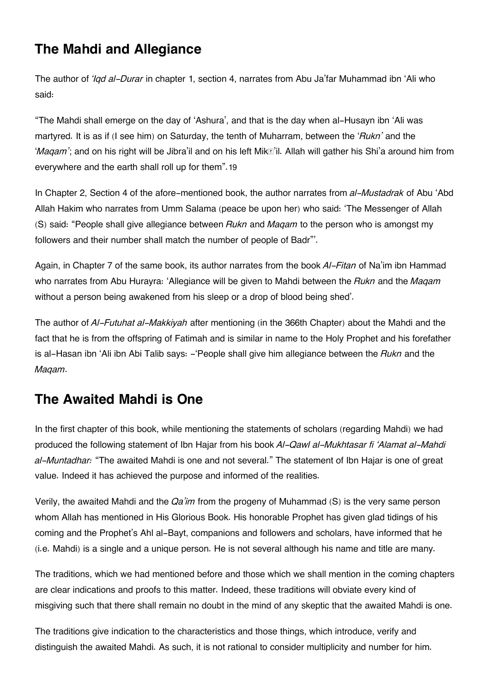# **[The Mahdi and Allegiance](#page--1-0)**

The author of *'Iqd al-Durar* in chapter 1, section 4, narrates from Abu Ja'far Muhammad ibn 'Ali who said:

"The Mahdi shall emerge on the day of 'Ashura', and that is the day when al-Husayn ibn 'Ali was martyred. It is as if (I see him) on Saturday, the tenth of Muharram, between the '*Rukn'* and the '*Magam*'; and on his right will be Jibra'il and on his left Mik**®'il. Allah will gather his Shi'a around** him from everywhere and the earth shall roll up for them".[19](#page--1-0)

In Chapter 2, Section 4 of the afore-mentioned book, the author narrates from *al-Mustadrak* of Abu 'Abd Allah Hakim who narrates from Umm Salama (peace be upon her) who said: 'The Messenger of Allah (S) said: "People shall give allegiance between *Rukn* and *Maqam* to the person who is amongst my followers and their number shall match the number of people of Badr"'.

Again, in Chapter 7 of the same book, its author narrates from the book *Al-Fitan* of Na'im ibn Hammad who narrates from Abu Hurayra: 'Allegiance will be given to Mahdi between the *Rukn* and the *Maqam* without a person being awakened from his sleep or a drop of blood being shed'.

The author of *Al-Futuhat al-Makkiyah* after mentioning (in the 366th Chapter) about the Mahdi and the fact that he is from the offspring of Fatimah and is similar in name to the Holy Prophet and his forefather is al-Hasan ibn 'Ali ibn Abi Talib says: -'People shall give him allegiance between the *Rukn* and the *Maqam*.

# **[The Awaited Mahdi is One](#page--1-0)**

In the first chapter of this book, while mentioning the statements of scholars (regarding Mahdi) we had produced the following statement of Ibn Hajar from his book *Al-Qawl al-Mukhtasar fi 'Alamat al-Mahdi al-Muntadhar:* "The awaited Mahdi is one and not several." The statement of Ibn Hajar is one of great value. Indeed it has achieved the purpose and informed of the realities.

Verily, the awaited Mahdi and the *Qa'im* from the progeny of Muhammad (S) is the very same person whom Allah has mentioned in His Glorious Book. His honorable Prophet has given glad tidings of his coming and the Prophet's Ahl al-Bayt, companions and followers and scholars, have informed that he (i.e. Mahdi) is a single and a unique person. He is not several although his name and title are many.

The traditions, which we had mentioned before and those which we shall mention in the coming chapters are clear indications and proofs to this matter. Indeed, these traditions will obviate every kind of misgiving such that there shall remain no doubt in the mind of any skeptic that the awaited Mahdi is one.

The traditions give indication to the characteristics and those things, which introduce, verify and distinguish the awaited Mahdi. As such, it is not rational to consider multiplicity and number for him.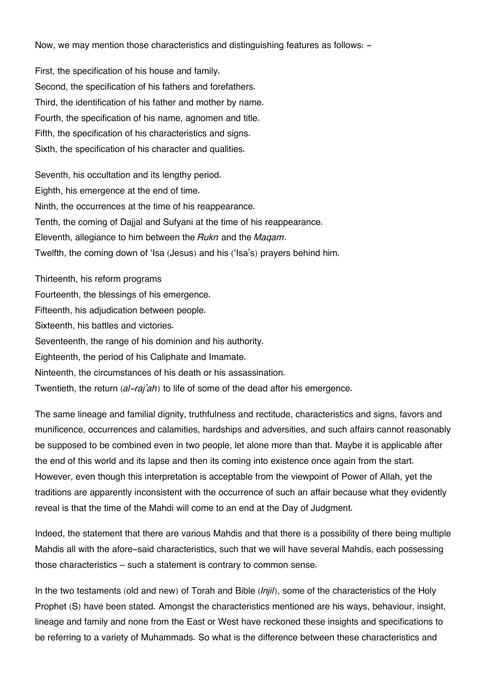Now, we may mention those characteristics and distinguishing features as follows: -

First, the specification of his house and family. Second, the specification of his fathers and forefathers. Third, the identification of his father and mother by name. Fourth, the specification of his name, agnomen and title. Fifth, the specification of his characteristics and signs. Sixth, the specification of his character and qualities.

Seventh, his occultation and its lengthy period. Eighth, his emergence at the end of time. Ninth, the occurrences at the time of his reappearance. Tenth, the coming of Dajjal and Sufyani at the time of his reappearance. Eleventh, allegiance to him between the *Rukn* and the *Maqam*. Twelfth, the coming down of 'Isa (Jesus) and his ('Isa's) prayers behind him.

Thirteenth, his reform programs Fourteenth, the blessings of his emergence. Fifteenth, his adjudication between people. Sixteenth, his battles and victories. Seventeenth, the range of his dominion and his authority. Eighteenth, the period of his Caliphate and Imamate. Ninteenth, the circumstances of his death or his assassination. Twentieth, the return (*al-raj'ah*) to life of some of the dead after his emergence.

The same lineage and familial dignity, truthfulness and rectitude, characteristics and signs, favors and munificence, occurrences and calamities, hardships and adversities, and such affairs cannot reasonably be supposed to be combined even in two people, let alone more than that. Maybe it is applicable after the end of this world and its lapse and then its coming into existence once again from the start. However, even though this interpretation is acceptable from the viewpoint of Power of Allah, yet the traditions are apparently inconsistent with the occurrence of such an affair because what they evidently reveal is that the time of the Mahdi will come to an end at the Day of Judgment.

Indeed, the statement that there are various Mahdis and that there is a possibility of there being multiple Mahdis all with the afore-said characteristics, such that we will have several Mahdis, each possessing those characteristics – such a statement is contrary to common sense.

In the two testaments (old and new) of Torah and Bible (*Injil*), some of the characteristics of the Holy Prophet (S) have been stated. Amongst the characteristics mentioned are his ways, behaviour, insight, lineage and family and none from the East or West have reckoned these insights and specifications to be referring to a variety of Muhammads. So what is the difference between these characteristics and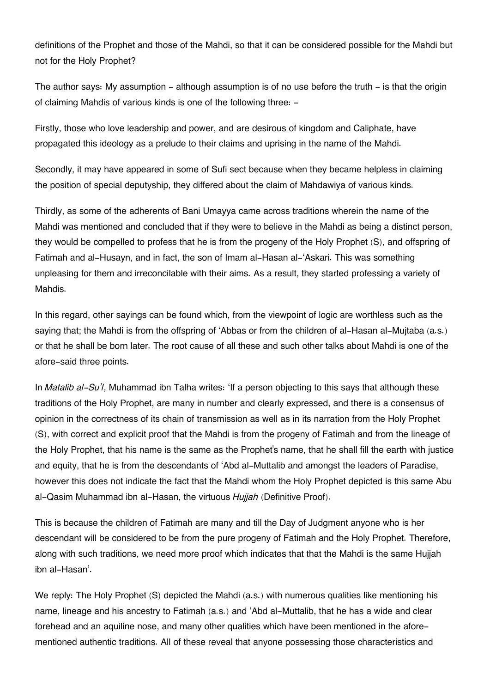definitions of the Prophet and those of the Mahdi, so that it can be considered possible for the Mahdi but not for the Holy Prophet?

The author says: My assumption  $-$  although assumption is of no use before the truth  $-$  is that the origin of claiming Mahdis of various kinds is one of the following three: -

Firstly, those who love leadership and power, and are desirous of kingdom and Caliphate, have propagated this ideology as a prelude to their claims and uprising in the name of the Mahdi.

Secondly, it may have appeared in some of Sufi sect because when they became helpless in claiming the position of special deputyship, they differed about the claim of Mahdawiya of various kinds.

Thirdly, as some of the adherents of Bani Umayya came across traditions wherein the name of the Mahdi was mentioned and concluded that if they were to believe in the Mahdi as being a distinct person, they would be compelled to profess that he is from the progeny of the Holy Prophet (S), and offspring of Fatimah and al-Husayn, and in fact, the son of Imam al-Hasan al-'Askari. This was something unpleasing for them and irreconcilable with their aims. As a result, they started professing a variety of Mahdis.

In this regard, other sayings can be found which, from the viewpoint of logic are worthless such as the saying that; the Mahdi is from the offspring of 'Abbas or from the children of al-Hasan al-Mujtaba (a.s.) or that he shall be born later. The root cause of all these and such other talks about Mahdi is one of the afore-said three points.

In *Matalib al-Su'l*, Muhammad ibn Talha writes: 'If a person objecting to this says that although these traditions of the Holy Prophet, are many in number and clearly expressed, and there is a consensus of opinion in the correctness of its chain of transmission as well as in its narration from the Holy Prophet (S), with correct and explicit proof that the Mahdi is from the progeny of Fatimah and from the lineage of the Holy Prophet, that his name is the same as the Prophet's name, that he shall fill the earth with justice and equity, that he is from the descendants of 'Abd al-Muttalib and amongst the leaders of Paradise, however this does not indicate the fact that the Mahdi whom the Holy Prophet depicted is this same Abu al-Qasim Muhammad ibn al-Hasan, the virtuous *Hujjah* (Definitive Proof).

This is because the children of Fatimah are many and till the Day of Judgment anyone who is her descendant will be considered to be from the pure progeny of Fatimah and the Holy Prophet. Therefore, along with such traditions, we need more proof which indicates that that the Mahdi is the same Hujjah ibn al-Hasan'.

We reply: The Holy Prophet (S) depicted the Mahdi (a.s.) with numerous qualities like mentioning his name, lineage and his ancestry to Fatimah (a.s.) and 'Abd al-Muttalib, that he has a wide and clear forehead and an aquiline nose, and many other qualities which have been mentioned in the aforementioned authentic traditions. All of these reveal that anyone possessing those characteristics and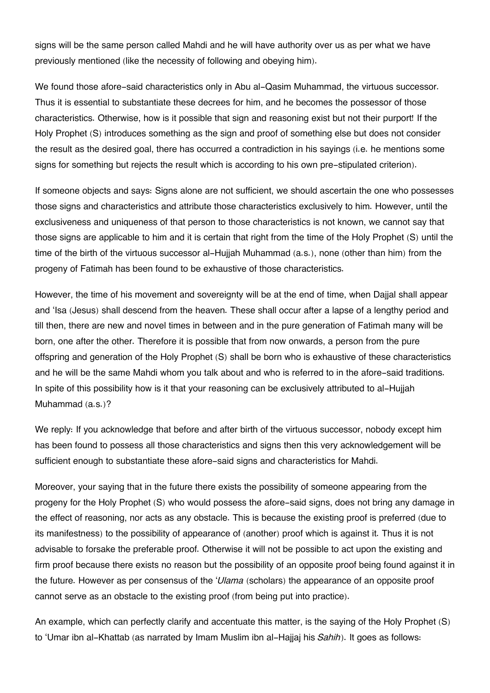signs will be the same person called Mahdi and he will have authority over us as per what we have previously mentioned (like the necessity of following and obeying him).

We found those afore-said characteristics only in Abu al-Qasim Muhammad, the virtuous successor. Thus it is essential to substantiate these decrees for him, and he becomes the possessor of those characteristics. Otherwise, how is it possible that sign and reasoning exist but not their purport! If the Holy Prophet (S) introduces something as the sign and proof of something else but does not consider the result as the desired goal, there has occurred a contradiction in his sayings (i.e. he mentions some signs for something but rejects the result which is according to his own pre-stipulated criterion).

If someone objects and says: Signs alone are not sufficient, we should ascertain the one who possesses those signs and characteristics and attribute those characteristics exclusively to him. However, until the exclusiveness and uniqueness of that person to those characteristics is not known, we cannot say that those signs are applicable to him and it is certain that right from the time of the Holy Prophet (S) until the time of the birth of the virtuous successor al-Hujjah Muhammad (a.s.), none (other than him) from the progeny of Fatimah has been found to be exhaustive of those characteristics.

However, the time of his movement and sovereignty will be at the end of time, when Dajjal shall appear and 'Isa (Jesus) shall descend from the heaven. These shall occur after a lapse of a lengthy period and till then, there are new and novel times in between and in the pure generation of Fatimah many will be born, one after the other. Therefore it is possible that from now onwards, a person from the pure offspring and generation of the Holy Prophet (S) shall be born who is exhaustive of these characteristics and he will be the same Mahdi whom you talk about and who is referred to in the afore-said traditions. In spite of this possibility how is it that your reasoning can be exclusively attributed to al-Hujjah Muhammad (a.s.)?

We reply: If you acknowledge that before and after birth of the virtuous successor, nobody except him has been found to possess all those characteristics and signs then this very acknowledgement will be sufficient enough to substantiate these afore-said signs and characteristics for Mahdi.

Moreover, your saying that in the future there exists the possibility of someone appearing from the progeny for the Holy Prophet (S) who would possess the afore-said signs, does not bring any damage in the effect of reasoning, nor acts as any obstacle. This is because the existing proof is preferred (due to its manifestness) to the possibility of appearance of (another) proof which is against it. Thus it is not advisable to forsake the preferable proof. Otherwise it will not be possible to act upon the existing and firm proof because there exists no reason but the possibility of an opposite proof being found against it in the future. However as per consensus of the '*Ulama* (scholars) the appearance of an opposite proof cannot serve as an obstacle to the existing proof (from being put into practice).

An example, which can perfectly clarify and accentuate this matter, is the saying of the Holy Prophet (S) to 'Umar ibn al-Khattab (as narrated by Imam Muslim ibn al-Hajjaj his *Sahih*). It goes as follows: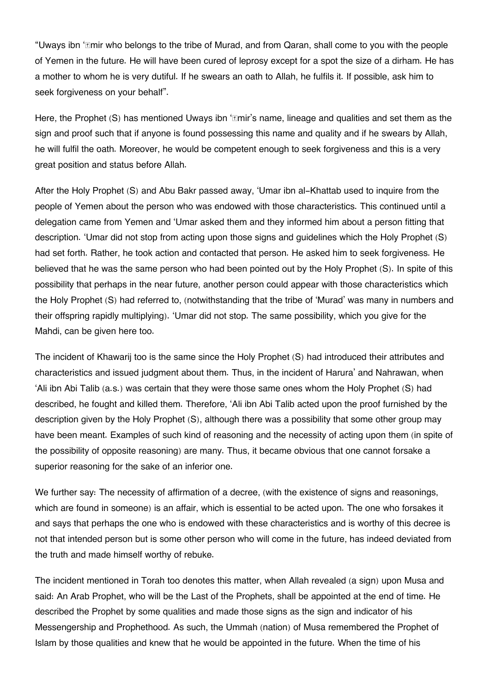"Uways ibn '*Imir* who belongs to the tribe of Murad, and from Qaran, shall come to you with the people of Yemen in the future. He will have been cured of leprosy except for a spot the size of a dirham. He has a mother to whom he is very dutiful. If he swears an oath to Allah, he fulfils it. If possible, ask him to seek forgiveness on your behalf".

Here, the Prophet (S) has mentioned Uways ibn ' $m$ imir's name, lineage and qualities and set them as the sign and proof such that if anyone is found possessing this name and quality and if he swears by Allah, he will fulfil the oath. Moreover, he would be competent enough to seek forgiveness and this is a very great position and status before Allah.

After the Holy Prophet (S) and Abu Bakr passed away, 'Umar ibn al-Khattab used to inquire from the people of Yemen about the person who was endowed with those characteristics. This continued until a delegation came from Yemen and 'Umar asked them and they informed him about a person fitting that description. 'Umar did not stop from acting upon those signs and guidelines which the Holy Prophet (S) had set forth. Rather, he took action and contacted that person. He asked him to seek forgiveness. He believed that he was the same person who had been pointed out by the Holy Prophet (S). In spite of this possibility that perhaps in the near future, another person could appear with those characteristics which the Holy Prophet (S) had referred to, (notwithstanding that the tribe of 'Murad' was many in numbers and their offspring rapidly multiplying). 'Umar did not stop. The same possibility, which you give for the Mahdi, can be given here too.

The incident of Khawarij too is the same since the Holy Prophet (S) had introduced their attributes and characteristics and issued judgment about them. Thus, in the incident of Harura' and Nahrawan, when 'Ali ibn Abi Talib (a.s.) was certain that they were those same ones whom the Holy Prophet (S) had described, he fought and killed them. Therefore, 'Ali ibn Abi Talib acted upon the proof furnished by the description given by the Holy Prophet (S), although there was a possibility that some other group may have been meant. Examples of such kind of reasoning and the necessity of acting upon them (in spite of the possibility of opposite reasoning) are many. Thus, it became obvious that one cannot forsake a superior reasoning for the sake of an inferior one.

We further say: The necessity of affirmation of a decree, (with the existence of signs and reasonings, which are found in someone) is an affair, which is essential to be acted upon. The one who forsakes it and says that perhaps the one who is endowed with these characteristics and is worthy of this decree is not that intended person but is some other person who will come in the future, has indeed deviated from the truth and made himself worthy of rebuke.

The incident mentioned in Torah too denotes this matter, when Allah revealed (a sign) upon Musa and said: An Arab Prophet, who will be the Last of the Prophets, shall be appointed at the end of time. He described the Prophet by some qualities and made those signs as the sign and indicator of his Messengership and Prophethood. As such, the Ummah (nation) of Musa remembered the Prophet of Islam by those qualities and knew that he would be appointed in the future. When the time of his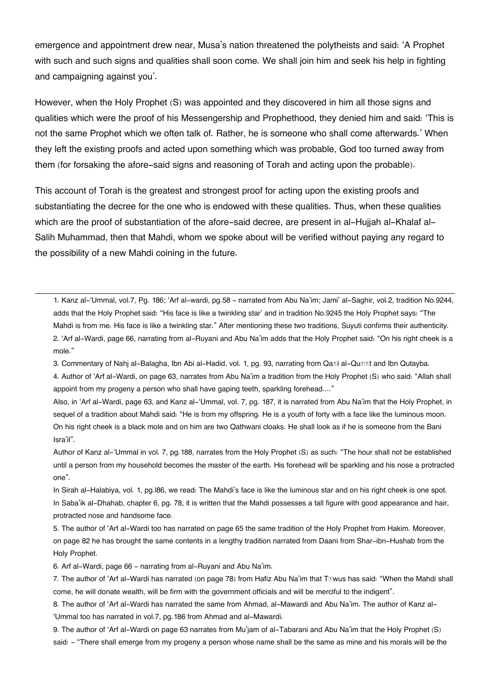emergence and appointment drew near, Musa's nation threatened the polytheists and said: 'A Prophet with such and such signs and qualities shall soon come. We shall join him and seek his help in fighting and campaigning against you'.

However, when the Holy Prophet (S) was appointed and they discovered in him all those signs and qualities which were the proof of his Messengership and Prophethood, they denied him and said: 'This is not the same Prophet which we often talk of. Rather, he is someone who shall come afterwards.' When they left the existing proofs and acted upon something which was probable, God too turned away from them (for forsaking the afore-said signs and reasoning of Torah and acting upon the probable).

This account of Torah is the greatest and strongest proof for acting upon the existing proofs and substantiating the decree for the one who is endowed with these qualities. Thus, when these qualities which are the proof of substantiation of the afore-said decree, are present in al-Hujjah al-Khalaf al-Salih Muhammad, then that Mahdi, whom we spoke about will be verified without paying any regard to the possibility of a new Mahdi coining in the future.

[1.](#page--1-0) Kanz al-'Ummal, vol.7, Pg. 186; 'Arf al-wardi, pg.58 - narrated from Abu Na'im; Jami' al-Saghir, vol.2, tradition No.9244, adds that the Holy Prophet said: "His face is like a twinkling star' and in tradition No.9245 the Holy Prophet says: "The Mahdi is from me. His face is like a twinkling star." After mentioning these two traditions, Suyuti confirms their authenticity. [2.](#page--1-0) 'Arf al-Wardi, page 66, narrating from al-Ruyani and Abu Na'im adds that the Holy Prophet said: "On his right cheek is a mole."

[3.](#page--1-0) Commentary of Nahj al-Balagha, Ibn Abi al-Hadid, vol. 1, pg. 93, narrating from Qa**ti al-Qutit and Ibn Qutayba.** [4.](#page--1-0) Author of 'Arf al-Wardi, on page 63, narrates from Abu Na'im a tradition from the Holy Prophet (S) who said: "Allah shall appoint from my progeny a person who shall have gaping teeth, sparkling forehead...."

Also, in 'Arf al-Wardi, page 63, and Kanz al-'Ummal, vol. 7, pg. 187, it is narrated from Abu Na'im that the Holy Prophet, in sequel of a tradition about Mahdi said: "He is from my offspring. He is a youth of forty with a face like the luminous moon. On his right cheek is a black mole and on him are two Qathwani cloaks. He shall look as if he is someone from the Bani Isra'il".

Author of Kanz al-'Ummal in vol. 7, pg.188, narrates from the Holy Prophet (S) as such: "The hour shall not be established until a person from my household becomes the master of the earth. His forehead will be sparkling and his nose a protracted one".

In Sirah al-Halabiya, vol. 1, pg.l86, we read: The Mahdi's face is like the luminous star and on his right cheek is one spot. In Saba'ik al-Dhahab, chapter 6, pg. 78, it is written that the Mahdi possesses a tall figure with good appearance and hair, protracted nose and handsome face.

[5.](#page--1-0) The author of 'Arf al-Wardi too has narrated on page 65 the same tradition of the Holy Prophet from Hakim. Moreover, on page 82 he has brought the same contents in a lengthy tradition narrated from Daani from Shar-ibn-Hushab from the Holy Prophet.

[6.](#page--1-0) Arf al-Wardi, page 66 - narrating from al-Ruyani and Abu Na'im.

[7.](#page--1-0) The author of 'Arf al-Wardi has narrated (on page 78) from Hafiz Abu Na'im that Tāwus has said: "When the Mahdi shall come, he will donate wealth, will be firm with the government officials and will be merciful to the indigent".

[8.](#page--1-0) The author of 'Arf al-Wardi has narrated the same from Ahmad, al-Mawardi and Abu Na'im. The author of Kanz al- 'Ummal too has narrated in vol.7, pg.186 from Ahmad and al-Mawardi.

[9.](#page--1-0) The author of 'Arf al-Wardi on page 63 narrates from Mu'jam of al-Tabarani and Abu Na'im that the Holy Prophet (S) said: - "There shall emerge from my progeny a person whose name shall be the same as mine and his morals will be the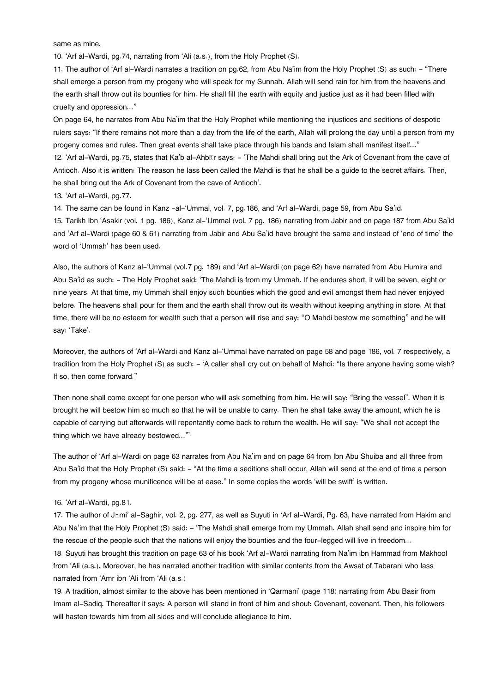same as mine.

[10.](#page--1-0) 'Arf al-Wardi, pg.74, narrating from 'Ali (a.s.), from the Holy Prophet (S).

[11.](#page--1-0) The author of 'Arf al-Wardi narrates a tradition on pg.62, from Abu Na'im from the Holy Prophet (S) as such: - "There shall emerge a person from my progeny who will speak for my Sunnah. Allah will send rain for him from the heavens and the earth shall throw out its bounties for him. He shall fill the earth with equity and justice just as it had been filled with cruelty and oppression…"

On page 64, he narrates from Abu Na'im that the Holy Prophet while mentioning the injustices and seditions of despotic rulers says: "If there remains not more than a day from the life of the earth, Allah will prolong the day until a person from my progeny comes and rules. Then great events shall take place through his bands and Islam shall manifest itself…"

[12.](#page--1-0) 'Arf al-Wardi, pg.75, states that Ka'b al-Ahb**Er says: - 'The Mahdi shall bring out the Ark of Covenant from the cave of** Antioch. Also it is written: The reason he lass been called the Mahdi is that he shall be a guide to the secret affairs. Then, he shall bring out the Ark of Covenant from the cave of Antioch'.

[13.](#page--1-0) 'Arf al-Wardi, pg.77.

[14.](#page--1-0) The same can be found in Kanz -al-'Ummal, vol. 7, pg.186, and 'Arf al-Wardi, page 59, from Abu Sa'id.

[15.](#page--1-0) Tarikh Ibn 'Asakir (vol. 1 pg. 186), Kanz al-'Ummal (vol. 7 pg. 186) narrating from Jabir and on page 187 from Abu Sa'id and 'Arf al-Wardi (page 60 & 61) narrating from Jabir and Abu Sa'id have brought the same and instead of 'end of time' the word of 'Ummah' has been used.

Also, the authors of Kanz al-'Ummal (vol.7 pg. 189) and 'Arf al-Wardi (on page 62) have narrated from Abu Humira and Abu Sa'id as such: - The Holy Prophet said: 'The Mahdi is from my Ummah. If he endures short, it will be seven, eight or nine years. At that time, my Ummah shall enjoy such bounties which the good and evil amongst them had never enjoyed before. The heavens shall pour for them and the earth shall throw out its wealth without keeping anything in store. At that time, there will be no esteem for wealth such that a person will rise and say: "O Mahdi bestow me something" and he will say: 'Take'.

Moreover, the authors of 'Arf al-Wardi and Kanz al-'Ummal have narrated on page 58 and page 186, vol. 7 respectively, a tradition from the Holy Prophet (S) as such: - 'A caller shall cry out on behalf of Mahdi: "Is there anyone having some wish? If so, then come forward."

Then none shall come except for one person who will ask something from him. He will say: "Bring the vessel". When it is brought he will bestow him so much so that he will be unable to carry. Then he shall take away the amount, which he is capable of carrying but afterwards will repentantly come back to return the wealth. He will say: "We shall not accept the thing which we have already bestowed..."'

The author of 'Arf al-Wardi on page 63 narrates from Abu Na'im and on page 64 from Ibn Abu Shuiba and all three from Abu Sa'id that the Holy Prophet (S) said: - "At the time a seditions shall occur, Allah will send at the end of time a person from my progeny whose munificence will be at ease." In some copies the words 'will be swift' is written.

#### [16.](#page--1-0) 'Arf al-Wardi, pg.81.

[17.](#page--1-0) The author of J*Imi'* al-Saghir, vol. 2, pg. 277, as well as Suyuti in 'Arf al-Wardi, Pg. 63, have narrated from Hakim and Abu Na'im that the Holy Prophet (S) said: - 'The Mahdi shall emerge from my Ummah. Allah shall send and inspire him for the rescue of the people such that the nations will enjoy the bounties and the four-legged will live in freedom...

[18.](#page--1-0) Suyuti has brought this tradition on page 63 of his book 'Arf al-Wardi narrating from Na'im ibn Hammad from Makhool from 'Ali (a.s.). Moreover, he has narrated another tradition with similar contents from the Awsat of Tabarani who lass narrated from 'Amr ibn 'Ali from 'Ali (a.s.)

[19.](#page--1-0) A tradition, almost similar to the above has been mentioned in 'Qarmani' (page 118) narrating from Abu Basir from Imam al-Sadiq. Thereafter it says: A person will stand in front of him and shout: Covenant, covenant. Then, his followers will hasten towards him from all sides and will conclude allegiance to him.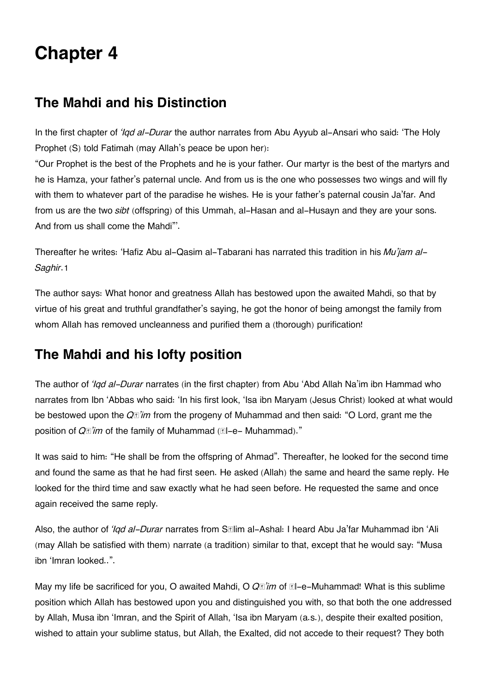# **Chapter 4**

# **[The Mahdi and his Distinction](#page--1-0)**

In the first chapter of *'Iqd al-Durar* the author narrates from Abu Ayyub al-Ansari who said: 'The Holy Prophet (S) told Fatimah (may Allah's peace be upon her):

"Our Prophet is the best of the Prophets and he is your father. Our martyr is the best of the martyrs and he is Hamza, your father's paternal uncle. And from us is the one who possesses two wings and will fly with them to whatever part of the paradise he wishes. He is your father's paternal cousin Ja'far. And from us are the two *sibt* (offspring) of this Ummah, al-Hasan and al-Husayn and they are your sons. And from us shall come the Mahdi"'.

Thereafter he writes: 'Hafiz Abu al-Qasim al-Tabarani has narrated this tradition in his *Mu'jam al-Saghir*.[1](#page--1-0)

The author says: What honor and greatness Allah has bestowed upon the awaited Mahdi, so that by virtue of his great and truthful grandfather's saying, he got the honor of being amongst the family from whom Allah has removed uncleanness and purified them a (thorough) purification!

# **[The Mahdi and his lofty position](#page--1-0)**

The author of *'Iqd al-Durar* narrates (in the first chapter) from Abu 'Abd Allah Na'im ibn Hammad who narrates from Ibn 'Abbas who said: 'In his first look, 'Isa ibn Maryam (Jesus Christ) looked at what would be bestowed upon the *Qā'im* from the progeny of Muhammad and then said: "O Lord, grant me the position of  $Q \mathbb{Z}$ '*im* of the family of Muhammad ( $\mathbb{Z}$ l-e- Muhammad)."

It was said to him: "He shall be from the offspring of Ahmad". Thereafter, he looked for the second time and found the same as that he had first seen. He asked (Allah) the same and heard the same reply. He looked for the third time and saw exactly what he had seen before. He requested the same and once again received the same reply.

Also, the author of *'Iqd al-Durar* narrates from S**Elim al-Ashal: I heard Abu Ja'far Muhammad ibn** 'Ali (may Allah be satisfied with them) narrate (a tradition) similar to that, except that he would say: "Musa ibn 'Imran looked..".

May my life be sacrificed for you, O awaited Mahdi, O  $Q\mathbb{E}$ '*im* of  $\mathbb{E}$ l-e-Muhammad! What is this sublime position which Allah has bestowed upon you and distinguished you with, so that both the one addressed by Allah, Musa ibn 'Imran, and the Spirit of Allah, 'Isa ibn Maryam (a.s.), despite their exalted position, wished to attain your sublime status, but Allah, the Exalted, did not accede to their request? They both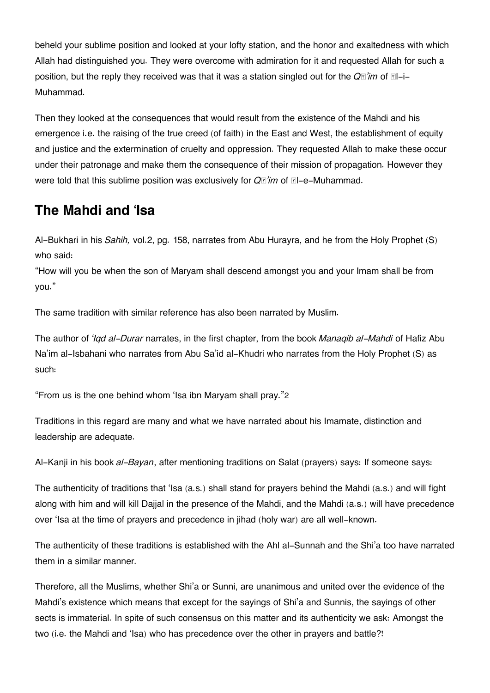beheld your sublime position and looked at your lofty station, and the honor and exaltedness with which Allah had distinguished you. They were overcome with admiration for it and requested Allah for such a position, but the reply they received was that it was a station singled out for the  $Q\mathbb{I}$ *'im* of  $\mathbb{I}$ -i-Muhammad.

Then they looked at the consequences that would result from the existence of the Mahdi and his emergence i.e. the raising of the true creed (of faith) in the East and West, the establishment of equity and justice and the extermination of cruelty and oppression. They requested Allah to make these occur under their patronage and make them the consequence of their mission of propagation. However they were told that this sublime position was exclusively for  $Q\vec{r}$  im of  $\vec{r}$ -e-Muhammad.

# **[The Mahdi and 'Isa](#page--1-0)**

Al-Bukhari in his *Sahih,* vol.2, pg. 158, narrates from Abu Hurayra, and he from the Holy Prophet (S) who said:

"How will you be when the son of Maryam shall descend amongst you and your Imam shall be from you."

The same tradition with similar reference has also been narrated by Muslim.

The author of *'Iqd al-Durar* narrates, in the first chapter, from the book *Manaqib al-Mahdi* of Hafiz Abu Na'im al-Isbahani who narrates from Abu Sa'id al-Khudri who narrates from the Holy Prophet (S) as such:

"From us is the one behind whom 'Isa ibn Maryam shall pray."[2](#page--1-0)

Traditions in this regard are many and what we have narrated about his Imamate, distinction and leadership are adequate.

Al-Kanji in his book *al-Bayan*, after mentioning traditions on Salat (prayers) says: If someone says:

The authenticity of traditions that 'Isa (a.s.) shall stand for prayers behind the Mahdi (a.s.) and will fight along with him and will kill Dajjal in the presence of the Mahdi, and the Mahdi (a.s.) will have precedence over 'Isa at the time of prayers and precedence in jihad (holy war) are all well-known.

The authenticity of these traditions is established with the Ahl al-Sunnah and the Shi'a too have narrated them in a similar manner.

Therefore, all the Muslims, whether Shi'a or Sunni, are unanimous and united over the evidence of the Mahdi's existence which means that except for the sayings of Shi'a and Sunnis, the sayings of other sects is immaterial. In spite of such consensus on this matter and its authenticity we ask: Amongst the two (i.e. the Mahdi and 'Isa) who has precedence over the other in prayers and battle?!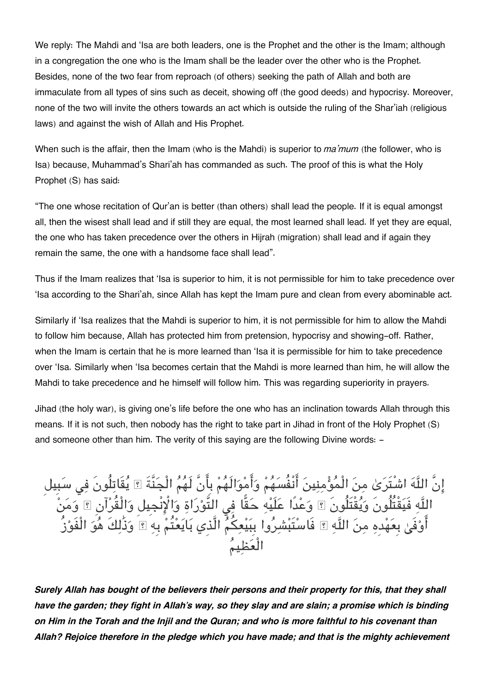We reply: The Mahdi and 'Isa are both leaders, one is the Prophet and the other is the Imam; although in a congregation the one who is the Imam shall be the leader over the other who is the Prophet. Besides, none of the two fear from reproach (of others) seeking the path of Allah and both are immaculate from all types of sins such as deceit, showing off (the good deeds) and hypocrisy. Moreover, none of the two will invite the others towards an act which is outside the ruling of the Shar'iah (religious laws) and against the wish of Allah and His Prophet.

When such is the affair, then the Imam (who is the Mahdi) is superior to *ma'mum* (the follower, who is Isa) because, Muhammad's Shari'ah has commanded as such. The proof of this is what the Holy Prophet (S) has said:

"The one whose recitation of Qur'an is better (than others) shall lead the people. If it is equal amongst all, then the wisest shall lead and if still they are equal, the most learned shall lead. If yet they are equal, the one who has taken precedence over the others in Hijrah (migration) shall lead and if again they remain the same, the one with a handsome face shall lead".

Thus if the Imam realizes that 'Isa is superior to him, it is not permissible for him to take precedence over 'Isa according to the Shari'ah, since Allah has kept the Imam pure and clean from every abominable act.

Similarly if 'Isa realizes that the Mahdi is superior to him, it is not permissible for him to allow the Mahdi to follow him because, Allah has protected him from pretension, hypocrisy and showing-off. Rather, when the Imam is certain that he is more learned than 'Isa it is permissible for him to take precedence over 'Isa. Similarly when 'Isa becomes certain that the Mahdi is more learned than him, he will allow the Mahdi to take precedence and he himself will follow him. This was regarding superiority in prayers.

Jihad (the holy war), is giving one's life before the one who has an inclination towards Allah through this means. If it is not such, then nobody has the right to take part in Jihad in front of the Holy Prophet (S) and someone other than him. The verity of this saying are the following Divine words: -

إِنَّ اللَّهَ اشْتَرَىٰ مِنَ الْمَوْمِنِينَ انْفُسَهُمْ وَامْوَالَهُمْ بِانَ لَهُمَ الْجَنَّةَ ؟ يَقَاتِلُونَ فِي سَبِيل اللَّهِ فَيَقْتَلُونَ وَيَقْتَلُونَ ۩ وَعْدًا عَلَيْهِ حَقًا فِي الْتَوْرَاةِ وَالْإِنْجِيلِ وَالْقَرْآنِ ۩ وَمَنْ اوْفِيٰ بِعَهْدِهِ مِنَ اللَّهِ ۞ فَاسْتَبْشِرُوا بِبَيْعِكُمُ الَّذِي بَايَعْتُمْ بِهِ ۞ وَذَٰلِكَ هُوَ الْفَوْز الْعظيم

*Surely Allah has bought of the believers their persons and their property for this, that they shall have the garden; they fight in Allah's way, so they slay and are slain; a promise which is binding on Him in the Torah and the Injil and the Quran; and who is more faithful to his covenant than Allah? Rejoice therefore in the pledge which you have made; and that is the mighty achievement*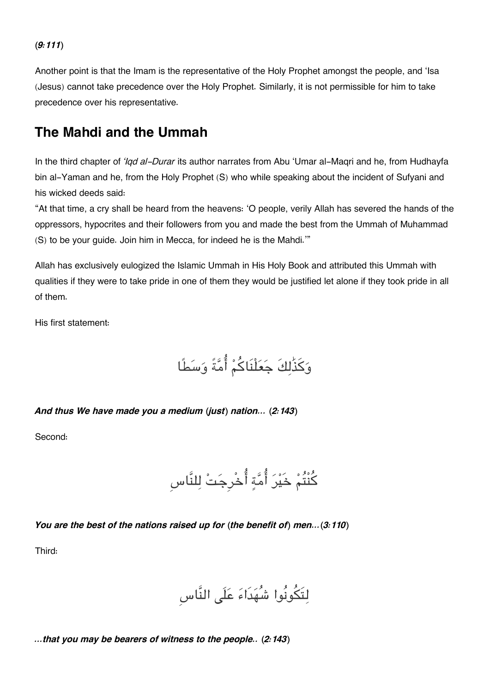#### *(9:111)*

Another point is that the Imam is the representative of the Holy Prophet amongst the people, and 'Isa (Jesus) cannot take precedence over the Holy Prophet. Similarly, it is not permissible for him to take precedence over his representative.

### **[The Mahdi and the Ummah](#page--1-0)**

In the third chapter of *'Iqd al-Durar* its author narrates from Abu 'Umar al-Maqri and he, from Hudhayfa bin al-Yaman and he, from the Holy Prophet (S) who while speaking about the incident of Sufyani and his wicked deeds said:

"At that time, a cry shall be heard from the heavens: 'O people, verily Allah has severed the hands of the oppressors, hypocrites and their followers from you and made the best from the Ummah of Muhammad (S) to be your guide. Join him in Mecca, for indeed he is the Mahdi.'"

Allah has exclusively eulogized the Islamic Ummah in His Holy Book and attributed this Ummah with qualities if they were to take pride in one of them they would be justified let alone if they took pride in all of them.

His first statement:

وكذَٰلكَ جعلْنَاكم امةً وسطًا

#### *And thus We have made you a medium (just) nation… (2:143)*

Second:

كنْتُم خَير امة اخْرِجت للنَّاسِ

*You are the best of the nations raised up for (the benefit of) men…(3:110)*

Third:

لتَونُوا شُهدَاء علَ النَّاسِ

*…that you may be bearers of witness to the people.. (2:143)*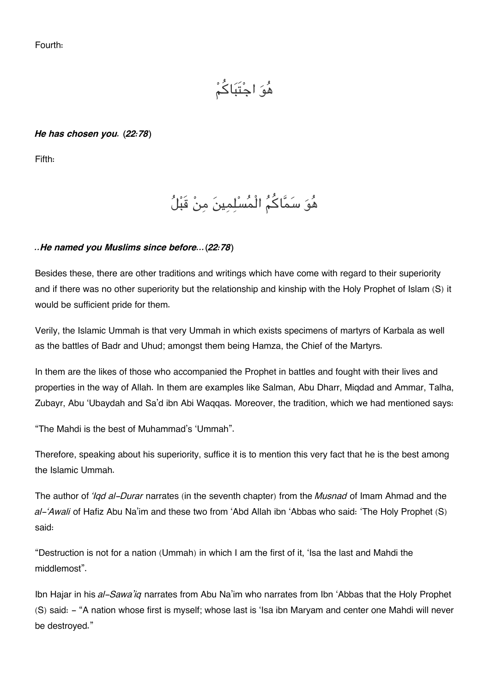Fourth:

هو اجتَباكم

#### *He has chosen you. (22:78)*

Fifth:

## هُوَ سَمَّاكُمُ الْمُسْلِمِينَ مِنْ قَبْلُ

#### *..He named you Muslims since before…(22:78)*

Besides these, there are other traditions and writings which have come with regard to their superiority and if there was no other superiority but the relationship and kinship with the Holy Prophet of Islam (S) it would be sufficient pride for them.

Verily, the Islamic Ummah is that very Ummah in which exists specimens of martyrs of Karbala as well as the battles of Badr and Uhud; amongst them being Hamza, the Chief of the Martyrs.

In them are the likes of those who accompanied the Prophet in battles and fought with their lives and properties in the way of Allah. In them are examples like Salman, Abu Dharr, Miqdad and Ammar, Talha, Zubayr, Abu 'Ubaydah and Sa'd ibn Abi Waqqas. Moreover, the tradition, which we had mentioned says:

"The Mahdi is the best of Muhammad's 'Ummah".

Therefore, speaking about his superiority, suffice it is to mention this very fact that he is the best among the Islamic Ummah.

The author of *'Iqd al-Durar* narrates (in the seventh chapter) from the *Musnad* of Imam Ahmad and the *al-'Awali* of Hafiz Abu Na'im and these two from 'Abd Allah ibn 'Abbas who said: 'The Holy Prophet (S) said:

"Destruction is not for a nation (Ummah) in which I am the first of it, 'Isa the last and Mahdi the middlemost".

Ibn Hajar in his *al-Sawa'iq* narrates from Abu Na'im who narrates from Ibn 'Abbas that the Holy Prophet (S) said: - "A nation whose first is myself; whose last is 'Isa ibn Maryam and center one Mahdi will never be destroyed."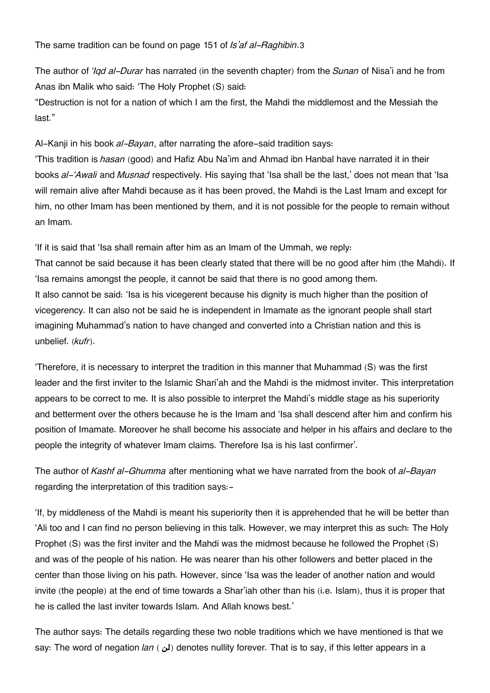The same tradition can be found on page 151 of *Is'af al-Raghibin*.[3](#page--1-0)

The author of *'Iqd al-Durar* has narrated (in the seventh chapter) from the *Sunan* of Nisa'i and he from Anas ibn Malik who said: 'The Holy Prophet (S) said:

"Destruction is not for a nation of which I am the first, the Mahdi the middlemost and the Messiah the last."

Al-Kanji in his book *al-Bayan*, after narrating the afore-said tradition says:

'This tradition is *hasan* (good) and Hafiz Abu Na'im and Ahmad ibn Hanbal have narrated it in their books *al-'Awali* and *Musnad* respectively. His saying that 'Isa shall be the last,' does not mean that 'Isa will remain alive after Mahdi because as it has been proved, the Mahdi is the Last Imam and except for him, no other Imam has been mentioned by them, and it is not possible for the people to remain without an Imam.

'If it is said that 'Isa shall remain after him as an Imam of the Ummah, we reply: That cannot be said because it has been clearly stated that there will be no good after him (the Mahdi). If 'Isa remains amongst the people, it cannot be said that there is no good among them. It also cannot be said: 'Isa is his vicegerent because his dignity is much higher than the position of vicegerency. It can also not be said he is independent in Imamate as the ignorant people shall start imagining Muhammad's nation to have changed and converted into a Christian nation and this is unbelief. (*kufr*).

'Therefore, it is necessary to interpret the tradition in this manner that Muhammad (S) was the first leader and the first inviter to the Islamic Shari'ah and the Mahdi is the midmost inviter. This interpretation appears to be correct to me. It is also possible to interpret the Mahdi's middle stage as his superiority and betterment over the others because he is the Imam and 'Isa shall descend after him and confirm his position of Imamate. Moreover he shall become his associate and helper in his affairs and declare to the people the integrity of whatever Imam claims. Therefore Isa is his last confirmer'.

The author of *Kashf al-Ghumma* after mentioning what we have narrated from the book of *al-Bayan* regarding the interpretation of this tradition says:-

'If, by middleness of the Mahdi is meant his superiority then it is apprehended that he will be better than 'Ali too and I can find no person believing in this talk. However, we may interpret this as such: The Holy Prophet (S) was the first inviter and the Mahdi was the midmost because he followed the Prophet (S) and was of the people of his nation. He was nearer than his other followers and better placed in the center than those living on his path. However, since 'Isa was the leader of another nation and would invite (the people) at the end of time towards a Shar'iah other than his (i.e. Islam), thus it is proper that he is called the last inviter towards Islam. And Allah knows best.'

The author says: The details regarding these two noble traditions which we have mentioned is that we say: The word of negation *lan* ( **b**) denotes nullity forever. That is to say, if this letter appears in a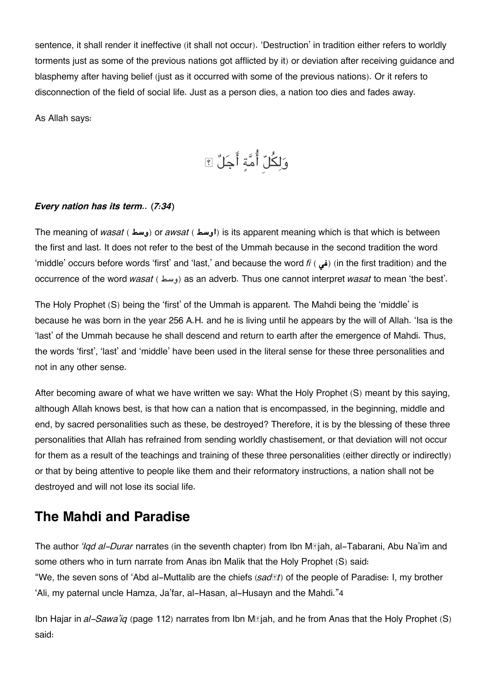sentence, it shall render it ineffective (it shall not occur). 'Destruction' in tradition either refers to worldly torments just as some of the previous nations got afflicted by it) or deviation after receiving guidance and blasphemy after having belief (just as it occurred with some of the previous nations). Or it refers to disconnection of the field of social life. Just as a person dies, a nation too dies and fades away.

As Allah says:

وَلِكُلّ أُمَّةٍ أَجَلٌ ؟

#### *Every nation has its term.. (7:34)*

The meaning of *wasat* ( **اوسط**) or *awsat* ( **اوسط**) is its apparent meaning which is that which is between the first and last. It does not refer to the best of the Ummah because in the second tradition the word 'middle' occurs before words 'first' and 'last,' and because the word *fi* ( **i**) (in the first tradition) and the occurrence of the word *wasat* ( وسط) as an adverb. Thus one cannot interpret *wasat* to mean 'the best'.

The Holy Prophet (S) being the 'first' of the Ummah is apparent. The Mahdi being the 'middle' is because he was born in the year 256 A.H. and he is living until he appears by the will of Allah. 'Isa is the 'last' of the Ummah because he shall descend and return to earth after the emergence of Mahdi. Thus, the words 'first', 'last' and 'middle' have been used in the literal sense for these three personalities and not in any other sense.

After becoming aware of what we have written we say: What the Holy Prophet (S) meant by this saying, although Allah knows best, is that how can a nation that is encompassed, in the beginning, middle and end, by sacred personalities such as these, be destroyed? Therefore, it is by the blessing of these three personalities that Allah has refrained from sending worldly chastisement, or that deviation will not occur for them as a result of the teachings and training of these three personalities (either directly or indirectly) or that by being attentive to people like them and their reformatory instructions, a nation shall not be destroyed and will not lose its social life.

### **[The Mahdi and Paradise](#page--1-0)**

The author *'Iqd al-Durar* narrates (in the seventh chapter) from Ibn Mājah, al-Tabarani, Abu Na'im and some others who in turn narrate from Anas ibn Malik that the Holy Prophet (S) said: "We, the seven sons of 'Abd al-Muttalib are the chiefs (*sadāt*) of the people of Paradise: I, my brother 'Ali, my paternal uncle Hamza, Ja'far, al-Hasan, al-Husayn and the Mahdi."[4](#page--1-0)

Ibn Hajar in *al-Sawa'iq* (page 112) narrates from Ibn Mājah, and he from Anas that the Holy Prophet (S) said: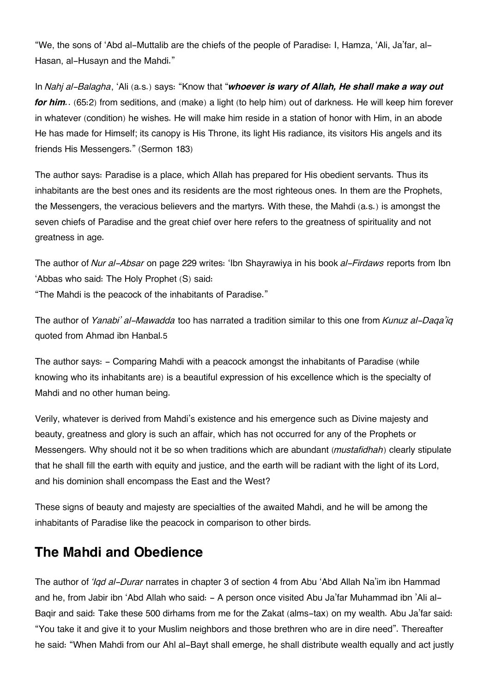"We, the sons of 'Abd al-Muttalib are the chiefs of the people of Paradise: I, Hamza, 'Ali, Ja'far, al-Hasan, al-Husayn and the Mahdi."

In *Nahj al-Balagha*, 'Ali (a.s.) says: "Know that "*whoever is wary of Allah, He shall make a way out for him.*. (65:2) from seditions, and (make) a light (to help him) out of darkness. He will keep him forever in whatever (condition) he wishes. He will make him reside in a station of honor with Him, in an abode He has made for Himself; its canopy is His Throne, its light His radiance, its visitors His angels and its friends His Messengers." (Sermon 183)

The author says: Paradise is a place, which Allah has prepared for His obedient servants. Thus its inhabitants are the best ones and its residents are the most righteous ones. In them are the Prophets, the Messengers, the veracious believers and the martyrs. With these, the Mahdi (a.s.) is amongst the seven chiefs of Paradise and the great chief over here refers to the greatness of spirituality and not greatness in age.

The author of *Nur al-Absar* on page 229 writes: 'Ibn Shayrawiya in his book *al-Firdaws* reports from Ibn 'Abbas who said: The Holy Prophet (S) said: "The Mahdi is the peacock of the inhabitants of Paradise."

The author of *Yanabi' al-Mawadda* too has narrated a tradition similar to this one from *Kunuz al-Daqa'iq* quoted from Ahmad ibn Hanbal.[5](#page--1-0)

The author says: - Comparing Mahdi with a peacock amongst the inhabitants of Paradise (while knowing who its inhabitants are) is a beautiful expression of his excellence which is the specialty of Mahdi and no other human being.

Verily, whatever is derived from Mahdi's existence and his emergence such as Divine majesty and beauty, greatness and glory is such an affair, which has not occurred for any of the Prophets or Messengers. Why should not it be so when traditions which are abundant (*mustafidhah*) clearly stipulate that he shall fill the earth with equity and justice, and the earth will be radiant with the light of its Lord, and his dominion shall encompass the East and the West?

These signs of beauty and majesty are specialties of the awaited Mahdi, and he will be among the inhabitants of Paradise like the peacock in comparison to other birds.

## **[The Mahdi and Obedience](#page--1-0)**

The author of *'Iqd al-Durar* narrates in chapter 3 of section 4 from Abu 'Abd Allah Na'im ibn Hammad and he, from Jabir ibn 'Abd Allah who said: - A person once visited Abu Ja'far Muhammad ibn 'Ali al-Baqir and said: Take these 500 dirhams from me for the Zakat (alms-tax) on my wealth. Abu Ja'far said: "You take it and give it to your Muslim neighbors and those brethren who are in dire need". Thereafter he said: "When Mahdi from our Ahl al-Bayt shall emerge, he shall distribute wealth equally and act justly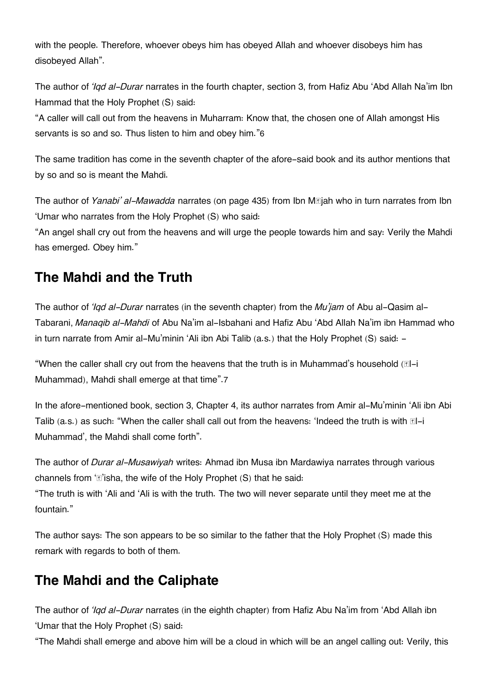with the people. Therefore, whoever obeys him has obeyed Allah and whoever disobeys him has disobeyed Allah".

The author of *'Iqd al-Durar* narrates in the fourth chapter, section 3, from Hafiz Abu 'Abd Allah Na'im Ibn Hammad that the Holy Prophet (S) said:

"A caller will call out from the heavens in Muharram: Know that, the chosen one of Allah amongst His servants is so and so. Thus listen to him and obey him."[6](#page--1-0)

The same tradition has come in the seventh chapter of the afore-said book and its author mentions that by so and so is meant the Mahdi.

The author of *Yanabi' al-Mawadda* narrates (on page 435) from Ibn Mājah who in turn narrates from Ibn 'Umar who narrates from the Holy Prophet (S) who said:

"An angel shall cry out from the heavens and will urge the people towards him and say: Verily the Mahdi has emerged. Obey him."

## **[The Mahdi and the Truth](#page--1-0)**

The author of *'Iqd al-Durar* narrates (in the seventh chapter) from the *Mu'jam* of Abu al-Qasim al-Tabarani, *Manaqib al-Mahdi* of Abu Na'im al-Isbahani and Hafiz Abu 'Abd Allah Na'im ibn Hammad who in turn narrate from Amir al-Mu'minin 'Ali ibn Abi Talib (a.s.) that the Holy Prophet (S) said: -

"When the caller shall cry out from the heavens that the truth is in Muhammad's household  $[ $\mathbb{E}$ l-i$ Muhammad), Mahdi shall emerge at that time".[7](#page--1-0)

In the afore-mentioned book, section 3, Chapter 4, its author narrates from Amir al-Mu'minin 'Ali ibn Abi Talib (a.s.) as such: "When the caller shall call out from the heavens: 'Indeed the truth is with  $\mathbb{I}$ -i Muhammad', the Mahdi shall come forth".

The author of *Durar al-Musawiyah* writes: Ahmad ibn Musa ibn Mardawiya narrates through various channels from  $E$ 'isha, the wife of the Holy Prophet (S) that he said:

"The truth is with 'Ali and 'Ali is with the truth. The two will never separate until they meet me at the fountain."

The author says: The son appears to be so similar to the father that the Holy Prophet (S) made this remark with regards to both of them.

## **[The Mahdi and the Caliphate](#page--1-0)**

The author of *'Iqd al-Durar* narrates (in the eighth chapter) from Hafiz Abu Na'im from 'Abd Allah ibn 'Umar that the Holy Prophet (S) said:

"The Mahdi shall emerge and above him will be a cloud in which will be an angel calling out: Verily, this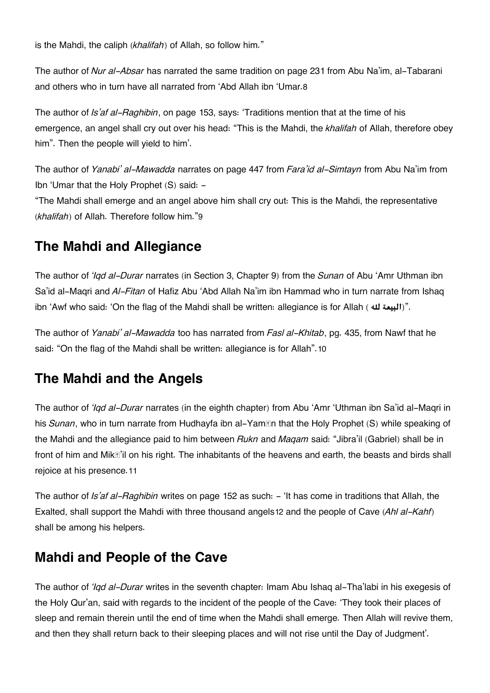is the Mahdi, the caliph (*khalifah*) of Allah, so follow him."

The author of *Nur al-Absar* has narrated the same tradition on page 231 from Abu Na'im, al-Tabarani and others who in turn have all narrated from 'Abd Allah ibn 'Umar.[8](#page--1-0)

The author of *Is'af al-Raghibin*, on page 153, says: 'Traditions mention that at the time of his emergence, an angel shall cry out over his head: "This is the Mahdi, the *khalifah* of Allah, therefore obey him". Then the people will yield to him'.

The author of *Yanabi' al-Mawadda* narrates on page 447 from *Fara'id al-Simtayn* from Abu Na'im from Ibn 'Umar that the Holy Prophet (S) said: -

"The Mahdi shall emerge and an angel above him shall cry out: This is the Mahdi, the representative (*khalifah*) of Allah. Therefore follow him."[9](#page--1-0)

## **[The Mahdi and Allegiance](#page--1-0)**

The author of *'Iqd al-Durar* narrates (in Section 3, Chapter 9) from the *Sunan* of Abu 'Amr Uthman ibn Sa'id al-Maqri and *Al-Fitan* of Hafiz Abu 'Abd Allah Na'im ibn Hammad who in turn narrate from Ishaq ibn 'Awf who said: 'On the flag of the Mahdi shall be written: allegiance is for Allah ( **هل البيعة**"(.

The author of *Yanabi' al-Mawadda* too has narrated from *Fasl al-Khitab*, pg. 435, from Nawf that he said: "On the flag of the Mahdi shall be written: allegiance is for Allah".[10](#page--1-0)

## **[The Mahdi and the Angels](#page--1-0)**

The author of *'Iqd al-Durar* narrates (in the eighth chapter) from Abu 'Amr 'Uthman ibn Sa'id al-Maqri in his *Sunan*, who in turn narrate from Hudhayfa ibn al-Yamān that the Holy Prophet (S) while speaking of the Mahdi and the allegiance paid to him between *Rukn* and *Maqam* said: "Jibra'il (Gabriel) shall be in front of him and Mikā'il on his right. The inhabitants of the heavens and earth, the beasts and birds shall rejoice at his presence.[11](#page--1-0)

The author of *Is'af al-Raghibin* writes on page 152 as such: - 'It has come in traditions that Allah, the Exalted, shall support the Mahdi with three thousand angels[12](#page--1-0) and the people of Cave (*Ahl al-Kahf*) shall be among his helpers.

## **[Mahdi and People of the Cave](#page--1-0)**

The author of *'Iqd al-Durar* writes in the seventh chapter: Imam Abu Ishaq al-Tha'labi in his exegesis of the Holy Qur'an, said with regards to the incident of the people of the Cave: 'They took their places of sleep and remain therein until the end of time when the Mahdi shall emerge. Then Allah will revive them, and then they shall return back to their sleeping places and will not rise until the Day of Judgment'.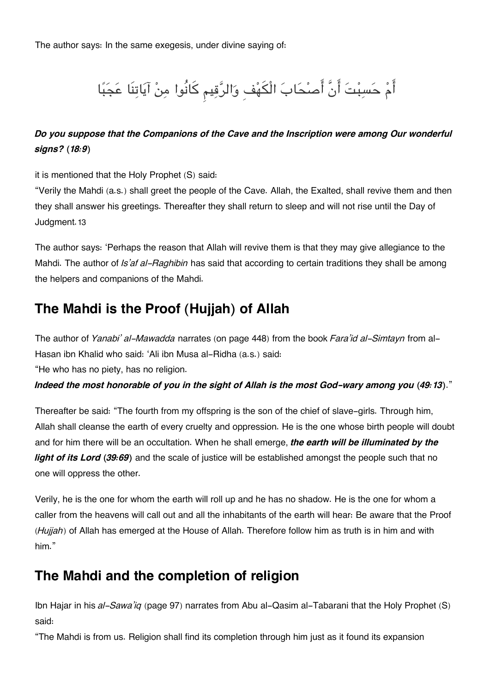The author says: In the same exegesis, under divine saying of:

# أَمْ حَسِبْتَ أَنَّ أَصْحَابَ الْكَهْفِ وَالرَّقِيمِ كَانُوا مِنْ آيَاتِنَا عَجَبًا

#### *Do you suppose that the Companions of the Cave and the Inscription were among Our wonderful signs? (18:9)*

it is mentioned that the Holy Prophet (S) said:

"Verily the Mahdi (a.s.) shall greet the people of the Cave. Allah, the Exalted, shall revive them and then they shall answer his greetings. Thereafter they shall return to sleep and will not rise until the Day of Judgment.[13](#page--1-0)

The author says: 'Perhaps the reason that Allah will revive them is that they may give allegiance to the Mahdi. The author of *Is'af al-Raghibin* has said that according to certain traditions they shall be among the helpers and companions of the Mahdi.

## **[The Mahdi is the Proof \(Hujjah\) of Allah](#page--1-0)**

The author of *Yanabi' al-Mawadda* narrates (on page 448) from the book *Fara'id al-Simtayn* from al-Hasan ibn Khalid who said: 'Ali ibn Musa al-Ridha (a.s.) said:

"He who has no piety, has no religion.

*Indeed the most honorable of you in the sight of Allah is the most God-wary among you (49:13)*."

Thereafter be said: "The fourth from my offspring is the son of the chief of slave-girls. Through him, Allah shall cleanse the earth of every cruelty and oppression. He is the one whose birth people will doubt and for him there will be an occultation. When he shall emerge, *the earth will be illuminated by the light of its Lord (39:69)* and the scale of justice will be established amongst the people such that no one will oppress the other.

Verily, he is the one for whom the earth will roll up and he has no shadow. He is the one for whom a caller from the heavens will call out and all the inhabitants of the earth will hear: Be aware that the Proof (*Hujjah*) of Allah has emerged at the House of Allah. Therefore follow him as truth is in him and with him."

## **[The Mahdi and the completion of religion](#page--1-0)**

Ibn Hajar in his *al-Sawa'iq* (page 97) narrates from Abu al-Qasim al-Tabarani that the Holy Prophet (S) said:

"The Mahdi is from us. Religion shall find its completion through him just as it found its expansion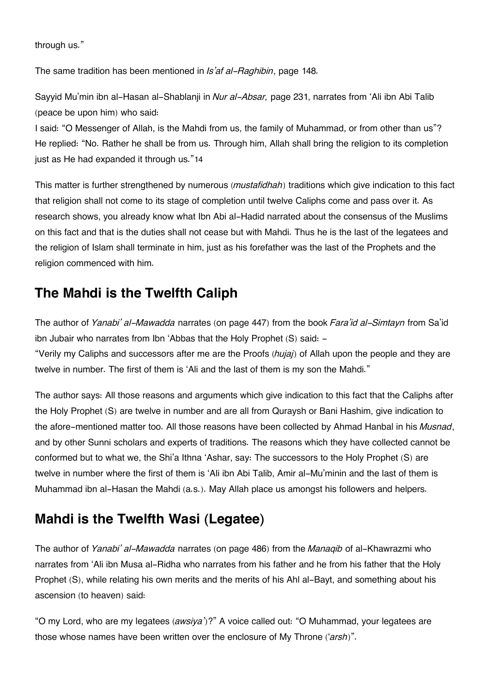through us."

The same tradition has been mentioned in *Is'af al-Raghibin*, page 148.

Sayyid Mu'min ibn al-Hasan al-Shablanji in *Nur al-Absar,* page 231, narrates from 'Ali ibn Abi Talib (peace be upon him) who said:

I said: "O Messenger of Allah, is the Mahdi from us, the family of Muhammad, or from other than us"? He replied: "No. Rather he shall be from us. Through him, Allah shall bring the religion to its completion just as He had expanded it through us."[14](#page--1-0)

This matter is further strengthened by numerous (*mustafidhah*) traditions which give indication to this fact that religion shall not come to its stage of completion until twelve Caliphs come and pass over it. As research shows, you already know what Ibn Abi al-Hadid narrated about the consensus of the Muslims on this fact and that is the duties shall not cease but with Mahdi. Thus he is the last of the legatees and the religion of Islam shall terminate in him, just as his forefather was the last of the Prophets and the religion commenced with him.

## **[The Mahdi is the Twelfth Caliph](#page--1-0)**

The author of *Yanabi' al-Mawadda* narrates (on page 447) from the book *Fara'id al-Simtayn* from Sa'id ibn Jubair who narrates from Ibn 'Abbas that the Holy Prophet (S) said: -

"Verily my Caliphs and successors after me are the Proofs (*hujaj*) of Allah upon the people and they are twelve in number. The first of them is 'Ali and the last of them is my son the Mahdi."

The author says: All those reasons and arguments which give indication to this fact that the Caliphs after the Holy Prophet (S) are twelve in number and are all from Quraysh or Bani Hashim, give indication to the afore-mentioned matter too. All those reasons have been collected by Ahmad Hanbal in his *Musnad*, and by other Sunni scholars and experts of traditions. The reasons which they have collected cannot be conformed but to what we, the Shi'a Ithna 'Ashar, say: The successors to the Holy Prophet (S) are twelve in number where the first of them is 'Ali ibn Abi Talib, Amir al-Mu'minin and the last of them is Muhammad ibn al-Hasan the Mahdi (a.s.). May Allah place us amongst his followers and helpers.

## **[Mahdi is the Twelfth Wasi \(Legatee\)](#page--1-0)**

The author of *Yanabi' al-Mawadda* narrates (on page 486) from the *Manaqib* of al-Khawrazmi who narrates from 'Ali ibn Musa al-Ridha who narrates from his father and he from his father that the Holy Prophet (S), while relating his own merits and the merits of his Ahl al-Bayt, and something about his ascension (to heaven) said:

"O my Lord, who are my legatees (*awsiya'*)?" A voice called out: "O Muhammad, your legatees are those whose names have been written over the enclosure of My Throne ('*arsh*)".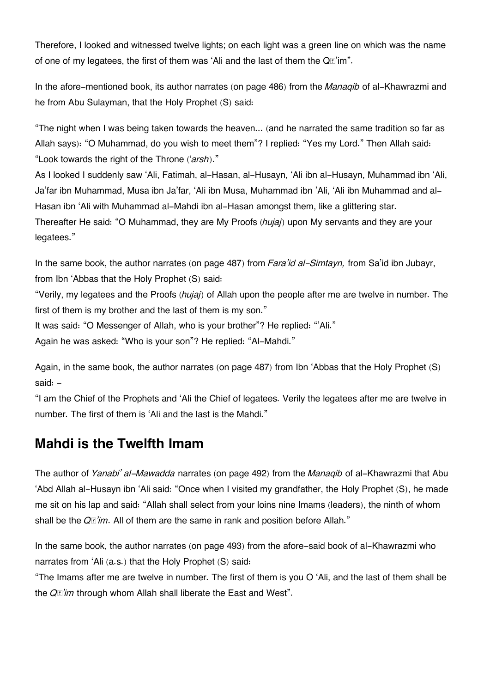Therefore, I looked and witnessed twelve lights; on each light was a green line on which was the name of one of my legatees, the first of them was 'Ali and the last of them the Q $\mathbb{Z}$ 'im".

In the afore-mentioned book, its author narrates (on page 486) from the *Manaqib* of al-Khawrazmi and he from Abu Sulayman, that the Holy Prophet (S) said:

"The night when I was being taken towards the heaven... (and he narrated the same tradition so far as Allah says): "O Muhammad, do you wish to meet them"? I replied: "Yes my Lord." Then Allah said: "Look towards the right of the Throne ('*arsh*)."

As I looked I suddenly saw 'Ali, Fatimah, al-Hasan, al-Husayn, 'Ali ibn al-Husayn, Muhammad ibn 'Ali, Ja'far ibn Muhammad, Musa ibn Ja'far, 'Ali ibn Musa, Muhammad ibn 'Ali, 'Ali ibn Muhammad and al-Hasan ibn 'Ali with Muhammad al-Mahdi ibn al-Hasan amongst them, like a glittering star. Thereafter He said: "O Muhammad, they are My Proofs (*hujaj*) upon My servants and they are your legatees."

In the same book, the author narrates (on page 487) from *Fara'id al-Simtayn,* from Sa'id ibn Jubayr, from Ibn 'Abbas that the Holy Prophet (S) said:

"Verily, my legatees and the Proofs (*hujaj*) of Allah upon the people after me are twelve in number. The first of them is my brother and the last of them is my son."

It was said: "O Messenger of Allah, who is your brother"? He replied: "'Ali."

Again he was asked: "Who is your son"? He replied: "Al-Mahdi."

Again, in the same book, the author narrates (on page 487) from Ibn 'Abbas that the Holy Prophet (S) said: -

"I am the Chief of the Prophets and 'Ali the Chief of legatees. Verily the legatees after me are twelve in number. The first of them is 'Ali and the last is the Mahdi."

## **[Mahdi is the Twelfth Imam](#page--1-0)**

The author of *Yanabi' al-Mawadda* narrates (on page 492) from the *Manaqib* of al-Khawrazmi that Abu 'Abd Allah al-Husayn ibn 'Ali said: "Once when I visited my grandfather, the Holy Prophet (S), he made me sit on his lap and said: "Allah shall select from your loins nine Imams (leaders), the ninth of whom shall be the *Qā'im*. All of them are the same in rank and position before Allah."

In the same book, the author narrates (on page 493) from the afore-said book of al-Khawrazmi who narrates from 'Ali (a.s.) that the Holy Prophet (S) said:

"The Imams after me are twelve in number. The first of them is you O 'Ali, and the last of them shall be the *Qā'im* through whom Allah shall liberate the East and West".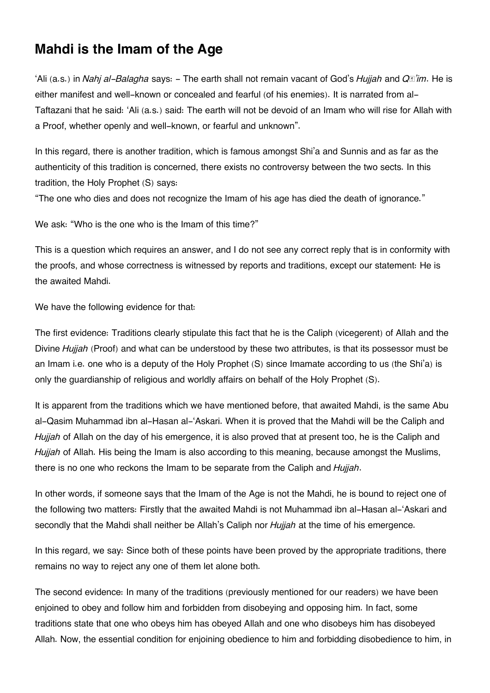## **[Mahdi is the Imam of the Age](#page--1-0)**

'Ali (a.s.) in *Nahj al-Balagha* says: - The earth shall not remain vacant of God's *Hujjah* and *Qā'im*. He is either manifest and well-known or concealed and fearful (of his enemies). It is narrated from al-Taftazani that he said: 'Ali (a.s.) said: The earth will not be devoid of an Imam who will rise for Allah with a Proof, whether openly and well-known, or fearful and unknown".

In this regard, there is another tradition, which is famous amongst Shi'a and Sunnis and as far as the authenticity of this tradition is concerned, there exists no controversy between the two sects. In this tradition, the Holy Prophet (S) says:

"The one who dies and does not recognize the Imam of his age has died the death of ignorance."

We ask: "Who is the one who is the Imam of this time?"

This is a question which requires an answer, and I do not see any correct reply that is in conformity with the proofs, and whose correctness is witnessed by reports and traditions, except our statement: He is the awaited Mahdi.

We have the following evidence for that:

The first evidence: Traditions clearly stipulate this fact that he is the Caliph (vicegerent) of Allah and the Divine *Hujjah* (Proof) and what can be understood by these two attributes, is that its possessor must be an Imam i.e. one who is a deputy of the Holy Prophet (S) since Imamate according to us (the Shi'a) is only the guardianship of religious and worldly affairs on behalf of the Holy Prophet (S).

It is apparent from the traditions which we have mentioned before, that awaited Mahdi, is the same Abu al-Qasim Muhammad ibn al-Hasan al-'Askari. When it is proved that the Mahdi will be the Caliph and *Hujjah* of Allah on the day of his emergence, it is also proved that at present too, he is the Caliph and *Hujjah* of Allah. His being the Imam is also according to this meaning, because amongst the Muslims, there is no one who reckons the Imam to be separate from the Caliph and *Hujjah*.

In other words, if someone says that the Imam of the Age is not the Mahdi, he is bound to reject one of the following two matters: Firstly that the awaited Mahdi is not Muhammad ibn al-Hasan al-'Askari and secondly that the Mahdi shall neither be Allah's Caliph nor *Hujjah* at the time of his emergence.

In this regard, we say: Since both of these points have been proved by the appropriate traditions, there remains no way to reject any one of them let alone both.

The second evidence: In many of the traditions (previously mentioned for our readers) we have been enjoined to obey and follow him and forbidden from disobeying and opposing him. In fact, some traditions state that one who obeys him has obeyed Allah and one who disobeys him has disobeyed Allah. Now, the essential condition for enjoining obedience to him and forbidding disobedience to him, in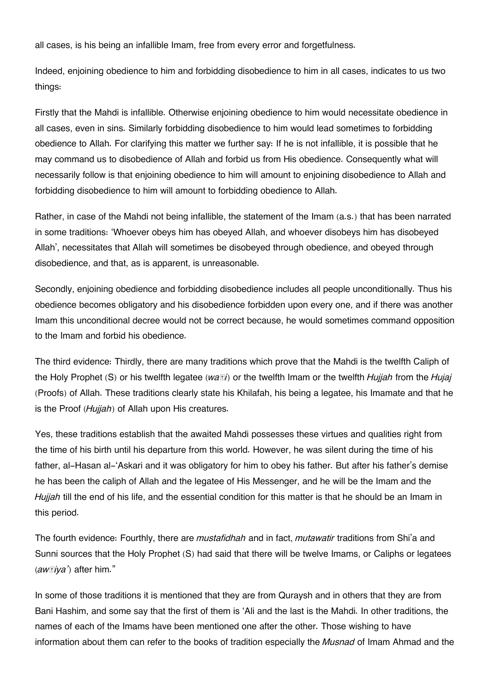all cases, is his being an infallible Imam, free from every error and forgetfulness.

Indeed, enjoining obedience to him and forbidding disobedience to him in all cases, indicates to us two things:

Firstly that the Mahdi is infallible. Otherwise enjoining obedience to him would necessitate obedience in all cases, even in sins. Similarly forbidding disobedience to him would lead sometimes to forbidding obedience to Allah. For clarifying this matter we further say: If he is not infallible, it is possible that he may command us to disobedience of Allah and forbid us from His obedience. Consequently what will necessarily follow is that enjoining obedience to him will amount to enjoining disobedience to Allah and forbidding disobedience to him will amount to forbidding obedience to Allah.

Rather, in case of the Mahdi not being infallible, the statement of the Imam (a.s.) that has been narrated in some traditions: 'Whoever obeys him has obeyed Allah, and whoever disobeys him has disobeyed Allah', necessitates that Allah will sometimes be disobeyed through obedience, and obeyed through disobedience, and that, as is apparent, is unreasonable.

Secondly, enjoining obedience and forbidding disobedience includes all people unconditionally. Thus his obedience becomes obligatory and his disobedience forbidden upon every one, and if there was another Imam this unconditional decree would not be correct because, he would sometimes command opposition to the Imam and forbid his obedience.

The third evidence: Thirdly, there are many traditions which prove that the Mahdi is the twelfth Caliph of the Holy Prophet (S) or his twelfth legatee (*waṣi*) or the twelfth Imam or the twelfth *Hujjah* from the *Hujaj* (Proofs) of Allah. These traditions clearly state his Khilafah, his being a legatee, his Imamate and that he is the Proof (*Hujjah*) of Allah upon His creatures.

Yes, these traditions establish that the awaited Mahdi possesses these virtues and qualities right from the time of his birth until his departure from this world. However, he was silent during the time of his father, al-Hasan al-'Askari and it was obligatory for him to obey his father. But after his father's demise he has been the caliph of Allah and the legatee of His Messenger, and he will be the Imam and the *Hujjah* till the end of his life, and the essential condition for this matter is that he should be an Imam in this period.

The fourth evidence: Fourthly, there are *mustafidhah* and in fact, *mutawatir* traditions from Shi'a and Sunni sources that the Holy Prophet (S) had said that there will be twelve Imams, or Caliphs or legatees (*awṣiya'*) after him."

In some of those traditions it is mentioned that they are from Quraysh and in others that they are from Bani Hashim, and some say that the first of them is 'Ali and the last is the Mahdi. In other traditions, the names of each of the Imams have been mentioned one after the other. Those wishing to have information about them can refer to the books of tradition especially the *Musnad* of Imam Ahmad and the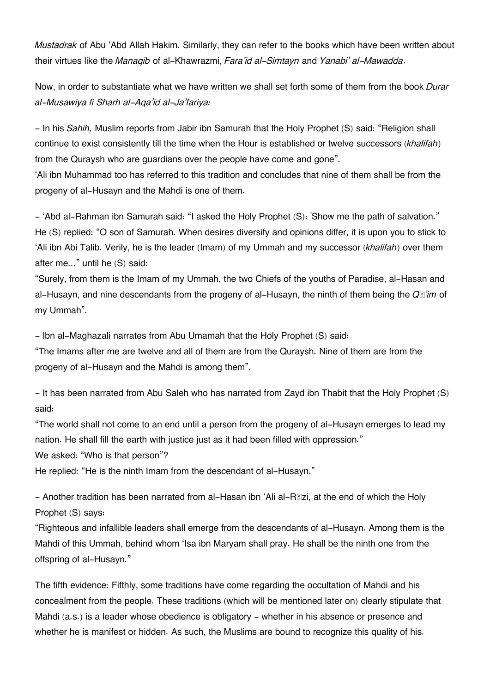*Mustadrak* of Abu 'Abd Allah Hakim. Similarly, they can refer to the books which have been written about their virtues like the *Manaqib* of al-Khawrazmi, *Fara'id al-Simtayn* and *Yanabi' al-Mawadda*.

Now, in order to substantiate what we have written we shall set forth some of them from the book *Durar al-Musawiya fi Sharh al-Aqa'id al-Ja'fariya:*

- In his *Sahih,* Muslim reports from Jabir ibn Samurah that the Holy Prophet (S) said: "Religion shall continue to exist consistently till the time when the Hour is established or twelve successors (*khalifah*) from the Quraysh who are guardians over the people have come and gone".

'Ali ibn Muhammad too has referred to this tradition and concludes that nine of them shall be from the progeny of al-Husayn and the Mahdi is one of them.

- 'Abd al-Rahman ibn Samurah said: "I asked the Holy Prophet (S): 'Show me the path of salvation." He (S) replied: "O son of Samurah. When desires diversify and opinions differ, it is upon you to stick to 'Ali ibn Abi Talib. Verily, he is the leader (Imam) of my Ummah and my successor (*khalifah*) over them after me..." until he (S) said:

"Surely, from them is the Imam of my Ummah, the two Chiefs of the youths of Paradise, al-Hasan and al-Husayn, and nine descendants from the progeny of al-Husayn, the ninth of them being the *Qā'im* of my Ummah".

- Ibn al-Maghazali narrates from Abu Umamah that the Holy Prophet (S) said:

"The Imams after me are twelve and all of them are from the Quraysh. Nine of them are from the progeny of al-Husayn and the Mahdi is among them".

- It has been narrated from Abu Saleh who has narrated from Zayd ibn Thabit that the Holy Prophet (S) said:

"The world shall not come to an end until a person from the progeny of al-Husayn emerges to lead my nation. He shall fill the earth with justice just as it had been filled with oppression."

We asked: "Who is that person"?

He replied: "He is the ninth Imam from the descendant of al-Husayn."

- Another tradition has been narrated from al-Hasan ibn 'Ali al-R $\mathbb{E}$ zi, at the end of which the Holy Prophet (S) says:

"Righteous and infallible leaders shall emerge from the descendants of al-Husayn. Among them is the Mahdi of this Ummah, behind whom 'Isa ibn Maryam shall pray. He shall be the ninth one from the offspring of al-Husayn."

The fifth evidence: Fifthly, some traditions have come regarding the occultation of Mahdi and his concealment from the people. These traditions (which will be mentioned later on) clearly stipulate that Mahdi (a.s.) is a leader whose obedience is obligatory - whether in his absence or presence and whether he is manifest or hidden. As such, the Muslims are bound to recognize this quality of his.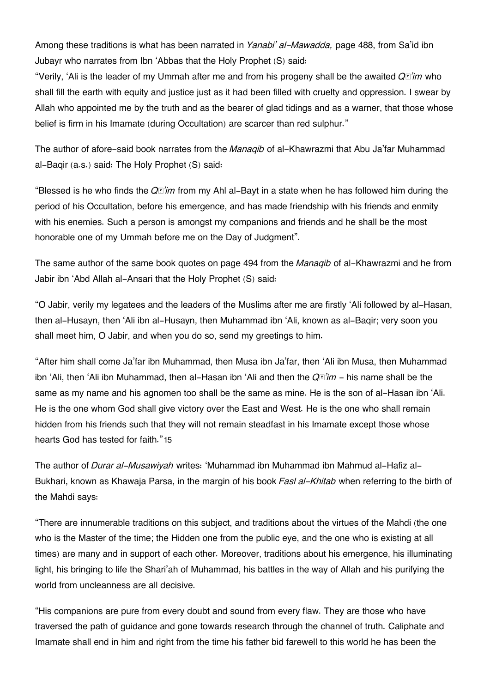Among these traditions is what has been narrated in *Yanabi' al-Mawadda,* page 488, from Sa'id ibn Jubayr who narrates from Ibn 'Abbas that the Holy Prophet (S) said:

"Verily, 'Ali is the leader of my Ummah after me and from his progeny shall be the awaited *Qā'im* who shall fill the earth with equity and justice just as it had been filled with cruelty and oppression. I swear by Allah who appointed me by the truth and as the bearer of glad tidings and as a warner, that those whose belief is firm in his Imamate (during Occultation) are scarcer than red sulphur."

The author of afore-said book narrates from the *Manaqib* of al-Khawrazmi that Abu Ja'far Muhammad al-Baqir (a.s.) said: The Holy Prophet (S) said:

"Blessed is he who finds the *Qā'im* from my Ahl al-Bayt in a state when he has followed him during the period of his Occultation, before his emergence, and has made friendship with his friends and enmity with his enemies. Such a person is amongst my companions and friends and he shall be the most honorable one of my Ummah before me on the Day of Judgment".

The same author of the same book quotes on page 494 from the *Manaqib* of al-Khawrazmi and he from Jabir ibn 'Abd Allah al-Ansari that the Holy Prophet (S) said:

"O Jabir, verily my legatees and the leaders of the Muslims after me are firstly 'Ali followed by al-Hasan, then al-Husayn, then 'Ali ibn al-Husayn, then Muhammad ibn 'Ali, known as al-Baqir; very soon you shall meet him, O Jabir, and when you do so, send my greetings to him.

"After him shall come Ja'far ibn Muhammad, then Musa ibn Ja'far, then 'Ali ibn Musa, then Muhammad ibn 'Ali, then 'Ali ibn Muhammad, then al-Hasan ibn 'Ali and then the  $Q\mathbb{I}$ '*im* - his name shall be the same as my name and his agnomen too shall be the same as mine. He is the son of al-Hasan ibn 'Ali. He is the one whom God shall give victory over the East and West. He is the one who shall remain hidden from his friends such that they will not remain steadfast in his Imamate except those whose hearts God has tested for faith."[15](#page--1-0)

The author of *Durar al-Musawiyah* writes: 'Muhammad ibn Muhammad ibn Mahmud al-Hafiz al-Bukhari, known as Khawaja Parsa, in the margin of his book *Fasl al-Khitab* when referring to the birth of the Mahdi says:

"There are innumerable traditions on this subject, and traditions about the virtues of the Mahdi (the one who is the Master of the time; the Hidden one from the public eye, and the one who is existing at all times) are many and in support of each other. Moreover, traditions about his emergence, his illuminating light, his bringing to life the Shari'ah of Muhammad, his battles in the way of Allah and his purifying the world from uncleanness are all decisive.

"His companions are pure from every doubt and sound from every flaw. They are those who have traversed the path of guidance and gone towards research through the channel of truth. Caliphate and Imamate shall end in him and right from the time his father bid farewell to this world he has been the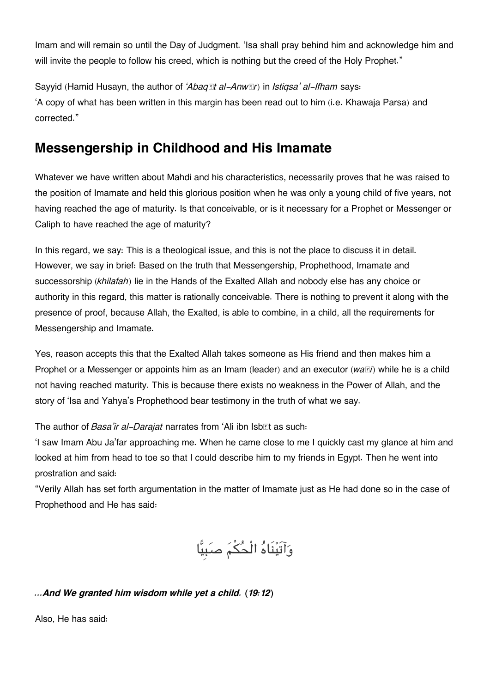Imam and will remain so until the Day of Judgment. 'Isa shall pray behind him and acknowledge him and will invite the people to follow his creed, which is nothing but the creed of the Holy Prophet."

Sayyid (Hamid Husayn, the author of *'Abaqāt al-Anwār*) in *Istiqsa' al-Ifham* says: 'A copy of what has been written in this margin has been read out to him (i.e. Khawaja Parsa) and corrected."

## **[Messengership in Childhood and His Imamate](#page--1-0)**

Whatever we have written about Mahdi and his characteristics, necessarily proves that he was raised to the position of Imamate and held this glorious position when he was only a young child of five years, not having reached the age of maturity. Is that conceivable, or is it necessary for a Prophet or Messenger or Caliph to have reached the age of maturity?

In this regard, we say: This is a theological issue, and this is not the place to discuss it in detail. However, we say in brief: Based on the truth that Messengership, Prophethood, Imamate and successorship (*khilafah*) lie in the Hands of the Exalted Allah and nobody else has any choice or authority in this regard, this matter is rationally conceivable. There is nothing to prevent it along with the presence of proof, because Allah, the Exalted, is able to combine, in a child, all the requirements for Messengership and Imamate.

Yes, reason accepts this that the Exalted Allah takes someone as His friend and then makes him a Prophet or a Messenger or appoints him as an Imam (leader) and an executor (*waṣi*) while he is a child not having reached maturity. This is because there exists no weakness in the Power of Allah, and the story of 'Isa and Yahya's Prophethood bear testimony in the truth of what we say.

The author of *Basa'ir al-Darajat* narrates from 'Ali ibn Isb**et as such:** 

'I saw Imam Abu Ja'far approaching me. When he came close to me I quickly cast my glance at him and looked at him from head to toe so that I could describe him to my friends in Egypt. Then he went into prostration and said:

"Verily Allah has set forth argumentation in the matter of Imamate just as He had done so in the case of Prophethood and He has said:

وَآتَيْنَاهُ الْحُكْمَ صَبِيًّا

#### *…And We granted him wisdom while yet a child. (19:12)*

Also, He has said: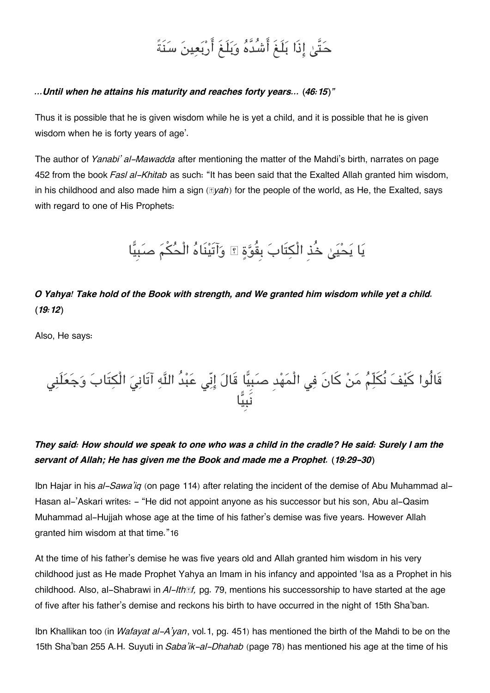# حَتَّىٰ إِذَا بَلَغَ أَشُدَّهُ وَبَلَغَ أَرْبَعِينَ سَنَةً

#### *…Until when he attains his maturity and reaches forty years… (46:15)"*

Thus it is possible that he is given wisdom while he is yet a child, and it is possible that he is given wisdom when he is forty years of age'.

The author of *Yanabi' al-Mawadda* after mentioning the matter of the Mahdi's birth, narrates on page 452 from the book *Fasl al-Khitab* as such: "It has been said that the Exalted Allah granted him wisdom, in his childhood and also made him a sign (*āyah*) for the people of the world, as He, the Exalted, says with regard to one of His Prophets:

# يَا يَحْيَىٰ خُذِ الْكِتَابَ بِقُوَّةٍ ۞ وَآتَيْنَاهُ الْحُكْمَ صَبِيًّا

*O Yahya! Take hold of the Book with strength, and We granted him wisdom while yet a child. (19:12)*

Also, He says:

## قَالُوا كَيْفَ نَكَلّمَ مَنْ كَانٍ فِي الْمَهْدِ صَبَيًّا قَالَ إِنِّي عَبْدَ اللّهِ اتّانِيَ الْكِتابَ وَجَعَلَنِي نَبِيا

### *They said: How should we speak to one who was a child in the cradle? He said: Surely I am the servant of Allah; He has given me the Book and made me a Prophet. (19:29-30)*

Ibn Hajar in his *al-Sawa'iq* (on page 114) after relating the incident of the demise of Abu Muhammad al-Hasan al-'Askari writes: - "He did not appoint anyone as his successor but his son, Abu al-Qasim Muhammad al-Hujjah whose age at the time of his father's demise was five years. However Allah granted him wisdom at that time."[16](#page--1-0)

At the time of his father's demise he was five years old and Allah granted him wisdom in his very childhood just as He made Prophet Yahya an Imam in his infancy and appointed 'Isa as a Prophet in his childhood. Also, al-Shabrawi in *Al-Ithāf,* pg. 79, mentions his successorship to have started at the age of five after his father's demise and reckons his birth to have occurred in the night of 15th Sha'ban.

Ibn Khallikan too (in *Wafayat al-A'yan*, vol.1, pg. 451) has mentioned the birth of the Mahdi to be on the 15th Sha'ban 255 A.H. Suyuti in *Saba'ik-al-Dhahab* (page 78) has mentioned his age at the time of his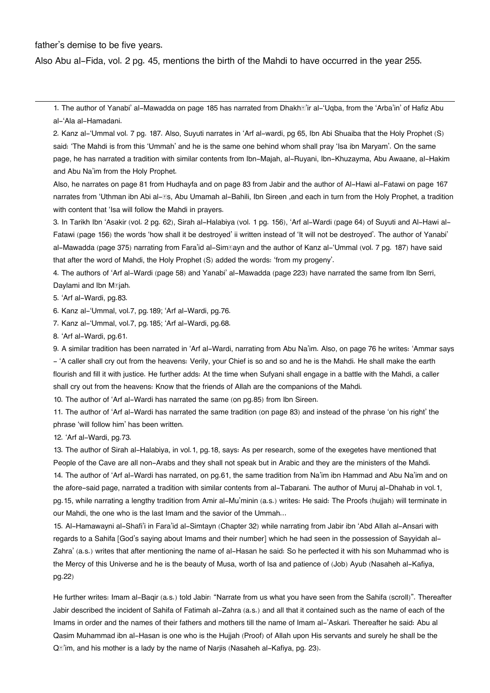#### father's demise to be five years.

Also Abu al-Fida, vol. 2 pg. 45, mentions the birth of the Mahdi to have occurred in the year 255.

[1.](#page--1-0) The author of Yanabi' al-Mawadda on page 185 has narrated from Dhakhā'ir al-'Uqba, from the 'Arba'in' of Hafiz Abu al-'Ala al-Hamadani.

[2.](#page--1-0) Kanz al-'Ummal vol. 7 pg. 187. Also, Suyuti narrates in 'Arf al-wardi, pg 65, Ibn Abi Shuaiba that the Holy Prophet (S) said: 'The Mahdi is from this 'Ummah' and he is the same one behind whom shall pray 'Isa ibn Maryam'. On the same page, he has narrated a tradition with similar contents from Ibn-Majah, al-Ruyani, Ibn-Khuzayma, Abu Awaane, al-Hakim and Abu Na'im from the Holy Prophet.

Also, he narrates on page 81 from Hudhayfa and on page 83 from Jabir and the author of Al-Hawi al-Fatawi on page 167 narrates from 'Uthman ibn Abi al-Es, Abu Umamah al-Bahili, Ibn Sireen ,and each in turn from the Holy Prophet, a tradition with content that 'Isa will follow the Mahdi in prayers.

[3.](#page--1-0) In Tarikh Ibn 'Asakir (vol. 2 pg. 62), Sirah al-Halabiya (vol. 1 pg. 156), 'Arf al-Wardi (page 64) of Suyuti and Al-Hawi al-Fatawi (page 156) the words 'how shall it be destroyed' ii written instead of 'It will not be destroyed'. The author of Yanabi' al-Mawadda (page 375) narrating from Fara'id al-Sim**∏ayn and the author of Kanz al-**'Ummal (vol. 7 pg. 187) have said that after the word of Mahdi, the Holy Prophet (S) added the words: 'from my progeny'.

[4.](#page--1-0) The authors of 'Arf al-Wardi (page 58) and Yanabi' al-Mawadda (page 223) have narrated the same from Ibn Serri, Daylami and Ibn M*siah*.

[5.](#page--1-0) 'Arf al-Wardi, pg.83.

[6.](#page--1-0) Kanz al-'Ummal, vol.7, pg.189; 'Arf al-Wardi, pg.76.

[7.](#page--1-0) Kanz al-'Ummal, vol.7, pg.185; 'Arf al-Wardi, pg.68.

[8.](#page--1-0) 'Arf al-Wardi, pg.61.

[9.](#page--1-0) A similar tradition has been narrated in 'Arf al-Wardi, narrating from Abu Na'im. Also, on page 76 he writes: 'Ammar says - 'A caller shall cry out from the heavens: Verily, your Chief is so and so and he is the Mahdi. He shall make the earth flourish and fill it with justice. He further adds: At the time when Sufyani shall engage in a battle with the Mahdi, a caller shall cry out from the heavens: Know that the friends of Allah are the companions of the Mahdi.

[10.](#page--1-0) The author of 'Arf al-Wardi has narrated the same (on pg.85) from Ibn Sireen.

[11.](#page--1-0) The author of 'Arf al-Wardi has narrated the same tradition (on page 83) and instead of the phrase 'on his right' the phrase 'will follow him' has been written.

[12.](#page--1-0) 'Arf al-Wardi, pg.73.

[13.](#page--1-0) The author of Sirah al-Halabiya, in vol.1, pg.18, says: As per research, some of the exegetes have mentioned that People of the Cave are all non-Arabs and they shall not speak but in Arabic and they are the ministers of the Mahdi. [14.](#page--1-0) The author of 'Arf al-Wardi has narrated, on pg.61, the same tradition from Na'im ibn Hammad and Abu Na'im and on the afore-said page, narrated a tradition with similar contents from al-Tabarani. The author of Muruj al-Dhahab in vol.1, pg.15, while narrating a lengthy tradition from Amir al-Mu'minin (a.s.) writes: He said: The Proofs (hujjah) will terminate in our Mahdi, the one who is the last Imam and the savior of the Ummah…

[15.](#page--1-0) Al-Hamawayni al-Shafi'i in Fara'id al-Simtayn (Chapter 32) while narrating from Jabir ibn 'Abd Allah al-Ansari with regards to a Sahifa [God's saying about Imams and their number] which he had seen in the possession of Sayyidah al-Zahra' (a.s.) writes that after mentioning the name of al-Hasan he said: So he perfected it with his son Muhammad who is the Mercy of this Universe and he is the beauty of Musa, worth of Isa and patience of (Job) Ayub (Nasaheh al-Kafiya, pg.22)

He further writes: Imam al-Baqir (a.s.) told Jabir: "Narrate from us what you have seen from the Sahifa (scroll)". Thereafter Jabir described the incident of Sahifa of Fatimah al-Zahra (a.s.) and all that it contained such as the name of each of the Imams in order and the names of their fathers and mothers till the name of Imam al-'Askari. Thereafter he said: Abu al Qasim Muhammad ibn al-Hasan is one who is the Hujjah (Proof) of Allah upon His servants and surely he shall be the Q**E'im, and his mother is a lady by the name of Narjis (Nasaheh al-Kafiya**, pg. 23).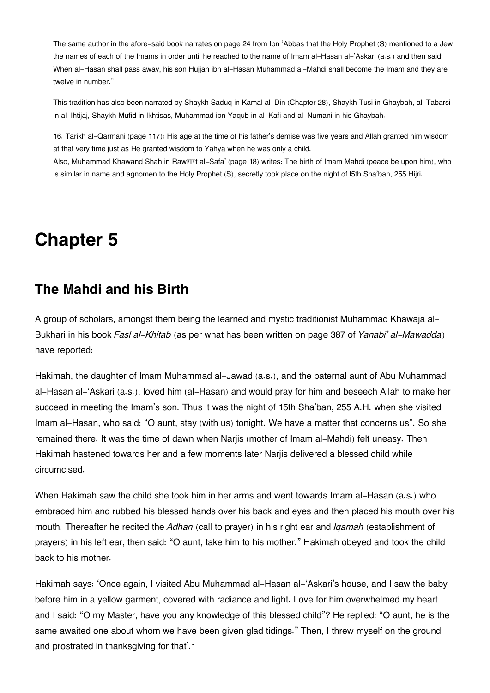The same author in the afore-said book narrates on page 24 from Ibn 'Abbas that the Holy Prophet (S) mentioned to a Jew the names of each of the Imams in order until he reached to the name of Imam al-Hasan al-'Askari (a.s.) and then said: When al-Hasan shall pass away, his son Hujjah ibn al-Hasan Muhammad al-Mahdi shall become the Imam and they are twelve in number."

This tradition has also been narrated by Shaykh Saduq in Kamal al-Din (Chapter 28), Shaykh Tusi in Ghaybah, al-Tabarsi in al-Ihtijaj, Shaykh Mufid in Ikhtisas, Muhammad ibn Yaqub in al-Kafi and al-Numani in his Ghaybah.

[16.](#page--1-0) Tarikh al-Qarmani (page 117): His age at the time of his father's demise was five years and Allah granted him wisdom at that very time just as He granted wisdom to Yahya when he was only a child.

Also, Muhammad Khawand Shah in Raw**alat al-Safa' (page 18) writes: The birth** of Imam Mahdi (peace be upon him), who is similar in name and agnomen to the Holy Prophet (S), secretly took place on the night of l5th Sha'ban, 255 Hijri.

## **Chapter 5**

## **[The Mahdi and his Birth](#page--1-0)**

A group of scholars, amongst them being the learned and mystic traditionist Muhammad Khawaja al-Bukhari in his book *Fasl al-Khitab* (as per what has been written on page 387 of *Yanabi' al-Mawadda*) have reported:

Hakimah, the daughter of Imam Muhammad al-Jawad (a.s.), and the paternal aunt of Abu Muhammad al-Hasan al-'Askari (a.s.), loved him (al-Hasan) and would pray for him and beseech Allah to make her succeed in meeting the Imam's son. Thus it was the night of 15th Sha'ban, 255 A.H. when she visited Imam al-Hasan, who said: "O aunt, stay (with us) tonight. We have a matter that concerns us". So she remained there. It was the time of dawn when Narjis (mother of Imam al-Mahdi) felt uneasy. Then Hakimah hastened towards her and a few moments later Narjis delivered a blessed child while circumcised.

When Hakimah saw the child she took him in her arms and went towards Imam al-Hasan (a.s.) who embraced him and rubbed his blessed hands over his back and eyes and then placed his mouth over his mouth. Thereafter he recited the *Adhan* (call to prayer) in his right ear and *Iqamah* (establishment of prayers) in his left ear, then said: "O aunt, take him to his mother." Hakimah obeyed and took the child back to his mother.

Hakimah says: 'Once again, I visited Abu Muhammad al-Hasan al-'Askari's house, and I saw the baby before him in a yellow garment, covered with radiance and light. Love for him overwhelmed my heart and I said: "O my Master, have you any knowledge of this blessed child"? He replied: "O aunt, he is the same awaited one about whom we have been given glad tidings." Then, I threw myself on the ground and prostrated in thanksgiving for that'.[1](#page--1-0)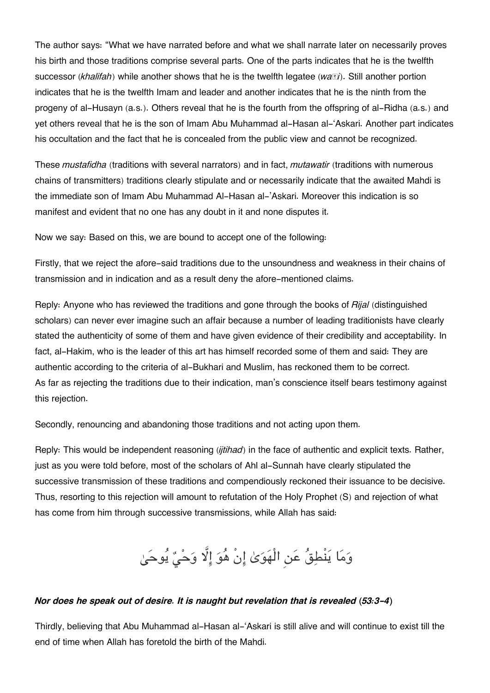The author says: "What we have narrated before and what we shall narrate later on necessarily proves his birth and those traditions comprise several parts. One of the parts indicates that he is the twelfth successor (*khalifah*) while another shows that he is the twelfth legatee (*waṣi*). Still another portion indicates that he is the twelfth Imam and leader and another indicates that he is the ninth from the progeny of al-Husayn (a.s.). Others reveal that he is the fourth from the offspring of al-Ridha (a.s.) and yet others reveal that he is the son of Imam Abu Muhammad al-Hasan al-'Askari. Another part indicates his occultation and the fact that he is concealed from the public view and cannot be recognized.

These *mustafidha* (traditions with several narrators) and in fact, *mutawatir* (traditions with numerous chains of transmitters) traditions clearly stipulate and or necessarily indicate that the awaited Mahdi is the immediate son of Imam Abu Muhammad Al-Hasan al-'Askari. Moreover this indication is so manifest and evident that no one has any doubt in it and none disputes it.

Now we say: Based on this, we are bound to accept one of the following:

Firstly, that we reject the afore-said traditions due to the unsoundness and weakness in their chains of transmission and in indication and as a result deny the afore-mentioned claims.

Reply: Anyone who has reviewed the traditions and gone through the books of *Rijal* (distinguished scholars) can never ever imagine such an affair because a number of leading traditionists have clearly stated the authenticity of some of them and have given evidence of their credibility and acceptability. In fact, al-Hakim, who is the leader of this art has himself recorded some of them and said: They are authentic according to the criteria of al-Bukhari and Muslim, has reckoned them to be correct. As far as rejecting the traditions due to their indication, man's conscience itself bears testimony against this rejection.

Secondly, renouncing and abandoning those traditions and not acting upon them.

Reply: This would be independent reasoning (*ijtihad*) in the face of authentic and explicit texts. Rather, just as you were told before, most of the scholars of Ahl al-Sunnah have clearly stipulated the successive transmission of these traditions and compendiously reckoned their issuance to be decisive. Thus, resorting to this rejection will amount to refutation of the Holy Prophet (S) and rejection of what has come from him through successive transmissions, while Allah has said:

وَمَا يَنْطِقُ عَنِ الْهَوَىٰ إِنْ هُوَ إِلَّا وَحْيٌ يُوحَىٰ

#### *Nor does he speak out of desire. It is naught but revelation that is revealed (53:3-4)*

Thirdly, believing that Abu Muhammad al-Hasan al-'Askari is still alive and will continue to exist till the end of time when Allah has foretold the birth of the Mahdi.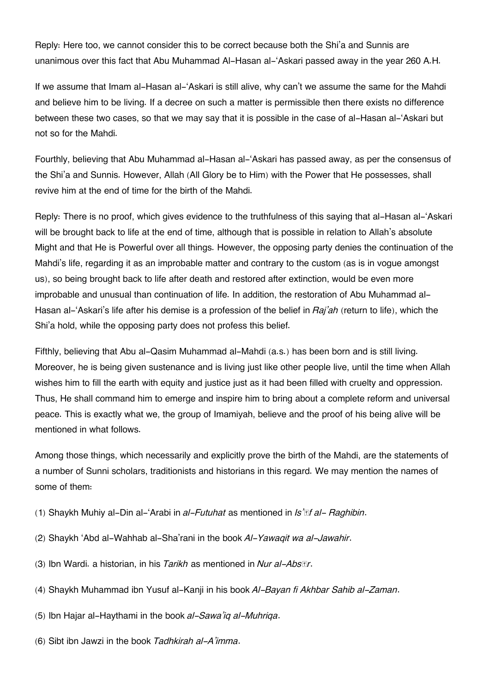Reply: Here too, we cannot consider this to be correct because both the Shi'a and Sunnis are unanimous over this fact that Abu Muhammad Al-Hasan al-'Askari passed away in the year 260 A.H.

If we assume that Imam al-Hasan al-'Askari is still alive, why can't we assume the same for the Mahdi and believe him to be living. If a decree on such a matter is permissible then there exists no difference between these two cases, so that we may say that it is possible in the case of al-Hasan al-'Askari but not so for the Mahdi.

Fourthly, believing that Abu Muhammad al-Hasan al-'Askari has passed away, as per the consensus of the Shi'a and Sunnis. However, Allah (All Glory be to Him) with the Power that He possesses, shall revive him at the end of time for the birth of the Mahdi.

Reply: There is no proof, which gives evidence to the truthfulness of this saying that al-Hasan al-'Askari will be brought back to life at the end of time, although that is possible in relation to Allah's absolute Might and that He is Powerful over all things. However, the opposing party denies the continuation of the Mahdi's life, regarding it as an improbable matter and contrary to the custom (as is in vogue amongst us), so being brought back to life after death and restored after extinction, would be even more improbable and unusual than continuation of life. In addition, the restoration of Abu Muhammad al-Hasan al-'Askari's life after his demise is a profession of the belief in *Raj'ah* (return to life), which the Shi'a hold, while the opposing party does not profess this belief.

Fifthly, believing that Abu al-Qasim Muhammad al-Mahdi (a.s.) has been born and is still living. Moreover, he is being given sustenance and is living just like other people live, until the time when Allah wishes him to fill the earth with equity and justice just as it had been filled with cruelty and oppression. Thus, He shall command him to emerge and inspire him to bring about a complete reform and universal peace. This is exactly what we, the group of Imamiyah, believe and the proof of his being alive will be mentioned in what follows.

Among those things, which necessarily and explicitly prove the birth of the Mahdi, are the statements of a number of Sunni scholars, traditionists and historians in this regard. We may mention the names of some of them:

- (1) Shaykh Muhiy al-Din al-'Arabi in *al-Futuhat* as mentioned in *Is'āf al- Raghibin*.
- (2) Shaykh 'Abd al-Wahhab al-Sha'rani in the book *Al-Yawaqit wa al-Jawahir*.
- (3) Ibn Wardi. a historian, in his *Tarikh* as mentioned in *Nur al-Absār*.
- (4) Shaykh Muhammad ibn Yusuf al-Kanji in his book *Al-Bayan fi Akhbar Sahib al-Zaman*.
- (5) Ibn Hajar al-Haythami in the book *al-Sawa'iq al-Muhriqa*.
- (6) Sibt ibn Jawzi in the book *Tadhkirah al-A'imma*.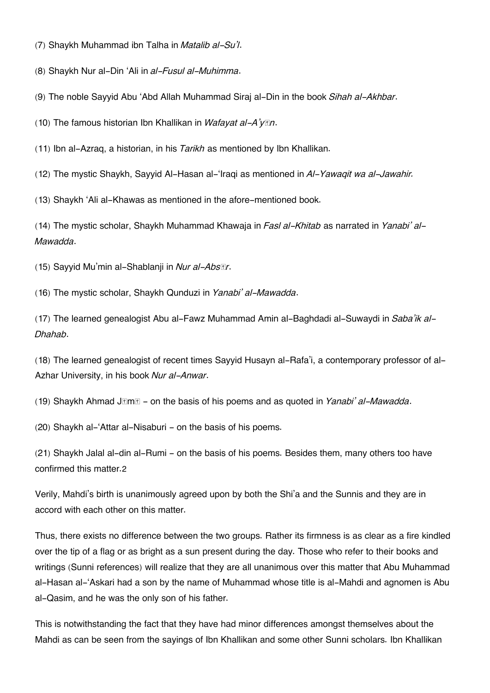(7) Shaykh Muhammad ibn Talha in *Matalib al-Su'l*.

(8) Shaykh Nur al-Din 'Ali in *al-Fusul al-Muhimma*.

(9) The noble Sayyid Abu 'Abd Allah Muhammad Siraj al-Din in the book *Sihah al-Akhbar*.

(10) The famous historian Ibn Khallikan in *Wafayat al-A'yān*.

(11) Ibn al-Azraq, a historian, in his *Tarikh* as mentioned by Ibn Khallikan.

(12) The mystic Shaykh, Sayyid Al-Hasan al-'Iraqi as mentioned in *Al-Yawaqit wa al-Jawahir.*

(13) Shaykh 'Ali al-Khawas as mentioned in the afore-mentioned book.

(14) The mystic scholar, Shaykh Muhammad Khawaja in *Fasl al-Khitab* as narrated in *Yanabi' al-Mawadda*.

(15) Sayyid Mu'min al-Shablanji in *Nur al-Absār*.

(16) The mystic scholar, Shaykh Qunduzi in *Yanabi' al-Mawadda*.

(17) The learned genealogist Abu al-Fawz Muhammad Amin al-Baghdadi al-Suwaydi in *Saba'ik al-Dhahab*.

(18) The learned genealogist of recent times Sayyid Husayn al-Rafa'i, a contemporary professor of al-Azhar University, in his book *Nur al-Anwar*.

(19) Shaykh Ahmad Jāmī - on the basis of his poems and as quoted in *Yanabi' al-Mawadda*.

(20) Shaykh al-'Attar al-Nisaburi - on the basis of his poems.

(21) Shaykh Jalal al-din al-Rumi - on the basis of his poems. Besides them, many others too have confirmed this matter.[2](#page--1-0)

Verily, Mahdi's birth is unanimously agreed upon by both the Shi'a and the Sunnis and they are in accord with each other on this matter.

Thus, there exists no difference between the two groups. Rather its firmness is as clear as a fire kindled over the tip of a flag or as bright as a sun present during the day. Those who refer to their books and writings (Sunni references) will realize that they are all unanimous over this matter that Abu Muhammad al-Hasan al-'Askari had a son by the name of Muhammad whose title is al-Mahdi and agnomen is Abu al-Qasim, and he was the only son of his father.

This is notwithstanding the fact that they have had minor differences amongst themselves about the Mahdi as can be seen from the sayings of Ibn Khallikan and some other Sunni scholars. Ibn Khallikan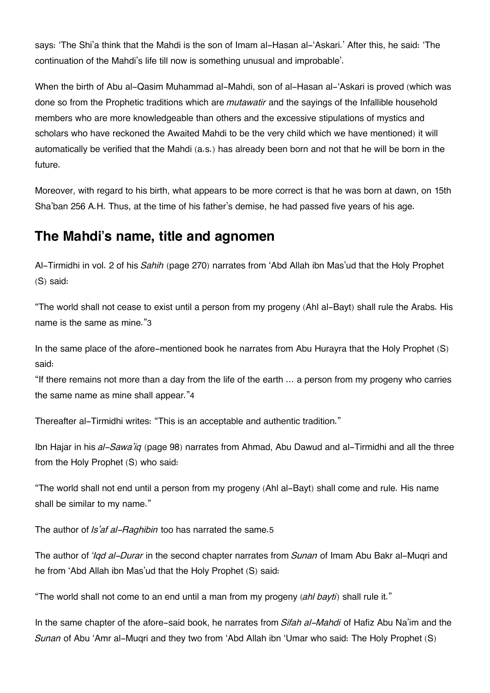says: 'The Shi'a think that the Mahdi is the son of Imam al-Hasan al-'Askari.' After this, he said: 'The continuation of the Mahdi's life till now is something unusual and improbable'.

When the birth of Abu al-Qasim Muhammad al-Mahdi, son of al-Hasan al-'Askari is proved (which was done so from the Prophetic traditions which are *mutawatir* and the sayings of the Infallible household members who are more knowledgeable than others and the excessive stipulations of mystics and scholars who have reckoned the Awaited Mahdi to be the very child which we have mentioned) it will automatically be verified that the Mahdi (a.s.) has already been born and not that he will be born in the future.

Moreover, with regard to his birth, what appears to be more correct is that he was born at dawn, on 15th Sha'ban 256 A.H. Thus, at the time of his father's demise, he had passed five years of his age.

## **[The Mahdi's name, title and agnomen](#page--1-0)**

Al-Tirmidhi in vol. 2 of his *Sahih* (page 270) narrates from 'Abd Allah ibn Mas'ud that the Holy Prophet (S) said:

"The world shall not cease to exist until a person from my progeny (Ahl al-Bayt) shall rule the Arabs. His name is the same as mine."[3](#page--1-0)

In the same place of the afore-mentioned book he narrates from Abu Hurayra that the Holy Prophet (S) said:

"If there remains not more than a day from the life of the earth … a person from my progeny who carries the same name as mine shall appear."[4](#page--1-0)

Thereafter al-Tirmidhi writes: "This is an acceptable and authentic tradition."

Ibn Hajar in his *al-Sawa'iq* (page 98) narrates from Ahmad, Abu Dawud and al-Tirmidhi and all the three from the Holy Prophet (S) who said:

"The world shall not end until a person from my progeny (Ahl al-Bayt) shall come and rule. His name shall be similar to my name."

The author of *Is'af al-Raghibin* too has narrated the same.[5](#page--1-0)

The author of *'Iqd al-Durar* in the second chapter narrates from *Sunan* of Imam Abu Bakr al-Muqri and he from 'Abd Allah ibn Mas'ud that the Holy Prophet (S) said:

"The world shall not come to an end until a man from my progeny (*ahl bayti*) shall rule it."

In the same chapter of the afore-said book, he narrates from *Sifah al-Mahdi* of Hafiz Abu Na'im and the *Sunan* of Abu 'Amr al-Muqri and they two from 'Abd Allah ibn 'Umar who said: The Holy Prophet (S)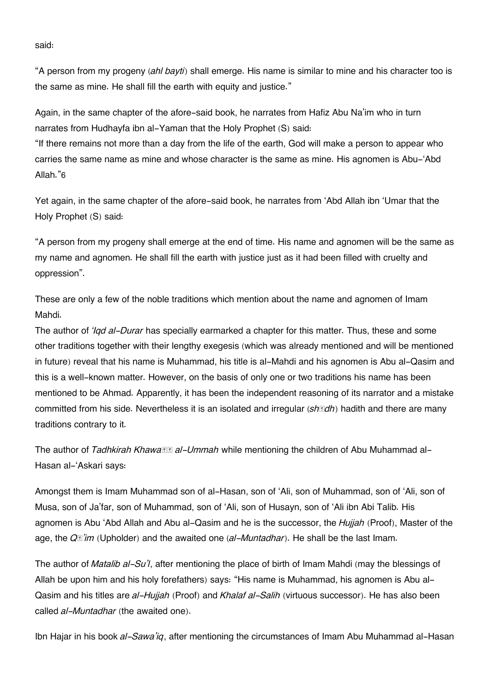said:

"A person from my progeny (*ahl bayti*) shall emerge. His name is similar to mine and his character too is the same as mine. He shall fill the earth with equity and justice."

Again, in the same chapter of the afore-said book, he narrates from Hafiz Abu Na'im who in turn narrates from Hudhayfa ibn al-Yaman that the Holy Prophet (S) said:

"If there remains not more than a day from the life of the earth, God will make a person to appear who carries the same name as mine and whose character is the same as mine. His agnomen is Abu-'Abd Allah."[6](#page--1-0)

Yet again, in the same chapter of the afore-said book, he narrates from 'Abd Allah ibn 'Umar that the Holy Prophet (S) said:

"A person from my progeny shall emerge at the end of time. His name and agnomen will be the same as my name and agnomen. He shall fill the earth with justice just as it had been filled with cruelty and oppression".

These are only a few of the noble traditions which mention about the name and agnomen of Imam Mahdi.

The author of *'Iqd al-Durar* has specially earmarked a chapter for this matter. Thus, these and some other traditions together with their lengthy exegesis (which was already mentioned and will be mentioned in future) reveal that his name is Muhammad, his title is al-Mahdi and his agnomen is Abu al-Qasim and this is a well-known matter. However, on the basis of only one or two traditions his name has been mentioned to be Ahmad. Apparently, it has been the independent reasoning of its narrator and a mistake committed from his side. Nevertheless it is an isolated and irregular (*shādh*) hadith and there are many traditions contrary to it.

The author of *Tadhkirah Khawasa al-Ummah* while mentioning the children of Abu Muhammad al-Hasan al-'Askari says:

Amongst them is Imam Muhammad son of al-Hasan, son of 'Ali, son of Muhammad, son of 'Ali, son of Musa, son of Ja'far, son of Muhammad, son of 'Ali, son of Husayn, son of 'Ali ibn Abi Talib. His agnomen is Abu 'Abd Allah and Abu al-Qasim and he is the successor, the *Hujjah* (Proof), Master of the age, the *Qā'im* (Upholder) and the awaited one (*al-Muntadhar*). He shall be the last Imam.

The author of *Matalib al-Su'l*, after mentioning the place of birth of Imam Mahdi (may the blessings of Allah be upon him and his holy forefathers) says: "His name is Muhammad, his agnomen is Abu al-Qasim and his titles are *al-Hujjah* (Proof) and *Khalaf al-Salih* (virtuous successor). He has also been called *al-Muntadhar* (the awaited one).

Ibn Hajar in his book *al-Sawa'iq*, after mentioning the circumstances of Imam Abu Muhammad al-Hasan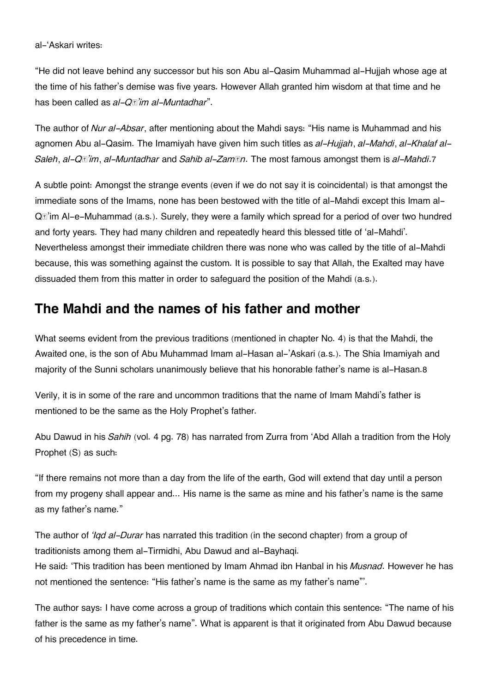"He did not leave behind any successor but his son Abu al-Qasim Muhammad al-Hujjah whose age at the time of his father's demise was five years. However Allah granted him wisdom at that time and he has been called as *al-Qā'im al-Muntadhar*".

The author of *Nur al-Absar*, after mentioning about the Mahdi says: "His name is Muhammad and his agnomen Abu al-Qasim. The Imamiyah have given him such titles as *al-Hujjah*, *al-Mahdi*, *al-Khalaf al-Saleh*, *al-Qā'im*, *al-Muntadhar* and *Sahib al-Zamān*. The most famous amongst them is *al-Mahdi*.[7](#page--1-0)

A subtle point: Amongst the strange events (even if we do not say it is coincidental) is that amongst the immediate sons of the Imams, none has been bestowed with the title of al-Mahdi except this Imam al-Qā'im Al-e-Muhammad (a.s.). Surely, they were a family which spread for a period of over two hundred and forty years. They had many children and repeatedly heard this blessed title of 'al-Mahdi'. Nevertheless amongst their immediate children there was none who was called by the title of al-Mahdi because, this was something against the custom. It is possible to say that Allah, the Exalted may have dissuaded them from this matter in order to safeguard the position of the Mahdi (a.s.).

## **[The Mahdi and the names of his father and mother](#page--1-0)**

What seems evident from the previous traditions (mentioned in chapter No. 4) is that the Mahdi, the Awaited one, is the son of Abu Muhammad Imam al-Hasan al-'Askari (a.s.). The Shia Imamiyah and majority of the Sunni scholars unanimously believe that his honorable father's name is al-Hasan.[8](#page--1-0)

Verily, it is in some of the rare and uncommon traditions that the name of Imam Mahdi's father is mentioned to be the same as the Holy Prophet's father.

Abu Dawud in his *Sahih* (vol. 4 pg. 78) has narrated from Zurra from 'Abd Allah a tradition from the Holy Prophet (S) as such:

"If there remains not more than a day from the life of the earth, God will extend that day until a person from my progeny shall appear and... His name is the same as mine and his father's name is the same as my father's name."

The author of *'Iqd al-Durar* has narrated this tradition (in the second chapter) from a group of traditionists among them al-Tirmidhi, Abu Dawud and al-Bayhaqi. He said: 'This tradition has been mentioned by Imam Ahmad ibn Hanbal in his *Musnad*. However he has not mentioned the sentence: "His father's name is the same as my father's name"'.

The author says: I have come across a group of traditions which contain this sentence: "The name of his father is the same as my father's name". What is apparent is that it originated from Abu Dawud because of his precedence in time.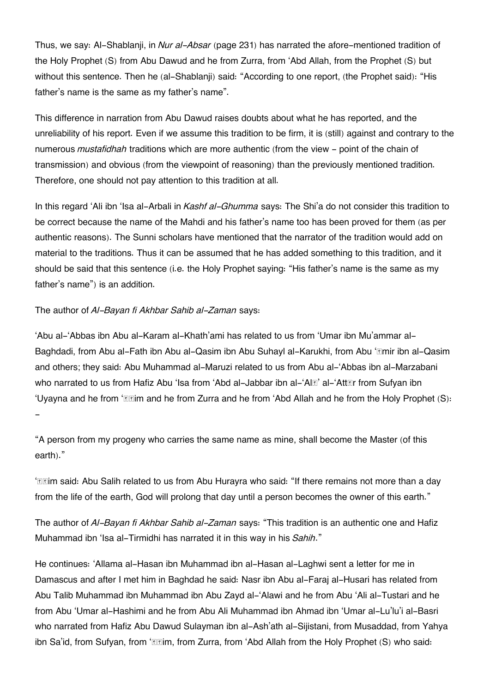Thus, we say: Al-Shablanji, in *Nur al-Absar* (page 231) has narrated the afore-mentioned tradition of the Holy Prophet (S) from Abu Dawud and he from Zurra, from 'Abd Allah, from the Prophet (S) but without this sentence. Then he (al-Shablanji) said: "According to one report, (the Prophet said): "His father's name is the same as my father's name".

This difference in narration from Abu Dawud raises doubts about what he has reported, and the unreliability of his report. Even if we assume this tradition to be firm, it is (still) against and contrary to the numerous *mustafidhah* traditions which are more authentic (from the view - point of the chain of transmission) and obvious (from the viewpoint of reasoning) than the previously mentioned tradition. Therefore, one should not pay attention to this tradition at all.

In this regard 'Ali ibn 'Isa al-Arbali in *Kashf al-Ghumma* says: The Shi'a do not consider this tradition to be correct because the name of the Mahdi and his father's name too has been proved for them (as per authentic reasons). The Sunni scholars have mentioned that the narrator of the tradition would add on material to the traditions. Thus it can be assumed that he has added something to this tradition, and it should be said that this sentence (i.e. the Holy Prophet saying: "His father's name is the same as my father's name") is an addition.

#### The author of *Al-Bayan fi Akhbar Sahib al-Zaman* says:

'Abu al-'Abbas ibn Abu al-Karam al-Khath'ami has related to us from 'Umar ibn Mu'ammar al-Baghdadi, from Abu al-Fath ibn Abu al-Qasim ibn Abu Suhayl al-Karukhi, from Abu '*Imir ibn al-Qasim* and others; they said: Abu Muhammad al-Maruzi related to us from Abu al-'Abbas ibn al-Marzabani who narrated to us from Hafiz Abu 'Isa from 'Abd al-Jabbar ibn al-'Al*E'* al-'Att*Er* from Sufyan ibn 'Uyayna and he from '*III*'m and he from Zurra and he from 'Abd Allah and he from the Holy Prophet (S): -

"A person from my progeny who carries the same name as mine, shall become the Master (of this earth)."

'IIm said: Abu Salih related to us from Abu Hurayra who said: "If there remains not more than a day from the life of the earth, God will prolong that day until a person becomes the owner of this earth."

The author of *Al-Bayan fi Akhbar Sahib al-Zaman* says: "This tradition is an authentic one and Hafiz Muhammad ibn 'Isa al-Tirmidhi has narrated it in this way in his *Sahih*."

He continues: 'Allama al-Hasan ibn Muhammad ibn al-Hasan al-Laghwi sent a letter for me in Damascus and after I met him in Baghdad he said: Nasr ibn Abu al-Faraj al-Husari has related from Abu Talib Muhammad ibn Muhammad ibn Abu Zayd al-'Alawi and he from Abu 'Ali al-Tustari and he from Abu 'Umar al-Hashimi and he from Abu Ali Muhammad ibn Ahmad ibn 'Umar al-Lu'lu'i al-Basri who narrated from Hafiz Abu Dawud Sulayman ibn al-Ash'ath al-Sijistani, from Musaddad, from Yahya ibn Sa'id, from Sufyan, from '*Eleim, from Zurra, from 'Abd Allah from the Holy Prophet (S) who said:*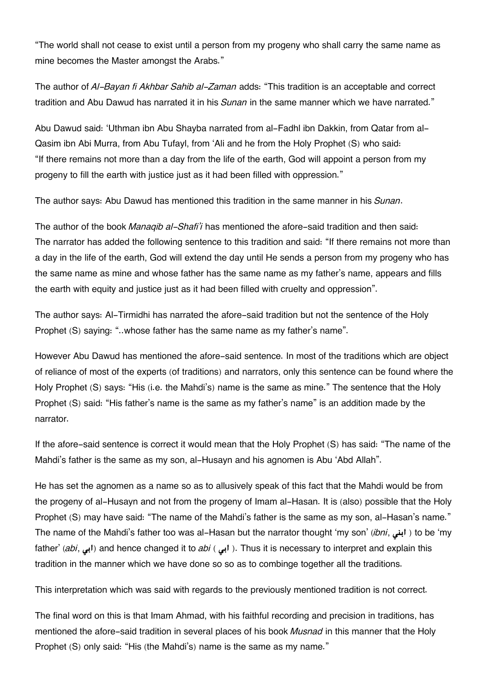"The world shall not cease to exist until a person from my progeny who shall carry the same name as mine becomes the Master amongst the Arabs."

The author of *Al-Bayan fi Akhbar Sahib al-Zaman* adds: "This tradition is an acceptable and correct tradition and Abu Dawud has narrated it in his *Sunan* in the same manner which we have narrated."

Abu Dawud said: 'Uthman ibn Abu Shayba narrated from al-Fadhl ibn Dakkin, from Qatar from al-Qasim ibn Abi Murra, from Abu Tufayl, from 'Ali and he from the Holy Prophet (S) who said: "If there remains not more than a day from the life of the earth, God will appoint a person from my progeny to fill the earth with justice just as it had been filled with oppression."

The author says: Abu Dawud has mentioned this tradition in the same manner in his *Sunan*.

The author of the book *Manaqib al-Shafi'i* has mentioned the afore-said tradition and then said: The narrator has added the following sentence to this tradition and said: "If there remains not more than a day in the life of the earth, God will extend the day until He sends a person from my progeny who has the same name as mine and whose father has the same name as my father's name, appears and fills the earth with equity and justice just as it had been filled with cruelty and oppression".

The author says: Al-Tirmidhi has narrated the afore-said tradition but not the sentence of the Holy Prophet (S) saying: "..whose father has the same name as my father's name".

However Abu Dawud has mentioned the afore-said sentence. In most of the traditions which are object of reliance of most of the experts (of traditions) and narrators, only this sentence can be found where the Holy Prophet (S) says: "His (i.e. the Mahdi's) name is the same as mine." The sentence that the Holy Prophet (S) said: "His father's name is the same as my father's name" is an addition made by the narrator.

If the afore-said sentence is correct it would mean that the Holy Prophet (S) has said: "The name of the Mahdi's father is the same as my son, al-Husayn and his agnomen is Abu 'Abd Allah".

He has set the agnomen as a name so as to allusively speak of this fact that the Mahdi would be from the progeny of al-Husayn and not from the progeny of Imam al-Hasan. It is (also) possible that the Holy Prophet (S) may have said: "The name of the Mahdi's father is the same as my son, al-Hasan's name." The name of the Mahdi's father too was al-Hasan but the narrator thought 'my son' (*ibni*, ابنی ) to be 'my father' (*abi*, ابی) and hence changed it to *abi* ( ابی). Thus it is necessary to interpret and explain this tradition in the manner which we have done so so as to combinge together all the traditions.

This interpretation which was said with regards to the previously mentioned tradition is not correct.

The final word on this is that Imam Ahmad, with his faithful recording and precision in traditions, has mentioned the afore-said tradition in several places of his book *Musnad* in this manner that the Holy Prophet (S) only said: "His (the Mahdi's) name is the same as my name."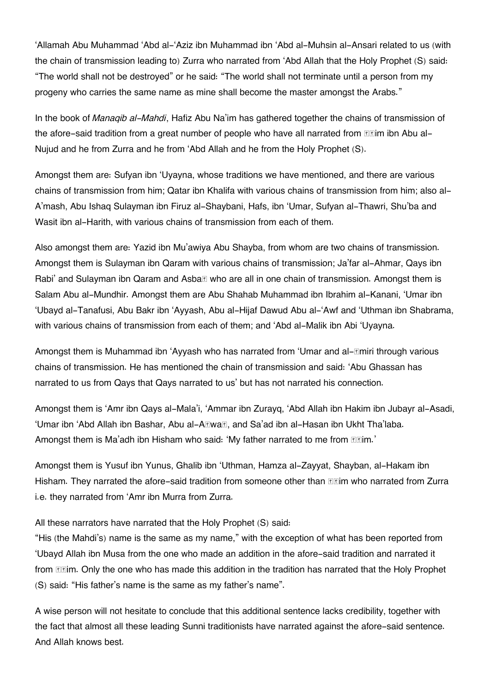'Allamah Abu Muhammad 'Abd al-'Aziz ibn Muhammad ibn 'Abd al-Muhsin al-Ansari related to us (with the chain of transmission leading to) Zurra who narrated from 'Abd Allah that the Holy Prophet (S) said: "The world shall not be destroyed" or he said: "The world shall not terminate until a person from my progeny who carries the same name as mine shall become the master amongst the Arabs."

In the book of *Manaqib al-Mahdi*, Hafiz Abu Na'im has gathered together the chains of transmission of the afore-said tradition from a great number of people who have all narrated from **Example** ibn Abu al-Nujud and he from Zurra and he from 'Abd Allah and he from the Holy Prophet (S).

Amongst them are: Sufyan ibn 'Uyayna, whose traditions we have mentioned, and there are various chains of transmission from him; Qatar ibn Khalifa with various chains of transmission from him; also al-A'mash, Abu Ishaq Sulayman ibn Firuz al-Shaybani, Hafs, ibn 'Umar, Sufyan al-Thawri, Shu'ba and Wasit ibn al-Harith, with various chains of transmission from each of them.

Also amongst them are: Yazid ibn Mu'awiya Abu Shayba, from whom are two chains of transmission. Amongst them is Sulayman ibn Qaram with various chains of transmission; Ja'far al-Ahmar, Qays ibn Rabi' and Sulayman ibn Qaram and Asba $\nabla$  who are all in one chain of transmission. Amongst them is Salam Abu al-Mundhir. Amongst them are Abu Shahab Muhammad ibn Ibrahim al-Kanani, 'Umar ibn 'Ubayd al-Tanafusi, Abu Bakr ibn 'Ayyash, Abu al-Hijaf Dawud Abu al-'Awf and 'Uthman ibn Shabrama, with various chains of transmission from each of them; and 'Abd al-Malik ibn Abi 'Uyayna.

Amongst them is Muhammad ibn 'Ayyash who has narrated from 'Umar and al-*Emiri through various* chains of transmission. He has mentioned the chain of transmission and said: 'Abu Ghassan has narrated to us from Qays that Qays narrated to us' but has not narrated his connection.

Amongst them is 'Amr ibn Qays al-Mala'i, 'Ammar ibn Zurayq, 'Abd Allah ibn Hakim ibn Jubayr al-Asadi, 'Umar ibn 'Abd Allah ibn Bashar, Abu al-ARwaR, and Sa'ad ibn al-Hasan ibn Ukht Tha'laba. Amongst them is Ma'adh ibn Hisham who said: 'My father narrated to me from **Felm.'** 

Amongst them is Yusuf ibn Yunus, Ghalib ibn 'Uthman, Hamza al-Zayyat, Shayban, al-Hakam ibn Hisham. They narrated the afore-said tradition from someone other than **Example 16** and arrated from Zurra i.e. they narrated from 'Amr ibn Murra from Zurra.

All these narrators have narrated that the Holy Prophet (S) said:

"His (the Mahdi's) name is the same as my name," with the exception of what has been reported from 'Ubayd Allah ibn Musa from the one who made an addition in the afore-said tradition and narrated it from **Example 10** from Exim. Only the one who has made this addition in the tradition has narrated that the Holy Prophet (S) said: "His father's name is the same as my father's name".

A wise person will not hesitate to conclude that this additional sentence lacks credibility, together with the fact that almost all these leading Sunni traditionists have narrated against the afore-said sentence. And Allah knows best.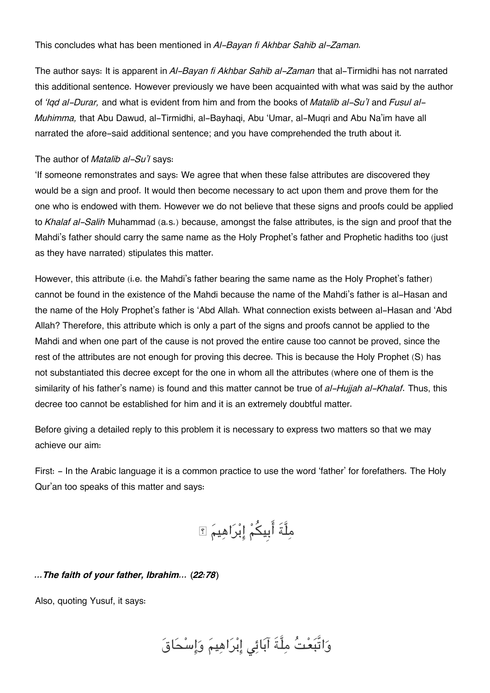#### This concludes what has been mentioned in *Al-Bayan fi Akhbar Sahib al-Zaman.*

The author says: It is apparent in *Al-Bayan fi Akhbar Sahib al-Zaman* that al-Tirmidhi has not narrated this additional sentence. However previously we have been acquainted with what was said by the author of *'Iqd al-Durar,* and what is evident from him and from the books of *Matalib al-Su'l* and *Fusul al-Muhimma,* that Abu Dawud, al-Tirmidhi, al-Bayhaqi, Abu 'Umar, al-Muqri and Abu Na'im have all narrated the afore-said additional sentence; and you have comprehended the truth about it.

#### The author of *Matalib al-Su'l* says:

'If someone remonstrates and says: We agree that when these false attributes are discovered they would be a sign and proof. It would then become necessary to act upon them and prove them for the one who is endowed with them. However we do not believe that these signs and proofs could be applied to *Khalaf al-Salih* Muhammad (a.s.) because, amongst the false attributes, is the sign and proof that the Mahdi's father should carry the same name as the Holy Prophet's father and Prophetic hadiths too (just as they have narrated) stipulates this matter.

However, this attribute (i.e. the Mahdi's father bearing the same name as the Holy Prophet's father) cannot be found in the existence of the Mahdi because the name of the Mahdi's father is al-Hasan and the name of the Holy Prophet's father is 'Abd Allah. What connection exists between al-Hasan and 'Abd Allah? Therefore, this attribute which is only a part of the signs and proofs cannot be applied to the Mahdi and when one part of the cause is not proved the entire cause too cannot be proved, since the rest of the attributes are not enough for proving this decree. This is because the Holy Prophet (S) has not substantiated this decree except for the one in whom all the attributes (where one of them is the similarity of his father's name) is found and this matter cannot be true of *al-Hujjah al-Khalaf*. Thus, this decree too cannot be established for him and it is an extremely doubtful matter.

Before giving a detailed reply to this problem it is necessary to express two matters so that we may achieve our aim:

First:  $-$  In the Arabic language it is a common practice to use the word 'father' for forefathers. The Holy Qur'an too speaks of this matter and says:

مِلَّةَ أَبِيكُمْ إِبْرَاهِيمَ ؟

#### *…The faith of your father, Ibrahim… (22:78)*

Also, quoting Yusuf, it says:

وَاتَّبَعْتُ مِلَّةَ آبَائِي إِبْرَاهِيمَ وَإِسْحَاقَ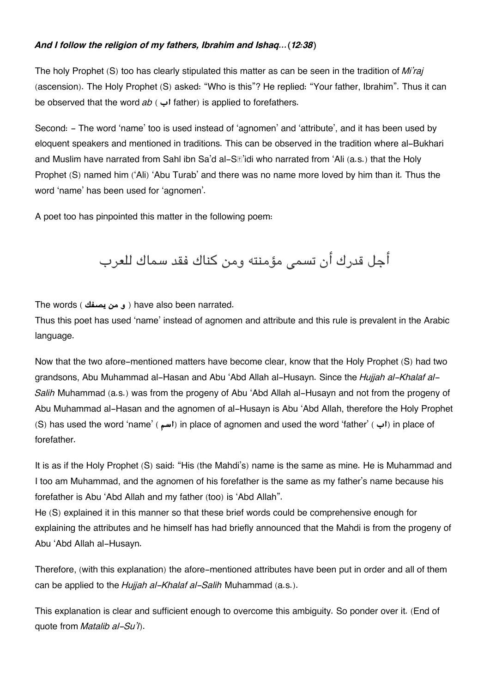#### *And I follow the religion of my fathers, Ibrahim and Ishaq…(12:38)*

The holy Prophet (S) too has clearly stipulated this matter as can be seen in the tradition of *Mi'raj* (ascension). The Holy Prophet (S) asked: "Who is this"? He replied: "Your father, Ibrahim". Thus it can be observed that the word *ab* ( **اب** father) is applied to forefathers.

Second: - The word 'name' too is used instead of 'agnomen' and 'attribute', and it has been used by eloquent speakers and mentioned in traditions. This can be observed in the tradition where al-Bukhari and Muslim have narrated from Sahl ibn Sa'd al-S**T'idi who narrated from 'Ali (a.s.)** that the Holy Prophet (S) named him ('Ali) 'Abu Turab' and there was no name more loved by him than it. Thus the word 'name' has been used for 'agnomen'.

A poet too has pinpointed this matter in the following poem:

أجل قدرك أن تسم مؤمنته ومن كناك فقد سماك للعرب

The words ( **يصفك من و** ( have also been narrated.

Thus this poet has used 'name' instead of agnomen and attribute and this rule is prevalent in the Arabic language.

Now that the two afore-mentioned matters have become clear, know that the Holy Prophet (S) had two grandsons, Abu Muhammad al-Hasan and Abu 'Abd Allah al-Husayn. Since the *Hujjah al-Khalaf al-Salih* Muhammad (a.s.) was from the progeny of Abu 'Abd Allah al-Husayn and not from the progeny of Abu Muhammad al-Hasan and the agnomen of al-Husayn is Abu 'Abd Allah, therefore the Holy Prophet (S) has used the word 'name' ( **اسم** (in place of agnomen and used the word 'father' ( **اب** (in place of forefather.

It is as if the Holy Prophet (S) said: "His (the Mahdi's) name is the same as mine. He is Muhammad and I too am Muhammad, and the agnomen of his forefather is the same as my father's name because his forefather is Abu 'Abd Allah and my father (too) is 'Abd Allah".

He (S) explained it in this manner so that these brief words could be comprehensive enough for explaining the attributes and he himself has had briefly announced that the Mahdi is from the progeny of Abu 'Abd Allah al-Husayn.

Therefore, (with this explanation) the afore-mentioned attributes have been put in order and all of them can be applied to the *Hujjah al-Khalaf al-Salih* Muhammad (a.s.).

This explanation is clear and sufficient enough to overcome this ambiguity. So ponder over it. (End of quote from *Matalib al-Su'l*).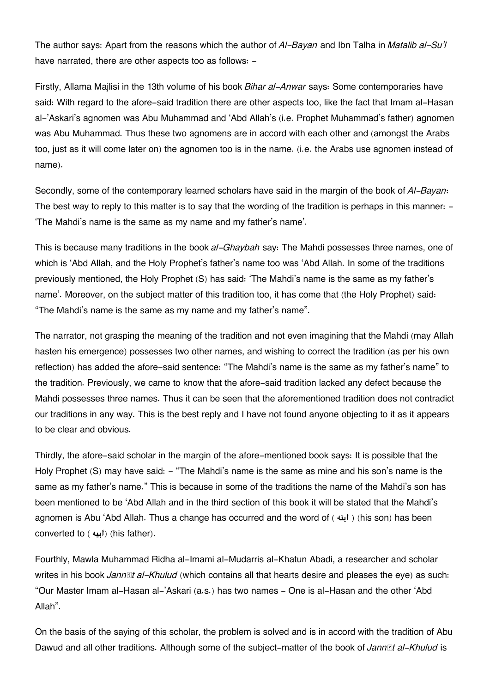The author says: Apart from the reasons which the author of *Al-Bayan* and Ibn Talha in *Matalib al-Su'l* have narrated, there are other aspects too as follows: -

Firstly, Allama Majlisi in the 13th volume of his book *Bihar al-Anwar* says: Some contemporaries have said: With regard to the afore-said tradition there are other aspects too, like the fact that Imam al-Hasan al-'Askari's agnomen was Abu Muhammad and 'Abd Allah's (i.e. Prophet Muhammad's father) agnomen was Abu Muhammad. Thus these two agnomens are in accord with each other and (amongst the Arabs too, just as it will come later on) the agnomen too is in the name. (i.e. the Arabs use agnomen instead of name).

Secondly, some of the contemporary learned scholars have said in the margin of the book of *Al-Bayan*: The best way to reply to this matter is to say that the wording of the tradition is perhaps in this manner: -'The Mahdi's name is the same as my name and my father's name'.

This is because many traditions in the book *al-Ghaybah* say: The Mahdi possesses three names, one of which is 'Abd Allah, and the Holy Prophet's father's name too was 'Abd Allah. In some of the traditions previously mentioned, the Holy Prophet (S) has said: 'The Mahdi's name is the same as my father's name'. Moreover, on the subject matter of this tradition too, it has come that (the Holy Prophet) said: "The Mahdi's name is the same as my name and my father's name".

The narrator, not grasping the meaning of the tradition and not even imagining that the Mahdi (may Allah hasten his emergence) possesses two other names, and wishing to correct the tradition (as per his own reflection) has added the afore-said sentence: "The Mahdi's name is the same as my father's name" to the tradition. Previously, we came to know that the afore-said tradition lacked any defect because the Mahdi possesses three names. Thus it can be seen that the aforementioned tradition does not contradict our traditions in any way. This is the best reply and I have not found anyone objecting to it as it appears to be clear and obvious.

Thirdly, the afore-said scholar in the margin of the afore-mentioned book says: It is possible that the Holy Prophet (S) may have said: - "The Mahdi's name is the same as mine and his son's name is the same as my father's name." This is because in some of the traditions the name of the Mahdi's son has been mentioned to be 'Abd Allah and in the third section of this book it will be stated that the Mahdi's agnomen is Abu 'Abd Allah. Thus a change has occurred and the word of ( **ابنه**) ( his son) has been converted to ( **ابيه**) (his father).

Fourthly, Mawla Muhammad Ridha al-Imami al-Mudarris al-Khatun Abadi, a researcher and scholar writes in his book *Jannāt al-Khulud* (which contains all that hearts desire and pleases the eye) as such: "Our Master Imam al-Hasan al-'Askari (a.s.) has two names - One is al-Hasan and the other 'Abd Allah".

On the basis of the saying of this scholar, the problem is solved and is in accord with the tradition of Abu Dawud and all other traditions. Although some of the subject-matter of the book of *Jannāt al-Khulud* is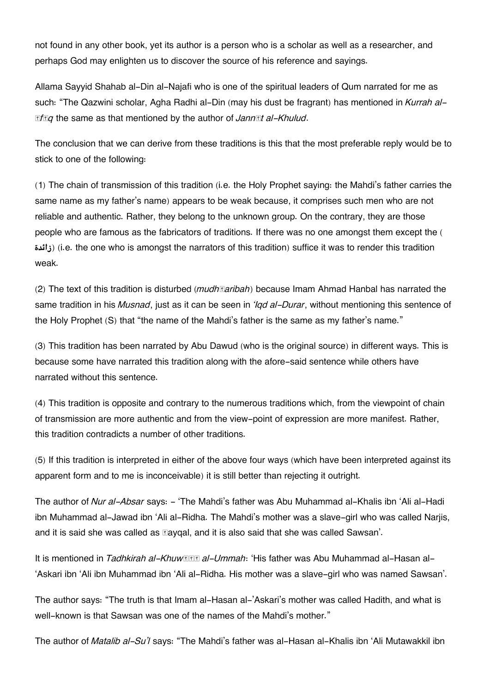not found in any other book, yet its author is a person who is a scholar as well as a researcher, and perhaps God may enlighten us to discover the source of his reference and sayings.

Allama Sayyid Shahab al-Din al-Najafi who is one of the spiritual leaders of Qum narrated for me as such: "The Qazwini scholar, Agha Radhi al-Din (may his dust be fragrant) has mentioned in *Kurrah al-Āfāq* the same as that mentioned by the author of *Jannāt al-Khulud*.

The conclusion that we can derive from these traditions is this that the most preferable reply would be to stick to one of the following:

(1) The chain of transmission of this tradition (i.e. the Holy Prophet saying: the Mahdi's father carries the same name as my father's name) appears to be weak because, it comprises such men who are not reliable and authentic. Rather, they belong to the unknown group. On the contrary, they are those people who are famous as the fabricators of traditions. If there was no one amongst them except the ( **زائدة**) (i.e. the one who is amongst the narrators of this tradition) suffice it was to render this tradition weak.

(2) The text of this tradition is disturbed (*mudhṭaribah*) because Imam Ahmad Hanbal has narrated the same tradition in his *Musnad*, just as it can be seen in *'Iqd al-Durar*, without mentioning this sentence of the Holy Prophet (S) that "the name of the Mahdi's father is the same as my father's name."

(3) This tradition has been narrated by Abu Dawud (who is the original source) in different ways. This is because some have narrated this tradition along with the afore-said sentence while others have narrated without this sentence.

(4) This tradition is opposite and contrary to the numerous traditions which, from the viewpoint of chain of transmission are more authentic and from the view-point of expression are more manifest. Rather, this tradition contradicts a number of other traditions.

(5) If this tradition is interpreted in either of the above four ways (which have been interpreted against its apparent form and to me is inconceivable) it is still better than rejecting it outright.

The author of *Nur al-Absar* says: - 'The Mahdi's father was Abu Muhammad al-Khalis ibn 'Ali al-Hadi ibn Muhammad al-Jawad ibn 'Ali al-Ridha. The Mahdi's mother was a slave-girl who was called Narjis, and it is said she was called as **Eaygal**, and it is also said that she was called Sawsan'.

It is mentioned in *Tadhkirah al-Khuwnnah: 'His father was Abu Muhammad al-Hasan al-*'Askari ibn 'Ali ibn Muhammad ibn 'Ali al-Ridha. His mother was a slave-girl who was named Sawsan'.

The author says: "The truth is that Imam al-Hasan al-'Askari's mother was called Hadith, and what is well-known is that Sawsan was one of the names of the Mahdi's mother."

The author of *Matalib al-Su'l* says: "The Mahdi's father was al-Hasan al-Khalis ibn 'Ali Mutawakkil ibn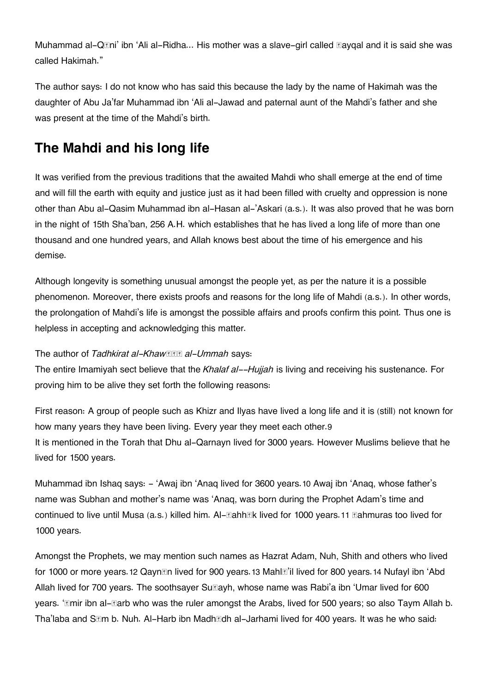Muhammad al-Q*I***ni'** ibn 'Ali al-Ridha... His mother was a slave-girl called **Elaygal and it is said she was** called Hakimah."

The author says: I do not know who has said this because the lady by the name of Hakimah was the daughter of Abu Ja'far Muhammad ibn 'Ali al-Jawad and paternal aunt of the Mahdi's father and she was present at the time of the Mahdi's birth.

## **[The Mahdi and his long life](#page--1-0)**

It was verified from the previous traditions that the awaited Mahdi who shall emerge at the end of time and will fill the earth with equity and justice just as it had been filled with cruelty and oppression is none other than Abu al-Qasim Muhammad ibn al-Hasan al-'Askari (a.s.). It was also proved that he was born in the night of 15th Sha'ban, 256 A.H. which establishes that he has lived a long life of more than one thousand and one hundred years, and Allah knows best about the time of his emergence and his demise.

Although longevity is something unusual amongst the people yet, as per the nature it is a possible phenomenon. Moreover, there exists proofs and reasons for the long life of Mahdi (a.s.). In other words, the prolongation of Mahdi's life is amongst the possible affairs and proofs confirm this point. Thus one is helpless in accepting and acknowledging this matter.

#### **The author of** *Tadhkirat al-Khaw***<b>s** al-Ummah says:

The entire Imamiyah sect believe that the *Khalaf al--Hujjah* is living and receiving his sustenance. For proving him to be alive they set forth the following reasons:

First reason: A group of people such as Khizr and Ilyas have lived a long life and it is (still) not known for how many years they have been living. Every year they meet each other.[9](#page--1-0) It is mentioned in the Torah that Dhu al-Qarnayn lived for 3000 years. However Muslims believe that he lived for 1500 years.

Muhammad ibn Ishaq says: - 'Awaj ibn 'Anaq lived for 3600 years.[10](#page--1-0) Awaj ibn 'Anaq, whose father's name was Subhan and mother's name was 'Anaq, was born during the Prophet Adam's time and continued to live until Musa (a.s.) killed him. Al-*Lahh***Ek lived for 1000 years.[11](#page--1-0) Lahmuras** too lived for 1000 years.

Amongst the Prophets, we may mention such names as Hazrat Adam, Nuh, Shith and others who lived for 1000 or more years.[12](#page--1-0) Qayn*n* lived for 900 years.[13](#page--1-0) Mahl**om** lived for 800 years.[14](#page--1-0) Nufayl ibn 'Abd Allah lived for 700 years. The soothsayer Su $\boxdot$ ayh, whose name was Rabi'a ibn 'Umar lived for 600 years. '*Emir ibn al-Earb who was the ruler amongst the Arabs, lived for 500 years; so also Taym Allah b.* Tha'laba and Sām b. Nuh. Al-Harb ibn Madhādh al-Jarhami lived for 400 years. It was he who said: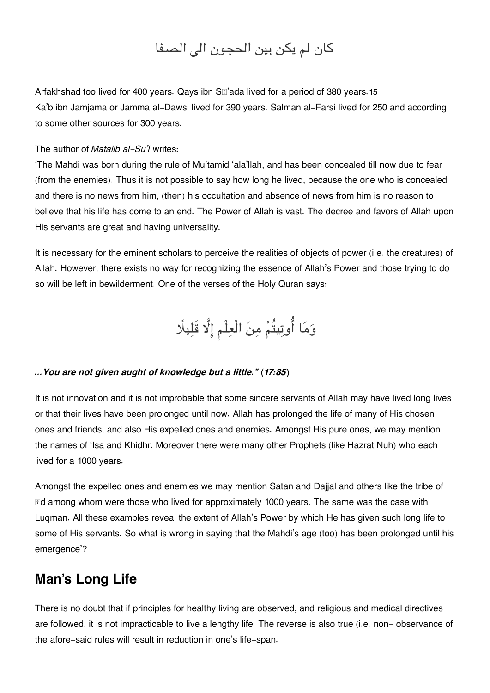## كان لم يكن بين الحجون الى الصفا

Arfakhshad too lived for 400 years. Qays ibn  $S\mathbb{Z}$  ada lived for a period of 380 years.[15](#page--1-0) Ka'b ibn Jamjama or Jamma al-Dawsi lived for 390 years. Salman al-Farsi lived for 250 and according to some other sources for 300 years.

#### The author of *Matalib al-Su'l* writes:

'The Mahdi was born during the rule of Mu'tamid 'ala'llah, and has been concealed till now due to fear (from the enemies). Thus it is not possible to say how long he lived, because the one who is concealed and there is no news from him, (then) his occultation and absence of news from him is no reason to believe that his life has come to an end. The Power of Allah is vast. The decree and favors of Allah upon His servants are great and having universality.

It is necessary for the eminent scholars to perceive the realities of objects of power (i.e. the creatures) of Allah. However, there exists no way for recognizing the essence of Allah's Power and those trying to do so will be left in bewilderment. One of the verses of the Holy Quran says:

# وَمَا أُوتِيتُمْ مِنَ الْعِلْمِ إِلَّا قَلِيلًا

#### *…You are not given aught of knowledge but a little." (17:85)*

It is not innovation and it is not improbable that some sincere servants of Allah may have lived long lives or that their lives have been prolonged until now. Allah has prolonged the life of many of His chosen ones and friends, and also His expelled ones and enemies. Amongst His pure ones, we may mention the names of 'Isa and Khidhr. Moreover there were many other Prophets (like Hazrat Nuh) who each lived for a 1000 years.

Amongst the expelled ones and enemies we may mention Satan and Dajjal and others like the tribe of  $E$ d among whom were those who lived for approximately 1000 years. The same was the case with Luqman. All these examples reveal the extent of Allah's Power by which He has given such long life to some of His servants. So what is wrong in saying that the Mahdi's age (too) has been prolonged until his emergence'?

## **[Man's Long Life](#page--1-0)**

There is no doubt that if principles for healthy living are observed, and religious and medical directives are followed, it is not impracticable to live a lengthy life. The reverse is also true (i.e. non- observance of the afore-said rules will result in reduction in one's life-span.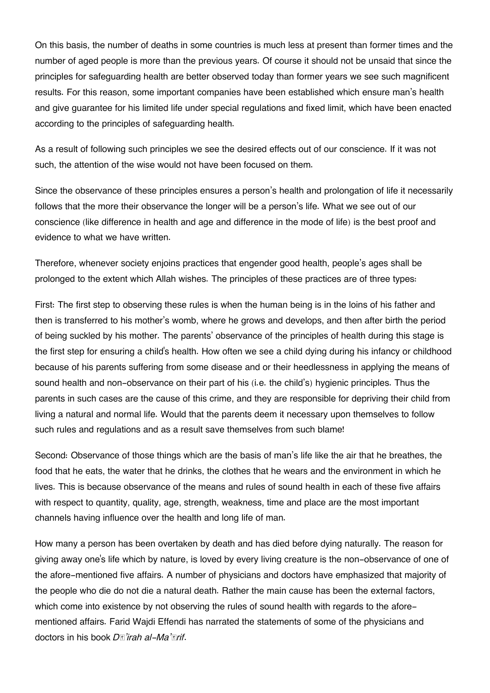On this basis, the number of deaths in some countries is much less at present than former times and the number of aged people is more than the previous years. Of course it should not be unsaid that since the principles for safeguarding health are better observed today than former years we see such magnificent results. For this reason, some important companies have been established which ensure man's health and give guarantee for his limited life under special regulations and fixed limit, which have been enacted according to the principles of safeguarding health.

As a result of following such principles we see the desired effects out of our conscience. If it was not such, the attention of the wise would not have been focused on them.

Since the observance of these principles ensures a person's health and prolongation of life it necessarily follows that the more their observance the longer will be a person's life. What we see out of our conscience (like difference in health and age and difference in the mode of life) is the best proof and evidence to what we have written.

Therefore, whenever society enjoins practices that engender good health, people's ages shall be prolonged to the extent which Allah wishes. The principles of these practices are of three types:

First: The first step to observing these rules is when the human being is in the loins of his father and then is transferred to his mother's womb, where he grows and develops, and then after birth the period of being suckled by his mother. The parents' observance of the principles of health during this stage is the first step for ensuring a child's health. How often we see a child dying during his infancy or childhood because of his parents suffering from some disease and or their heedlessness in applying the means of sound health and non-observance on their part of his (i.e. the child's) hygienic principles. Thus the parents in such cases are the cause of this crime, and they are responsible for depriving their child from living a natural and normal life. Would that the parents deem it necessary upon themselves to follow such rules and regulations and as a result save themselves from such blame!

Second: Observance of those things which are the basis of man's life like the air that he breathes, the food that he eats, the water that he drinks, the clothes that he wears and the environment in which he lives. This is because observance of the means and rules of sound health in each of these five affairs with respect to quantity, quality, age, strength, weakness, time and place are the most important channels having influence over the health and long life of man.

How many a person has been overtaken by death and has died before dying naturally. The reason for giving away one's life which by nature, is loved by every living creature is the non-observance of one of the afore-mentioned five affairs. A number of physicians and doctors have emphasized that majority of the people who die do not die a natural death. Rather the main cause has been the external factors, which come into existence by not observing the rules of sound health with regards to the aforementioned affairs. Farid Wajdi Effendi has narrated the statements of some of the physicians and doctors in his book *Dā'irah al-Ma'ārif*.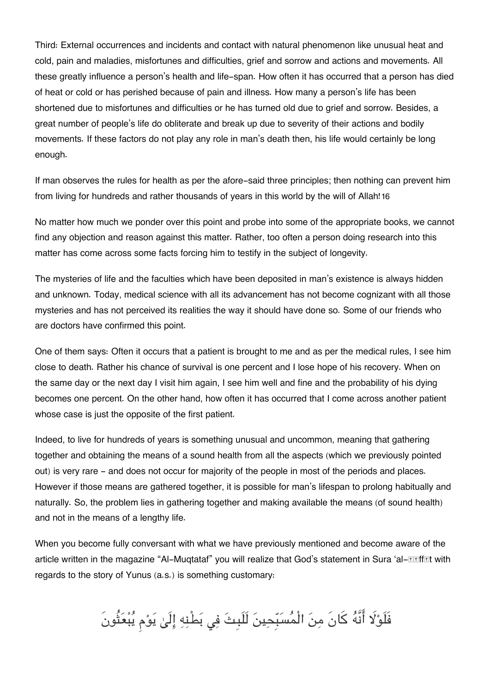Third: External occurrences and incidents and contact with natural phenomenon like unusual heat and cold, pain and maladies, misfortunes and difficulties, grief and sorrow and actions and movements. All these greatly influence a person's health and life-span. How often it has occurred that a person has died of heat or cold or has perished because of pain and illness. How many a person's life has been shortened due to misfortunes and difficulties or he has turned old due to grief and sorrow. Besides, a great number of people's life do obliterate and break up due to severity of their actions and bodily movements. If these factors do not play any role in man's death then, his life would certainly be long enough.

If man observes the rules for health as per the afore-said three principles; then nothing can prevent him from living for hundreds and rather thousands of years in this world by the will of Allah![16](#page--1-0)

No matter how much we ponder over this point and probe into some of the appropriate books, we cannot find any objection and reason against this matter. Rather, too often a person doing research into this matter has come across some facts forcing him to testify in the subject of longevity.

The mysteries of life and the faculties which have been deposited in man's existence is always hidden and unknown. Today, medical science with all its advancement has not become cognizant with all those mysteries and has not perceived its realities the way it should have done so. Some of our friends who are doctors have confirmed this point.

One of them says: Often it occurs that a patient is brought to me and as per the medical rules, I see him close to death. Rather his chance of survival is one percent and I lose hope of his recovery. When on the same day or the next day I visit him again, I see him well and fine and the probability of his dying becomes one percent. On the other hand, how often it has occurred that I come across another patient whose case is just the opposite of the first patient.

Indeed, to live for hundreds of years is something unusual and uncommon, meaning that gathering together and obtaining the means of a sound health from all the aspects (which we previously pointed out) is very rare - and does not occur for majority of the people in most of the periods and places. However if those means are gathered together, it is possible for man's lifespan to prolong habitually and naturally. So, the problem lies in gathering together and making available the means (of sound health) and not in the means of a lengthy life.

When you become fully conversant with what we have previously mentioned and become aware of the article written in the magazine "Al-Muqtataf" you will realize that God's statement in Sura 'al-<br> **Sum** with regards to the story of Yunus (a.s.) is something customary:

فَلَوْلَا أَنَّهُ كَانَ مِنَ الْمُسَبِّحِينَ لَلَبِثَ فِي بَطْنِهِ إِلَىٰ يَوْمِ يُبْعَثُونَ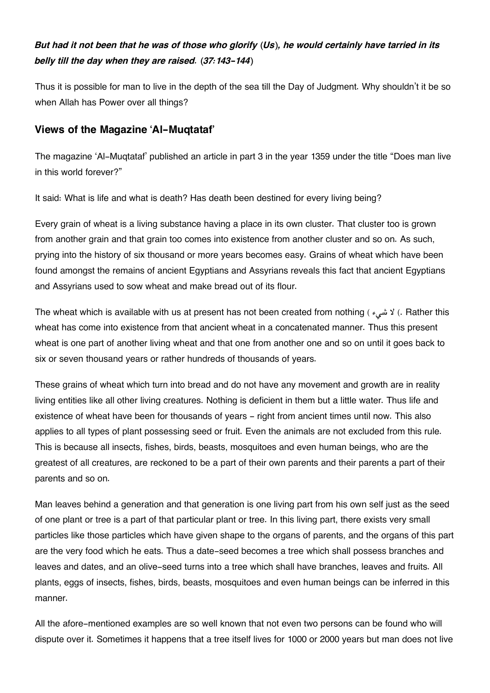## *But had it not been that he was of those who glorify (Us), he would certainly have tarried in its belly till the day when they are raised. (37:143-144)*

Thus it is possible for man to live in the depth of the sea till the Day of Judgment. Why shouldn't it be so when Allah has Power over all things?

## **[Views of the Magazine 'Al-Muqtataf'](#page--1-0)**

The magazine 'Al-Muqtataf' published an article in part 3 in the year 1359 under the title "Does man live in this world forever?"

It said: What is life and what is death? Has death been destined for every living being?

Every grain of wheat is a living substance having a place in its own cluster. That cluster too is grown from another grain and that grain too comes into existence from another cluster and so on. As such, prying into the history of six thousand or more years becomes easy. Grains of wheat which have been found amongst the remains of ancient Egyptians and Assyrians reveals this fact that ancient Egyptians and Assyrians used to sow wheat and make bread out of its flour.

The wheat which is available with us at present has not been created from nothing ( $\epsilon$ شیء) (. Rather this wheat has come into existence from that ancient wheat in a concatenated manner. Thus this present wheat is one part of another living wheat and that one from another one and so on until it goes back to six or seven thousand years or rather hundreds of thousands of years.

These grains of wheat which turn into bread and do not have any movement and growth are in reality living entities like all other living creatures. Nothing is deficient in them but a little water. Thus life and existence of wheat have been for thousands of years – right from ancient times until now. This also applies to all types of plant possessing seed or fruit. Even the animals are not excluded from this rule. This is because all insects, fishes, birds, beasts, mosquitoes and even human beings, who are the greatest of all creatures, are reckoned to be a part of their own parents and their parents a part of their parents and so on.

Man leaves behind a generation and that generation is one living part from his own self just as the seed of one plant or tree is a part of that particular plant or tree. In this living part, there exists very small particles like those particles which have given shape to the organs of parents, and the organs of this part are the very food which he eats. Thus a date-seed becomes a tree which shall possess branches and leaves and dates, and an olive-seed turns into a tree which shall have branches, leaves and fruits. All plants, eggs of insects, fishes, birds, beasts, mosquitoes and even human beings can be inferred in this manner.

All the afore-mentioned examples are so well known that not even two persons can be found who will dispute over it. Sometimes it happens that a tree itself lives for 1000 or 2000 years but man does not live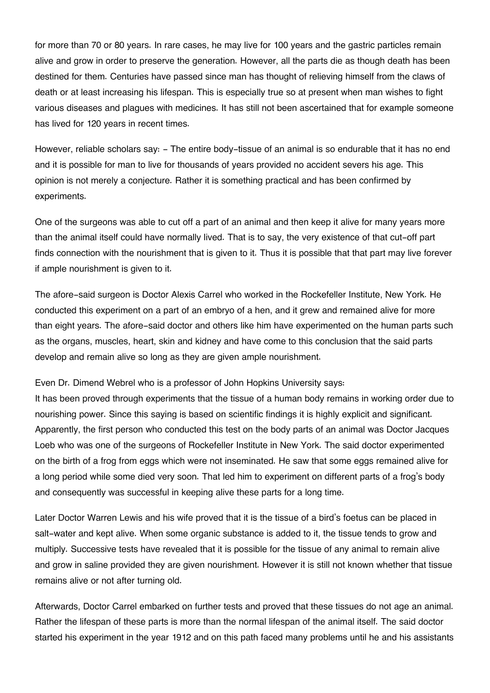for more than 70 or 80 years. In rare cases, he may live for 100 years and the gastric particles remain alive and grow in order to preserve the generation. However, all the parts die as though death has been destined for them. Centuries have passed since man has thought of relieving himself from the claws of death or at least increasing his lifespan. This is especially true so at present when man wishes to fight various diseases and plagues with medicines. It has still not been ascertained that for example someone has lived for 120 years in recent times.

However, reliable scholars say: - The entire body-tissue of an animal is so endurable that it has no end and it is possible for man to live for thousands of years provided no accident severs his age. This opinion is not merely a conjecture. Rather it is something practical and has been confirmed by experiments.

One of the surgeons was able to cut off a part of an animal and then keep it alive for many years more than the animal itself could have normally lived. That is to say, the very existence of that cut-off part finds connection with the nourishment that is given to it. Thus it is possible that that part may live forever if ample nourishment is given to it.

The afore-said surgeon is Doctor Alexis Carrel who worked in the Rockefeller Institute, New York. He conducted this experiment on a part of an embryo of a hen, and it grew and remained alive for more than eight years. The afore-said doctor and others like him have experimented on the human parts such as the organs, muscles, heart, skin and kidney and have come to this conclusion that the said parts develop and remain alive so long as they are given ample nourishment.

Even Dr. Dimend Webrel who is a professor of John Hopkins University says:

It has been proved through experiments that the tissue of a human body remains in working order due to nourishing power. Since this saying is based on scientific findings it is highly explicit and significant. Apparently, the first person who conducted this test on the body parts of an animal was Doctor Jacques Loeb who was one of the surgeons of Rockefeller Institute in New York. The said doctor experimented on the birth of a frog from eggs which were not inseminated. He saw that some eggs remained alive for a long period while some died very soon. That led him to experiment on different parts of a frog's body and consequently was successful in keeping alive these parts for a long time.

Later Doctor Warren Lewis and his wife proved that it is the tissue of a bird's foetus can be placed in salt-water and kept alive. When some organic substance is added to it, the tissue tends to grow and multiply. Successive tests have revealed that it is possible for the tissue of any animal to remain alive and grow in saline provided they are given nourishment. However it is still not known whether that tissue remains alive or not after turning old.

Afterwards, Doctor Carrel embarked on further tests and proved that these tissues do not age an animal. Rather the lifespan of these parts is more than the normal lifespan of the animal itself. The said doctor started his experiment in the year 1912 and on this path faced many problems until he and his assistants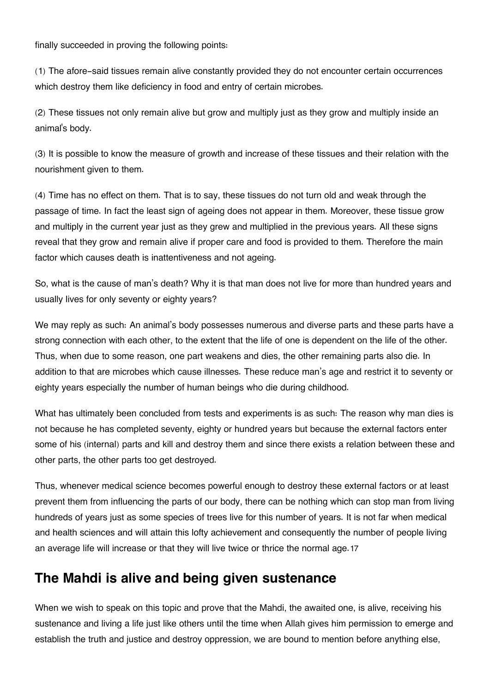finally succeeded in proving the following points:

(1) The afore-said tissues remain alive constantly provided they do not encounter certain occurrences which destroy them like deficiency in food and entry of certain microbes.

(2) These tissues not only remain alive but grow and multiply just as they grow and multiply inside an animal's body.

(3) It is possible to know the measure of growth and increase of these tissues and their relation with the nourishment given to them.

(4) Time has no effect on them. That is to say, these tissues do not turn old and weak through the passage of time. In fact the least sign of ageing does not appear in them. Moreover, these tissue grow and multiply in the current year just as they grew and multiplied in the previous years. All these signs reveal that they grow and remain alive if proper care and food is provided to them. Therefore the main factor which causes death is inattentiveness and not ageing.

So, what is the cause of man's death? Why it is that man does not live for more than hundred years and usually lives for only seventy or eighty years?

We may reply as such: An animal's body possesses numerous and diverse parts and these parts have a strong connection with each other, to the extent that the life of one is dependent on the life of the other. Thus, when due to some reason, one part weakens and dies, the other remaining parts also die. In addition to that are microbes which cause illnesses. These reduce man's age and restrict it to seventy or eighty years especially the number of human beings who die during childhood.

What has ultimately been concluded from tests and experiments is as such: The reason why man dies is not because he has completed seventy, eighty or hundred years but because the external factors enter some of his (internal) parts and kill and destroy them and since there exists a relation between these and other parts, the other parts too get destroyed.

Thus, whenever medical science becomes powerful enough to destroy these external factors or at least prevent them from influencing the parts of our body, there can be nothing which can stop man from living hundreds of years just as some species of trees live for this number of years. It is not far when medical and health sciences and will attain this lofty achievement and consequently the number of people living an average life will increase or that they will live twice or thrice the normal age.[17](#page--1-0)

# **[The Mahdi is alive and being given sustenance](#page--1-0)**

When we wish to speak on this topic and prove that the Mahdi, the awaited one, is alive, receiving his sustenance and living a life just like others until the time when Allah gives him permission to emerge and establish the truth and justice and destroy oppression, we are bound to mention before anything else,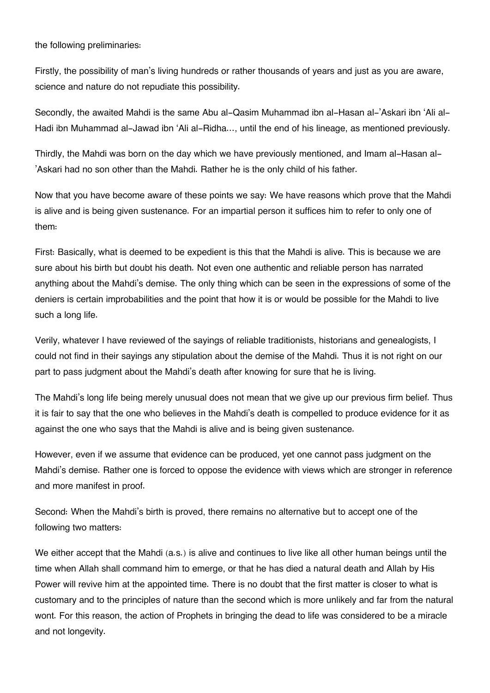the following preliminaries:

Firstly, the possibility of man's living hundreds or rather thousands of years and just as you are aware, science and nature do not repudiate this possibility.

Secondly, the awaited Mahdi is the same Abu al-Qasim Muhammad ibn al-Hasan al-'Askari ibn 'Ali al-Hadi ibn Muhammad al-Jawad ibn 'Ali al-Ridha…, until the end of his lineage, as mentioned previously.

Thirdly, the Mahdi was born on the day which we have previously mentioned, and Imam al-Hasan al- 'Askari had no son other than the Mahdi. Rather he is the only child of his father.

Now that you have become aware of these points we say: We have reasons which prove that the Mahdi is alive and is being given sustenance. For an impartial person it suffices him to refer to only one of them:

First: Basically, what is deemed to be expedient is this that the Mahdi is alive. This is because we are sure about his birth but doubt his death. Not even one authentic and reliable person has narrated anything about the Mahdi's demise. The only thing which can be seen in the expressions of some of the deniers is certain improbabilities and the point that how it is or would be possible for the Mahdi to live such a long life.

Verily, whatever I have reviewed of the sayings of reliable traditionists, historians and genealogists, I could not find in their sayings any stipulation about the demise of the Mahdi. Thus it is not right on our part to pass judgment about the Mahdi's death after knowing for sure that he is living.

The Mahdi's long life being merely unusual does not mean that we give up our previous firm belief. Thus it is fair to say that the one who believes in the Mahdi's death is compelled to produce evidence for it as against the one who says that the Mahdi is alive and is being given sustenance.

However, even if we assume that evidence can be produced, yet one cannot pass judgment on the Mahdi's demise. Rather one is forced to oppose the evidence with views which are stronger in reference and more manifest in proof.

Second: When the Mahdi's birth is proved, there remains no alternative but to accept one of the following two matters:

We either accept that the Mahdi (a.s.) is alive and continues to live like all other human beings until the time when Allah shall command him to emerge, or that he has died a natural death and Allah by His Power will revive him at the appointed time. There is no doubt that the first matter is closer to what is customary and to the principles of nature than the second which is more unlikely and far from the natural wont. For this reason, the action of Prophets in bringing the dead to life was considered to be a miracle and not longevity.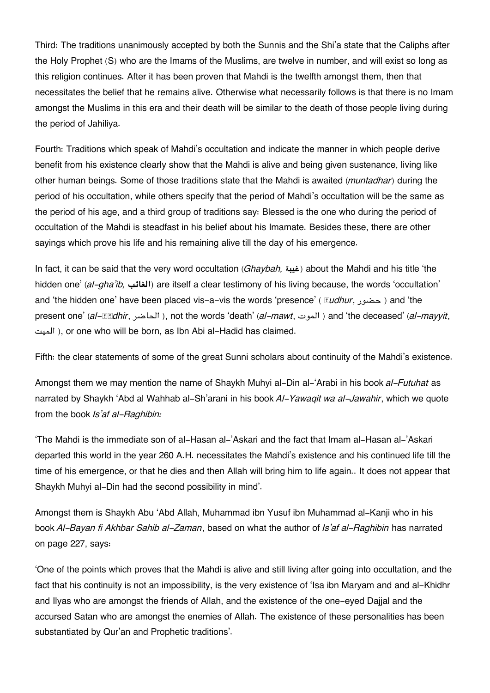Third: The traditions unanimously accepted by both the Sunnis and the Shi'a state that the Caliphs after the Holy Prophet (S) who are the Imams of the Muslims, are twelve in number, and will exist so long as this religion continues. After it has been proven that Mahdi is the twelfth amongst them, then that necessitates the belief that he remains alive. Otherwise what necessarily follows is that there is no Imam amongst the Muslims in this era and their death will be similar to the death of those people living during the period of Jahiliya.

Fourth: Traditions which speak of Mahdi's occultation and indicate the manner in which people derive benefit from his existence clearly show that the Mahdi is alive and being given sustenance, living like other human beings. Some of those traditions state that the Mahdi is awaited (*muntadhar*) during the period of his occultation, while others specify that the period of Mahdi's occultation will be the same as the period of his age, and a third group of traditions say: Blessed is the one who during the period of occultation of the Mahdi is steadfast in his belief about his Imamate. Besides these, there are other sayings which prove his life and his remaining alive till the day of his emergence.

In fact, it can be said that the very word occultation (*Ghaybah,* **غيبة** (about the Mahdi and his title 'the hidden one' (*al-gha'ib,* **الغائب** (are itself a clear testimony of his living because, the words 'occultation' and 'the hidden one' have been placed vis-a-vis the words 'presence' ( *kudhur*, حضور ) and 'the present one' (*al-***hadhir, الحاضر), not the words 'death' (***al-mawt***, الموت) and 'the deceased' (***al-mayyit***,** الميت), or one who will be born, as Ibn Abi al-Hadid has claimed.

Fifth: the clear statements of some of the great Sunni scholars about continuity of the Mahdi's existence.

Amongst them we may mention the name of Shaykh Muhyi al-Din al-'Arabi in his book *al-Futuhat* as narrated by Shaykh 'Abd al Wahhab al-Sh'arani in his book *Al-Yawaqit wa al-Jawahir*, which we quote from the book *Is'af al-Raghibin:*

'The Mahdi is the immediate son of al-Hasan al-'Askari and the fact that Imam al-Hasan al-'Askari departed this world in the year 260 A.H. necessitates the Mahdi's existence and his continued life till the time of his emergence, or that he dies and then Allah will bring him to life again.. It does not appear that Shaykh Muhyi al-Din had the second possibility in mind'.

Amongst them is Shaykh Abu 'Abd Allah, Muhammad ibn Yusuf ibn Muhammad al-Kanji who in his book *Al-Bayan fi Akhbar Sahib al-Zaman*, based on what the author of *Is'af al-Raghibin* has narrated on page 227, says:

'One of the points which proves that the Mahdi is alive and still living after going into occultation, and the fact that his continuity is not an impossibility, is the very existence of 'Isa ibn Maryam and and al-Khidhr and Ilyas who are amongst the friends of Allah, and the existence of the one-eyed Dajjal and the accursed Satan who are amongst the enemies of Allah. The existence of these personalities has been substantiated by Qur'an and Prophetic traditions'.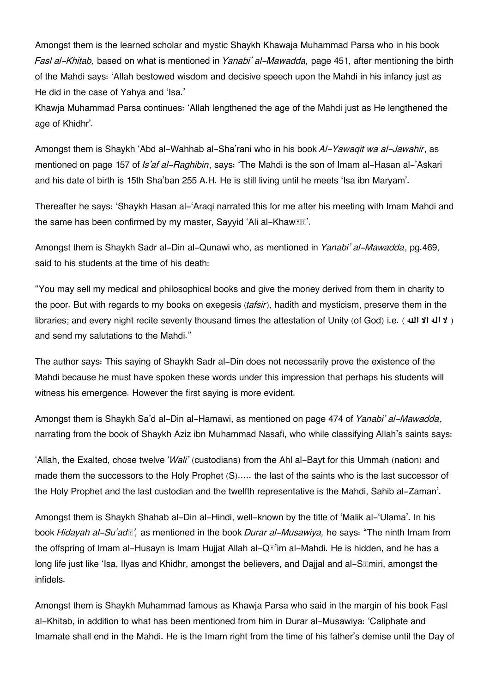Amongst them is the learned scholar and mystic Shaykh Khawaja Muhammad Parsa who in his book *Fasl al-Khitab,* based on what is mentioned in *Yanabi' al-Mawadda,* page 451, after mentioning the birth of the Mahdi says: 'Allah bestowed wisdom and decisive speech upon the Mahdi in his infancy just as He did in the case of Yahya and 'Isa.'

Khawja Muhammad Parsa continues: 'Allah lengthened the age of the Mahdi just as He lengthened the age of Khidhr'.

Amongst them is Shaykh 'Abd al-Wahhab al-Sha'rani who in his book *Al-Yawaqit wa al-Jawahir*, as mentioned on page 157 of *Is'af al-Raghibin*, says: 'The Mahdi is the son of Imam al-Hasan al-'Askari and his date of birth is 15th Sha'ban 255 A.H. He is still living until he meets 'Isa ibn Maryam'.

Thereafter he says: 'Shaykh Hasan al-'Araqi narrated this for me after his meeting with Imam Mahdi and the same has been confirmed by my master, Sayyid 'Ali al-Khaw**re**'.

Amongst them is Shaykh Sadr al-Din al-Qunawi who, as mentioned in *Yanabi' al-Mawadda*, pg.469, said to his students at the time of his death:

"You may sell my medical and philosophical books and give the money derived from them in charity to the poor. But with regards to my books on exegesis (*tafsir*), hadith and mysticism, preserve them in the libraries; and every night recite seventy thousand times the attestation of Unity (of God) i.e. ( **هال الا اله لا**( and send my salutations to the Mahdi."

The author says: This saying of Shaykh Sadr al-Din does not necessarily prove the existence of the Mahdi because he must have spoken these words under this impression that perhaps his students will witness his emergence. However the first saying is more evident.

Amongst them is Shaykh Sa'd al-Din al-Hamawi, as mentioned on page 474 of *Yanabi' al-Mawadda*, narrating from the book of Shaykh Aziz ibn Muhammad Nasafi, who while classifying Allah's saints says:

'Allah, the Exalted, chose twelve '*Wali'* (custodians) from the Ahl al-Bayt for this Ummah (nation) and made them the successors to the Holy Prophet (S)….. the last of the saints who is the last successor of the Holy Prophet and the last custodian and the twelfth representative is the Mahdi, Sahib al-Zaman'.

Amongst them is Shaykh Shahab al-Din al-Hindi, well-known by the title of 'Malik al-'Ulama'. In his book *Hidayah al-Su'adā',* as mentioned in the book *Durar al-Musawiya,* he says: "The ninth Imam from the offspring of Imam al-Husayn is Imam Hujjat Allah al-Q**I**I'im al-Mahdi. He is hidden, and he has a long life just like 'Isa, Ilyas and Khidhr, amongst the believers, and Dajjal and al-S*Emiri, amongst the* infidels.

Amongst them is Shaykh Muhammad famous as Khawja Parsa who said in the margin of his book Fasl al-Khitab, in addition to what has been mentioned from him in Durar al-Musawiya: 'Caliphate and Imamate shall end in the Mahdi. He is the Imam right from the time of his father's demise until the Day of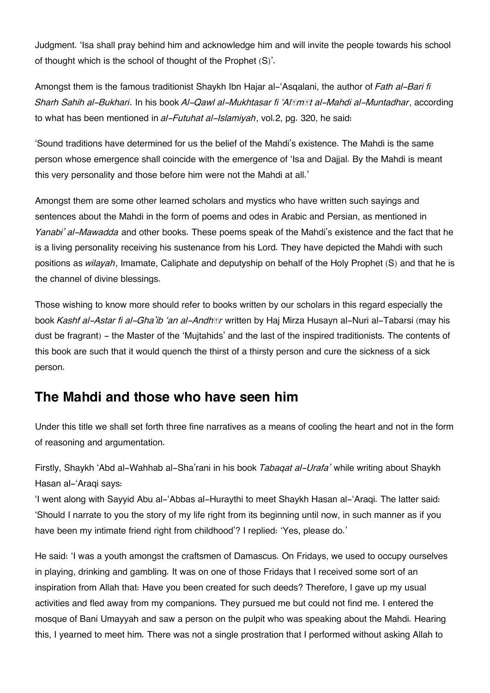Judgment. 'Isa shall pray behind him and acknowledge him and will invite the people towards his school of thought which is the school of thought of the Prophet (S)'.

Amongst them is the famous traditionist Shaykh Ibn Hajar al-'Asqalani, the author of *Fath al-Bari fi Sharh Sahih al-Bukhari*. In his book *Al-Qawl al-Mukhtasar fi 'Alāmāt al-Mahdi al-Muntadhar*, according to what has been mentioned in *al-Futuhat al-Islamiyah*, vol.2, pg. 320, he said:

'Sound traditions have determined for us the belief of the Mahdi's existence. The Mahdi is the same person whose emergence shall coincide with the emergence of 'Isa and Dajjal. By the Mahdi is meant this very personality and those before him were not the Mahdi at all.'

Amongst them are some other learned scholars and mystics who have written such sayings and sentences about the Mahdi in the form of poems and odes in Arabic and Persian, as mentioned in *Yanabi' al-Mawadda* and other books. These poems speak of the Mahdi's existence and the fact that he is a living personality receiving his sustenance from his Lord. They have depicted the Mahdi with such positions as *wilayah*, Imamate, Caliphate and deputyship on behalf of the Holy Prophet (S) and that he is the channel of divine blessings.

Those wishing to know more should refer to books written by our scholars in this regard especially the book *Kashf al-Astar fi al-Gha'ib 'an al-Andhār* written by Haj Mirza Husayn al-Nuri al-Tabarsi (may his dust be fragrant) - the Master of the 'Mujtahids' and the last of the inspired traditionists. The contents of this book are such that it would quench the thirst of a thirsty person and cure the sickness of a sick person.

# **[The Mahdi and those who have seen him](#page--1-0)**

Under this title we shall set forth three fine narratives as a means of cooling the heart and not in the form of reasoning and argumentation.

Firstly, Shaykh 'Abd al-Wahhab al-Sha'rani in his book *Tabaqat al-Urafa'* while writing about Shaykh Hasan al-'Araqi says:

'I went along with Sayyid Abu al-'Abbas al-Huraythi to meet Shaykh Hasan al-'Araqi. The latter said: 'Should I narrate to you the story of my life right from its beginning until now, in such manner as if you have been my intimate friend right from childhood'? I replied: 'Yes, please do.'

He said: 'I was a youth amongst the craftsmen of Damascus. On Fridays, we used to occupy ourselves in playing, drinking and gambling. It was on one of those Fridays that I received some sort of an inspiration from Allah that: Have you been created for such deeds? Therefore, I gave up my usual activities and fled away from my companions. They pursued me but could not find me. I entered the mosque of Bani Umayyah and saw a person on the pulpit who was speaking about the Mahdi. Hearing this, I yearned to meet him. There was not a single prostration that I performed without asking Allah to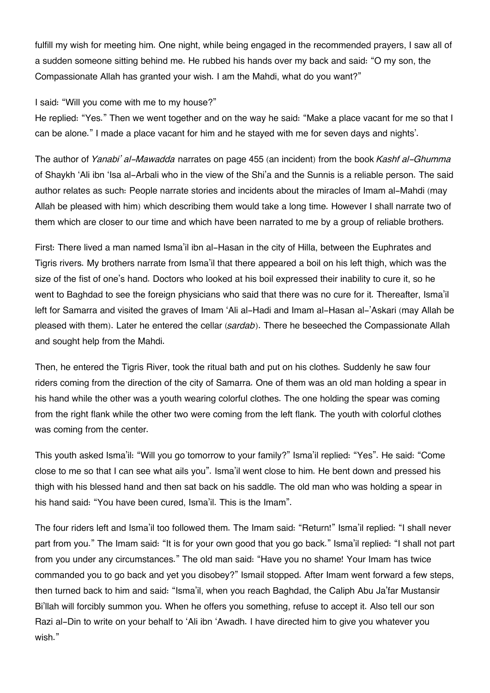fulfill my wish for meeting him. One night, while being engaged in the recommended prayers, I saw all of a sudden someone sitting behind me. He rubbed his hands over my back and said: "O my son, the Compassionate Allah has granted your wish. I am the Mahdi, what do you want?"

#### I said: "Will you come with me to my house?"

He replied: "Yes." Then we went together and on the way he said: "Make a place vacant for me so that I can be alone." I made a place vacant for him and he stayed with me for seven days and nights'.

The author of *Yanabi' al-Mawadda* narrates on page 455 (an incident) from the book *Kashf al-Ghumma* of Shaykh 'Ali ibn 'Isa al-Arbali who in the view of the Shi'a and the Sunnis is a reliable person. The said author relates as such: People narrate stories and incidents about the miracles of Imam al-Mahdi (may Allah be pleased with him) which describing them would take a long time. However I shall narrate two of them which are closer to our time and which have been narrated to me by a group of reliable brothers.

First: There lived a man named Isma'il ibn al-Hasan in the city of Hilla, between the Euphrates and Tigris rivers. My brothers narrate from Isma'il that there appeared a boil on his left thigh, which was the size of the fist of one's hand. Doctors who looked at his boil expressed their inability to cure it, so he went to Baghdad to see the foreign physicians who said that there was no cure for it. Thereafter, Isma'il left for Samarra and visited the graves of Imam 'Ali al-Hadi and Imam al-Hasan al-'Askari (may Allah be pleased with them). Later he entered the cellar (*sardab*). There he beseeched the Compassionate Allah and sought help from the Mahdi.

Then, he entered the Tigris River, took the ritual bath and put on his clothes. Suddenly he saw four riders coming from the direction of the city of Samarra. One of them was an old man holding a spear in his hand while the other was a youth wearing colorful clothes. The one holding the spear was coming from the right flank while the other two were coming from the left flank. The youth with colorful clothes was coming from the center.

This youth asked Isma'il: "Will you go tomorrow to your family?" Isma'il replied: "Yes". He said: "Come close to me so that I can see what ails you". Isma'il went close to him. He bent down and pressed his thigh with his blessed hand and then sat back on his saddle. The old man who was holding a spear in his hand said: "You have been cured, Isma'il. This is the Imam".

The four riders left and Isma'il too followed them. The Imam said: "Return!" Isma'il replied: "I shall never part from you." The Imam said: "It is for your own good that you go back." Isma'il replied: "I shall not part from you under any circumstances." The old man said: "Have you no shame! Your Imam has twice commanded you to go back and yet you disobey?" Ismail stopped. After Imam went forward a few steps, then turned back to him and said: "Isma'il, when you reach Baghdad, the Caliph Abu Ja'far Mustansir Bi'llah will forcibly summon you. When he offers you something, refuse to accept it. Also tell our son Razi al-Din to write on your behalf to 'Ali ibn 'Awadh. I have directed him to give you whatever you wish."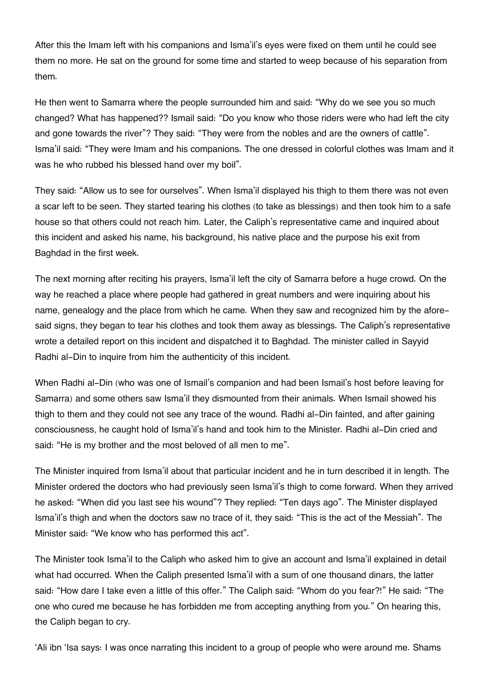After this the Imam left with his companions and Isma'il's eyes were fixed on them until he could see them no more. He sat on the ground for some time and started to weep because of his separation from them.

He then went to Samarra where the people surrounded him and said: "Why do we see you so much changed? What has happened?? Ismail said: "Do you know who those riders were who had left the city and gone towards the river"? They said: "They were from the nobles and are the owners of cattle". Isma'il said: "They were Imam and his companions. The one dressed in colorful clothes was Imam and it was he who rubbed his blessed hand over my boil".

They said: "Allow us to see for ourselves". When Isma'il displayed his thigh to them there was not even a scar left to be seen. They started tearing his clothes (to take as blessings) and then took him to a safe house so that others could not reach him. Later, the Caliph's representative came and inquired about this incident and asked his name, his background, his native place and the purpose his exit from Baghdad in the first week.

The next morning after reciting his prayers, Isma'il left the city of Samarra before a huge crowd. On the way he reached a place where people had gathered in great numbers and were inquiring about his name, genealogy and the place from which he came. When they saw and recognized him by the aforesaid signs, they began to tear his clothes and took them away as blessings. The Caliph's representative wrote a detailed report on this incident and dispatched it to Baghdad. The minister called in Sayyid Radhi al-Din to inquire from him the authenticity of this incident.

When Radhi al-Din (who was one of Ismail's companion and had been Ismail's host before leaving for Samarra) and some others saw Isma'il they dismounted from their animals. When Ismail showed his thigh to them and they could not see any trace of the wound. Radhi al-Din fainted, and after gaining consciousness, he caught hold of Isma'il's hand and took him to the Minister. Radhi al-Din cried and said: "He is my brother and the most beloved of all men to me".

The Minister inquired from Isma'il about that particular incident and he in turn described it in length. The Minister ordered the doctors who had previously seen Isma'il's thigh to come forward. When they arrived he asked: "When did you last see his wound"? They replied: "Ten days ago". The Minister displayed Isma'il's thigh and when the doctors saw no trace of it, they said: "This is the act of the Messiah". The Minister said: "We know who has performed this act".

The Minister took Isma'il to the Caliph who asked him to give an account and Isma'il explained in detail what had occurred. When the Caliph presented Isma'il with a sum of one thousand dinars, the latter said: "How dare I take even a little of this offer." The Caliph said: "Whom do you fear?!" He said: "The one who cured me because he has forbidden me from accepting anything from you." On hearing this, the Caliph began to cry.

'Ali ibn 'Isa says: I was once narrating this incident to a group of people who were around me. Shams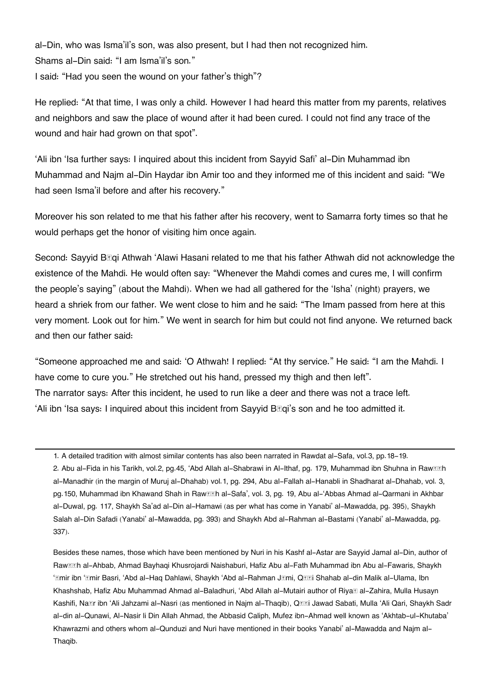al-Din, who was Isma'il's son, was also present, but I had then not recognized him. Shams al-Din said: "I am Isma'il's son." I said: "Had you seen the wound on your father's thigh"?

He replied: "At that time, I was only a child. However I had heard this matter from my parents, relatives and neighbors and saw the place of wound after it had been cured. I could not find any trace of the wound and hair had grown on that spot".

'Ali ibn 'Isa further says: I inquired about this incident from Sayyid Safi' al-Din Muhammad ibn Muhammad and Najm al-Din Haydar ibn Amir too and they informed me of this incident and said: "We had seen Isma'il before and after his recovery."

Moreover his son related to me that his father after his recovery, went to Samarra forty times so that he would perhaps get the honor of visiting him once again.

Second: Sayyid B**R**igi Athwah 'Alawi Hasani related to me that his father Athwah did not acknowledge the existence of the Mahdi. He would often say: "Whenever the Mahdi comes and cures me, I will confirm the people's saying" (about the Mahdi). When we had all gathered for the 'Isha' (night) prayers, we heard a shriek from our father. We went close to him and he said: "The Imam passed from here at this very moment. Look out for him." We went in search for him but could not find anyone. We returned back and then our father said:

"Someone approached me and said: 'O Athwah! I replied: "At thy service." He said: "I am the Mahdi. I have come to cure you." He stretched out his hand, pressed my thigh and then left". The narrator says: After this incident, he used to run like a deer and there was not a trace left. 'Ali ibn 'Isa says: I inquired about this incident from Sayyid  $B\mathbb{F}q$  son and he too admitted it.

Besides these names, those which have been mentioned by Nuri in his Kashf al-Astar are Sayyid Jamal al-Din, author of Raw**<b>EEh al-Ahbab, Ahmad Bayhagi Khusroiardi** Naishaburi, Hafiz Abu al-Fath Muhammad ibn Abu al-Fawaris, Shaykh ' $\hat{m}$ **mir ibn 'Emir Basri, 'Abd al-Haq Dahlawi, Shaykh 'Abd al-Rahman J** $\hat{m}$ **mi, Q** $\hat{m}$ **i Shahab al-din Malik al-Ulama, Ibn** Khashshab, Hafiz Abu Muhammad Ahmad al-Baladhuri, 'Abd Allah al-Mutairi author of Riya**t al-Zahira, Mulla Husayn** Kashifi, Na**tir ibn 'Ali Jahzami al-Nasri (as mentioned in Najm al-Thaqib)**, Q**titri Jawad Sabati, Mulla 'Ali Qari, Shaykh Sadr** al-din al-Qunawi, Al-Nasir li Din Allah Ahmad, the Abbasid Caliph, Mufez ibn-Ahmad well known as 'Akhtab-ul-Khutaba' Khawrazmi and others whom al-Qunduzi and Nuri have mentioned in their books Yanabi' al-Mawadda and Najm al-Thaqib.

[<sup>1.</sup>](#page--1-0) A detailed tradition with almost similar contents has also been narrated in Rawdat al-Safa, vol.3, pp.18-19. [2.](#page--1-0) Abu al-Fida in his Tarikh, vol.2, pg.45, 'Abd Allah al-Shabrawi in Al-Ithaf, pg. 179, Muhammad ibn Shuhna in Raw**teh** al-Manadhir (in the margin of Muruj al-Dhahab) vol.1, pg. 294, Abu al-Fallah al-Hanabli in Shadharat al-Dhahab, vol. 3, pg. 150, Muhammad ibn Khawand Shah in Raw**<b>I**Eh al-Safa', vol. 3, pg. 19, Abu al-'Abbas Ahmad al-Qarmani in Akhbar al-Duwal, pg. 117, Shaykh Sa'ad al-Din al-Hamawi (as per what has come in Yanabi' al-Mawadda, pg. 395), Shaykh Salah al-Din Safadi (Yanabi' al-Mawadda, pg. 393) and Shaykh Abd al-Rahman al-Bastami (Yanabi' al-Mawadda, pg. 337).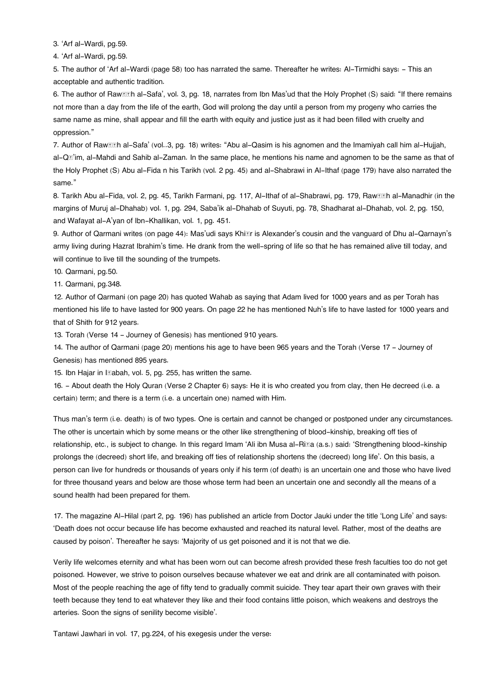[3.](#page--1-0) 'Arf al-Wardi, pg.59.

[4.](#page--1-0) 'Arf al-Wardi, pg.59.

[5.](#page--1-0) The author of 'Arf al-Wardi (page 58) too has narrated the same. Thereafter he writes: Al-Tirmidhi says: - This an acceptable and authentic tradition.

[6.](#page--1-0) The author of Raw*DEh al-Safa', vol. 3, pg. 18, narrates from Ibn Mas'ud that the Holy Prophet (S) said: "If there remains* not more than a day from the life of the earth, God will prolong the day until a person from my progeny who carries the same name as mine, shall appear and fill the earth with equity and justice just as it had been filled with cruelty and oppression."

[7.](#page--1-0) Author of Raw*D***I**h al-Safa' (vol..3, pg. 18) writes: "Abu al-Qasim is his agnomen and the Imamiyah call him al-Hujjah, al-Qā'im, al-Mahdi and Sahib al-Zaman. In the same place, he mentions his name and agnomen to be the same as that of the Holy Prophet (S) Abu al-Fida n his Tarikh (vol. 2 pg. 45) and al-Shabrawi in Al-Ithaf (page 179) have also narrated the same."

[8.](#page--1-0) Tarikh Abu al-Fida, vol. 2, pg. 45, Tarikh Farmani, pg. 117, Al-Ithaf of al-Shabrawi, pg. 179, Raw**ter al-Manadhir (in the** margins of Muruj al-Dhahab) vol. 1, pg. 294, Saba'ik al-Dhahab of Suyuti, pg. 78, Shadharat al-Dhahab, vol. 2, pg. 150, and Wafayat al-A'yan of Ibn-Khallikan, vol. 1, pg. 451.

[9.](#page--1-0) Author of Qarmani writes (on page 44): Mas'udi says Khix ris Alexander's cousin and the vanguard of Dhu al-Qarnayn's army living during Hazrat Ibrahim's time. He drank from the well-spring of life so that he has remained alive till today, and will continue to live till the sounding of the trumpets.

[10.](#page--1-0) Qarmani, pg.50.

[11.](#page--1-0) Qarmani, pg.348.

[12.](#page--1-0) Author of Qarmani (on page 20) has quoted Wahab as saying that Adam lived for 1000 years and as per Torah has mentioned his life to have lasted for 900 years. On page 22 he has mentioned Nuh's life to have lasted for 1000 years and that of Shith for 912 years.

[13.](#page--1-0) Torah (Verse 14 - Journey of Genesis) has mentioned 910 years.

[14.](#page--1-0) The author of Qarmani (page 20) mentions his age to have been 965 years and the Torah (Verse 17 - Journey of Genesis) has mentioned 895 years.

[15.](#page--1-0) Ibn Hajar in Islabah, vol. 5, pg. 255, has written the same.

[16.](#page--1-0) - About death the Holy Quran (Verse 2 Chapter 6) says: He it is who created you from clay, then He decreed (i.e. a certain) term; and there is a term (i.e. a uncertain one) named with Him.

Thus man's term (i.e. death) is of two types. One is certain and cannot be changed or postponed under any circumstances. The other is uncertain which by some means or the other like strengthening of blood-kinship, breaking off ties of relationship, etc., is subject to change. In this regard Imam 'Ali ibn Musa al-Ri $\bar{a}$  (a.s.) said: 'Strengthening blood-kinship prolongs the (decreed) short life, and breaking off ties of relationship shortens the (decreed) long life'. On this basis, a person can live for hundreds or thousands of years only if his term (of death) is an uncertain one and those who have lived for three thousand years and below are those whose term had been an uncertain one and secondly all the means of a sound health had been prepared for them.

[17.](#page--1-0) The magazine Al-Hilal (part 2, pg. 196) has published an article from Doctor Jauki under the title 'Long Life' and says: 'Death does not occur because life has become exhausted and reached its natural level. Rather, most of the deaths are caused by poison'. Thereafter he says: 'Majority of us get poisoned and it is not that we die.

Verily life welcomes eternity and what has been worn out can become afresh provided these fresh faculties too do not get poisoned. However, we strive to poison ourselves because whatever we eat and drink are all contaminated with poison. Most of the people reaching the age of fifty tend to gradually commit suicide. They tear apart their own graves with their teeth because they tend to eat whatever they like and their food contains little poison, which weakens and destroys the arteries. Soon the signs of senility become visible'.

Tantawi Jawhari in vol. 17, pg.224, of his exegesis under the verse: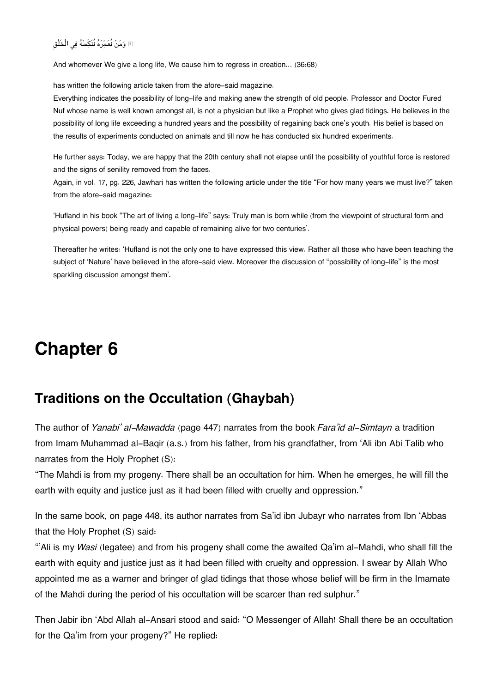### ۖ ومن نُعمره نُنَسه ف الْخَلْق

And whomever We give a long life, We cause him to regress in creation… (36:68)

has written the following article taken from the afore-said magazine.

Everything indicates the possibility of long-life and making anew the strength of old people. Professor and Doctor Fured Nuf whose name is well known amongst all, is not a physician but like a Prophet who gives glad tidings. He believes in the possibility of long life exceeding a hundred years and the possibility of regaining back one's youth. His belief is based on the results of experiments conducted on animals and till now he has conducted six hundred experiments.

He further says: Today, we are happy that the 20th century shall not elapse until the possibility of youthful force is restored and the signs of senility removed from the faces.

Again, in vol. 17, pg. 226, Jawhari has written the following article under the title "For how many years we must live?" taken from the afore-said magazine:

'Hufland in his book "The art of living a long-life" says: Truly man is born while (from the viewpoint of structural form and physical powers) being ready and capable of remaining alive for two centuries'.

Thereafter he writes: 'Hufland is not the only one to have expressed this view. Rather all those who have been teaching the subject of 'Nature' have believed in the afore-said view. Moreover the discussion of "possibility of long-life" is the most sparkling discussion amongst them'.

# **Chapter 6**

# **[Traditions on the Occultation \(Ghaybah\)](#page--1-0)**

The author of *Yanabi' al-Mawadda* (page 447) narrates from the book *Fara'id al-Simtayn* a tradition from Imam Muhammad al-Baqir (a.s.) from his father, from his grandfather, from 'Ali ibn Abi Talib who narrates from the Holy Prophet (S):

"The Mahdi is from my progeny. There shall be an occultation for him. When he emerges, he will fill the earth with equity and justice just as it had been filled with cruelty and oppression."

In the same book, on page 448, its author narrates from Sa'id ibn Jubayr who narrates from Ibn 'Abbas that the Holy Prophet (S) said:

"'Ali is my *Wasi* (legatee) and from his progeny shall come the awaited Qa'im al-Mahdi, who shall fill the earth with equity and justice just as it had been filled with cruelty and oppression. I swear by Allah Who appointed me as a warner and bringer of glad tidings that those whose belief will be firm in the Imamate of the Mahdi during the period of his occultation will be scarcer than red sulphur."

Then Jabir ibn 'Abd Allah al-Ansari stood and said: "O Messenger of Allah! Shall there be an occultation for the Qa'im from your progeny?" He replied: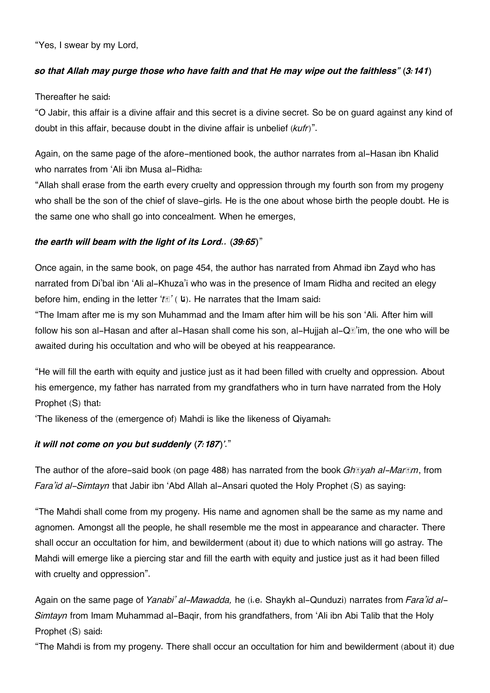"Yes, I swear by my Lord,

#### *so that Allah may purge those who have faith and that He may wipe out the faithless" (3:141)*

Thereafter he said:

"O Jabir, this affair is a divine affair and this secret is a divine secret. So be on guard against any kind of doubt in this affair, because doubt in the divine affair is unbelief (*kufr*)".

Again, on the same page of the afore-mentioned book, the author narrates from al-Hasan ibn Khalid who narrates from 'Ali ibn Musa al-Ridha:

"Allah shall erase from the earth every cruelty and oppression through my fourth son from my progeny who shall be the son of the chief of slave-girls. He is the one about whose birth the people doubt. He is the same one who shall go into concealment. When he emerges,

#### *the earth will beam with the light of its Lord.. (39:65)*"

Once again, in the same book, on page 454, the author has narrated from Ahmad ibn Zayd who has narrated from Di'bal ibn 'Ali al-Khuza'i who was in the presence of Imam Ridha and recited an elegy before him, ending in the letter '*t***s'** ( **i**). He narrates that the Imam said:

"The Imam after me is my son Muhammad and the Imam after him will be his son 'Ali. After him will follow his son al-Hasan and after al-Hasan shall come his son, al-Hujjah al-Q $\mathbb{I}^2$  im, the one who will be awaited during his occultation and who will be obeyed at his reappearance.

"He will fill the earth with equity and justice just as it had been filled with cruelty and oppression. About his emergence, my father has narrated from my grandfathers who in turn have narrated from the Holy Prophet (S) that:

'The likeness of the (emergence of) Mahdi is like the likeness of Qiyamah:

### *it will not come on you but suddenly (7:187)'*."

The author of the afore-said book (on page 488) has narrated from the book *Ghāyah al-Marām*, from *Fara'id al-Simtayn* that Jabir ibn 'Abd Allah al-Ansari quoted the Holy Prophet (S) as saying:

"The Mahdi shall come from my progeny. His name and agnomen shall be the same as my name and agnomen. Amongst all the people, he shall resemble me the most in appearance and character. There shall occur an occultation for him, and bewilderment (about it) due to which nations will go astray. The Mahdi will emerge like a piercing star and fill the earth with equity and justice just as it had been filled with cruelty and oppression".

Again on the same page of *Yanabi' al-Mawadda,* he (i.e. Shaykh al-Qunduzi) narrates from *Fara'id al-Simtayn* from Imam Muhammad al-Baqir, from his grandfathers, from 'Ali ibn Abi Talib that the Holy Prophet (S) said:

"The Mahdi is from my progeny. There shall occur an occultation for him and bewilderment (about it) due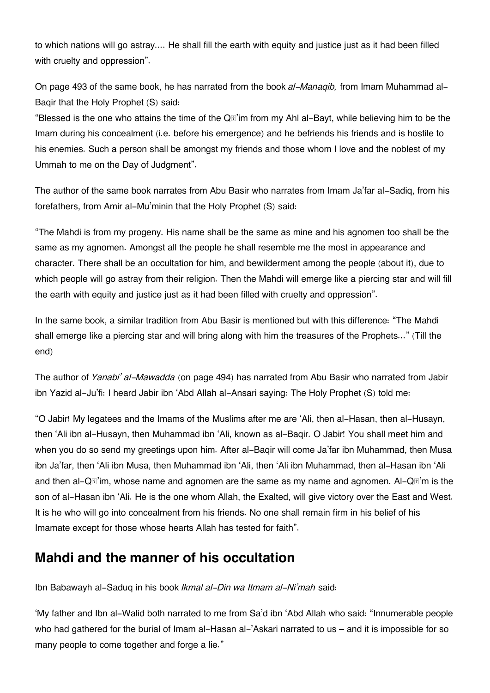to which nations will go astray.... He shall fill the earth with equity and justice just as it had been filled with cruelty and oppression".

On page 493 of the same book, he has narrated from the book *al-Manaqib,* from Imam Muhammad al-Baqir that the Holy Prophet (S) said:

"Blessed is the one who attains the time of the Q**II**'im from my Ahl al-Bayt, while believing him to be the Imam during his concealment (i.e. before his emergence) and he befriends his friends and is hostile to his enemies. Such a person shall be amongst my friends and those whom I love and the noblest of my Ummah to me on the Day of Judgment".

The author of the same book narrates from Abu Basir who narrates from Imam Ja'far al-Sadiq, from his forefathers, from Amir al-Mu'minin that the Holy Prophet (S) said:

"The Mahdi is from my progeny. His name shall be the same as mine and his agnomen too shall be the same as my agnomen. Amongst all the people he shall resemble me the most in appearance and character. There shall be an occultation for him, and bewilderment among the people (about it), due to which people will go astray from their religion. Then the Mahdi will emerge like a piercing star and will fill the earth with equity and justice just as it had been filled with cruelty and oppression".

In the same book, a similar tradition from Abu Basir is mentioned but with this difference: "The Mahdi shall emerge like a piercing star and will bring along with him the treasures of the Prophets..." (Till the end)

The author of *Yanabi' al-Mawadda* (on page 494) has narrated from Abu Basir who narrated from Jabir ibn Yazid al-Ju'fi: I heard Jabir ibn 'Abd Allah al-Ansari saying: The Holy Prophet (S) told me:

"O Jabir! My legatees and the Imams of the Muslims after me are 'Ali, then al-Hasan, then al-Husayn, then 'Ali ibn al-Husayn, then Muhammad ibn 'Ali, known as al-Baqir. O Jabir! You shall meet him and when you do so send my greetings upon him. After al-Baqir will come Ja'far ibn Muhammad, then Musa ibn Ja'far, then 'Ali ibn Musa, then Muhammad ibn 'Ali, then 'Ali ibn Muhammad, then al-Hasan ibn 'Ali and then al-Q $\mathbb{I}^2$  im, whose name and agnomen are the same as my name and agnomen. Al-Q $\mathbb{I}^2$  m is the son of al-Hasan ibn 'Ali. He is the one whom Allah, the Exalted, will give victory over the East and West. It is he who will go into concealment from his friends. No one shall remain firm in his belief of his Imamate except for those whose hearts Allah has tested for faith".

# **[Mahdi and the manner of his occultation](#page--1-0)**

Ibn Babawayh al-Saduq in his book *Ikmal al-Din wa Itmam al-Ni'mah* said:

'My father and Ibn al-Walid both narrated to me from Sa'd ibn 'Abd Allah who said: "Innumerable people who had gathered for the burial of Imam al-Hasan al-'Askari narrated to us – and it is impossible for so many people to come together and forge a lie."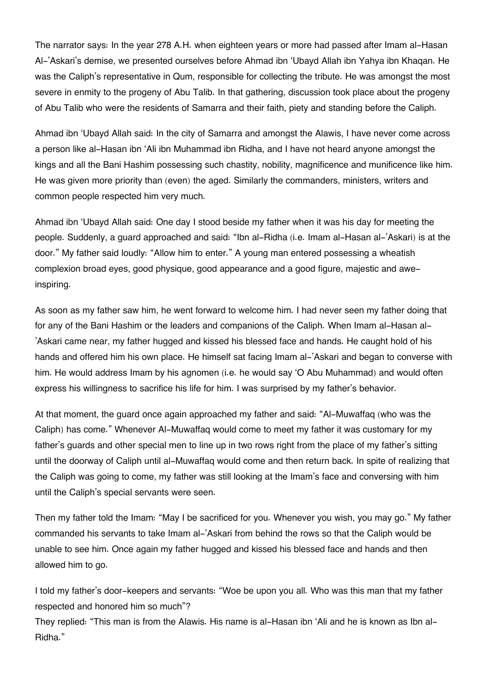The narrator says: In the year 278 A.H. when eighteen years or more had passed after Imam al-Hasan Al-'Askari's demise, we presented ourselves before Ahmad ibn 'Ubayd Allah ibn Yahya ibn Khaqan. He was the Caliph's representative in Qum, responsible for collecting the tribute. He was amongst the most severe in enmity to the progeny of Abu Talib. In that gathering, discussion took place about the progeny of Abu Talib who were the residents of Samarra and their faith, piety and standing before the Caliph.

Ahmad ibn 'Ubayd Allah said: In the city of Samarra and amongst the Alawis, I have never come across a person like al-Hasan ibn 'Ali ibn Muhammad ibn Ridha, and I have not heard anyone amongst the kings and all the Bani Hashim possessing such chastity, nobility, magnificence and munificence like him. He was given more priority than (even) the aged. Similarly the commanders, ministers, writers and common people respected him very much.

Ahmad ibn 'Ubayd Allah said: One day I stood beside my father when it was his day for meeting the people. Suddenly, a guard approached and said: "Ibn al-Ridha (i.e. Imam al-Hasan al-'Askari) is at the door." My father said loudly: "Allow him to enter." A young man entered possessing a wheatish complexion broad eyes, good physique, good appearance and a good figure, majestic and aweinspiring.

As soon as my father saw him, he went forward to welcome him. I had never seen my father doing that for any of the Bani Hashim or the leaders and companions of the Caliph. When Imam al-Hasan al- 'Askari came near, my father hugged and kissed his blessed face and hands. He caught hold of his hands and offered him his own place. He himself sat facing Imam al-'Askari and began to converse with him. He would address Imam by his agnomen (i.e. he would say 'O Abu Muhammad) and would often express his willingness to sacrifice his life for him. I was surprised by my father's behavior.

At that moment, the guard once again approached my father and said: "Al-Muwaffaq (who was the Caliph) has come." Whenever Al-Muwaffaq would come to meet my father it was customary for my father's guards and other special men to line up in two rows right from the place of my father's sitting until the doorway of Caliph until al-Muwaffaq would come and then return back. In spite of realizing that the Caliph was going to come, my father was still looking at the Imam's face and conversing with him until the Caliph's special servants were seen.

Then my father told the Imam: "May I be sacrificed for you. Whenever you wish, you may go." My father commanded his servants to take Imam al-'Askari from behind the rows so that the Caliph would be unable to see him. Once again my father hugged and kissed his blessed face and hands and then allowed him to go.

I told my father's door-keepers and servants: "Woe be upon you all. Who was this man that my father respected and honored him so much"?

They replied: "This man is from the Alawis. His name is al-Hasan ibn 'Ali and he is known as Ibn al-Ridha."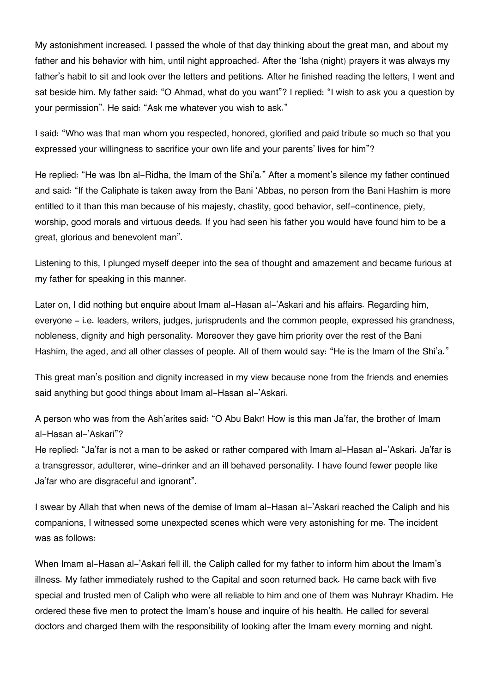My astonishment increased. I passed the whole of that day thinking about the great man, and about my father and his behavior with him, until night approached. After the 'Isha (night) prayers it was always my father's habit to sit and look over the letters and petitions. After he finished reading the letters, I went and sat beside him. My father said: "O Ahmad, what do you want"? I replied: "I wish to ask you a question by your permission". He said: "Ask me whatever you wish to ask."

I said: "Who was that man whom you respected, honored, glorified and paid tribute so much so that you expressed your willingness to sacrifice your own life and your parents' lives for him"?

He replied: "He was Ibn al-Ridha, the Imam of the Shi'a." After a moment's silence my father continued and said: "If the Caliphate is taken away from the Bani 'Abbas, no person from the Bani Hashim is more entitled to it than this man because of his majesty, chastity, good behavior, self-continence, piety, worship, good morals and virtuous deeds. If you had seen his father you would have found him to be a great, glorious and benevolent man".

Listening to this, I plunged myself deeper into the sea of thought and amazement and became furious at my father for speaking in this manner.

Later on, I did nothing but enquire about Imam al-Hasan al-'Askari and his affairs. Regarding him, everyone - i.e. leaders, writers, judges, jurisprudents and the common people, expressed his grandness, nobleness, dignity and high personality. Moreover they gave him priority over the rest of the Bani Hashim, the aged, and all other classes of people. All of them would say: "He is the Imam of the Shi'a."

This great man's position and dignity increased in my view because none from the friends and enemies said anything but good things about Imam al-Hasan al-'Askari.

A person who was from the Ash'arites said: "O Abu Bakr! How is this man Ja'far, the brother of Imam al-Hasan al-'Askari"?

He replied: "Ja'far is not a man to be asked or rather compared with Imam al-Hasan al-'Askari. Ja'far is a transgressor, adulterer, wine-drinker and an ill behaved personality. I have found fewer people like Ja'far who are disgraceful and ignorant".

I swear by Allah that when news of the demise of Imam al-Hasan al-'Askari reached the Caliph and his companions, I witnessed some unexpected scenes which were very astonishing for me. The incident was as follows:

When Imam al-Hasan al-'Askari fell ill, the Caliph called for my father to inform him about the Imam's illness. My father immediately rushed to the Capital and soon returned back. He came back with five special and trusted men of Caliph who were all reliable to him and one of them was Nuhrayr Khadim. He ordered these five men to protect the Imam's house and inquire of his health. He called for several doctors and charged them with the responsibility of looking after the Imam every morning and night.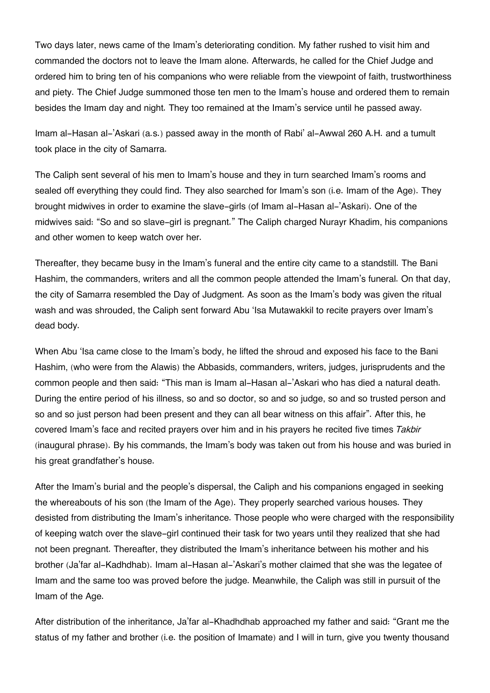Two days later, news came of the Imam's deteriorating condition. My father rushed to visit him and commanded the doctors not to leave the Imam alone. Afterwards, he called for the Chief Judge and ordered him to bring ten of his companions who were reliable from the viewpoint of faith, trustworthiness and piety. The Chief Judge summoned those ten men to the Imam's house and ordered them to remain besides the Imam day and night. They too remained at the Imam's service until he passed away.

Imam al-Hasan al-'Askari (a.s.) passed away in the month of Rabi' al-Awwal 260 A.H. and a tumult took place in the city of Samarra.

The Caliph sent several of his men to Imam's house and they in turn searched Imam's rooms and sealed off everything they could find. They also searched for Imam's son (i.e. Imam of the Age). They brought midwives in order to examine the slave-girls (of Imam al-Hasan al-'Askari). One of the midwives said: "So and so slave-girl is pregnant." The Caliph charged Nurayr Khadim, his companions and other women to keep watch over her.

Thereafter, they became busy in the Imam's funeral and the entire city came to a standstill. The Bani Hashim, the commanders, writers and all the common people attended the Imam's funeral. On that day, the city of Samarra resembled the Day of Judgment. As soon as the Imam's body was given the ritual wash and was shrouded, the Caliph sent forward Abu 'Isa Mutawakkil to recite prayers over Imam's dead body.

When Abu 'Isa came close to the Imam's body, he lifted the shroud and exposed his face to the Bani Hashim, (who were from the Alawis) the Abbasids, commanders, writers, judges, jurisprudents and the common people and then said: "This man is Imam al-Hasan al-'Askari who has died a natural death. During the entire period of his illness, so and so doctor, so and so judge, so and so trusted person and so and so just person had been present and they can all bear witness on this affair". After this, he covered Imam's face and recited prayers over him and in his prayers he recited five times *Takbir* (inaugural phrase). By his commands, the Imam's body was taken out from his house and was buried in his great grandfather's house.

After the Imam's burial and the people's dispersal, the Caliph and his companions engaged in seeking the whereabouts of his son (the Imam of the Age). They properly searched various houses. They desisted from distributing the Imam's inheritance. Those people who were charged with the responsibility of keeping watch over the slave-girl continued their task for two years until they realized that she had not been pregnant. Thereafter, they distributed the Imam's inheritance between his mother and his brother (Ja'far al-Kadhdhab). Imam al-Hasan al-'Askari's mother claimed that she was the legatee of Imam and the same too was proved before the judge. Meanwhile, the Caliph was still in pursuit of the Imam of the Age.

After distribution of the inheritance, Ja'far al-Khadhdhab approached my father and said: "Grant me the status of my father and brother (i.e. the position of Imamate) and I will in turn, give you twenty thousand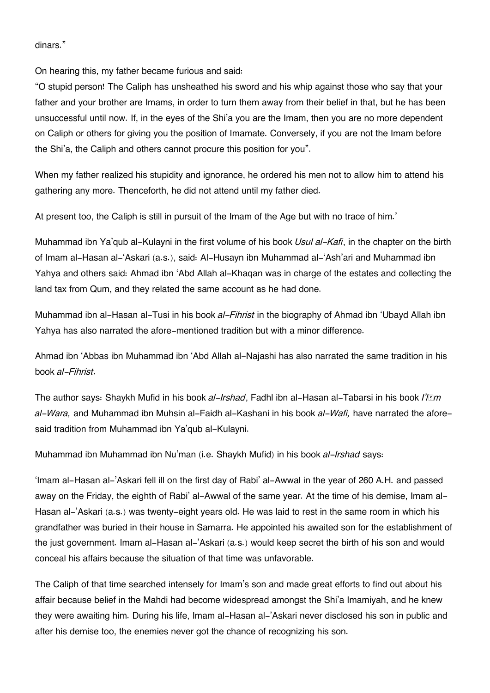dinars."

On hearing this, my father became furious and said:

"O stupid person! The Caliph has unsheathed his sword and his whip against those who say that your father and your brother are Imams, in order to turn them away from their belief in that, but he has been unsuccessful until now. If, in the eyes of the Shi'a you are the Imam, then you are no more dependent on Caliph or others for giving you the position of Imamate. Conversely, if you are not the Imam before the Shi'a, the Caliph and others cannot procure this position for you".

When my father realized his stupidity and ignorance, he ordered his men not to allow him to attend his gathering any more. Thenceforth, he did not attend until my father died.

At present too, the Caliph is still in pursuit of the Imam of the Age but with no trace of him.'

Muhammad ibn Ya'qub al-Kulayni in the first volume of his book *Usul al-Kafi*, in the chapter on the birth of Imam al-Hasan al-'Askari (a.s.), said: Al-Husayn ibn Muhammad al-'Ash'ari and Muhammad ibn Yahya and others said: Ahmad ibn 'Abd Allah al-Khaqan was in charge of the estates and collecting the land tax from Qum, and they related the same account as he had done.

Muhammad ibn al-Hasan al-Tusi in his book *al-Fihrist* in the biography of Ahmad ibn 'Ubayd Allah ibn Yahya has also narrated the afore-mentioned tradition but with a minor difference.

Ahmad ibn 'Abbas ibn Muhammad ibn 'Abd Allah al-Najashi has also narrated the same tradition in his book *al-Fihrist*.

The author says: Shaykh Mufid in his book *al-Irshad*, Fadhl ibn al-Hasan al-Tabarsi in his book *I'lām al-Wara,* and Muhammad ibn Muhsin al-Faidh al-Kashani in his book *al-Wafi,* have narrated the aforesaid tradition from Muhammad ibn Ya'qub al-Kulayni.

Muhammad ibn Muhammad ibn Nu'man (i.e. Shaykh Mufid) in his book *al-Irshad* says:

'Imam al-Hasan al-'Askari fell ill on the first day of Rabi' al-Awwal in the year of 260 A.H. and passed away on the Friday, the eighth of Rabi' al-Awwal of the same year. At the time of his demise, Imam al-Hasan al-'Askari (a.s.) was twenty-eight years old. He was laid to rest in the same room in which his grandfather was buried in their house in Samarra. He appointed his awaited son for the establishment of the just government. Imam al-Hasan al-'Askari (a.s.) would keep secret the birth of his son and would conceal his affairs because the situation of that time was unfavorable.

The Caliph of that time searched intensely for Imam's son and made great efforts to find out about his affair because belief in the Mahdi had become widespread amongst the Shi'a Imamiyah, and he knew they were awaiting him. During his life, Imam al-Hasan al-'Askari never disclosed his son in public and after his demise too, the enemies never got the chance of recognizing his son.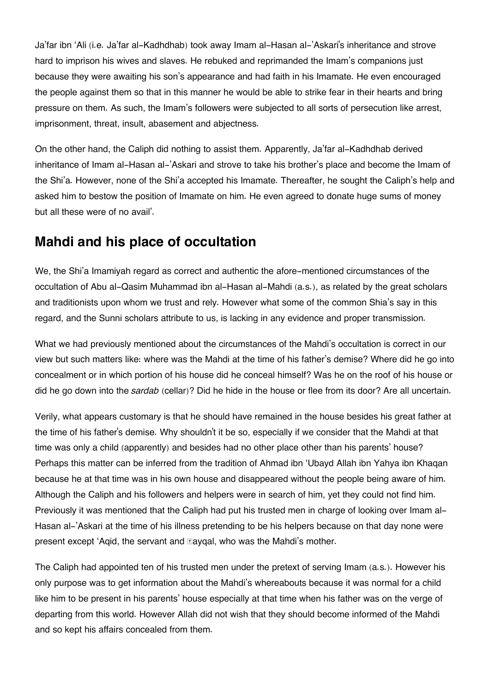Ja'far ibn 'Ali (i.e. Ja'far al-Kadhdhab) took away Imam al-Hasan al-'Askari's inheritance and strove hard to imprison his wives and slaves. He rebuked and reprimanded the Imam's companions just because they were awaiting his son's appearance and had faith in his Imamate. He even encouraged the people against them so that in this manner he would be able to strike fear in their hearts and bring pressure on them. As such, the Imam's followers were subjected to all sorts of persecution like arrest, imprisonment, threat, insult, abasement and abjectness.

On the other hand, the Caliph did nothing to assist them. Apparently, Ja'far al-Kadhdhab derived inheritance of Imam al-Hasan al-'Askari and strove to take his brother's place and become the Imam of the Shi'a. However, none of the Shi'a accepted his Imamate. Thereafter, he sought the Caliph's help and asked him to bestow the position of Imamate on him. He even agreed to donate huge sums of money but all these were of no avail'.

# **[Mahdi and his place of occultation](#page--1-0)**

We, the Shi'a Imamiyah regard as correct and authentic the afore-mentioned circumstances of the occultation of Abu al-Qasim Muhammad ibn al-Hasan al-Mahdi (a.s.), as related by the great scholars and traditionists upon whom we trust and rely. However what some of the common Shia's say in this regard, and the Sunni scholars attribute to us, is lacking in any evidence and proper transmission.

What we had previously mentioned about the circumstances of the Mahdi's occultation is correct in our view but such matters like: where was the Mahdi at the time of his father's demise? Where did he go into concealment or in which portion of his house did he conceal himself? Was he on the roof of his house or did he go down into the *sardab* (cellar)? Did he hide in the house or flee from its door? Are all uncertain.

Verily, what appears customary is that he should have remained in the house besides his great father at the time of his father's demise. Why shouldn't it be so, especially if we consider that the Mahdi at that time was only a child (apparently) and besides had no other place other than his parents' house? Perhaps this matter can be inferred from the tradition of Ahmad ibn 'Ubayd Allah ibn Yahya ibn Khaqan because he at that time was in his own house and disappeared without the people being aware of him. Although the Caliph and his followers and helpers were in search of him, yet they could not find him. Previously it was mentioned that the Caliph had put his trusted men in charge of looking over Imam al-Hasan al-'Askari at the time of his illness pretending to be his helpers because on that day none were present except 'Aqid, the servant and Eayqal, who was the Mahdi's mother.

The Caliph had appointed ten of his trusted men under the pretext of serving Imam (a.s.). However his only purpose was to get information about the Mahdi's whereabouts because it was normal for a child like him to be present in his parents' house especially at that time when his father was on the verge of departing from this world. However Allah did not wish that they should become informed of the Mahdi and so kept his affairs concealed from them.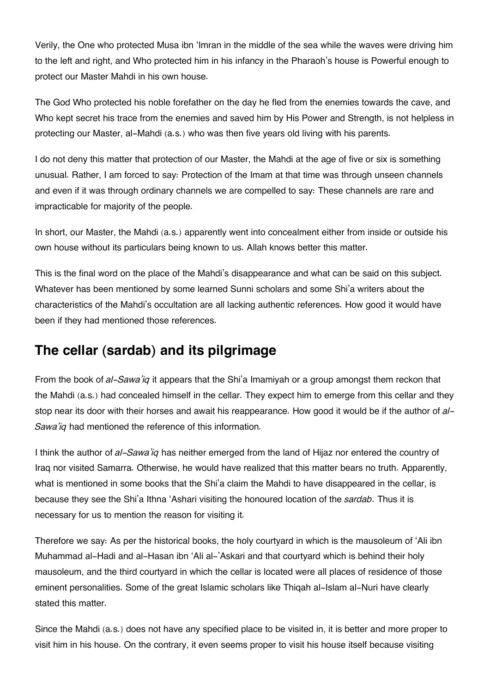Verily, the One who protected Musa ibn 'Imran in the middle of the sea while the waves were driving him to the left and right, and Who protected him in his infancy in the Pharaoh's house is Powerful enough to protect our Master Mahdi in his own house.

The God Who protected his noble forefather on the day he fled from the enemies towards the cave, and Who kept secret his trace from the enemies and saved him by His Power and Strength, is not helpless in protecting our Master, al-Mahdi (a.s.) who was then five years old living with his parents.

I do not deny this matter that protection of our Master, the Mahdi at the age of five or six is something unusual. Rather, I am forced to say: Protection of the Imam at that time was through unseen channels and even if it was through ordinary channels we are compelled to say: These channels are rare and impracticable for majority of the people.

In short, our Master, the Mahdi (a.s.) apparently went into concealment either from inside or outside his own house without its particulars being known to us. Allah knows better this matter.

This is the final word on the place of the Mahdi's disappearance and what can be said on this subject. Whatever has been mentioned by some learned Sunni scholars and some Shi'a writers about the characteristics of the Mahdi's occultation are all lacking authentic references. How good it would have been if they had mentioned those references.

# **[The cellar \(sardab\) and its pilgrimage](#page--1-0)**

From the book of *al-Sawa'iq* it appears that the Shi'a Imamiyah or a group amongst them reckon that the Mahdi (a.s.) had concealed himself in the cellar. They expect him to emerge from this cellar and they stop near its door with their horses and await his reappearance. How good it would be if the author of *al-Sawa'iq* had mentioned the reference of this information.

I think the author of *al-Sawa'iq* has neither emerged from the land of Hijaz nor entered the country of Iraq nor visited Samarra. Otherwise, he would have realized that this matter bears no truth. Apparently, what is mentioned in some books that the Shi'a claim the Mahdi to have disappeared in the cellar, is because they see the Shi'a Ithna 'Ashari visiting the honoured location of the *sardab*. Thus it is necessary for us to mention the reason for visiting it.

Therefore we say: As per the historical books, the holy courtyard in which is the mausoleum of 'Ali ibn Muhammad al-Hadi and al-Hasan ibn 'Ali al-'Askari and that courtyard which is behind their holy mausoleum, and the third courtyard in which the cellar is located were all places of residence of those eminent personalities. Some of the great Islamic scholars like Thiqah al-Islam al-Nuri have clearly stated this matter.

Since the Mahdi (a.s.) does not have any specified place to be visited in, it is better and more proper to visit him in his house. On the contrary, it even seems proper to visit his house itself because visiting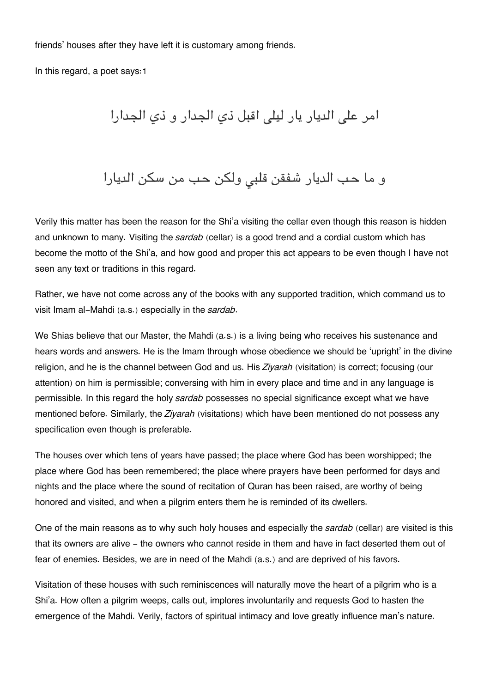friends' houses after they have left it is customary among friends.

In this regard, a poet says:[1](#page--1-0)

امر على الديار يار ليلي اقبل ذي الجدار و ذي الجدارا

و ما حب الديار شفقن قلبى ولكن حب من سكن الديارا

Verily this matter has been the reason for the Shi'a visiting the cellar even though this reason is hidden and unknown to many. Visiting the *sardab* (cellar) is a good trend and a cordial custom which has become the motto of the Shi'a, and how good and proper this act appears to be even though I have not seen any text or traditions in this regard.

Rather, we have not come across any of the books with any supported tradition, which command us to visit Imam al-Mahdi (a.s.) especially in the *sardab*.

We Shias believe that our Master, the Mahdi (a.s.) is a living being who receives his sustenance and hears words and answers. He is the Imam through whose obedience we should be 'upright' in the divine religion, and he is the channel between God and us. His *Ziyarah* (visitation) is correct; focusing (our attention) on him is permissible; conversing with him in every place and time and in any language is permissible. In this regard the holy *sardab* possesses no special significance except what we have mentioned before. Similarly, the *Ziyarah* (visitations) which have been mentioned do not possess any specification even though is preferable.

The houses over which tens of years have passed; the place where God has been worshipped; the place where God has been remembered; the place where prayers have been performed for days and nights and the place where the sound of recitation of Quran has been raised, are worthy of being honored and visited, and when a pilgrim enters them he is reminded of its dwellers.

One of the main reasons as to why such holy houses and especially the *sardab* (cellar) are visited is this that its owners are alive - the owners who cannot reside in them and have in fact deserted them out of fear of enemies. Besides, we are in need of the Mahdi (a.s.) and are deprived of his favors.

Visitation of these houses with such reminiscences will naturally move the heart of a pilgrim who is a Shi'a. How often a pilgrim weeps, calls out, implores involuntarily and requests God to hasten the emergence of the Mahdi. Verily, factors of spiritual intimacy and love greatly influence man's nature.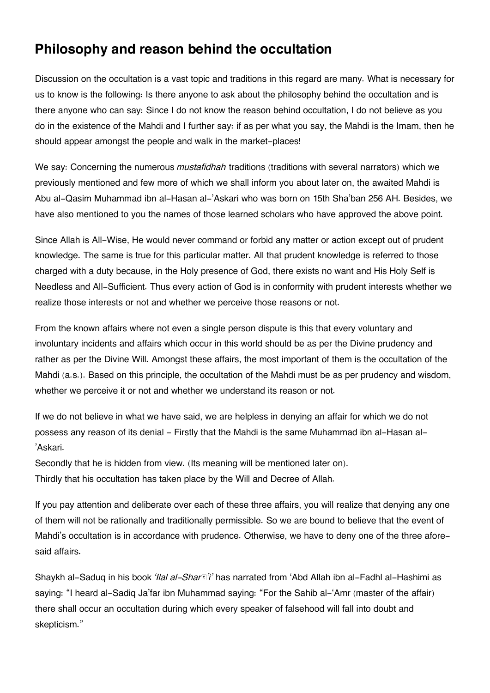# **[Philosophy and reason behind the occultation](#page--1-0)**

Discussion on the occultation is a vast topic and traditions in this regard are many. What is necessary for us to know is the following: Is there anyone to ask about the philosophy behind the occultation and is there anyone who can say: Since I do not know the reason behind occultation, I do not believe as you do in the existence of the Mahdi and I further say: if as per what you say, the Mahdi is the Imam, then he should appear amongst the people and walk in the market-places!

We say: Concerning the numerous *mustafidhah* traditions (traditions with several narrators) which we previously mentioned and few more of which we shall inform you about later on, the awaited Mahdi is Abu al-Qasim Muhammad ibn al-Hasan al-'Askari who was born on 15th Sha'ban 256 AH. Besides, we have also mentioned to you the names of those learned scholars who have approved the above point.

Since Allah is All-Wise, He would never command or forbid any matter or action except out of prudent knowledge. The same is true for this particular matter. All that prudent knowledge is referred to those charged with a duty because, in the Holy presence of God, there exists no want and His Holy Self is Needless and All-Sufficient. Thus every action of God is in conformity with prudent interests whether we realize those interests or not and whether we perceive those reasons or not.

From the known affairs where not even a single person dispute is this that every voluntary and involuntary incidents and affairs which occur in this world should be as per the Divine prudency and rather as per the Divine Will. Amongst these affairs, the most important of them is the occultation of the Mahdi (a.s.). Based on this principle, the occultation of the Mahdi must be as per prudency and wisdom, whether we perceive it or not and whether we understand its reason or not.

If we do not believe in what we have said, we are helpless in denying an affair for which we do not possess any reason of its denial - Firstly that the Mahdi is the same Muhammad ibn al-Hasan al- 'Askari.

Secondly that he is hidden from view. (Its meaning will be mentioned later on). Thirdly that his occultation has taken place by the Will and Decree of Allah.

If you pay attention and deliberate over each of these three affairs, you will realize that denying any one of them will not be rationally and traditionally permissible. So we are bound to believe that the event of Mahdi's occultation is in accordance with prudence. Otherwise, we have to deny one of the three aforesaid affairs.

Shaykh al-Saduq in his book *'Ilal al-Sharā'i'* has narrated from 'Abd Allah ibn al-Fadhl al-Hashimi as saying: "I heard al-Sadiq Ja'far ibn Muhammad saying: "For the Sahib al-'Amr (master of the affair) there shall occur an occultation during which every speaker of falsehood will fall into doubt and skepticism."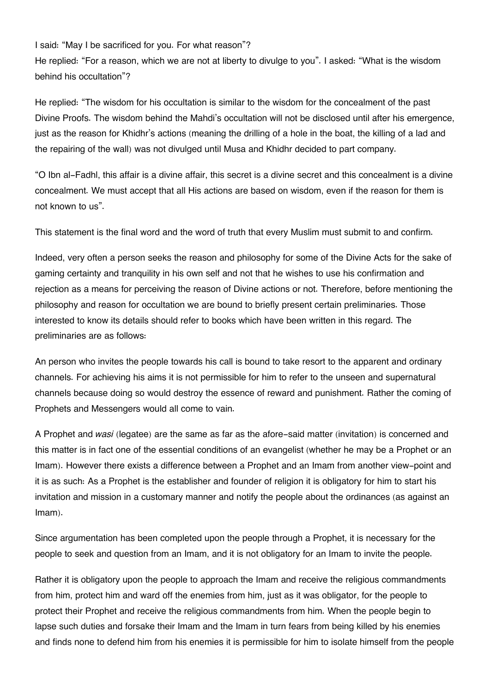I said: "May I be sacrificed for you. For what reason"?

He replied: "For a reason, which we are not at liberty to divulge to you". I asked: "What is the wisdom behind his occultation"?

He replied: "The wisdom for his occultation is similar to the wisdom for the concealment of the past Divine Proofs. The wisdom behind the Mahdi's occultation will not be disclosed until after his emergence, just as the reason for Khidhr's actions (meaning the drilling of a hole in the boat, the killing of a lad and the repairing of the wall) was not divulged until Musa and Khidhr decided to part company.

"O Ibn al-Fadhl, this affair is a divine affair, this secret is a divine secret and this concealment is a divine concealment. We must accept that all His actions are based on wisdom, even if the reason for them is not known to us".

This statement is the final word and the word of truth that every Muslim must submit to and confirm.

Indeed, very often a person seeks the reason and philosophy for some of the Divine Acts for the sake of gaming certainty and tranquility in his own self and not that he wishes to use his confirmation and rejection as a means for perceiving the reason of Divine actions or not. Therefore, before mentioning the philosophy and reason for occultation we are bound to briefly present certain preliminaries. Those interested to know its details should refer to books which have been written in this regard. The preliminaries are as follows:

An person who invites the people towards his call is bound to take resort to the apparent and ordinary channels. For achieving his aims it is not permissible for him to refer to the unseen and supernatural channels because doing so would destroy the essence of reward and punishment. Rather the coming of Prophets and Messengers would all come to vain.

A Prophet and *wasi* (legatee) are the same as far as the afore-said matter (invitation) is concerned and this matter is in fact one of the essential conditions of an evangelist (whether he may be a Prophet or an Imam). However there exists a difference between a Prophet and an Imam from another view-point and it is as such: As a Prophet is the establisher and founder of religion it is obligatory for him to start his invitation and mission in a customary manner and notify the people about the ordinances (as against an Imam).

Since argumentation has been completed upon the people through a Prophet, it is necessary for the people to seek and question from an Imam, and it is not obligatory for an Imam to invite the people.

Rather it is obligatory upon the people to approach the Imam and receive the religious commandments from him, protect him and ward off the enemies from him, just as it was obligator, for the people to protect their Prophet and receive the religious commandments from him. When the people begin to lapse such duties and forsake their Imam and the Imam in turn fears from being killed by his enemies and finds none to defend him from his enemies it is permissible for him to isolate himself from the people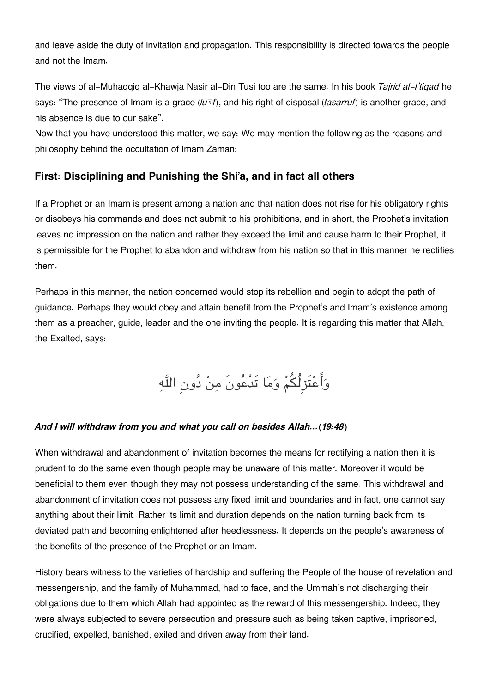and leave aside the duty of invitation and propagation. This responsibility is directed towards the people and not the Imam.

The views of al-Muhaqqiq al-Khawja Nasir al-Din Tusi too are the same. In his book *Tajrid al-I'tiqad* he says: "The presence of Imam is a grace ( $lu \mathbb{I}f$ ), and his right of disposal (*tasarruf*) is another grace, and his absence is due to our sake".

Now that you have understood this matter, we say: We may mention the following as the reasons and philosophy behind the occultation of Imam Zaman:

## **[First: Disciplining and Punishing the Shi'a, and in fact all others](#page--1-0)**

If a Prophet or an Imam is present among a nation and that nation does not rise for his obligatory rights or disobeys his commands and does not submit to his prohibitions, and in short, the Prophet's invitation leaves no impression on the nation and rather they exceed the limit and cause harm to their Prophet, it is permissible for the Prophet to abandon and withdraw from his nation so that in this manner he rectifies them.

Perhaps in this manner, the nation concerned would stop its rebellion and begin to adopt the path of guidance. Perhaps they would obey and attain benefit from the Prophet's and Imam's existence among them as a preacher, guide, leader and the one inviting the people. It is regarding this matter that Allah, the Exalted, says:

# وَأَعْتَزِلُكُمْ وَمَا تَدْعُونَ مِنْ دُونِ اللَّهِ

### *And I will withdraw from you and what you call on besides Allah…(19:48)*

When withdrawal and abandonment of invitation becomes the means for rectifying a nation then it is prudent to do the same even though people may be unaware of this matter. Moreover it would be beneficial to them even though they may not possess understanding of the same. This withdrawal and abandonment of invitation does not possess any fixed limit and boundaries and in fact, one cannot say anything about their limit. Rather its limit and duration depends on the nation turning back from its deviated path and becoming enlightened after heedlessness. It depends on the people's awareness of the benefits of the presence of the Prophet or an Imam.

History bears witness to the varieties of hardship and suffering the People of the house of revelation and messengership, and the family of Muhammad, had to face, and the Ummah's not discharging their obligations due to them which Allah had appointed as the reward of this messengership. Indeed, they were always subjected to severe persecution and pressure such as being taken captive, imprisoned, crucified, expelled, banished, exiled and driven away from their land.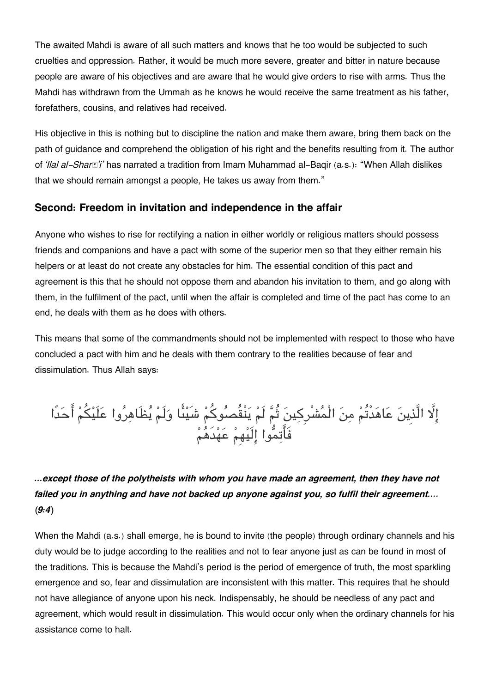The awaited Mahdi is aware of all such matters and knows that he too would be subjected to such cruelties and oppression. Rather, it would be much more severe, greater and bitter in nature because people are aware of his objectives and are aware that he would give orders to rise with arms. Thus the Mahdi has withdrawn from the Ummah as he knows he would receive the same treatment as his father, forefathers, cousins, and relatives had received.

His objective in this is nothing but to discipline the nation and make them aware, bring them back on the path of guidance and comprehend the obligation of his right and the benefits resulting from it. The author of *'Ilal al-Sharā'i'* has narrated a tradition from Imam Muhammad al-Baqir (a.s.): "When Allah dislikes that we should remain amongst a people, He takes us away from them."

### **[Second: Freedom in invitation and independence in the affair](#page--1-0)**

Anyone who wishes to rise for rectifying a nation in either worldly or religious matters should possess friends and companions and have a pact with some of the superior men so that they either remain his helpers or at least do not create any obstacles for him. The essential condition of this pact and agreement is this that he should not oppose them and abandon his invitation to them, and go along with them, in the fulfilment of the pact, until when the affair is completed and time of the pact has come to an end, he deals with them as he does with others.

This means that some of the commandments should not be implemented with respect to those who have concluded a pact with him and he deals with them contrary to the realities because of fear and dissimulation. Thus Allah says:

ا الَّذِين عاهدْتُم من الْمشْرِكين ثُم لَم ينْقُصوكم شَيىا ولَم يظَاهروا علَيم احدًا فَاتموا الَيهِم عهدَهم

*…except those of the polytheists with whom you have made an agreement, then they have not failed you in anything and have not backed up anyone against you, so fulfil their agreement…. (9:4)*

When the Mahdi (a.s.) shall emerge, he is bound to invite (the people) through ordinary channels and his duty would be to judge according to the realities and not to fear anyone just as can be found in most of the traditions. This is because the Mahdi's period is the period of emergence of truth, the most sparkling emergence and so, fear and dissimulation are inconsistent with this matter. This requires that he should not have allegiance of anyone upon his neck. Indispensably, he should be needless of any pact and agreement, which would result in dissimulation. This would occur only when the ordinary channels for his assistance come to halt.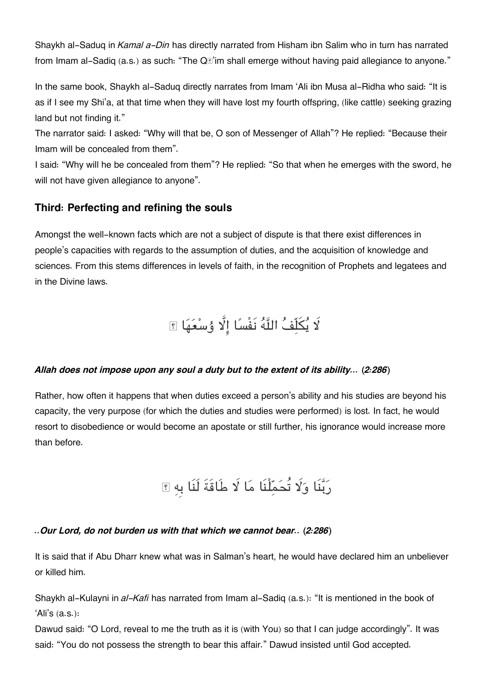Shaykh al-Saduq in *Kamal a-Din* has directly narrated from Hisham ibn Salim who in turn has narrated from Imam al-Sadiq (a.s.) as such: "The  $Q\mathbb{F}$ 'im shall emerge without having paid allegiance to anyone."

In the same book, Shaykh al-Saduq directly narrates from Imam 'Ali ibn Musa al-Ridha who said: "It is as if I see my Shi'a, at that time when they will have lost my fourth offspring, (like cattle) seeking grazing land but not finding it."

The narrator said: I asked: "Why will that be, O son of Messenger of Allah"? He replied: "Because their Imam will be concealed from them".

I said: "Why will he be concealed from them"? He replied: "So that when he emerges with the sword, he will not have given allegiance to anyone".

## **[Third: Perfecting and refining the souls](#page--1-0)**

Amongst the well-known facts which are not a subject of dispute is that there exist differences in people's capacities with regards to the assumption of duties, and the acquisition of knowledge and sciences. From this stems differences in levels of faith, in the recognition of Prophets and legatees and in the Divine laws.

لَا يُكَلِّفُ اللَّهُ نَفْسًا إِلَّا وُسْعَهَا ؟

### *Allah does not impose upon any soul a duty but to the extent of its ability… (2:286)*

Rather, how often it happens that when duties exceed a person's ability and his studies are beyond his capacity, the very purpose (for which the duties and studies were performed) is lost. In fact, he would resort to disobedience or would become an apostate or still further, his ignorance would increase more than before.

ربنَا و تُحملْنَا ما طَاقَةَ لَنَا بِه ۖ

## *..Our Lord, do not burden us with that which we cannot bear.. (2:286)*

It is said that if Abu Dharr knew what was in Salman's heart, he would have declared him an unbeliever or killed him.

Shaykh al-Kulayni in *al-Kafi* has narrated from Imam al-Sadiq (a.s.): "It is mentioned in the book of 'Ali's (a.s.):

Dawud said: "O Lord, reveal to me the truth as it is (with You) so that I can judge accordingly". It was said: "You do not possess the strength to bear this affair." Dawud insisted until God accepted.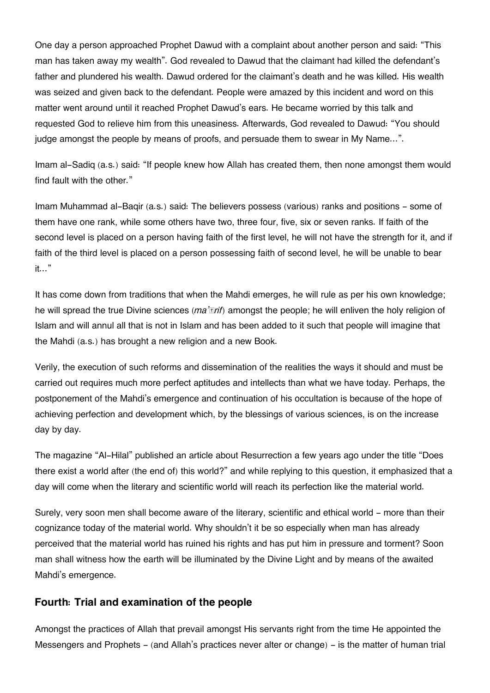One day a person approached Prophet Dawud with a complaint about another person and said: "This man has taken away my wealth". God revealed to Dawud that the claimant had killed the defendant's father and plundered his wealth. Dawud ordered for the claimant's death and he was killed. His wealth was seized and given back to the defendant. People were amazed by this incident and word on this matter went around until it reached Prophet Dawud's ears. He became worried by this talk and requested God to relieve him from this uneasiness. Afterwards, God revealed to Dawud: "You should judge amongst the people by means of proofs, and persuade them to swear in My Name...".

Imam al-Sadiq (a.s.) said: "If people knew how Allah has created them, then none amongst them would find fault with the other."

Imam Muhammad al-Baqir (a.s.) said: The believers possess (various) ranks and positions - some of them have one rank, while some others have two, three four, five, six or seven ranks. If faith of the second level is placed on a person having faith of the first level, he will not have the strength for it, and if faith of the third level is placed on a person possessing faith of second level, he will be unable to bear it…"

It has come down from traditions that when the Mahdi emerges, he will rule as per his own knowledge; he will spread the true Divine sciences (*ma'ārif*) amongst the people; he will enliven the holy religion of Islam and will annul all that is not in Islam and has been added to it such that people will imagine that the Mahdi (a.s.) has brought a new religion and a new Book.

Verily, the execution of such reforms and dissemination of the realities the ways it should and must be carried out requires much more perfect aptitudes and intellects than what we have today. Perhaps, the postponement of the Mahdi's emergence and continuation of his occultation is because of the hope of achieving perfection and development which, by the blessings of various sciences, is on the increase day by day.

The magazine "Al-Hilal" published an article about Resurrection a few years ago under the title "Does there exist a world after (the end of) this world?" and while replying to this question, it emphasized that a day will come when the literary and scientific world will reach its perfection like the material world.

Surely, very soon men shall become aware of the literary, scientific and ethical world - more than their cognizance today of the material world. Why shouldn't it be so especially when man has already perceived that the material world has ruined his rights and has put him in pressure and torment? Soon man shall witness how the earth will be illuminated by the Divine Light and by means of the awaited Mahdi's emergence.

### **[Fourth: Trial and examination of the people](#page--1-0)**

Amongst the practices of Allah that prevail amongst His servants right from the time He appointed the Messengers and Prophets - (and Allah's practices never alter or change) - is the matter of human trial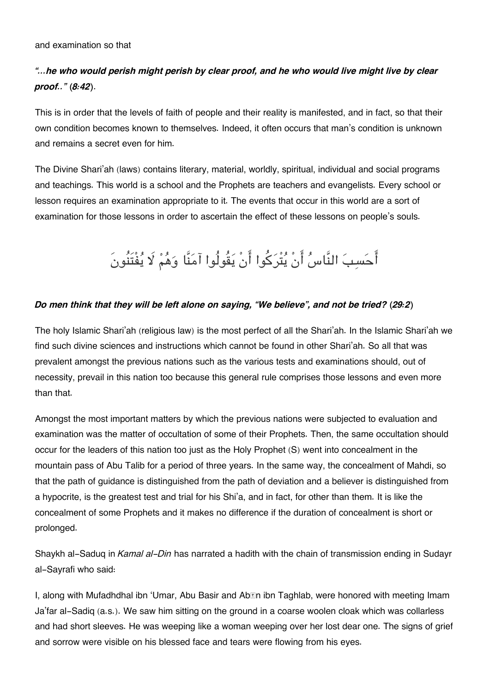#### and examination so that

## *"…he who would perish might perish by clear proof, and he who would live might live by clear proof.." (8:42)*.

This is in order that the levels of faith of people and their reality is manifested, and in fact, so that their own condition becomes known to themselves. Indeed, it often occurs that man's condition is unknown and remains a secret even for him.

The Divine Shari'ah (laws) contains literary, material, worldly, spiritual, individual and social programs and teachings. This world is a school and the Prophets are teachers and evangelists. Every school or lesson requires an examination appropriate to it. The events that occur in this world are a sort of examination for those lessons in order to ascertain the effect of these lessons on people's souls.

# احسب النَّاس انْ يتْركوا انْ يقُولُوا آمنَّا وهم يفْتَنُونَ

#### *Do men think that they will be left alone on saying, "We believe", and not be tried? (29:2)*

The holy Islamic Shari'ah (religious law) is the most perfect of all the Shari'ah. In the Islamic Shari'ah we find such divine sciences and instructions which cannot be found in other Shari'ah. So all that was prevalent amongst the previous nations such as the various tests and examinations should, out of necessity, prevail in this nation too because this general rule comprises those lessons and even more than that.

Amongst the most important matters by which the previous nations were subjected to evaluation and examination was the matter of occultation of some of their Prophets. Then, the same occultation should occur for the leaders of this nation too just as the Holy Prophet (S) went into concealment in the mountain pass of Abu Talib for a period of three years. In the same way, the concealment of Mahdi, so that the path of guidance is distinguished from the path of deviation and a believer is distinguished from a hypocrite, is the greatest test and trial for his Shi'a, and in fact, for other than them. It is like the concealment of some Prophets and it makes no difference if the duration of concealment is short or prolonged.

Shaykh al-Saduq in *Kamal al-Din* has narrated a hadith with the chain of transmission ending in Sudayr al-Sayrafi who said:

I, along with Mufadhdhal ibn 'Umar, Abu Basir and Ab $\overline{\text{m}}$  **ibn Taghlab, were honored with meeting Imam** Ja'far al-Sadiq (a.s.). We saw him sitting on the ground in a coarse woolen cloak which was collarless and had short sleeves. He was weeping like a woman weeping over her lost dear one. The signs of grief and sorrow were visible on his blessed face and tears were flowing from his eyes.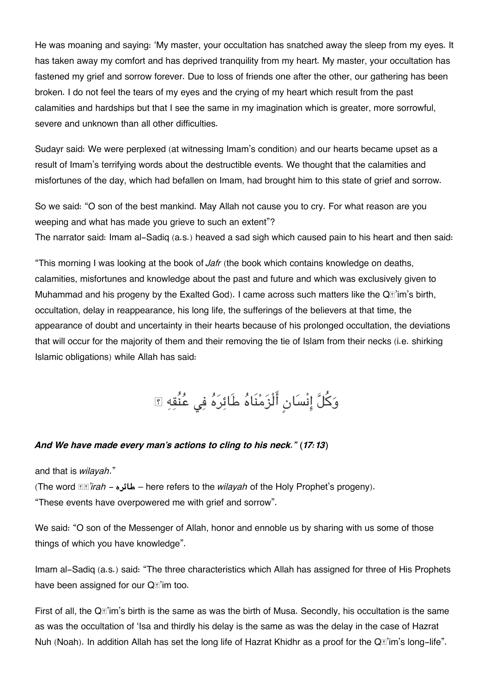He was moaning and saying: 'My master, your occultation has snatched away the sleep from my eyes. It has taken away my comfort and has deprived tranquility from my heart. My master, your occultation has fastened my grief and sorrow forever. Due to loss of friends one after the other, our gathering has been broken. I do not feel the tears of my eyes and the crying of my heart which result from the past calamities and hardships but that I see the same in my imagination which is greater, more sorrowful, severe and unknown than all other difficulties.

Sudayr said: We were perplexed (at witnessing Imam's condition) and our hearts became upset as a result of Imam's terrifying words about the destructible events. We thought that the calamities and misfortunes of the day, which had befallen on Imam, had brought him to this state of grief and sorrow.

So we said: "O son of the best mankind. May Allah not cause you to cry. For what reason are you weeping and what has made you grieve to such an extent"? The narrator said: Imam al-Sadiq (a.s.) heaved a sad sigh which caused pain to his heart and then said:

"This morning I was looking at the book of *Jafr* (the book which contains knowledge on deaths, calamities, misfortunes and knowledge about the past and future and which was exclusively given to Muhammad and his progeny by the Exalted God). I came across such matters like the Q<sup>®</sup>'im's birth, occultation, delay in reappearance, his long life, the sufferings of the believers at that time, the appearance of doubt and uncertainty in their hearts because of his prolonged occultation, the deviations that will occur for the majority of them and their removing the tie of Islam from their necks (i.e. shirking Islamic obligations) while Allah has said:

# وَكُلَّ إِنْسَانٍ أَلْزَمْنَاهُ طَائِرَهُ فِي عُنْقِهِ ؟

### *And We have made every man's actions to cling to his neck." (17:13)*

and that is *wilayah*."

(The word *ṭā'irah* - **طائره** – here refers to the *wilayah* of the Holy Prophet's progeny). "These events have overpowered me with grief and sorrow".

We said: "O son of the Messenger of Allah, honor and ennoble us by sharing with us some of those things of which you have knowledge".

Imam al-Sadiq (a.s.) said: "The three characteristics which Allah has assigned for three of His Prophets have been assigned for our Q<sup>®</sup>'im too.

First of all, the Q*I*'im's birth is the same as was the birth of Musa. Secondly, his occultation is the same as was the occultation of 'Isa and thirdly his delay is the same as was the delay in the case of Hazrat Nuh (Noah). In addition Allah has set the long life of Hazrat Khidhr as a proof for the Q[1] im's long-life".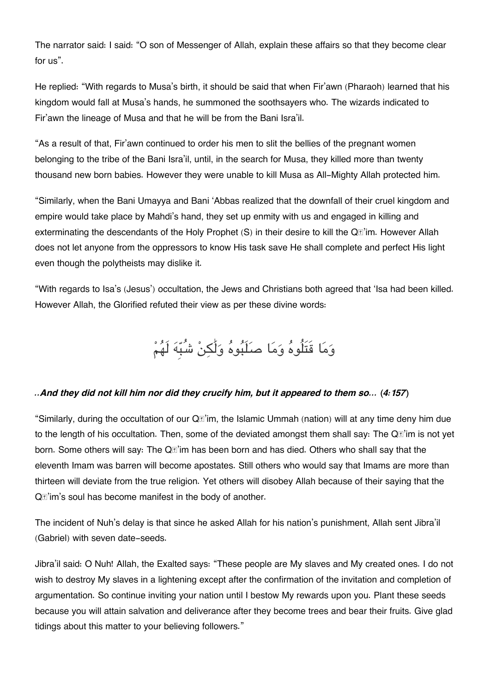The narrator said: I said: "O son of Messenger of Allah, explain these affairs so that they become clear for us".

He replied: "With regards to Musa's birth, it should be said that when Fir'awn (Pharaoh) learned that his kingdom would fall at Musa's hands, he summoned the soothsayers who. The wizards indicated to Fir'awn the lineage of Musa and that he will be from the Bani Isra'il.

"As a result of that, Fir'awn continued to order his men to slit the bellies of the pregnant women belonging to the tribe of the Bani Isra'il, until, in the search for Musa, they killed more than twenty thousand new born babies. However they were unable to kill Musa as All-Mighty Allah protected him.

"Similarly, when the Bani Umayya and Bani 'Abbas realized that the downfall of their cruel kingdom and empire would take place by Mahdi's hand, they set up enmity with us and engaged in killing and exterminating the descendants of the Holy Prophet (S) in their desire to kill the Q*E*'im. However Allah does not let anyone from the oppressors to know His task save He shall complete and perfect His light even though the polytheists may dislike it.

"With regards to Isa's (Jesus') occultation, the Jews and Christians both agreed that 'Isa had been killed. However Allah, the Glorified refuted their view as per these divine words:

وَمَا قَتَلُوهُ وَمَا صَلَبُوهُ وَلَٰكِنْ شُبِّهَ لَهُمْ

### *..And they did not kill him nor did they crucify him, but it appeared to them so… (4:157)*

"Similarly, during the occultation of our Q<sup>®</sup> im, the Islamic Ummah (nation) will at any time deny him due to the length of his occultation. Then, some of the deviated amongst them shall say: The Q*I*'im is not yet born. Some others will say: The Qā'im has been born and has died. Others who shall say that the eleventh Imam was barren will become apostates. Still others who would say that Imams are more than thirteen will deviate from the true religion. Yet others will disobey Allah because of their saying that the Q $\mathbb{Z}$ 'im's soul has become manifest in the body of another.

The incident of Nuh's delay is that since he asked Allah for his nation's punishment, Allah sent Jibra'il (Gabriel) with seven date-seeds.

Jibra'il said: O Nuh! Allah, the Exalted says: "These people are My slaves and My created ones. I do not wish to destroy My slaves in a lightening except after the confirmation of the invitation and completion of argumentation. So continue inviting your nation until I bestow My rewards upon you. Plant these seeds because you will attain salvation and deliverance after they become trees and bear their fruits. Give glad tidings about this matter to your believing followers."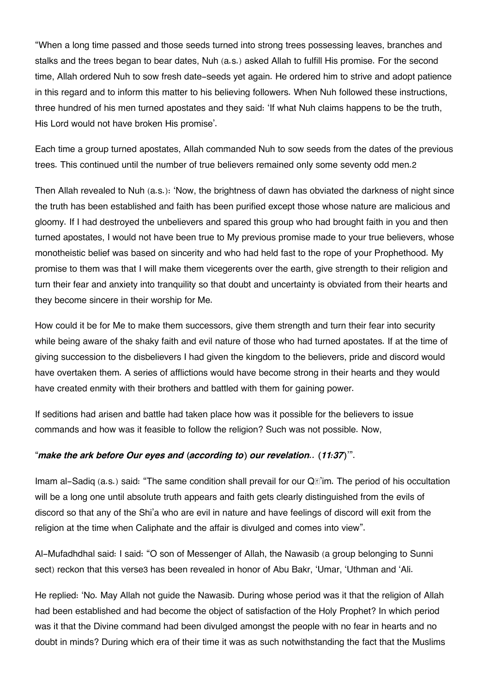"When a long time passed and those seeds turned into strong trees possessing leaves, branches and stalks and the trees began to bear dates, Nuh (a.s.) asked Allah to fulfill His promise. For the second time, Allah ordered Nuh to sow fresh date-seeds yet again. He ordered him to strive and adopt patience in this regard and to inform this matter to his believing followers. When Nuh followed these instructions, three hundred of his men turned apostates and they said: 'If what Nuh claims happens to be the truth, His Lord would not have broken His promise'.

Each time a group turned apostates, Allah commanded Nuh to sow seeds from the dates of the previous trees. This continued until the number of true believers remained only some seventy odd men.[2](#page--1-0)

Then Allah revealed to Nuh (a.s.): 'Now, the brightness of dawn has obviated the darkness of night since the truth has been established and faith has been purified except those whose nature are malicious and gloomy. If I had destroyed the unbelievers and spared this group who had brought faith in you and then turned apostates, I would not have been true to My previous promise made to your true believers, whose monotheistic belief was based on sincerity and who had held fast to the rope of your Prophethood. My promise to them was that I will make them vicegerents over the earth, give strength to their religion and turn their fear and anxiety into tranquility so that doubt and uncertainty is obviated from their hearts and they become sincere in their worship for Me.

How could it be for Me to make them successors, give them strength and turn their fear into security while being aware of the shaky faith and evil nature of those who had turned apostates. If at the time of giving succession to the disbelievers I had given the kingdom to the believers, pride and discord would have overtaken them. A series of afflictions would have become strong in their hearts and they would have created enmity with their brothers and battled with them for gaining power.

If seditions had arisen and battle had taken place how was it possible for the believers to issue commands and how was it feasible to follow the religion? Such was not possible. Now,

### "*make the ark before Our eyes and (according to) our revelation.. (11:37)*'".

Imam al-Sadiq (a.s.) said: "The same condition shall prevail for our Q<sup>®</sup>'im. The period of his occultation will be a long one until absolute truth appears and faith gets clearly distinguished from the evils of discord so that any of the Shi'a who are evil in nature and have feelings of discord will exit from the religion at the time when Caliphate and the affair is divulged and comes into view".

Al-Mufadhdhal said: I said: "O son of Messenger of Allah, the Nawasib (a group belonging to Sunni sect) reckon that this verse[3](#page--1-0) has been revealed in honor of Abu Bakr, 'Umar, 'Uthman and 'Ali.

He replied: 'No. May Allah not guide the Nawasib. During whose period was it that the religion of Allah had been established and had become the object of satisfaction of the Holy Prophet? In which period was it that the Divine command had been divulged amongst the people with no fear in hearts and no doubt in minds? During which era of their time it was as such notwithstanding the fact that the Muslims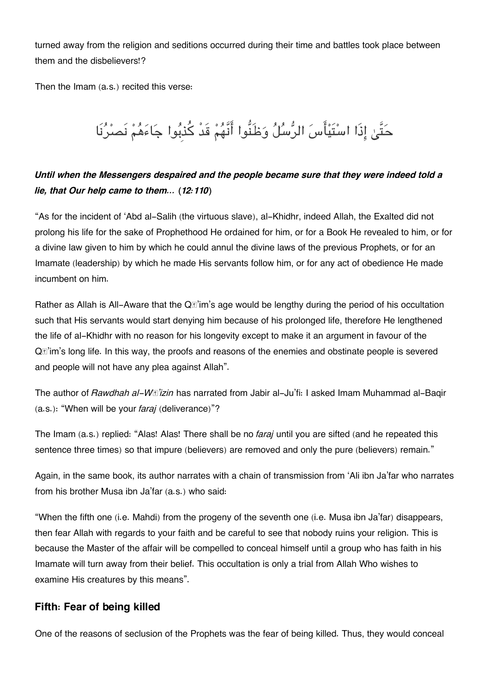turned away from the religion and seditions occurred during their time and battles took place between them and the disbelievers!?

Then the Imam (a.s.) recited this verse:

# حَتَّىٰ إِذَا اسْتَيْأَسَ الرُّسُلُ وَظَنُّوا أَنَّهُمْ قَدْ كُذبُوا جَاءَهُمْ نَصرُنَا

## *Until when the Messengers despaired and the people became sure that they were indeed told a lie, that Our help came to them… (12:110)*

"As for the incident of 'Abd al-Salih (the virtuous slave), al-Khidhr, indeed Allah, the Exalted did not prolong his life for the sake of Prophethood He ordained for him, or for a Book He revealed to him, or for a divine law given to him by which he could annul the divine laws of the previous Prophets, or for an Imamate (leadership) by which he made His servants follow him, or for any act of obedience He made incumbent on him.

Rather as Allah is All-Aware that the  $Q\mathbb{F}$ 'im's age would be lengthy during the period of his occultation such that His servants would start denying him because of his prolonged life, therefore He lengthened the life of al-Khidhr with no reason for his longevity except to make it an argument in favour of the Qā'im's long life. In this way, the proofs and reasons of the enemies and obstinate people is severed and people will not have any plea against Allah".

The author of *Rawdhah al-Wā'izin* has narrated from Jabir al-Ju'fi: I asked Imam Muhammad al-Baqir (a.s.): "When will be your *faraj* (deliverance)"?

The Imam (a.s.) replied: "Alas! Alas! There shall be no *faraj* until you are sifted (and he repeated this sentence three times) so that impure (believers) are removed and only the pure (believers) remain."

Again, in the same book, its author narrates with a chain of transmission from 'Ali ibn Ja'far who narrates from his brother Musa ibn Ja'far (a.s.) who said:

"When the fifth one (i.e. Mahdi) from the progeny of the seventh one (i.e. Musa ibn Ja'far) disappears, then fear Allah with regards to your faith and be careful to see that nobody ruins your religion. This is because the Master of the affair will be compelled to conceal himself until a group who has faith in his Imamate will turn away from their belief. This occultation is only a trial from Allah Who wishes to examine His creatures by this means".

## **[Fifth: Fear of being killed](#page--1-0)**

One of the reasons of seclusion of the Prophets was the fear of being killed. Thus, they would conceal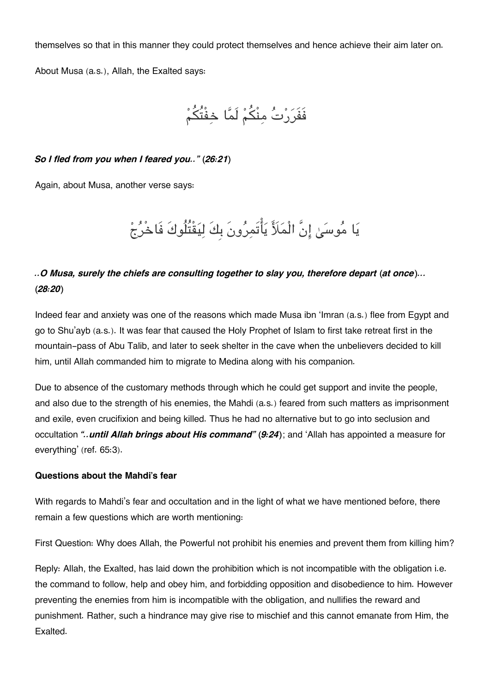themselves so that in this manner they could protect themselves and hence achieve their aim later on.

About Musa (a.s.), Allah, the Exalted says:

```
فَفَرَرْتُ مِنْكُمْ لَمَّا خِفْتُكُمْ
```
#### *So I fled from you when I feared you.." (26:21)*

Again, about Musa, another verse says:

يَا مُوسَىٰ إِنَّ الْمَلَأَ يَأْتَمِرُونَ بِكَ لِيَقْتُلُوكَ فَاخْرُجْ

## *..O Musa, surely the chiefs are consulting together to slay you, therefore depart (at once)... (28:20)*

Indeed fear and anxiety was one of the reasons which made Musa ibn 'Imran (a.s.) flee from Egypt and go to Shu'ayb (a.s.). It was fear that caused the Holy Prophet of Islam to first take retreat first in the mountain-pass of Abu Talib, and later to seek shelter in the cave when the unbelievers decided to kill him, until Allah commanded him to migrate to Medina along with his companion.

Due to absence of the customary methods through which he could get support and invite the people, and also due to the strength of his enemies, the Mahdi (a.s.) feared from such matters as imprisonment and exile, even crucifixion and being killed. Thus he had no alternative but to go into seclusion and occultation *"..until Allah brings about His command" (9:24)*; and 'Allah has appointed a measure for everything' (ref. 65:3).

#### **[Questions about the Mahdi's fear](#page--1-0)**

With regards to Mahdi's fear and occultation and in the light of what we have mentioned before, there remain a few questions which are worth mentioning:

First Question: Why does Allah, the Powerful not prohibit his enemies and prevent them from killing him?

Reply: Allah, the Exalted, has laid down the prohibition which is not incompatible with the obligation i.e. the command to follow, help and obey him, and forbidding opposition and disobedience to him. However preventing the enemies from him is incompatible with the obligation, and nullifies the reward and punishment. Rather, such a hindrance may give rise to mischief and this cannot emanate from Him, the Exalted.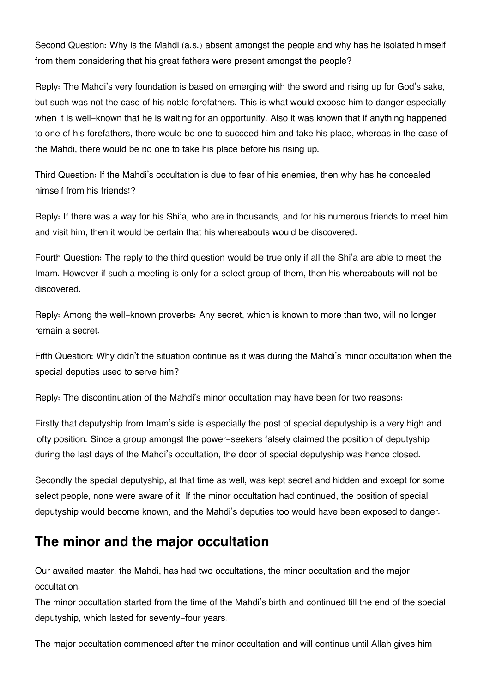Second Question: Why is the Mahdi (a.s.) absent amongst the people and why has he isolated himself from them considering that his great fathers were present amongst the people?

Reply: The Mahdi's very foundation is based on emerging with the sword and rising up for God's sake, but such was not the case of his noble forefathers. This is what would expose him to danger especially when it is well-known that he is waiting for an opportunity. Also it was known that if anything happened to one of his forefathers, there would be one to succeed him and take his place, whereas in the case of the Mahdi, there would be no one to take his place before his rising up.

Third Question: If the Mahdi's occultation is due to fear of his enemies, then why has he concealed himself from his friends!?

Reply: If there was a way for his Shi'a, who are in thousands, and for his numerous friends to meet him and visit him, then it would be certain that his whereabouts would be discovered.

Fourth Question: The reply to the third question would be true only if all the Shi'a are able to meet the Imam. However if such a meeting is only for a select group of them, then his whereabouts will not be discovered.

Reply: Among the well-known proverbs: Any secret, which is known to more than two, will no longer remain a secret.

Fifth Question: Why didn't the situation continue as it was during the Mahdi's minor occultation when the special deputies used to serve him?

Reply: The discontinuation of the Mahdi's minor occultation may have been for two reasons:

Firstly that deputyship from Imam's side is especially the post of special deputyship is a very high and lofty position. Since a group amongst the power-seekers falsely claimed the position of deputyship during the last days of the Mahdi's occultation, the door of special deputyship was hence closed.

Secondly the special deputyship, at that time as well, was kept secret and hidden and except for some select people, none were aware of it. If the minor occultation had continued, the position of special deputyship would become known, and the Mahdi's deputies too would have been exposed to danger.

# **[The minor and the major occultation](#page--1-0)**

Our awaited master, the Mahdi, has had two occultations, the minor occultation and the major occultation.

The minor occultation started from the time of the Mahdi's birth and continued till the end of the special deputyship, which lasted for seventy-four years.

The major occultation commenced after the minor occultation and will continue until Allah gives him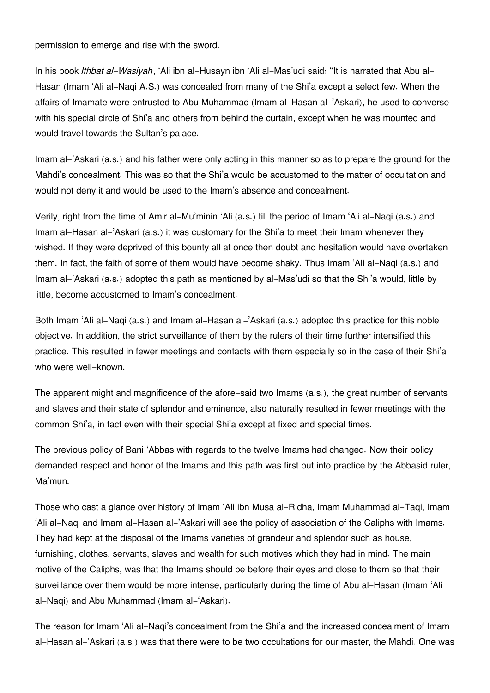permission to emerge and rise with the sword.

In his book *Ithbat al-Wasiyah*, 'Ali ibn al-Husayn ibn 'Ali al-Mas'udi said: "It is narrated that Abu al-Hasan (Imam 'Ali al-Naqi A.S.) was concealed from many of the Shi'a except a select few. When the affairs of Imamate were entrusted to Abu Muhammad (Imam al-Hasan al-'Askari), he used to converse with his special circle of Shi'a and others from behind the curtain, except when he was mounted and would travel towards the Sultan's palace.

Imam al-'Askari (a.s.) and his father were only acting in this manner so as to prepare the ground for the Mahdi's concealment. This was so that the Shi'a would be accustomed to the matter of occultation and would not deny it and would be used to the Imam's absence and concealment.

Verily, right from the time of Amir al-Mu'minin 'Ali (a.s.) till the period of Imam 'Ali al-Naqi (a.s.) and Imam al-Hasan al-'Askari (a.s.) it was customary for the Shi'a to meet their Imam whenever they wished. If they were deprived of this bounty all at once then doubt and hesitation would have overtaken them. In fact, the faith of some of them would have become shaky. Thus Imam 'Ali al-Naqi (a.s.) and Imam al-'Askari (a.s.) adopted this path as mentioned by al-Mas'udi so that the Shi'a would, little by little, become accustomed to Imam's concealment.

Both Imam 'Ali al-Naqi (a.s.) and Imam al-Hasan al-'Askari (a.s.) adopted this practice for this noble objective. In addition, the strict surveillance of them by the rulers of their time further intensified this practice. This resulted in fewer meetings and contacts with them especially so in the case of their Shi'a who were well-known.

The apparent might and magnificence of the afore-said two Imams (a.s.), the great number of servants and slaves and their state of splendor and eminence, also naturally resulted in fewer meetings with the common Shi'a, in fact even with their special Shi'a except at fixed and special times.

The previous policy of Bani 'Abbas with regards to the twelve Imams had changed. Now their policy demanded respect and honor of the Imams and this path was first put into practice by the Abbasid ruler, Ma'mun.

Those who cast a glance over history of Imam 'Ali ibn Musa al-Ridha, Imam Muhammad al-Taqi, Imam 'Ali al-Naqi and Imam al-Hasan al-'Askari will see the policy of association of the Caliphs with Imams. They had kept at the disposal of the Imams varieties of grandeur and splendor such as house, furnishing, clothes, servants, slaves and wealth for such motives which they had in mind. The main motive of the Caliphs, was that the Imams should be before their eyes and close to them so that their surveillance over them would be more intense, particularly during the time of Abu al-Hasan (Imam 'Ali al-Naqi) and Abu Muhammad (Imam al-'Askari).

The reason for Imam 'Ali al-Naqi's concealment from the Shi'a and the increased concealment of Imam al-Hasan al-'Askari (a.s.) was that there were to be two occultations for our master, the Mahdi. One was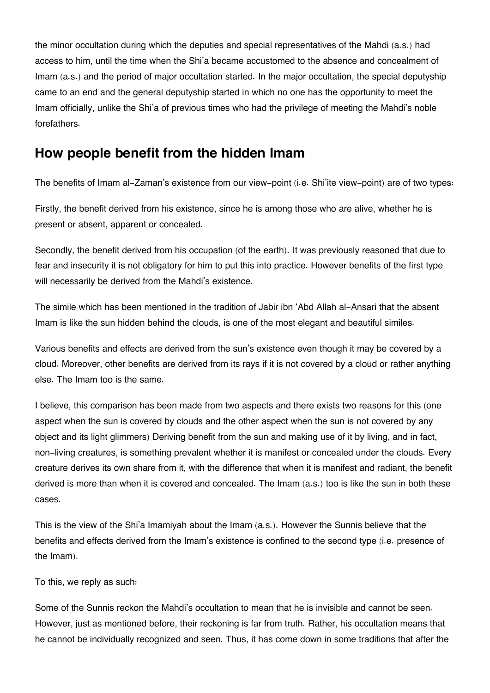the minor occultation during which the deputies and special representatives of the Mahdi (a.s.) had access to him, until the time when the Shi'a became accustomed to the absence and concealment of Imam (a.s.) and the period of major occultation started. In the major occultation, the special deputyship came to an end and the general deputyship started in which no one has the opportunity to meet the Imam officially, unlike the Shi'a of previous times who had the privilege of meeting the Mahdi's noble forefathers.

# **[How people benefit from the hidden Imam](#page--1-0)**

The benefits of Imam al-Zaman's existence from our view-point (i.e. Shi'ite view-point) are of two types:

Firstly, the benefit derived from his existence, since he is among those who are alive, whether he is present or absent, apparent or concealed.

Secondly, the benefit derived from his occupation (of the earth). It was previously reasoned that due to fear and insecurity it is not obligatory for him to put this into practice. However benefits of the first type will necessarily be derived from the Mahdi's existence.

The simile which has been mentioned in the tradition of Jabir ibn 'Abd Allah al-Ansari that the absent Imam is like the sun hidden behind the clouds, is one of the most elegant and beautiful similes.

Various benefits and effects are derived from the sun's existence even though it may be covered by a cloud. Moreover, other benefits are derived from its rays if it is not covered by a cloud or rather anything else. The Imam too is the same.

I believe, this comparison has been made from two aspects and there exists two reasons for this (one aspect when the sun is covered by clouds and the other aspect when the sun is not covered by any object and its light glimmers) Deriving benefit from the sun and making use of it by living, and in fact, non-living creatures, is something prevalent whether it is manifest or concealed under the clouds. Every creature derives its own share from it, with the difference that when it is manifest and radiant, the benefit derived is more than when it is covered and concealed. The Imam (a.s.) too is like the sun in both these cases.

This is the view of the Shi'a Imamiyah about the Imam (a.s.). However the Sunnis believe that the benefits and effects derived from the Imam's existence is confined to the second type (i.e. presence of the Imam).

To this, we reply as such:

Some of the Sunnis reckon the Mahdi's occultation to mean that he is invisible and cannot be seen. However, just as mentioned before, their reckoning is far from truth. Rather, his occultation means that he cannot be individually recognized and seen. Thus, it has come down in some traditions that after the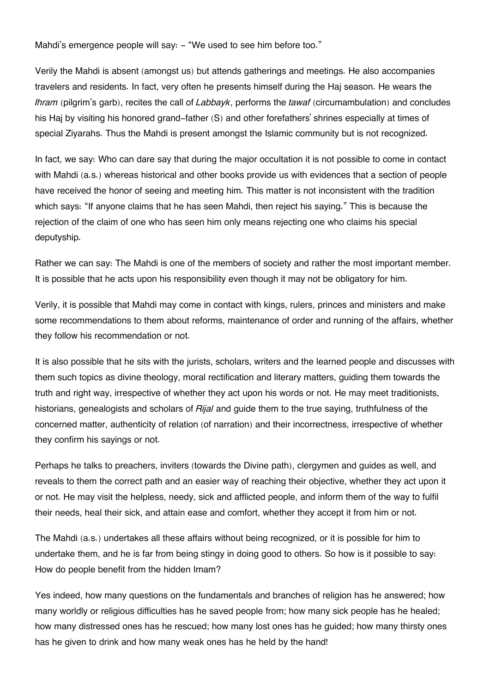Mahdi's emergence people will say: - "We used to see him before too."

Verily the Mahdi is absent (amongst us) but attends gatherings and meetings. He also accompanies travelers and residents. In fact, very often he presents himself during the Haj season. He wears the *Ihram* (pilgrim's garb), recites the call of *Labbayk*, performs the *tawaf* (circumambulation) and concludes his Haj by visiting his honored grand-father (S) and other forefathers' shrines especially at times of special Ziyarahs. Thus the Mahdi is present amongst the Islamic community but is not recognized.

In fact, we say: Who can dare say that during the major occultation it is not possible to come in contact with Mahdi (a.s.) whereas historical and other books provide us with evidences that a section of people have received the honor of seeing and meeting him. This matter is not inconsistent with the tradition which says: "If anyone claims that he has seen Mahdi, then reject his saying." This is because the rejection of the claim of one who has seen him only means rejecting one who claims his special deputyship.

Rather we can say: The Mahdi is one of the members of society and rather the most important member. It is possible that he acts upon his responsibility even though it may not be obligatory for him.

Verily, it is possible that Mahdi may come in contact with kings, rulers, princes and ministers and make some recommendations to them about reforms, maintenance of order and running of the affairs, whether they follow his recommendation or not.

It is also possible that he sits with the jurists, scholars, writers and the learned people and discusses with them such topics as divine theology, moral rectification and literary matters, guiding them towards the truth and right way, irrespective of whether they act upon his words or not. He may meet traditionists, historians, genealogists and scholars of *Rijal* and guide them to the true saying, truthfulness of the concerned matter, authenticity of relation (of narration) and their incorrectness, irrespective of whether they confirm his sayings or not.

Perhaps he talks to preachers, inviters (towards the Divine path), clergymen and guides as well, and reveals to them the correct path and an easier way of reaching their objective, whether they act upon it or not. He may visit the helpless, needy, sick and afflicted people, and inform them of the way to fulfil their needs, heal their sick, and attain ease and comfort, whether they accept it from him or not.

The Mahdi (a.s.) undertakes all these affairs without being recognized, or it is possible for him to undertake them, and he is far from being stingy in doing good to others. So how is it possible to say: How do people benefit from the hidden Imam?

Yes indeed, how many questions on the fundamentals and branches of religion has he answered; how many worldly or religious difficulties has he saved people from; how many sick people has he healed; how many distressed ones has he rescued; how many lost ones has he guided; how many thirsty ones has he given to drink and how many weak ones has he held by the hand!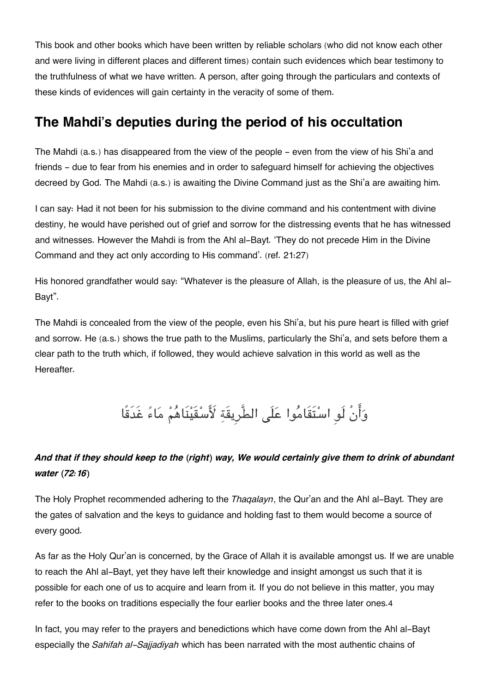This book and other books which have been written by reliable scholars (who did not know each other and were living in different places and different times) contain such evidences which bear testimony to the truthfulness of what we have written. A person, after going through the particulars and contexts of these kinds of evidences will gain certainty in the veracity of some of them.

### **[The Mahdi's deputies during the period of his occultation](#page--1-0)**

The Mahdi (a.s.) has disappeared from the view of the people – even from the view of his Shi'a and friends - due to fear from his enemies and in order to safeguard himself for achieving the objectives decreed by God. The Mahdi (a.s.) is awaiting the Divine Command just as the Shi'a are awaiting him.

I can say: Had it not been for his submission to the divine command and his contentment with divine destiny, he would have perished out of grief and sorrow for the distressing events that he has witnessed and witnesses. However the Mahdi is from the Ahl al-Bayt. 'They do not precede Him in the Divine Command and they act only according to His command'. (ref. 21:27)

His honored grandfather would say: "Whatever is the pleasure of Allah, is the pleasure of us, the Ahl al-Bayt".

The Mahdi is concealed from the view of the people, even his Shi'a, but his pure heart is filled with grief and sorrow. He (a.s.) shows the true path to the Muslims, particularly the Shi'a, and sets before them a clear path to the truth which, if followed, they would achieve salvation in this world as well as the Hereafter.

وَأَنْ لَو اسْتَقَامُوا عَلَى الطَّرِيقَةِ لَأَسْقَيْنَاهُمْ مَاءً غَدَقًا

#### *And that if they should keep to the (right) way, We would certainly give them to drink of abundant water (72:16)*

The Holy Prophet recommended adhering to the *Thaqalayn*, the Qur'an and the Ahl al-Bayt. They are the gates of salvation and the keys to guidance and holding fast to them would become a source of every good.

As far as the Holy Qur'an is concerned, by the Grace of Allah it is available amongst us. If we are unable to reach the Ahl al-Bayt, yet they have left their knowledge and insight amongst us such that it is possible for each one of us to acquire and learn from it. If you do not believe in this matter, you may refer to the books on traditions especially the four earlier books and the three later ones.[4](#page--1-0)

In fact, you may refer to the prayers and benedictions which have come down from the Ahl al-Bayt especially the *Sahifah al-Sajjadiyah* which has been narrated with the most authentic chains of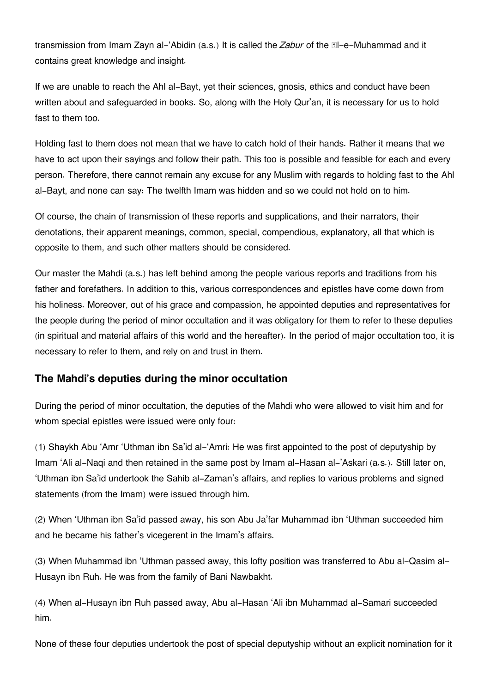transmission from Imam Zayn al-'Abidin (a.s.) It is called the *Zabur* of the **El-e-Muhammad** and it contains great knowledge and insight.

If we are unable to reach the Ahl al-Bayt, yet their sciences, gnosis, ethics and conduct have been written about and safeguarded in books. So, along with the Holy Qur'an, it is necessary for us to hold fast to them too.

Holding fast to them does not mean that we have to catch hold of their hands. Rather it means that we have to act upon their sayings and follow their path. This too is possible and feasible for each and every person. Therefore, there cannot remain any excuse for any Muslim with regards to holding fast to the Ahl al-Bayt, and none can say: The twelfth Imam was hidden and so we could not hold on to him.

Of course, the chain of transmission of these reports and supplications, and their narrators, their denotations, their apparent meanings, common, special, compendious, explanatory, all that which is opposite to them, and such other matters should be considered.

Our master the Mahdi (a.s.) has left behind among the people various reports and traditions from his father and forefathers. In addition to this, various correspondences and epistles have come down from his holiness. Moreover, out of his grace and compassion, he appointed deputies and representatives for the people during the period of minor occultation and it was obligatory for them to refer to these deputies (in spiritual and material affairs of this world and the hereafter). In the period of major occultation too, it is necessary to refer to them, and rely on and trust in them.

#### **[The Mahdi's deputies during the minor occultation](#page--1-0)**

During the period of minor occultation, the deputies of the Mahdi who were allowed to visit him and for whom special epistles were issued were only four:

(1) Shaykh Abu 'Amr 'Uthman ibn Sa'id al-'Amri: He was first appointed to the post of deputyship by Imam 'Ali al-Naqi and then retained in the same post by Imam al-Hasan al-'Askari (a.s.). Still later on, 'Uthman ibn Sa'id undertook the Sahib al-Zaman's affairs, and replies to various problems and signed statements (from the Imam) were issued through him.

(2) When 'Uthman ibn Sa'id passed away, his son Abu Ja'far Muhammad ibn 'Uthman succeeded him and he became his father's vicegerent in the Imam's affairs.

(3) When Muhammad ibn 'Uthman passed away, this lofty position was transferred to Abu al-Qasim al-Husayn ibn Ruh. He was from the family of Bani Nawbakht.

(4) When al-Husayn ibn Ruh passed away, Abu al-Hasan 'Ali ibn Muhammad al-Samari succeeded him.

None of these four deputies undertook the post of special deputyship without an explicit nomination for it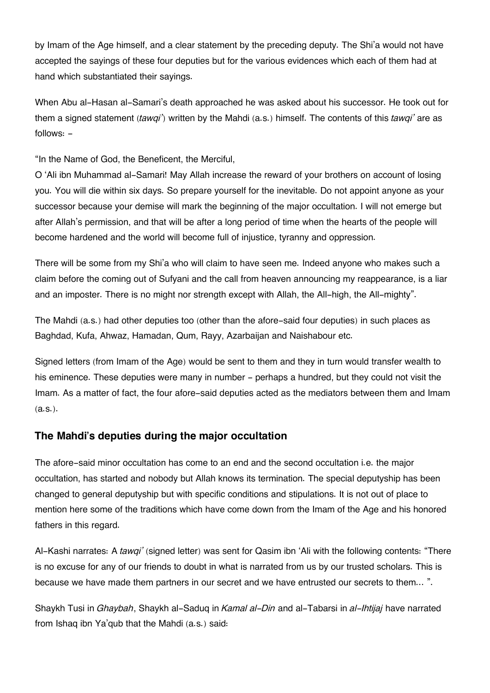by Imam of the Age himself, and a clear statement by the preceding deputy. The Shi'a would not have accepted the sayings of these four deputies but for the various evidences which each of them had at hand which substantiated their sayings.

When Abu al-Hasan al-Samari's death approached he was asked about his successor. He took out for them a signed statement (*tawqi'*) written by the Mahdi (a.s.) himself. The contents of this *tawqi'* are as follows: -

"In the Name of God, the Beneficent, the Merciful,

O 'Ali ibn Muhammad al-Samari! May Allah increase the reward of your brothers on account of losing you. You will die within six days. So prepare yourself for the inevitable. Do not appoint anyone as your successor because your demise will mark the beginning of the major occultation. I will not emerge but after Allah's permission, and that will be after a long period of time when the hearts of the people will become hardened and the world will become full of injustice, tyranny and oppression.

There will be some from my Shi'a who will claim to have seen me. Indeed anyone who makes such a claim before the coming out of Sufyani and the call from heaven announcing my reappearance, is a liar and an imposter. There is no might nor strength except with Allah, the All-high, the All-mighty".

The Mahdi (a.s.) had other deputies too (other than the afore-said four deputies) in such places as Baghdad, Kufa, Ahwaz, Hamadan, Qum, Rayy, Azarbaijan and Naishabour etc.

Signed letters (from Imam of the Age) would be sent to them and they in turn would transfer wealth to his eminence. These deputies were many in number - perhaps a hundred, but they could not visit the Imam. As a matter of fact, the four afore-said deputies acted as the mediators between them and Imam (a.s.).

#### **[The Mahdi's deputies during the major occultation](#page--1-0)**

The afore-said minor occultation has come to an end and the second occultation i.e. the major occultation, has started and nobody but Allah knows its termination. The special deputyship has been changed to general deputyship but with specific conditions and stipulations. It is not out of place to mention here some of the traditions which have come down from the Imam of the Age and his honored fathers in this regard.

Al-Kashi narrates: A *tawqi'* (signed letter) was sent for Qasim ibn 'Ali with the following contents: "There is no excuse for any of our friends to doubt in what is narrated from us by our trusted scholars. This is because we have made them partners in our secret and we have entrusted our secrets to them… ".

Shaykh Tusi in *Ghaybah*, Shaykh al-Saduq in *Kamal al-Din* and al-Tabarsi in *al-Ihtijaj* have narrated from Ishaq ibn Ya'qub that the Mahdi (a.s.) said: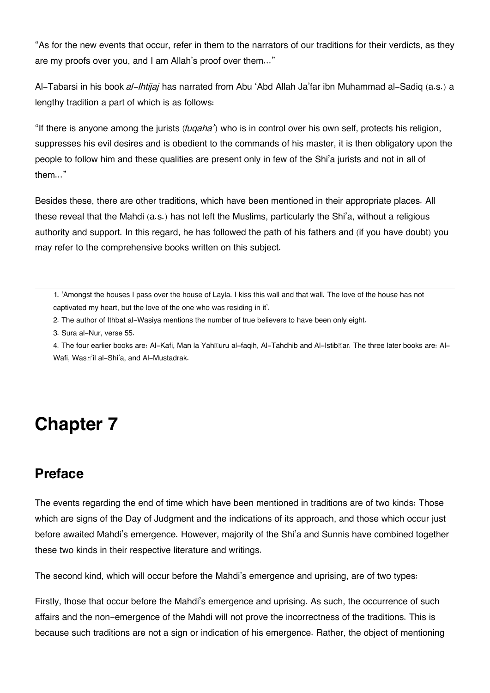"As for the new events that occur, refer in them to the narrators of our traditions for their verdicts, as they are my proofs over you, and I am Allah's proof over them..."

Al-Tabarsi in his book *al-Ihtijaj* has narrated from Abu 'Abd Allah Ja'far ibn Muhammad al-Sadiq (a.s.) a lengthy tradition a part of which is as follows:

"If there is anyone among the jurists (*fuqaha'*) who is in control over his own self, protects his religion, suppresses his evil desires and is obedient to the commands of his master, it is then obligatory upon the people to follow him and these qualities are present only in few of the Shi'a jurists and not in all of them..."

Besides these, there are other traditions, which have been mentioned in their appropriate places. All these reveal that the Mahdi (a.s.) has not left the Muslims, particularly the Shi'a, without a religious authority and support. In this regard, he has followed the path of his fathers and (if you have doubt) you may refer to the comprehensive books written on this subject.

[1.](#page--1-0) 'Amongst the houses I pass over the house of Layla. I kiss this wall and that wall. The love of the house has not captivated my heart, but the love of the one who was residing in it'.

- [2.](#page--1-0) The author of Ithbat al-Wasiya mentions the number of true believers to have been only eight.
- [3.](#page--1-0) Sura al-Nur, verse 55.

[4.](#page--1-0) The four earlier books are: Al-Kafi, Man la Yah**turu al-faqih, Al-Tahdhib and Al-Istib**ar. The three later books are: Al-Wafi, Wasā'il al-Shi'a, and Al-Mustadrak.

# **Chapter 7**

### **[Preface](#page--1-0)**

The events regarding the end of time which have been mentioned in traditions are of two kinds: Those which are signs of the Day of Judgment and the indications of its approach, and those which occur just before awaited Mahdi's emergence. However, majority of the Shi'a and Sunnis have combined together these two kinds in their respective literature and writings.

The second kind, which will occur before the Mahdi's emergence and uprising, are of two types:

Firstly, those that occur before the Mahdi's emergence and uprising. As such, the occurrence of such affairs and the non-emergence of the Mahdi will not prove the incorrectness of the traditions. This is because such traditions are not a sign or indication of his emergence. Rather, the object of mentioning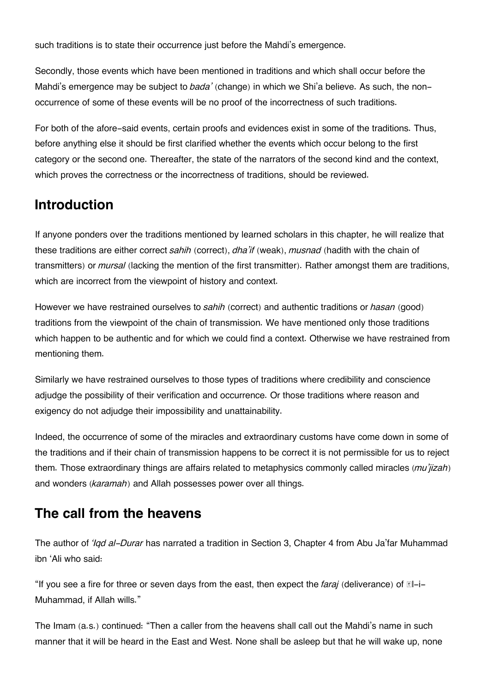such traditions is to state their occurrence just before the Mahdi's emergence.

Secondly, those events which have been mentioned in traditions and which shall occur before the Mahdi's emergence may be subject to *bada'* (change) in which we Shi'a believe. As such, the nonoccurrence of some of these events will be no proof of the incorrectness of such traditions.

For both of the afore-said events, certain proofs and evidences exist in some of the traditions. Thus, before anything else it should be first clarified whether the events which occur belong to the first category or the second one. Thereafter, the state of the narrators of the second kind and the context, which proves the correctness or the incorrectness of traditions, should be reviewed.

### **[Introduction](#page--1-0)**

If anyone ponders over the traditions mentioned by learned scholars in this chapter, he will realize that these traditions are either correct *sahih* (correct), *dha'if* (weak), *musnad* (hadith with the chain of transmitters) or *mursal* (lacking the mention of the first transmitter). Rather amongst them are traditions, which are incorrect from the viewpoint of history and context.

However we have restrained ourselves to *sahih* (correct) and authentic traditions or *hasan* (good) traditions from the viewpoint of the chain of transmission. We have mentioned only those traditions which happen to be authentic and for which we could find a context. Otherwise we have restrained from mentioning them.

Similarly we have restrained ourselves to those types of traditions where credibility and conscience adjudge the possibility of their verification and occurrence. Or those traditions where reason and exigency do not adjudge their impossibility and unattainability.

Indeed, the occurrence of some of the miracles and extraordinary customs have come down in some of the traditions and if their chain of transmission happens to be correct it is not permissible for us to reject them. Those extraordinary things are affairs related to metaphysics commonly called miracles (*mu'jizah*) and wonders (*karamah*) and Allah possesses power over all things.

### **[The call from the heavens](#page--1-0)**

The author of *'Iqd al-Durar* has narrated a tradition in Section 3, Chapter 4 from Abu Ja'far Muhammad ibn 'Ali who said:

"If you see a fire for three or seven days from the east, then expect the *faraj* (deliverance) of  $\mathbb{N}$ -i-Muhammad, if Allah wills."

The Imam (a.s.) continued: "Then a caller from the heavens shall call out the Mahdi's name in such manner that it will be heard in the East and West. None shall be asleep but that he will wake up, none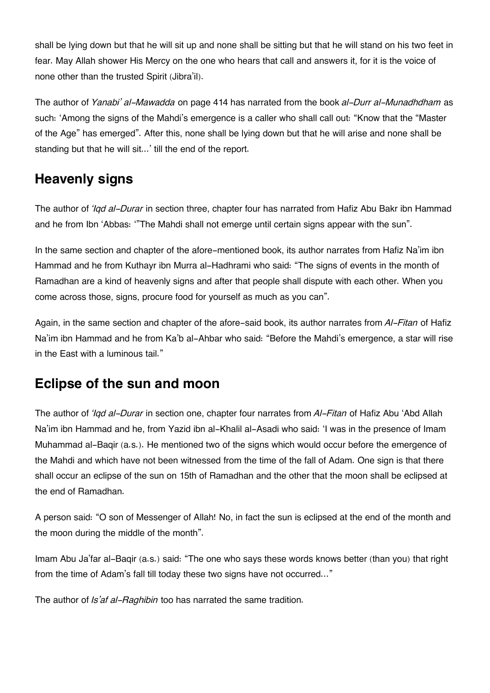shall be lying down but that he will sit up and none shall be sitting but that he will stand on his two feet in fear. May Allah shower His Mercy on the one who hears that call and answers it, for it is the voice of none other than the trusted Spirit (Jibra'il).

The author of *Yanabi' al-Mawadda* on page 414 has narrated from the book *al-Durr al-Munadhdham* as such: 'Among the signs of the Mahdi's emergence is a caller who shall call out: "Know that the "Master of the Age" has emerged". After this, none shall be lying down but that he will arise and none shall be standing but that he will sit...' till the end of the report.

## **[Heavenly signs](#page--1-0)**

The author of *'Iqd al-Durar* in section three, chapter four has narrated from Hafiz Abu Bakr ibn Hammad and he from Ibn 'Abbas: '"The Mahdi shall not emerge until certain signs appear with the sun".

In the same section and chapter of the afore-mentioned book, its author narrates from Hafiz Na'im ibn Hammad and he from Kuthayr ibn Murra al-Hadhrami who said: "The signs of events in the month of Ramadhan are a kind of heavenly signs and after that people shall dispute with each other. When you come across those, signs, procure food for yourself as much as you can".

Again, in the same section and chapter of the afore-said book, its author narrates from *Al-Fitan* of Hafiz Na'im ibn Hammad and he from Ka'b al-Ahbar who said: "Before the Mahdi's emergence, a star will rise in the East with a luminous tail."

### **[Eclipse of the sun and moon](#page--1-0)**

The author of *'Iqd al-Durar* in section one, chapter four narrates from *Al-Fitan* of Hafiz Abu 'Abd Allah Na'im ibn Hammad and he, from Yazid ibn al-Khalil al-Asadi who said: 'I was in the presence of Imam Muhammad al-Baqir (a.s.). He mentioned two of the signs which would occur before the emergence of the Mahdi and which have not been witnessed from the time of the fall of Adam. One sign is that there shall occur an eclipse of the sun on 15th of Ramadhan and the other that the moon shall be eclipsed at the end of Ramadhan.

A person said: "O son of Messenger of Allah! No, in fact the sun is eclipsed at the end of the month and the moon during the middle of the month".

Imam Abu Ja'far al-Baqir (a.s.) said: "The one who says these words knows better (than you) that right from the time of Adam's fall till today these two signs have not occurred…"

The author of *Is'af al-Raghibin* too has narrated the same tradition.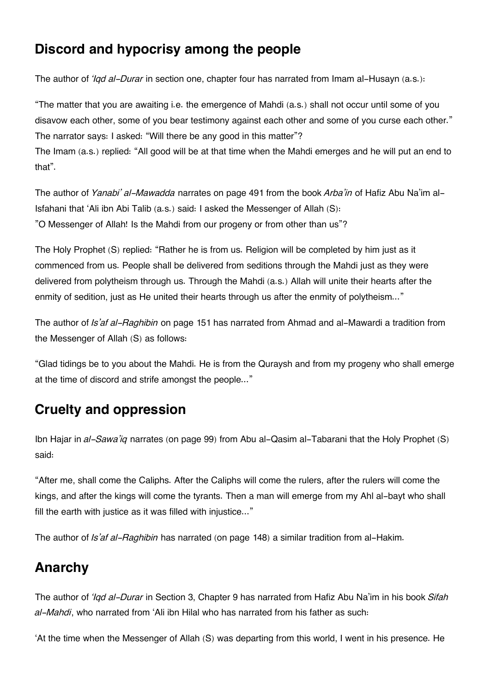### **[Discord and hypocrisy among the people](#page--1-0)**

The author of *'Iqd al-Durar* in section one, chapter four has narrated from Imam al-Husayn (a.s.):

"The matter that you are awaiting i.e. the emergence of Mahdi (a.s.) shall not occur until some of you disavow each other, some of you bear testimony against each other and some of you curse each other." The narrator says: I asked: "Will there be any good in this matter"?

The Imam (a.s.) replied: "All good will be at that time when the Mahdi emerges and he will put an end to that".

The author of *Yanabi' al-Mawadda* narrates on page 491 from the book *Arba'in* of Hafiz Abu Na'im al-Isfahani that 'Ali ibn Abi Talib (a.s.) said: I asked the Messenger of Allah (S): "O Messenger of Allah! Is the Mahdi from our progeny or from other than us"?

The Holy Prophet (S) replied: "Rather he is from us. Religion will be completed by him just as it commenced from us. People shall be delivered from seditions through the Mahdi just as they were delivered from polytheism through us. Through the Mahdi (a.s.) Allah will unite their hearts after the enmity of sedition, just as He united their hearts through us after the enmity of polytheism..."

The author of *Is'af al-Raghibin* on page 151 has narrated from Ahmad and al-Mawardi a tradition from the Messenger of Allah (S) as follows:

"Glad tidings be to you about the Mahdi. He is from the Quraysh and from my progeny who shall emerge at the time of discord and strife amongst the people..."

# **[Cruelty and oppression](#page--1-0)**

Ibn Hajar in *al-Sawa'iq* narrates (on page 99) from Abu al-Qasim al-Tabarani that the Holy Prophet (S) said:

"After me, shall come the Caliphs. After the Caliphs will come the rulers, after the rulers will come the kings, and after the kings will come the tyrants. Then a man will emerge from my Ahl al-bayt who shall fill the earth with justice as it was filled with injustice..."

The author of *Is'af al-Raghibin* has narrated (on page 148) a similar tradition from al-Hakim.

# **[Anarchy](#page--1-0)**

The author of *'Iqd al-Durar* in Section 3, Chapter 9 has narrated from Hafiz Abu Na'im in his book *Sifah al-Mahdi*, who narrated from 'Ali ibn Hilal who has narrated from his father as such:

'At the time when the Messenger of Allah (S) was departing from this world, I went in his presence. He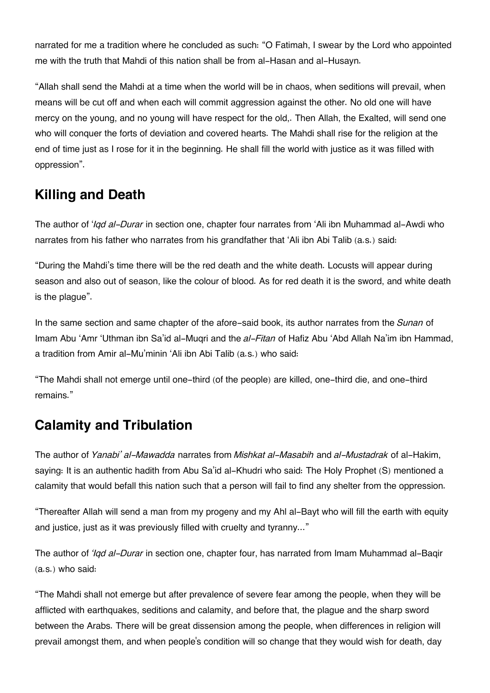narrated for me a tradition where he concluded as such: "O Fatimah, I swear by the Lord who appointed me with the truth that Mahdi of this nation shall be from al-Hasan and al-Husayn.

"Allah shall send the Mahdi at a time when the world will be in chaos, when seditions will prevail, when means will be cut off and when each will commit aggression against the other. No old one will have mercy on the young, and no young will have respect for the old,. Then Allah, the Exalted, will send one who will conquer the forts of deviation and covered hearts. The Mahdi shall rise for the religion at the end of time just as I rose for it in the beginning. He shall fill the world with justice as it was filled with oppression".

# **[Killing and Death](#page--1-0)**

The author of '*Iqd al-Durar* in section one, chapter four narrates from 'Ali ibn Muhammad al-Awdi who narrates from his father who narrates from his grandfather that 'Ali ibn Abi Talib (a.s.) said:

"During the Mahdi's time there will be the red death and the white death. Locusts will appear during season and also out of season, like the colour of blood. As for red death it is the sword, and white death is the plague".

In the same section and same chapter of the afore-said book, its author narrates from the *Sunan* of Imam Abu 'Amr 'Uthman ibn Sa'id al-Muqri and the *al-Fitan* of Hafiz Abu 'Abd Allah Na'im ibn Hammad, a tradition from Amir al-Mu'minin 'Ali ibn Abi Talib (a.s.) who said:

"The Mahdi shall not emerge until one-third (of the people) are killed, one-third die, and one-third remains."

# **[Calamity and Tribulation](#page--1-0)**

The author of *Yanabi' al-Mawadda* narrates from *Mishkat al-Masabih* and *al-Mustadrak* of al-Hakim, saying: It is an authentic hadith from Abu Sa'id al-Khudri who said: The Holy Prophet (S) mentioned a calamity that would befall this nation such that a person will fail to find any shelter from the oppression.

"Thereafter Allah will send a man from my progeny and my Ahl al-Bayt who will fill the earth with equity and justice, just as it was previously filled with cruelty and tyranny..."

The author of *'Iqd al-Durar* in section one, chapter four, has narrated from Imam Muhammad al-Baqir (a.s.) who said:

"The Mahdi shall not emerge but after prevalence of severe fear among the people, when they will be afflicted with earthquakes, seditions and calamity, and before that, the plague and the sharp sword between the Arabs. There will be great dissension among the people, when differences in religion will prevail amongst them, and when people's condition will so change that they would wish for death, day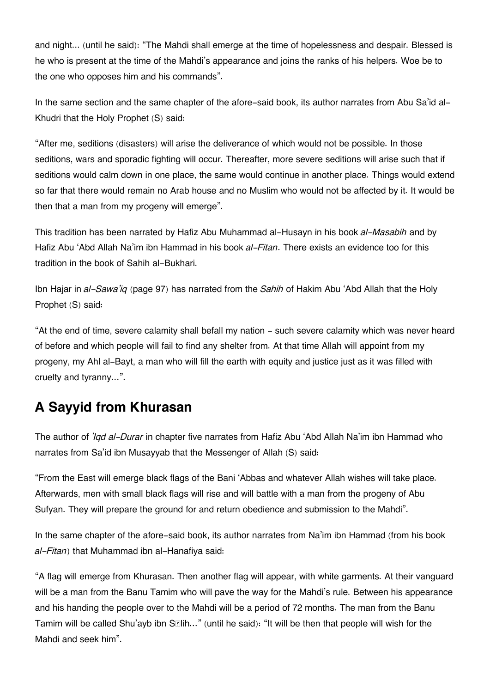and night... (until he said): "The Mahdi shall emerge at the time of hopelessness and despair. Blessed is he who is present at the time of the Mahdi's appearance and joins the ranks of his helpers. Woe be to the one who opposes him and his commands".

In the same section and the same chapter of the afore-said book, its author narrates from Abu Sa'id al-Khudri that the Holy Prophet (S) said:

"After me, seditions (disasters) will arise the deliverance of which would not be possible. In those seditions, wars and sporadic fighting will occur. Thereafter, more severe seditions will arise such that if seditions would calm down in one place, the same would continue in another place. Things would extend so far that there would remain no Arab house and no Muslim who would not be affected by it. It would be then that a man from my progeny will emerge".

This tradition has been narrated by Hafiz Abu Muhammad al-Husayn in his book *al-Masabih* and by Hafiz Abu 'Abd Allah Na'im ibn Hammad in his book *al-Fitan*. There exists an evidence too for this tradition in the book of Sahih al-Bukhari.

Ibn Hajar in *al-Sawa'iq* (page 97) has narrated from the *Sahih* of Hakim Abu 'Abd Allah that the Holy Prophet (S) said:

"At the end of time, severe calamity shall befall my nation - such severe calamity which was never heard of before and which people will fail to find any shelter from. At that time Allah will appoint from my progeny, my Ahl al-Bayt, a man who will fill the earth with equity and justice just as it was filled with cruelty and tyranny…".

# **[A Sayyid from Khurasan](#page--1-0)**

The author of *'Iqd al-Durar* in chapter five narrates from Hafiz Abu 'Abd Allah Na'im ibn Hammad who narrates from Sa'id ibn Musayyab that the Messenger of Allah (S) said:

"From the East will emerge black flags of the Bani 'Abbas and whatever Allah wishes will take place. Afterwards, men with small black flags will rise and will battle with a man from the progeny of Abu Sufyan. They will prepare the ground for and return obedience and submission to the Mahdi".

In the same chapter of the afore-said book, its author narrates from Na'im ibn Hammad (from his book *al-Fitan*) that Muhammad ibn al-Hanafiya said:

"A flag will emerge from Khurasan. Then another flag will appear, with white garments. At their vanguard will be a man from the Banu Tamim who will pave the way for the Mahdi's rule. Between his appearance and his handing the people over to the Mahdi will be a period of 72 months. The man from the Banu Tamim will be called Shu'ayb ibn S**Elih...**" (until he said): "It will be then that people will wish for the Mahdi and seek him".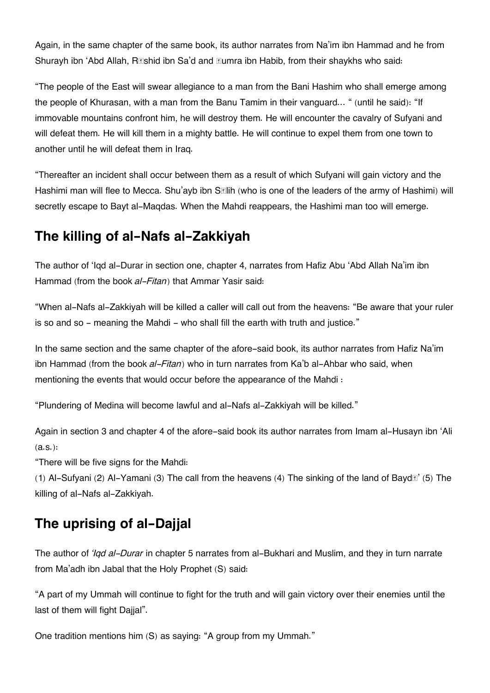Again, in the same chapter of the same book, its author narrates from Na'im ibn Hammad and he from Shurayh ibn 'Abd Allah, R**Eshid ibn Sa'd and Eumra ibn Habib, from** their shaykhs who said:

"The people of the East will swear allegiance to a man from the Bani Hashim who shall emerge among the people of Khurasan, with a man from the Banu Tamim in their vanguard… " (until he said): "If immovable mountains confront him, he will destroy them. He will encounter the cavalry of Sufyani and will defeat them. He will kill them in a mighty battle. He will continue to expel them from one town to another until he will defeat them in Iraq.

"Thereafter an incident shall occur between them as a result of which Sufyani will gain victory and the Hashimi man will flee to Mecca. Shu'ayb ibn S**Elih (who is one of the leaders of the army** of Hashimi) will secretly escape to Bayt al-Maqdas. When the Mahdi reappears, the Hashimi man too will emerge.

## **[The killing of al-Nafs al-Zakkiyah](#page--1-0)**

The author of 'Iqd al-Durar in section one, chapter 4, narrates from Hafiz Abu 'Abd Allah Na'im ibn Hammad (from the book *al-Fitan*) that Ammar Yasir said:

"When al-Nafs al-Zakkiyah will be killed a caller will call out from the heavens: "Be aware that your ruler is so and so - meaning the Mahdi - who shall fill the earth with truth and justice."

In the same section and the same chapter of the afore-said book, its author narrates from Hafiz Na'im ibn Hammad (from the book *al-Fitan*) who in turn narrates from Ka'b al-Ahbar who said, when mentioning the events that would occur before the appearance of the Mahdi :

"Plundering of Medina will become lawful and al-Nafs al-Zakkiyah will be killed."

Again in section 3 and chapter 4 of the afore-said book its author narrates from Imam al-Husayn ibn 'Ali (a.s.):

"There will be five signs for the Mahdi:

(1) Al-Sufyani (2) Al-Yamani (3) The call from the heavens (4) The sinking of the land of Baydā' (5) The killing of al-Nafs al-Zakkiyah.

# **[The uprising of al-Dajjal](#page--1-0)**

The author of *'Iqd al-Durar* in chapter 5 narrates from al-Bukhari and Muslim, and they in turn narrate from Ma'adh ibn Jabal that the Holy Prophet (S) said:

"A part of my Ummah will continue to fight for the truth and will gain victory over their enemies until the last of them will fight Dajjal".

One tradition mentions him (S) as saying: "A group from my Ummah."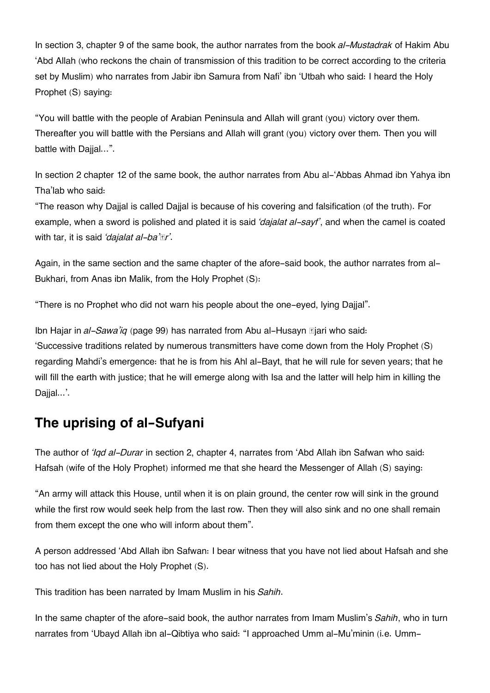In section 3, chapter 9 of the same book, the author narrates from the book *al-Mustadrak* of Hakim Abu 'Abd Allah (who reckons the chain of transmission of this tradition to be correct according to the criteria set by Muslim) who narrates from Jabir ibn Samura from Nafi' ibn 'Utbah who said: I heard the Holy Prophet (S) saying:

"You will battle with the people of Arabian Peninsula and Allah will grant (you) victory over them. Thereafter you will battle with the Persians and Allah will grant (you) victory over them. Then you will battle with Daijal...".

In section 2 chapter 12 of the same book, the author narrates from Abu al-'Abbas Ahmad ibn Yahya ibn Tha'lab who said:

"The reason why Dajjal is called Dajjal is because of his covering and falsification (of the truth). For example, when a sword is polished and plated it is said *'dajalat al-sayf'*, and when the camel is coated with tar, it is said *'dajalat al-ba'īr'*.

Again, in the same section and the same chapter of the afore-said book, the author narrates from al-Bukhari, from Anas ibn Malik, from the Holy Prophet (S):

"There is no Prophet who did not warn his people about the one-eyed, lying Dajjal".

Ibn Hajar in *al-Sawa'iq* (page 99) has narrated from Abu al-Husayn **T**jari who said: 'Successive traditions related by numerous transmitters have come down from the Holy Prophet (S) regarding Mahdi's emergence: that he is from his Ahl al-Bayt, that he will rule for seven years; that he will fill the earth with justice; that he will emerge along with Isa and the latter will help him in killing the Dajjal...'.

### **[The uprising of al-Sufyani](#page--1-0)**

The author of *'Iqd al-Durar* in section 2, chapter 4, narrates from 'Abd Allah ibn Safwan who said: Hafsah (wife of the Holy Prophet) informed me that she heard the Messenger of Allah (S) saying:

"An army will attack this House, until when it is on plain ground, the center row will sink in the ground while the first row would seek help from the last row. Then they will also sink and no one shall remain from them except the one who will inform about them".

A person addressed 'Abd Allah ibn Safwan: I bear witness that you have not lied about Hafsah and she too has not lied about the Holy Prophet (S).

This tradition has been narrated by Imam Muslim in his *Sahih*.

In the same chapter of the afore-said book, the author narrates from Imam Muslim's *Sahih*, who in turn narrates from 'Ubayd Allah ibn al-Qibtiya who said: "I approached Umm al-Mu'minin (i.e. Umm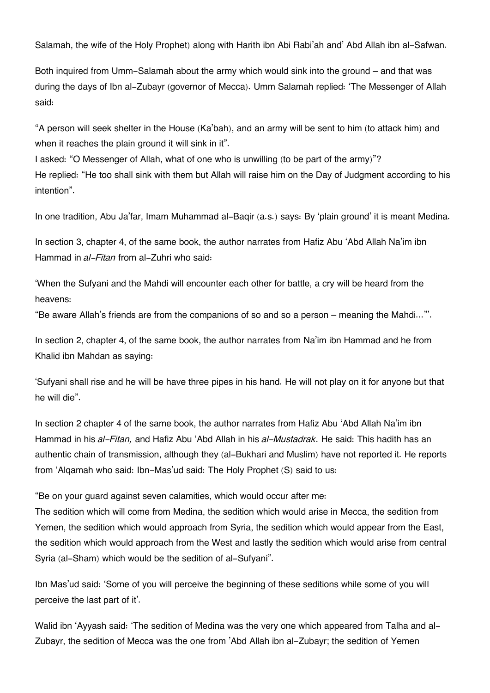Salamah, the wife of the Holy Prophet) along with Harith ibn Abi Rabi'ah and' Abd Allah ibn al-Safwan.

Both inquired from Umm-Salamah about the army which would sink into the ground – and that was during the days of Ibn al-Zubayr (governor of Mecca). Umm Salamah replied: 'The Messenger of Allah said:

"A person will seek shelter in the House (Ka'bah), and an army will be sent to him (to attack him) and when it reaches the plain ground it will sink in it".

I asked: "O Messenger of Allah, what of one who is unwilling (to be part of the army)"? He replied: "He too shall sink with them but Allah will raise him on the Day of Judgment according to his intention".

In one tradition, Abu Ja'far, Imam Muhammad al-Baqir (a.s.) says: By 'plain ground' it is meant Medina.

In section 3, chapter 4, of the same book, the author narrates from Hafiz Abu 'Abd Allah Na'im ibn Hammad in *al-Fitan* from al-Zuhri who said:

'When the Sufyani and the Mahdi will encounter each other for battle, a cry will be heard from the heavens:

"Be aware Allah's friends are from the companions of so and so a person – meaning the Mahdi..."'.

In section 2, chapter 4, of the same book, the author narrates from Na'im ibn Hammad and he from Khalid ibn Mahdan as saying:

'Sufyani shall rise and he will be have three pipes in his hand. He will not play on it for anyone but that he will die".

In section 2 chapter 4 of the same book, the author narrates from Hafiz Abu 'Abd Allah Na'im ibn Hammad in his *al-Fitan,* and Hafiz Abu 'Abd Allah in his *al-Mustadrak*. He said: This hadith has an authentic chain of transmission, although they (al-Bukhari and Muslim) have not reported it. He reports from 'Alqamah who said: Ibn-Mas'ud said: The Holy Prophet (S) said to us:

"Be on your guard against seven calamities, which would occur after me:

The sedition which will come from Medina, the sedition which would arise in Mecca, the sedition from Yemen, the sedition which would approach from Syria, the sedition which would appear from the East, the sedition which would approach from the West and lastly the sedition which would arise from central Syria (al-Sham) which would be the sedition of al-Sufyani".

Ibn Mas'ud said: 'Some of you will perceive the beginning of these seditions while some of you will perceive the last part of it'.

Walid ibn 'Ayyash said: 'The sedition of Medina was the very one which appeared from Talha and al-Zubayr, the sedition of Mecca was the one from 'Abd Allah ibn al-Zubayr; the sedition of Yemen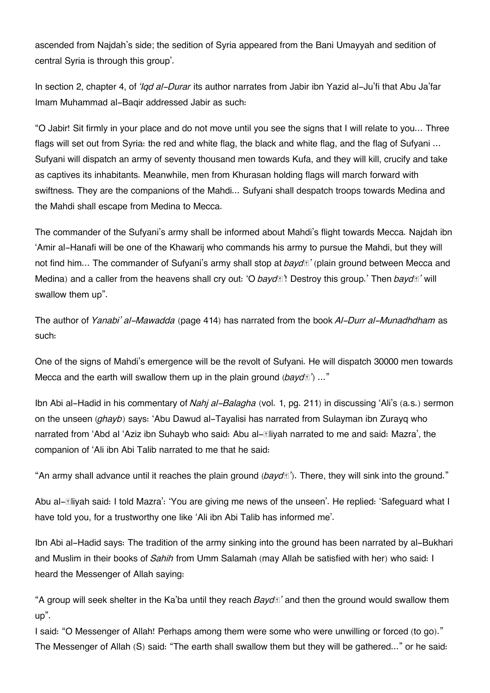ascended from Najdah's side; the sedition of Syria appeared from the Bani Umayyah and sedition of central Syria is through this group'.

In section 2, chapter 4, of *'Iqd al-Durar* its author narrates from Jabir ibn Yazid al-Ju'fi that Abu Ja'far Imam Muhammad al-Baqir addressed Jabir as such:

"O Jabir! Sit firmly in your place and do not move until you see the signs that I will relate to you… Three flags will set out from Syria: the red and white flag, the black and white flag, and the flag of Sufyani ... Sufyani will dispatch an army of seventy thousand men towards Kufa, and they will kill, crucify and take as captives its inhabitants. Meanwhile, men from Khurasan holding flags will march forward with swiftness. They are the companions of the Mahdi... Sufyani shall despatch troops towards Medina and the Mahdi shall escape from Medina to Mecca.

The commander of the Sufyani's army shall be informed about Mahdi's flight towards Mecca. Najdah ibn 'Amir al-Hanafi will be one of the Khawarij who commands his army to pursue the Mahdi, but they will not find him… The commander of Sufyani's army shall stop at *baydā'* (plain ground between Mecca and Medina) and a caller from the heavens shall cry out: 'O *baydā'*! Destroy this group.' Then *baydā'* will swallow them up".

The author of *Yanabi' al-Mawadda* (page 414) has narrated from the book *Al-Durr al-Munadhdham* as such:

One of the signs of Mahdi's emergence will be the revolt of Sufyani. He will dispatch 30000 men towards Mecca and the earth will swallow them up in the plain ground (*bayd***E**) ..."

Ibn Abi al-Hadid in his commentary of *Nahj al-Balagha* (vol. 1, pg. 211) in discussing 'Ali's (a.s.) sermon on the unseen (*ghayb*) says: 'Abu Dawud al-Tayalisi has narrated from Sulayman ibn Zurayq who narrated from 'Abd al 'Aziz ibn Suhayb who said: Abu allliyah narrated to me and said: Mazra', the companion of 'Ali ibn Abi Talib narrated to me that he said:

"An army shall advance until it reaches the plain ground ( $bayd$ <sup>T</sup>). There, they will sink into the ground."

Abu alIliyah said: I told Mazra': 'You are giving me news of the unseen'. He replied: 'Safeguard what I have told you, for a trustworthy one like 'Ali ibn Abi Talib has informed me'.

Ibn Abi al-Hadid says: The tradition of the army sinking into the ground has been narrated by al-Bukhari and Muslim in their books of *Sahih* from Umm Salamah (may Allah be satisfied with her) who said: I heard the Messenger of Allah saying:

"A group will seek shelter in the Ka'ba until they reach *Baydā'* and then the ground would swallow them up".

I said: "O Messenger of Allah! Perhaps among them were some who were unwilling or forced (to go)." The Messenger of Allah (S) said: "The earth shall swallow them but they will be gathered..." or he said: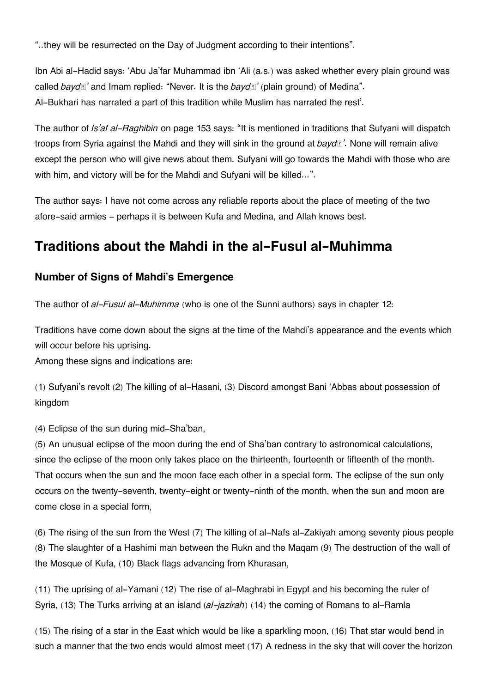"..they will be resurrected on the Day of Judgment according to their intentions".

Ibn Abi al-Hadid says: 'Abu Ja'far Muhammad ibn 'Ali (a.s.) was asked whether every plain ground was called *baydā'* and Imam replied: "Never. It is the *baydā'* (plain ground) of Medina". Al-Bukhari has narrated a part of this tradition while Muslim has narrated the rest'.

The author of *Is'af al-Raghibin* on page 153 says: "It is mentioned in traditions that Sufyani will dispatch troops from Syria against the Mahdi and they will sink in the ground at *baydā'*. None will remain alive except the person who will give news about them. Sufyani will go towards the Mahdi with those who are with him, and victory will be for the Mahdi and Sufyani will be killed...".

The author says: I have not come across any reliable reports about the place of meeting of the two afore-said armies - perhaps it is between Kufa and Medina, and Allah knows best.

## **[Traditions about the Mahdi in the al-Fusul al-Muhimma](#page--1-0)**

#### **[Number of Signs of Mahdi's Emergence](#page--1-0)**

The author of *al-Fusul al-Muhimma* (who is one of the Sunni authors) says in chapter 12:

Traditions have come down about the signs at the time of the Mahdi's appearance and the events which will occur before his uprising.

Among these signs and indications are:

(1) Sufyani's revolt (2) The killing of al-Hasani, (3) Discord amongst Bani 'Abbas about possession of kingdom

(4) Eclipse of the sun during mid-Sha'ban,

(5) An unusual eclipse of the moon during the end of Sha'ban contrary to astronomical calculations, since the eclipse of the moon only takes place on the thirteenth, fourteenth or fifteenth of the month. That occurs when the sun and the moon face each other in a special form. The eclipse of the sun only occurs on the twenty-seventh, twenty-eight or twenty-ninth of the month, when the sun and moon are come close in a special form,

(6) The rising of the sun from the West (7) The killing of al-Nafs al-Zakiyah among seventy pious people (8) The slaughter of a Hashimi man between the Rukn and the Maqam (9) The destruction of the wall of the Mosque of Kufa, (10) Black flags advancing from Khurasan,

(11) The uprising of al-Yamani (12) The rise of al-Maghrabi in Egypt and his becoming the ruler of Syria, (13) The Turks arriving at an island (*al-jazirah*) (14) the coming of Romans to al-Ramla

(15) The rising of a star in the East which would be like a sparkling moon, (16) That star would bend in such a manner that the two ends would almost meet (17) A redness in the sky that will cover the horizon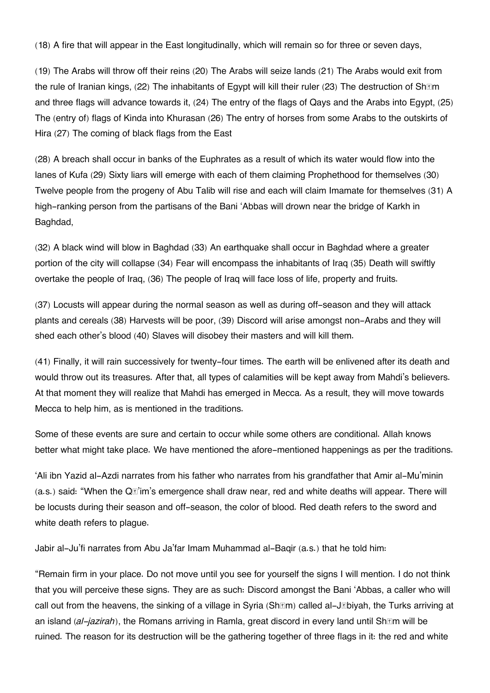(18) A fire that will appear in the East longitudinally, which will remain so for three or seven days,

(19) The Arabs will throw off their reins (20) The Arabs will seize lands (21) The Arabs would exit from the rule of Iranian kings, (22) The inhabitants of Egypt will kill their ruler (23) The destruction of Sh**tem** and three flags will advance towards it, (24) The entry of the flags of Qays and the Arabs into Egypt, (25) The (entry of) flags of Kinda into Khurasan (26) The entry of horses from some Arabs to the outskirts of Hira (27) The coming of black flags from the East

(28) A breach shall occur in banks of the Euphrates as a result of which its water would flow into the lanes of Kufa (29) Sixty liars will emerge with each of them claiming Prophethood for themselves (30) Twelve people from the progeny of Abu Talib will rise and each will claim Imamate for themselves (31) A high-ranking person from the partisans of the Bani 'Abbas will drown near the bridge of Karkh in Baghdad,

(32) A black wind will blow in Baghdad (33) An earthquake shall occur in Baghdad where a greater portion of the city will collapse (34) Fear will encompass the inhabitants of Iraq (35) Death will swiftly overtake the people of Iraq, (36) The people of Iraq will face loss of life, property and fruits.

(37) Locusts will appear during the normal season as well as during off-season and they will attack plants and cereals (38) Harvests will be poor, (39) Discord will arise amongst non-Arabs and they will shed each other's blood (40) Slaves will disobey their masters and will kill them.

(41) Finally, it will rain successively for twenty-four times. The earth will be enlivened after its death and would throw out its treasures. After that, all types of calamities will be kept away from Mahdi's believers. At that moment they will realize that Mahdi has emerged in Mecca. As a result, they will move towards Mecca to help him, as is mentioned in the traditions.

Some of these events are sure and certain to occur while some others are conditional. Allah knows better what might take place. We have mentioned the afore-mentioned happenings as per the traditions.

'Ali ibn Yazid al-Azdi narrates from his father who narrates from his grandfather that Amir al-Mu'minin  $(a.s.)$  said: "When the Q $\vec{v}$  m's emergence shall draw near, red and white deaths will appear. There will be locusts during their season and off-season, the color of blood. Red death refers to the sword and white death refers to plague.

Jabir al-Ju'fi narrates from Abu Ja'far Imam Muhammad al-Baqir (a.s.) that he told him:

"Remain firm in your place. Do not move until you see for yourself the signs I will mention. I do not think that you will perceive these signs. They are as such: Discord amongst the Bani 'Abbas, a caller who will call out from the heavens, the sinking of a village in Syria (Shām) called al-Jābiyah, the Turks arriving at an island (*al-jazirah*), the Romans arriving in Ramla, great discord in every land until Shām will be ruined. The reason for its destruction will be the gathering together of three flags in it: the red and white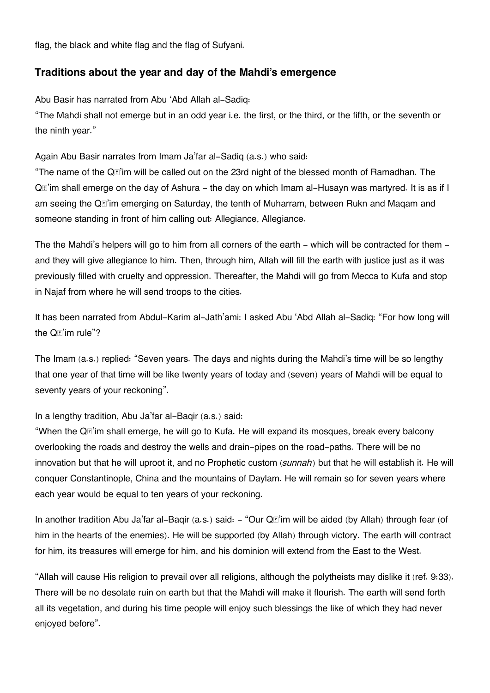flag, the black and white flag and the flag of Sufyani.

#### **[Traditions about the year and day of the Mahdi's emergence](#page--1-0)**

Abu Basir has narrated from Abu 'Abd Allah al-Sadiq:

"The Mahdi shall not emerge but in an odd year i.e. the first, or the third, or the fifth, or the seventh or the ninth year."

Again Abu Basir narrates from Imam Ja'far al-Sadiq (a.s.) who said:

"The name of the Qā'im will be called out on the 23rd night of the blessed month of Ramadhan. The Q**<b>E'im** shall emerge on the day of Ashura - the day on which Imam al-Husayn was martyred. It is as if I am seeing the Qā'im emerging on Saturday, the tenth of Muharram, between Rukn and Maqam and someone standing in front of him calling out: Allegiance, Allegiance.

The the Mahdi's helpers will go to him from all corners of the earth – which will be contracted for them – and they will give allegiance to him. Then, through him, Allah will fill the earth with justice just as it was previously filled with cruelty and oppression. Thereafter, the Mahdi will go from Mecca to Kufa and stop in Najaf from where he will send troops to the cities.

It has been narrated from Abdul-Karim al-Jath'ami: I asked Abu 'Abd Allah al-Sadiq: "For how long will the  $Q_i$ <sup>n</sup>'im rule"?

The Imam (a.s.) replied: "Seven years. The days and nights during the Mahdi's time will be so lengthy that one year of that time will be like twenty years of today and (seven) years of Mahdi will be equal to seventy years of your reckoning".

In a lengthy tradition, Abu Ja'far al-Baqir (a.s.) said:

"When the Qā'im shall emerge, he will go to Kufa. He will expand its mosques, break every balcony overlooking the roads and destroy the wells and drain-pipes on the road-paths. There will be no innovation but that he will uproot it, and no Prophetic custom (*sunnah*) but that he will establish it. He will conquer Constantinople, China and the mountains of Daylam. He will remain so for seven years where each year would be equal to ten years of your reckoning.

In another tradition Abu Ja'far al-Baqir (a.s.) said: - "Our Q**a'im will be aided (by Allah) through fear** (of him in the hearts of the enemies). He will be supported (by Allah) through victory. The earth will contract for him, its treasures will emerge for him, and his dominion will extend from the East to the West.

"Allah will cause His religion to prevail over all religions, although the polytheists may dislike it (ref. 9:33). There will be no desolate ruin on earth but that the Mahdi will make it flourish. The earth will send forth all its vegetation, and during his time people will enjoy such blessings the like of which they had never enjoyed before".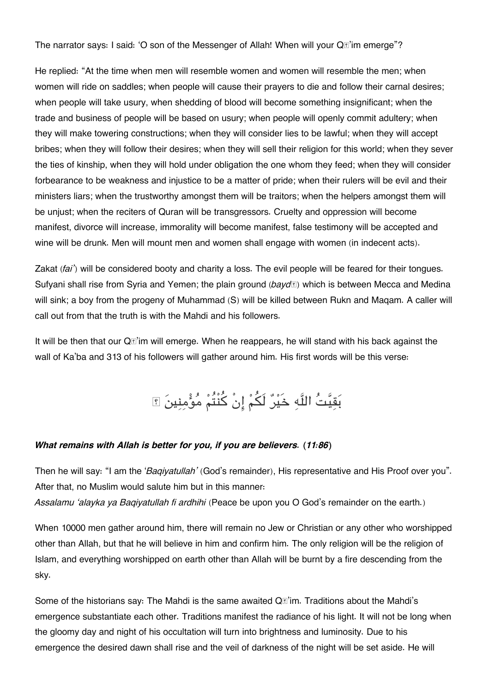The narrator says: I said: 'O son of the Messenger of Allah! When will your Q*I*'im emerge"?

He replied: "At the time when men will resemble women and women will resemble the men; when women will ride on saddles; when people will cause their prayers to die and follow their carnal desires; when people will take usury, when shedding of blood will become something insignificant; when the trade and business of people will be based on usury; when people will openly commit adultery; when they will make towering constructions; when they will consider lies to be lawful; when they will accept bribes; when they will follow their desires; when they will sell their religion for this world; when they sever the ties of kinship, when they will hold under obligation the one whom they feed; when they will consider forbearance to be weakness and injustice to be a matter of pride; when their rulers will be evil and their ministers liars; when the trustworthy amongst them will be traitors; when the helpers amongst them will be unjust; when the reciters of Quran will be transgressors. Cruelty and oppression will become manifest, divorce will increase, immorality will become manifest, false testimony will be accepted and wine will be drunk. Men will mount men and women shall engage with women (in indecent acts).

Zakat (*fai'*) will be considered booty and charity a loss. The evil people will be feared for their tongues. Sufyani shall rise from Syria and Yemen; the plain ground (*baydā*) which is between Mecca and Medina will sink; a boy from the progeny of Muhammad (S) will be killed between Rukn and Maqam. A caller will call out from that the truth is with the Mahdi and his followers.

It will be then that our Q**I**<sup>'</sup>im will emerge. When he reappears, he will stand with his back against the wall of Ka'ba and 313 of his followers will gather around him. His first words will be this verse:

بَقِيَّتُ اللَّهِ خَيْرٌ لَكُمْ إِنْ كُنْتُمْ مُؤْمِنِينَ ﴾

#### *What remains with Allah is better for you, if you are believers. (11:86)*

Then he will say: "I am the '*Baqiyatullah'* (God's remainder), His representative and His Proof over you". After that, no Muslim would salute him but in this manner:

*Assalamu 'alayka ya Baqiyatullah fi ardhihi* (Peace be upon you O God's remainder on the earth.)

When 10000 men gather around him, there will remain no Jew or Christian or any other who worshipped other than Allah, but that he will believe in him and confirm him. The only religion will be the religion of Islam, and everything worshipped on earth other than Allah will be burnt by a fire descending from the sky.

Some of the historians say: The Mahdi is the same awaited  $Q\vec{r}$  im. Traditions about the Mahdi's emergence substantiate each other. Traditions manifest the radiance of his light. It will not be long when the gloomy day and night of his occultation will turn into brightness and luminosity. Due to his emergence the desired dawn shall rise and the veil of darkness of the night will be set aside. He will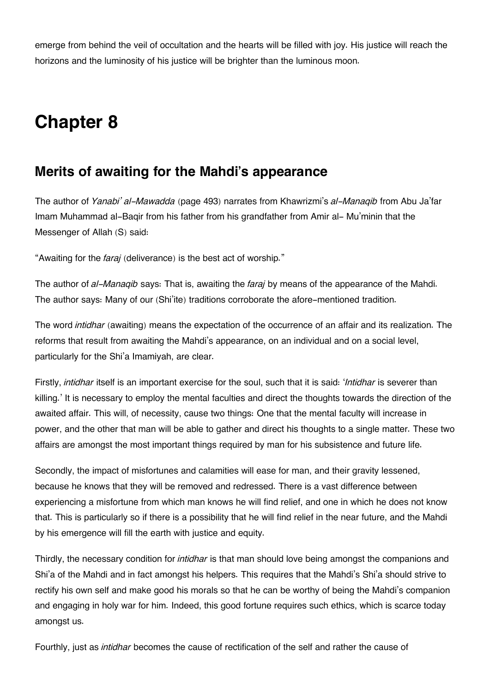emerge from behind the veil of occultation and the hearts will be filled with joy. His justice will reach the horizons and the luminosity of his justice will be brighter than the luminous moon.

# **Chapter 8**

### **[Merits of awaiting for the Mahdi's appearance](#page--1-0)**

The author of *Yanabi' al-Mawadda* (page 493) narrates from Khawrizmi's *al-Manaqib* from Abu Ja'far Imam Muhammad al-Baqir from his father from his grandfather from Amir al- Mu'minin that the Messenger of Allah (S) said:

"Awaiting for the *faraj* (deliverance) is the best act of worship."

The author of *al-Manaqib* says: That is, awaiting the *faraj* by means of the appearance of the Mahdi. The author says: Many of our (Shi'ite) traditions corroborate the afore-mentioned tradition.

The word *intidhar* (awaiting) means the expectation of the occurrence of an affair and its realization. The reforms that result from awaiting the Mahdi's appearance, on an individual and on a social level, particularly for the Shi'a Imamiyah, are clear.

Firstly, *intidhar* itself is an important exercise for the soul, such that it is said: '*Intidhar* is severer than killing.' It is necessary to employ the mental faculties and direct the thoughts towards the direction of the awaited affair. This will, of necessity, cause two things: One that the mental faculty will increase in power, and the other that man will be able to gather and direct his thoughts to a single matter. These two affairs are amongst the most important things required by man for his subsistence and future life.

Secondly, the impact of misfortunes and calamities will ease for man, and their gravity lessened, because he knows that they will be removed and redressed. There is a vast difference between experiencing a misfortune from which man knows he will find relief, and one in which he does not know that. This is particularly so if there is a possibility that he will find relief in the near future, and the Mahdi by his emergence will fill the earth with justice and equity.

Thirdly, the necessary condition for *intidhar* is that man should love being amongst the companions and Shi'a of the Mahdi and in fact amongst his helpers. This requires that the Mahdi's Shi'a should strive to rectify his own self and make good his morals so that he can be worthy of being the Mahdi's companion and engaging in holy war for him. Indeed, this good fortune requires such ethics, which is scarce today amongst us.

Fourthly, just as *intidhar* becomes the cause of rectification of the self and rather the cause of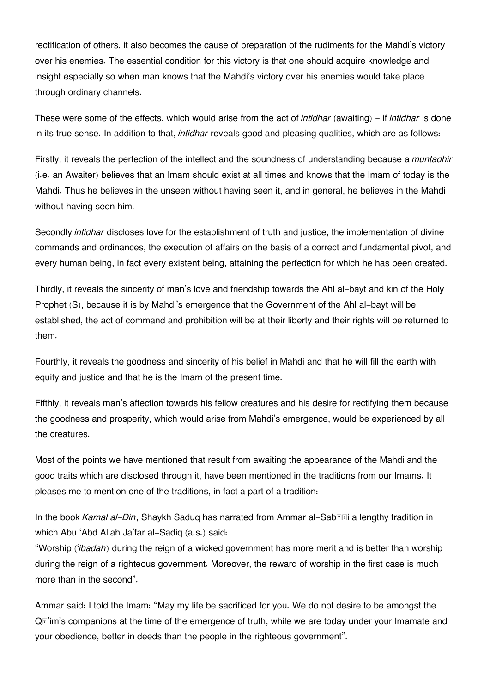rectification of others, it also becomes the cause of preparation of the rudiments for the Mahdi's victory over his enemies. The essential condition for this victory is that one should acquire knowledge and insight especially so when man knows that the Mahdi's victory over his enemies would take place through ordinary channels.

These were some of the effects, which would arise from the act of *intidhar* (awaiting) - if *intidhar* is done in its true sense. In addition to that, *intidhar* reveals good and pleasing qualities, which are as follows:

Firstly, it reveals the perfection of the intellect and the soundness of understanding because a *muntadhir* (i.e. an Awaiter) believes that an Imam should exist at all times and knows that the Imam of today is the Mahdi. Thus he believes in the unseen without having seen it, and in general, he believes in the Mahdi without having seen him.

Secondly *intidhar* discloses love for the establishment of truth and justice, the implementation of divine commands and ordinances, the execution of affairs on the basis of a correct and fundamental pivot, and every human being, in fact every existent being, attaining the perfection for which he has been created.

Thirdly, it reveals the sincerity of man's love and friendship towards the Ahl al-bayt and kin of the Holy Prophet (S), because it is by Mahdi's emergence that the Government of the Ahl al-bayt will be established, the act of command and prohibition will be at their liberty and their rights will be returned to them.

Fourthly, it reveals the goodness and sincerity of his belief in Mahdi and that he will fill the earth with equity and justice and that he is the Imam of the present time.

Fifthly, it reveals man's affection towards his fellow creatures and his desire for rectifying them because the goodness and prosperity, which would arise from Mahdi's emergence, would be experienced by all the creatures.

Most of the points we have mentioned that result from awaiting the appearance of the Mahdi and the good traits which are disclosed through it, have been mentioned in the traditions from our Imams. It pleases me to mention one of the traditions, in fact a part of a tradition:

In the book *Kamal al-Din*, Shaykh Saduq has narrated from Ammar al-Sab**Ezi a lengthy tradition in** which Abu 'Abd Allah Ja'far al-Sadiq (a.s.) said:

"Worship ('*ibadah*) during the reign of a wicked government has more merit and is better than worship during the reign of a righteous government. Moreover, the reward of worship in the first case is much more than in the second".

Ammar said: I told the Imam: "May my life be sacrificed for you. We do not desire to be amongst the Qā'im's companions at the time of the emergence of truth, while we are today under your Imamate and your obedience, better in deeds than the people in the righteous government".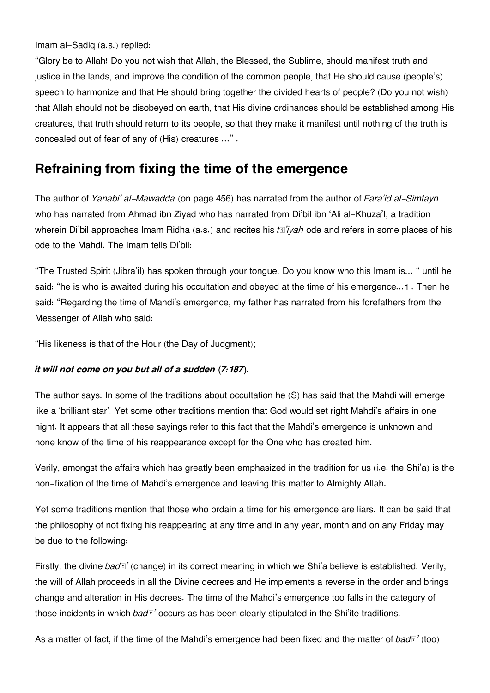Imam al-Sadiq (a.s.) replied:

"Glory be to Allah! Do you not wish that Allah, the Blessed, the Sublime, should manifest truth and justice in the lands, and improve the condition of the common people, that He should cause (people's) speech to harmonize and that He should bring together the divided hearts of people? (Do you not wish) that Allah should not be disobeyed on earth, that His divine ordinances should be established among His creatures, that truth should return to its people, so that they make it manifest until nothing of the truth is concealed out of fear of any of (His) creatures …" .

### **[Refraining from fixing the time of the emergence](#page--1-0)**

The author of *Yanabi' al-Mawadda* (on page 456) has narrated from the author of *Fara'id al-Simtayn* who has narrated from Ahmad ibn Ziyad who has narrated from Di'bil ibn 'Ali al-Khuza'I, a tradition wherein Di'bil approaches Imam Ridha (a.s.) and recites his *tā'iyah* ode and refers in some places of his ode to the Mahdi. The Imam tells Di'bil:

"The Trusted Spirit (Jibra'il) has spoken through your tongue. Do you know who this Imam is… " until he said: "he is who is awaited during his occultation and obeyed at the time of his emergence...[1](#page--1-0) . Then he said: "Regarding the time of Mahdi's emergence, my father has narrated from his forefathers from the Messenger of Allah who said:

"His likeness is that of the Hour (the Day of Judgment);

#### *it will not come on you but all of a sudden (7:187).*

The author says: In some of the traditions about occultation he (S) has said that the Mahdi will emerge like a 'brilliant star'. Yet some other traditions mention that God would set right Mahdi's affairs in one night. It appears that all these sayings refer to this fact that the Mahdi's emergence is unknown and none know of the time of his reappearance except for the One who has created him.

Verily, amongst the affairs which has greatly been emphasized in the tradition for us (i.e. the Shi'a) is the non-fixation of the time of Mahdi's emergence and leaving this matter to Almighty Allah.

Yet some traditions mention that those who ordain a time for his emergence are liars. It can be said that the philosophy of not fixing his reappearing at any time and in any year, month and on any Friday may be due to the following:

Firstly, the divine *badā'* (change) in its correct meaning in which we Shi'a believe is established. Verily, the will of Allah proceeds in all the Divine decrees and He implements a reverse in the order and brings change and alteration in His decrees. The time of the Mahdi's emergence too falls in the category of those incidents in which *badā'* occurs as has been clearly stipulated in the Shi'ite traditions.

As a matter of fact, if the time of the Mahdi's emergence had been fixed and the matter of *badā'* (too)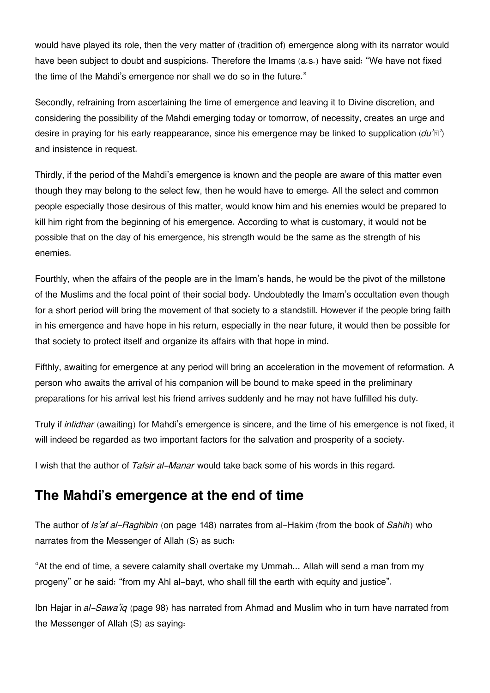would have played its role, then the very matter of (tradition of) emergence along with its narrator would have been subject to doubt and suspicions. Therefore the Imams (a.s.) have said: "We have not fixed the time of the Mahdi's emergence nor shall we do so in the future."

Secondly, refraining from ascertaining the time of emergence and leaving it to Divine discretion, and considering the possibility of the Mahdi emerging today or tomorrow, of necessity, creates an urge and desire in praying for his early reappearance, since his emergence may be linked to supplication (*du'ā'*) and insistence in request.

Thirdly, if the period of the Mahdi's emergence is known and the people are aware of this matter even though they may belong to the select few, then he would have to emerge. All the select and common people especially those desirous of this matter, would know him and his enemies would be prepared to kill him right from the beginning of his emergence. According to what is customary, it would not be possible that on the day of his emergence, his strength would be the same as the strength of his enemies.

Fourthly, when the affairs of the people are in the Imam's hands, he would be the pivot of the millstone of the Muslims and the focal point of their social body. Undoubtedly the Imam's occultation even though for a short period will bring the movement of that society to a standstill. However if the people bring faith in his emergence and have hope in his return, especially in the near future, it would then be possible for that society to protect itself and organize its affairs with that hope in mind.

Fifthly, awaiting for emergence at any period will bring an acceleration in the movement of reformation. A person who awaits the arrival of his companion will be bound to make speed in the preliminary preparations for his arrival lest his friend arrives suddenly and he may not have fulfilled his duty.

Truly if *intidhar* (awaiting) for Mahdi's emergence is sincere, and the time of his emergence is not fixed, it will indeed be regarded as two important factors for the salvation and prosperity of a society.

I wish that the author of *Tafsir al-Manar* would take back some of his words in this regard.

### **[The Mahdi's emergence at the end of time](#page--1-0)**

The author of *Is'af al-Raghibin* (on page 148) narrates from al-Hakim (from the book of *Sahih*) who narrates from the Messenger of Allah (S) as such:

"At the end of time, a severe calamity shall overtake my Ummah... Allah will send a man from my progeny" or he said: "from my Ahl al-bayt, who shall fill the earth with equity and justice".

Ibn Hajar in *al-Sawa'iq* (page 98) has narrated from Ahmad and Muslim who in turn have narrated from the Messenger of Allah (S) as saying: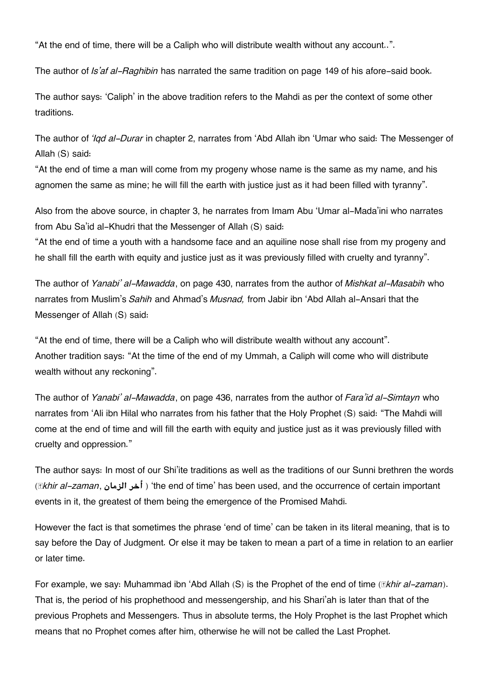"At the end of time, there will be a Caliph who will distribute wealth without any account..".

The author of *Is'af al-Raghibin* has narrated the same tradition on page 149 of his afore-said book.

The author says: 'Caliph' in the above tradition refers to the Mahdi as per the context of some other traditions.

The author of *'Iqd al-Durar* in chapter 2, narrates from 'Abd Allah ibn 'Umar who said: The Messenger of Allah (S) said:

"At the end of time a man will come from my progeny whose name is the same as my name, and his agnomen the same as mine; he will fill the earth with justice just as it had been filled with tyranny".

Also from the above source, in chapter 3, he narrates from Imam Abu 'Umar al-Mada'ini who narrates from Abu Sa'id al-Khudri that the Messenger of Allah (S) said:

"At the end of time a youth with a handsome face and an aquiline nose shall rise from my progeny and he shall fill the earth with equity and justice just as it was previously filled with cruelty and tyranny".

The author of *Yanabi' al-Mawadda*, on page 430, narrates from the author of *Mishkat al-Masabih* who narrates from Muslim's *Sahih* and Ahmad's *Musnad,* from Jabir ibn 'Abd Allah al-Ansari that the Messenger of Allah (S) said:

"At the end of time, there will be a Caliph who will distribute wealth without any account". Another tradition says: "At the time of the end of my Ummah, a Caliph will come who will distribute wealth without any reckoning".

The author of *Yanabi' al-Mawadda*, on page 436, narrates from the author of *Fara'id al-Simtayn* who narrates from 'Ali ibn Hilal who narrates from his father that the Holy Prophet (S) said: "The Mahdi will come at the end of time and will fill the earth with equity and justice just as it was previously filled with cruelty and oppression."

The author says: In most of our Shi'ite traditions as well as the traditions of our Sunni brethren the words (*ākhir al-zaman*, **الزمان أخر**' (the end of time' has been used, and the occurrence of certain important events in it, the greatest of them being the emergence of the Promised Mahdi.

However the fact is that sometimes the phrase 'end of time' can be taken in its literal meaning, that is to say before the Day of Judgment. Or else it may be taken to mean a part of a time in relation to an earlier or later time.

For example, we say: Muhammad ibn 'Abd Allah (S) is the Prophet of the end of time (*ākhir al-zaman*). That is, the period of his prophethood and messengership, and his Shari'ah is later than that of the previous Prophets and Messengers. Thus in absolute terms, the Holy Prophet is the last Prophet which means that no Prophet comes after him, otherwise he will not be called the Last Prophet.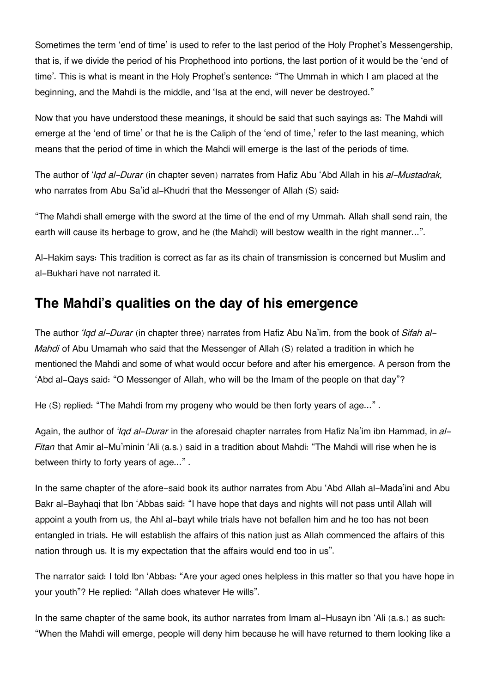Sometimes the term 'end of time' is used to refer to the last period of the Holy Prophet's Messengership, that is, if we divide the period of his Prophethood into portions, the last portion of it would be the 'end of time'. This is what is meant in the Holy Prophet's sentence: "The Ummah in which I am placed at the beginning, and the Mahdi is the middle, and 'Isa at the end, will never be destroyed."

Now that you have understood these meanings, it should be said that such sayings as: The Mahdi will emerge at the 'end of time' or that he is the Caliph of the 'end of time,' refer to the last meaning, which means that the period of time in which the Mahdi will emerge is the last of the periods of time.

The author of '*Iqd al-Durar* (in chapter seven) narrates from Hafiz Abu 'Abd Allah in his *al-Mustadrak,* who narrates from Abu Sa'id al-Khudri that the Messenger of Allah (S) said:

"The Mahdi shall emerge with the sword at the time of the end of my Ummah. Allah shall send rain, the earth will cause its herbage to grow, and he (the Mahdi) will bestow wealth in the right manner...".

Al-Hakim says: This tradition is correct as far as its chain of transmission is concerned but Muslim and al-Bukhari have not narrated it.

### **[The Mahdi's qualities on the day of his emergence](#page--1-0)**

The author *'Iqd al-Durar* (in chapter three) narrates from Hafiz Abu Na'im, from the book of *Sifah al-Mahdi* of Abu Umamah who said that the Messenger of Allah (S) related a tradition in which he mentioned the Mahdi and some of what would occur before and after his emergence. A person from the 'Abd al-Qays said: "O Messenger of Allah, who will be the Imam of the people on that day"?

He (S) replied: "The Mahdi from my progeny who would be then forty years of age...".

Again, the author of *'Iqd al-Durar* in the aforesaid chapter narrates from Hafiz Na'im ibn Hammad, in *al-Fitan* that Amir al-Mu'minin 'Ali (a.s.) said in a tradition about Mahdi: "The Mahdi will rise when he is between thirty to forty years of age..." .

In the same chapter of the afore-said book its author narrates from Abu 'Abd Allah al-Mada'ini and Abu Bakr al-Bayhaqi that Ibn 'Abbas said: "I have hope that days and nights will not pass until Allah will appoint a youth from us, the Ahl al-bayt while trials have not befallen him and he too has not been entangled in trials. He will establish the affairs of this nation just as Allah commenced the affairs of this nation through us. It is my expectation that the affairs would end too in us".

The narrator said: I told Ibn 'Abbas: "Are your aged ones helpless in this matter so that you have hope in your youth"? He replied: "Allah does whatever He wills".

In the same chapter of the same book, its author narrates from Imam al-Husayn ibn 'Ali (a.s.) as such: "When the Mahdi will emerge, people will deny him because he will have returned to them looking like a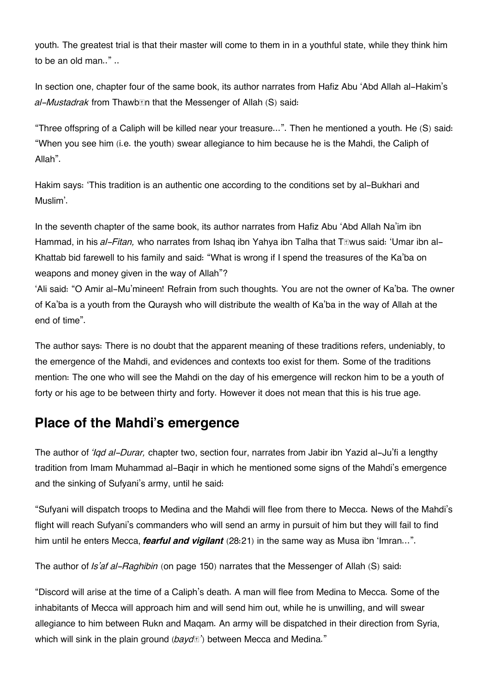youth. The greatest trial is that their master will come to them in in a youthful state, while they think him to be an old man.." ..

In section one, chapter four of the same book, its author narrates from Hafiz Abu 'Abd Allah al-Hakim's *al-Mustadrak* from Thawbān that the Messenger of Allah (S) said:

"Three offspring of a Caliph will be killed near your treasure...". Then he mentioned a youth. He (S) said: "When you see him (i.e. the youth) swear allegiance to him because he is the Mahdi, the Caliph of Allah".

Hakim says: 'This tradition is an authentic one according to the conditions set by al-Bukhari and Muslim'.

In the seventh chapter of the same book, its author narrates from Hafiz Abu 'Abd Allah Na'im ibn Hammad, in his *al-Fitan,* who narrates from Ishaq ibn Yahya ibn Talha that Tāwus said: 'Umar ibn al-Khattab bid farewell to his family and said: "What is wrong if I spend the treasures of the Ka'ba on weapons and money given in the way of Allah"?

'Ali said: "O Amir al-Mu'mineen! Refrain from such thoughts. You are not the owner of Ka'ba. The owner of Ka'ba is a youth from the Quraysh who will distribute the wealth of Ka'ba in the way of Allah at the end of time".

The author says: There is no doubt that the apparent meaning of these traditions refers, undeniably, to the emergence of the Mahdi, and evidences and contexts too exist for them. Some of the traditions mention: The one who will see the Mahdi on the day of his emergence will reckon him to be a youth of forty or his age to be between thirty and forty. However it does not mean that this is his true age.

### **[Place of the Mahdi's emergence](#page--1-0)**

The author of *'Iqd al-Durar,* chapter two, section four, narrates from Jabir ibn Yazid al-Ju'fi a lengthy tradition from Imam Muhammad al-Baqir in which he mentioned some signs of the Mahdi's emergence and the sinking of Sufyani's army, until he said:

"Sufyani will dispatch troops to Medina and the Mahdi will flee from there to Mecca. News of the Mahdi's flight will reach Sufyani's commanders who will send an army in pursuit of him but they will fail to find him until he enters Mecca, *fearful and vigilant* (28:21) in the same way as Musa ibn 'Imran…".

The author of *Is'af al-Raghibin* (on page 150) narrates that the Messenger of Allah (S) said:

"Discord will arise at the time of a Caliph's death. A man will flee from Medina to Mecca. Some of the inhabitants of Mecca will approach him and will send him out, while he is unwilling, and will swear allegiance to him between Rukn and Maqam. An army will be dispatched in their direction from Syria, which will sink in the plain ground ( $b$ *ayd*<sup> $\mathbb{F}'$ </sup>) between Mecca and Medina."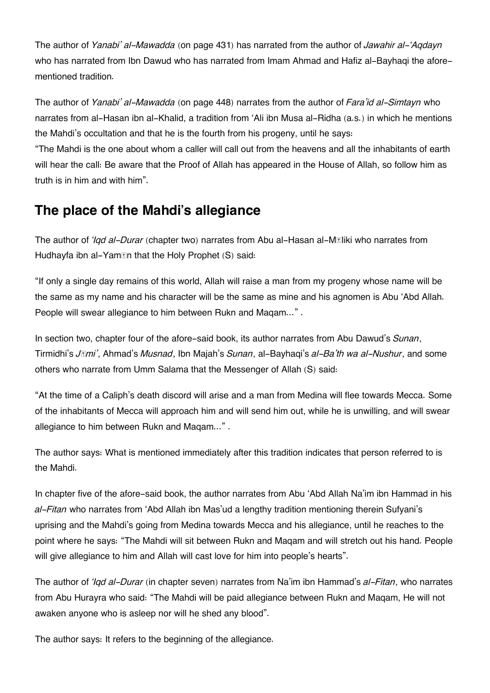The author of *Yanabi' al-Mawadda* (on page 431) has narrated from the author of *Jawahir al-'Aqdayn* who has narrated from Ibn Dawud who has narrated from Imam Ahmad and Hafiz al-Bayhaqi the aforementioned tradition.

The author of *Yanabi' al-Mawadda* (on page 448) narrates from the author of *Fara'id al-Simtayn* who narrates from al-Hasan ibn al-Khalid, a tradition from 'Ali ibn Musa al-Ridha (a.s.) in which he mentions the Mahdi's occultation and that he is the fourth from his progeny, until he says:

"The Mahdi is the one about whom a caller will call out from the heavens and all the inhabitants of earth will hear the call: Be aware that the Proof of Allah has appeared in the House of Allah, so follow him as truth is in him and with him".

## **[The place of the Mahdi's allegiance](#page--1-0)**

The author of *'Iqd al-Durar* (chapter two) narrates from Abu al-Hasan al-Māliki who narrates from Hudhayfa ibn al-Yam*In* that the Holy Prophet (S) said:

"If only a single day remains of this world, Allah will raise a man from my progeny whose name will be the same as my name and his character will be the same as mine and his agnomen is Abu 'Abd Allah. People will swear allegiance to him between Rukn and Maqam…" .

In section two, chapter four of the afore-said book, its author narrates from Abu Dawud's *Sunan*, Tirmidhi's *Jāmi'*, Ahmad's *Musnad*, Ibn Majah's *Sunan*, al-Bayhaqi's *al-Ba'th wa al-Nushur*, and some others who narrate from Umm Salama that the Messenger of Allah (S) said:

"At the time of a Caliph's death discord will arise and a man from Medina will flee towards Mecca. Some of the inhabitants of Mecca will approach him and will send him out, while he is unwilling, and will swear allegiance to him between Rukn and Maqam..." .

The author says: What is mentioned immediately after this tradition indicates that person referred to is the Mahdi.

In chapter five of the afore-said book, the author narrates from Abu 'Abd Allah Na'im ibn Hammad in his *al-Fitan* who narrates from 'Abd Allah ibn Mas'ud a lengthy tradition mentioning therein Sufyani's uprising and the Mahdi's going from Medina towards Mecca and his allegiance, until he reaches to the point where he says: "The Mahdi will sit between Rukn and Maqam and will stretch out his hand. People will give allegiance to him and Allah will cast love for him into people's hearts".

The author of *'Iqd al-Durar* (in chapter seven) narrates from Na'im ibn Hammad's *al-Fitan*, who narrates from Abu Hurayra who said: "The Mahdi will be paid allegiance between Rukn and Maqam, He will not awaken anyone who is asleep nor will he shed any blood".

The author says: It refers to the beginning of the allegiance.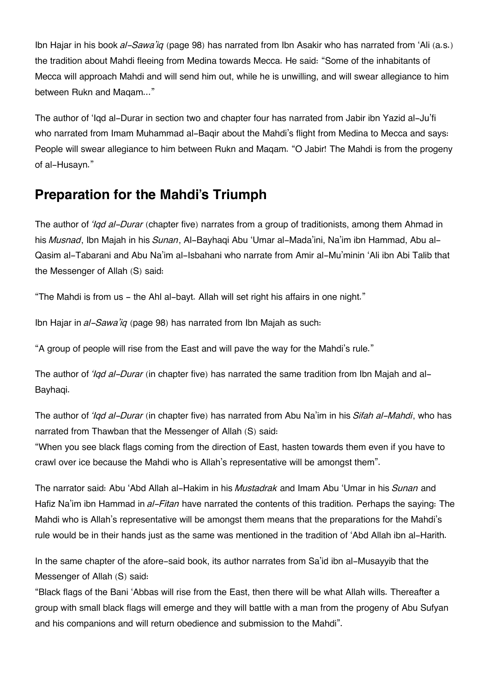Ibn Hajar in his book *al-Sawa'iq* (page 98) has narrated from Ibn Asakir who has narrated from 'Ali (a.s.) the tradition about Mahdi fleeing from Medina towards Mecca. He said: "Some of the inhabitants of Mecca will approach Mahdi and will send him out, while he is unwilling, and will swear allegiance to him between Rukn and Maqam..."

The author of 'Iqd al-Durar in section two and chapter four has narrated from Jabir ibn Yazid al-Ju'fi who narrated from Imam Muhammad al-Baqir about the Mahdi's flight from Medina to Mecca and says: People will swear allegiance to him between Rukn and Maqam. "O Jabir! The Mahdi is from the progeny of al-Husayn."

### **[Preparation for the Mahdi's Triumph](#page--1-0)**

The author of *'Iqd al-Durar* (chapter five) narrates from a group of traditionists, among them Ahmad in his *Musnad*, Ibn Majah in his *Sunan*, Al-Bayhaqi Abu 'Umar al-Mada'ini, Na'im ibn Hammad, Abu al-Qasim al-Tabarani and Abu Na'im al-Isbahani who narrate from Amir al-Mu'minin 'Ali ibn Abi Talib that the Messenger of Allah (S) said:

"The Mahdi is from us - the Ahl al-bayt. Allah will set right his affairs in one night."

Ibn Hajar in *al-Sawa'iq* (page 98) has narrated from Ibn Majah as such:

"A group of people will rise from the East and will pave the way for the Mahdi's rule."

The author of *'Iqd al-Durar* (in chapter five) has narrated the same tradition from Ibn Majah and al-Bayhaqi.

The author of *'Iqd al-Durar* (in chapter five) has narrated from Abu Na'im in his *Sifah al-Mahdi*, who has narrated from Thawban that the Messenger of Allah (S) said:

"When you see black flags coming from the direction of East, hasten towards them even if you have to crawl over ice because the Mahdi who is Allah's representative will be amongst them".

The narrator said: Abu 'Abd Allah al-Hakim in his *Mustadrak* and Imam Abu 'Umar in his *Sunan* and Hafiz Na'im ibn Hammad in *al-Fitan* have narrated the contents of this tradition. Perhaps the saying: The Mahdi who is Allah's representative will be amongst them means that the preparations for the Mahdi's rule would be in their hands just as the same was mentioned in the tradition of 'Abd Allah ibn al-Harith.

In the same chapter of the afore-said book, its author narrates from Sa'id ibn al-Musayyib that the Messenger of Allah (S) said:

"Black flags of the Bani 'Abbas will rise from the East, then there will be what Allah wills. Thereafter a group with small black flags will emerge and they will battle with a man from the progeny of Abu Sufyan and his companions and will return obedience and submission to the Mahdi".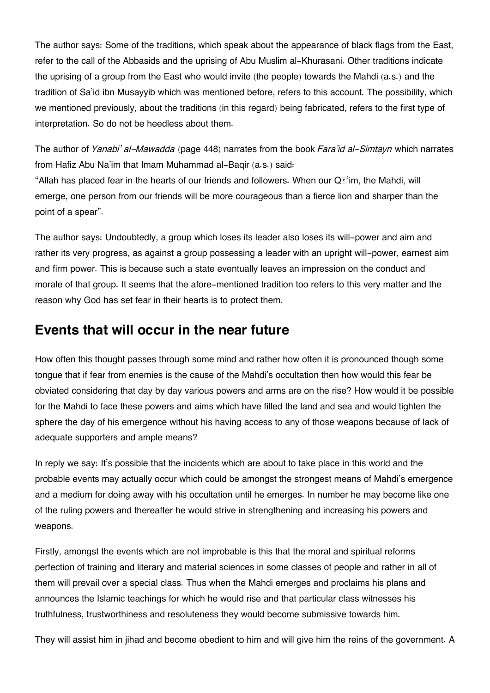The author says: Some of the traditions, which speak about the appearance of black flags from the East, refer to the call of the Abbasids and the uprising of Abu Muslim al-Khurasani. Other traditions indicate the uprising of a group from the East who would invite (the people) towards the Mahdi (a.s.) and the tradition of Sa'id ibn Musayyib which was mentioned before, refers to this account. The possibility, which we mentioned previously, about the traditions (in this regard) being fabricated, refers to the first type of interpretation. So do not be heedless about them.

The author of *Yanabi' al-Mawadda* (page 448) narrates from the book *Fara'id al-Simtayn* which narrates from Hafiz Abu Na'im that Imam Muhammad al-Baqir (a.s.) said:

"Allah has placed fear in the hearts of our friends and followers. When our  $Q\mathbb{E}$ 'im, the Mahdi, will emerge, one person from our friends will be more courageous than a fierce lion and sharper than the point of a spear".

The author says: Undoubtedly, a group which loses its leader also loses its will-power and aim and rather its very progress, as against a group possessing a leader with an upright will-power, earnest aim and firm power. This is because such a state eventually leaves an impression on the conduct and morale of that group. It seems that the afore-mentioned tradition too refers to this very matter and the reason why God has set fear in their hearts is to protect them.

### **[Events that will occur in the near future](#page--1-0)**

How often this thought passes through some mind and rather how often it is pronounced though some tongue that if fear from enemies is the cause of the Mahdi's occultation then how would this fear be obviated considering that day by day various powers and arms are on the rise? How would it be possible for the Mahdi to face these powers and aims which have filled the land and sea and would tighten the sphere the day of his emergence without his having access to any of those weapons because of lack of adequate supporters and ample means?

In reply we say: It's possible that the incidents which are about to take place in this world and the probable events may actually occur which could be amongst the strongest means of Mahdi's emergence and a medium for doing away with his occultation until he emerges. In number he may become like one of the ruling powers and thereafter he would strive in strengthening and increasing his powers and weapons.

Firstly, amongst the events which are not improbable is this that the moral and spiritual reforms perfection of training and literary and material sciences in some classes of people and rather in all of them will prevail over a special class. Thus when the Mahdi emerges and proclaims his plans and announces the Islamic teachings for which he would rise and that particular class witnesses his truthfulness, trustworthiness and resoluteness they would become submissive towards him.

They will assist him in jihad and become obedient to him and will give him the reins of the government. A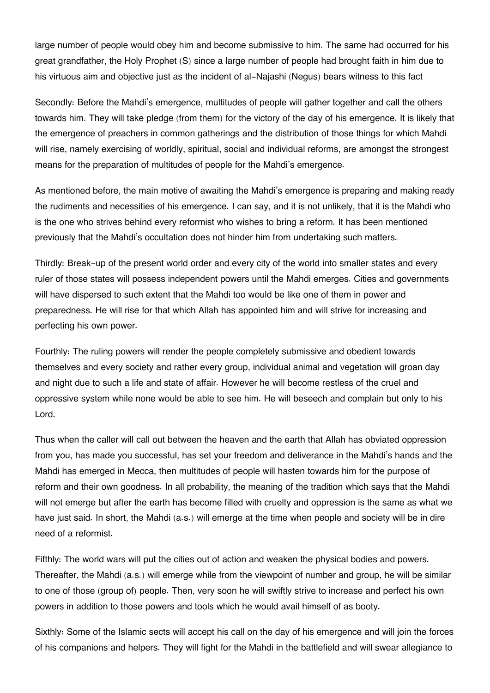large number of people would obey him and become submissive to him. The same had occurred for his great grandfather, the Holy Prophet (S) since a large number of people had brought faith in him due to his virtuous aim and objective just as the incident of al-Najashi (Negus) bears witness to this fact

Secondly: Before the Mahdi's emergence, multitudes of people will gather together and call the others towards him. They will take pledge (from them) for the victory of the day of his emergence. It is likely that the emergence of preachers in common gatherings and the distribution of those things for which Mahdi will rise, namely exercising of worldly, spiritual, social and individual reforms, are amongst the strongest means for the preparation of multitudes of people for the Mahdi's emergence.

As mentioned before, the main motive of awaiting the Mahdi's emergence is preparing and making ready the rudiments and necessities of his emergence. I can say, and it is not unlikely, that it is the Mahdi who is the one who strives behind every reformist who wishes to bring a reform. It has been mentioned previously that the Mahdi's occultation does not hinder him from undertaking such matters.

Thirdly: Break-up of the present world order and every city of the world into smaller states and every ruler of those states will possess independent powers until the Mahdi emerges. Cities and governments will have dispersed to such extent that the Mahdi too would be like one of them in power and preparedness. He will rise for that which Allah has appointed him and will strive for increasing and perfecting his own power.

Fourthly: The ruling powers will render the people completely submissive and obedient towards themselves and every society and rather every group, individual animal and vegetation will groan day and night due to such a life and state of affair. However he will become restless of the cruel and oppressive system while none would be able to see him. He will beseech and complain but only to his Lord.

Thus when the caller will call out between the heaven and the earth that Allah has obviated oppression from you, has made you successful, has set your freedom and deliverance in the Mahdi's hands and the Mahdi has emerged in Mecca, then multitudes of people will hasten towards him for the purpose of reform and their own goodness. In all probability, the meaning of the tradition which says that the Mahdi will not emerge but after the earth has become filled with cruelty and oppression is the same as what we have just said. In short, the Mahdi (a.s.) will emerge at the time when people and society will be in dire need of a reformist.

Fifthly: The world wars will put the cities out of action and weaken the physical bodies and powers. Thereafter, the Mahdi (a.s.) will emerge while from the viewpoint of number and group, he will be similar to one of those (group of) people. Then, very soon he will swiftly strive to increase and perfect his own powers in addition to those powers and tools which he would avail himself of as booty.

Sixthly: Some of the Islamic sects will accept his call on the day of his emergence and will join the forces of his companions and helpers. They will fight for the Mahdi in the battlefield and will swear allegiance to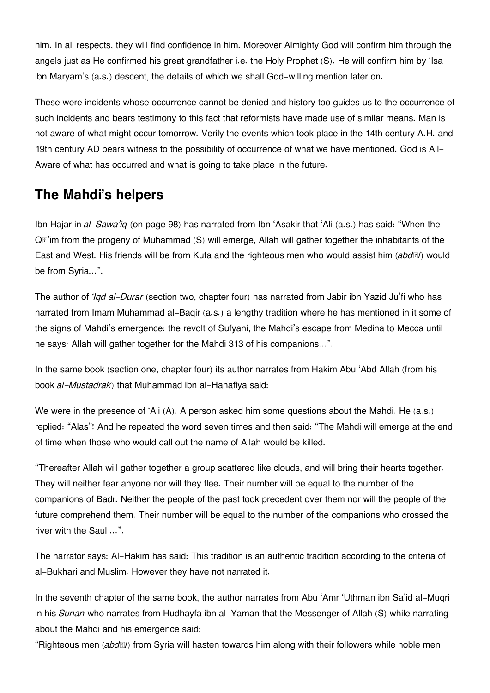him. In all respects, they will find confidence in him. Moreover Almighty God will confirm him through the angels just as He confirmed his great grandfather i.e. the Holy Prophet (S). He will confirm him by 'Isa ibn Maryam's (a.s.) descent, the details of which we shall God-willing mention later on.

These were incidents whose occurrence cannot be denied and history too guides us to the occurrence of such incidents and bears testimony to this fact that reformists have made use of similar means. Man is not aware of what might occur tomorrow. Verily the events which took place in the 14th century A.H. and 19th century AD bears witness to the possibility of occurrence of what we have mentioned. God is All-Aware of what has occurred and what is going to take place in the future.

### **[The Mahdi's helpers](#page--1-0)**

Ibn Hajar in *al-Sawa'iq* (on page 98) has narrated from Ibn 'Asakir that 'Ali (a.s.) has said: "When the Qā'im from the progeny of Muhammad (S) will emerge, Allah will gather together the inhabitants of the East and West. His friends will be from Kufa and the righteous men who would assist him (*abdāl*) would be from Syria…".

The author of *'Iqd al-Durar* (section two, chapter four) has narrated from Jabir ibn Yazid Ju'fi who has narrated from Imam Muhammad al-Baqir (a.s.) a lengthy tradition where he has mentioned in it some of the signs of Mahdi's emergence: the revolt of Sufyani, the Mahdi's escape from Medina to Mecca until he says: Allah will gather together for the Mahdi 313 of his companions…".

In the same book (section one, chapter four) its author narrates from Hakim Abu 'Abd Allah (from his book *al-Mustadrak*) that Muhammad ibn al-Hanafiya said:

We were in the presence of 'Ali (A). A person asked him some questions about the Mahdi. He (a.s.) replied: "Alas"! And he repeated the word seven times and then said: "The Mahdi will emerge at the end of time when those who would call out the name of Allah would be killed.

"Thereafter Allah will gather together a group scattered like clouds, and will bring their hearts together. They will neither fear anyone nor will they flee. Their number will be equal to the number of the companions of Badr. Neither the people of the past took precedent over them nor will the people of the future comprehend them. Their number will be equal to the number of the companions who crossed the river with the Saul …".

The narrator says: Al-Hakim has said: This tradition is an authentic tradition according to the criteria of al-Bukhari and Muslim. However they have not narrated it.

In the seventh chapter of the same book, the author narrates from Abu 'Amr 'Uthman ibn Sa'id al-Muqri in his *Sunan* who narrates from Hudhayfa ibn al-Yaman that the Messenger of Allah (S) while narrating about the Mahdi and his emergence said:

"Righteous men (*abdāl*) from Syria will hasten towards him along with their followers while noble men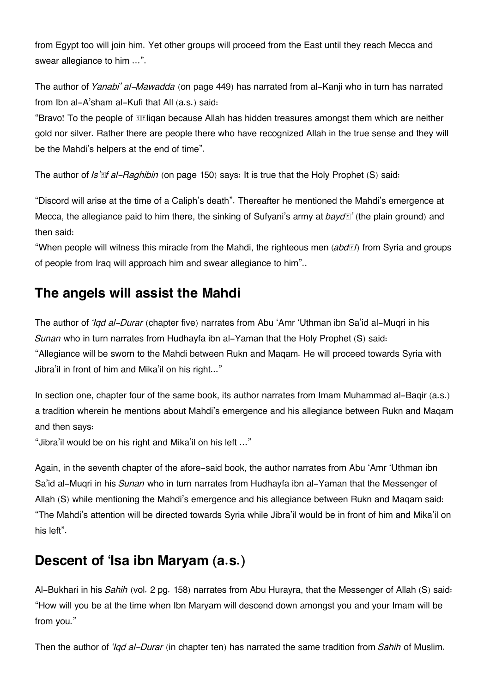from Egypt too will join him. Yet other groups will proceed from the East until they reach Mecca and swear allegiance to him …".

The author of *Yanabi' al-Mawadda* (on page 449) has narrated from al-Kanji who in turn has narrated from Ibn al-A'sham al-Kufi that All (a.s.) said:

"Bravo! To the people of **Thigan because Allah has hidden treasures amongst them which are neither** gold nor silver. Rather there are people there who have recognized Allah in the true sense and they will be the Mahdi's helpers at the end of time".

The author of *Is'āf al-Raghibin* (on page 150) says: It is true that the Holy Prophet (S) said:

"Discord will arise at the time of a Caliph's death". Thereafter he mentioned the Mahdi's emergence at Mecca, the allegiance paid to him there, the sinking of Sufyani's army at *baydā'* (the plain ground) and then said:

"When people will witness this miracle from the Mahdi, the righteous men (*abdāl*) from Syria and groups of people from Iraq will approach him and swear allegiance to him"..

# **[The angels will assist the Mahdi](#page--1-0)**

The author of *'Iqd al-Durar* (chapter five) narrates from Abu 'Amr 'Uthman ibn Sa'id al-Muqri in his *Sunan* who in turn narrates from Hudhayfa ibn al-Yaman that the Holy Prophet (S) said: "Allegiance will be sworn to the Mahdi between Rukn and Maqam. He will proceed towards Syria with Jibra'il in front of him and Mika'il on his right..."

In section one, chapter four of the same book, its author narrates from Imam Muhammad al-Baqir (a.s.) a tradition wherein he mentions about Mahdi's emergence and his allegiance between Rukn and Maqam and then says:

"Jibra'il would be on his right and Mika'il on his left …"

Again, in the seventh chapter of the afore-said book, the author narrates from Abu 'Amr 'Uthman ibn Sa'id al-Muqri in his *Sunan* who in turn narrates from Hudhayfa ibn al-Yaman that the Messenger of Allah (S) while mentioning the Mahdi's emergence and his allegiance between Rukn and Maqam said: "The Mahdi's attention will be directed towards Syria while Jibra'il would be in front of him and Mika'il on his left".

# **[Descent of 'Isa ibn Maryam \(a.s.\)](#page--1-0)**

Al-Bukhari in his *Sahih* (vol. 2 pg. 158) narrates from Abu Hurayra, that the Messenger of Allah (S) said: "How will you be at the time when Ibn Maryam will descend down amongst you and your Imam will be from you."

Then the author of *'Iqd al-Durar* (in chapter ten) has narrated the same tradition from *Sahih* of Muslim.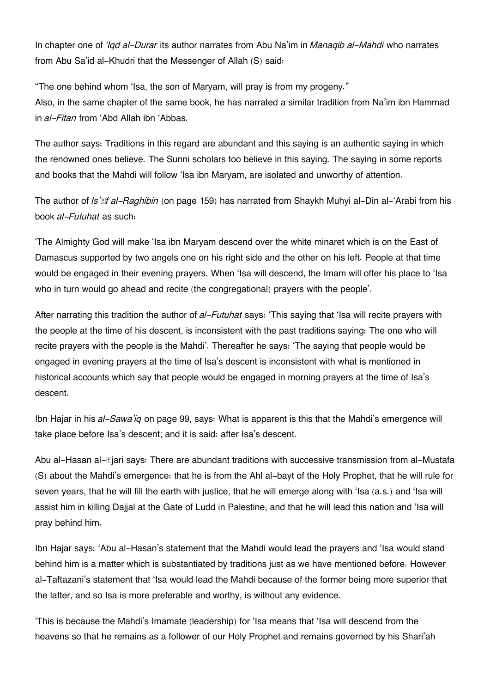In chapter one of *'Iqd al-Durar* its author narrates from Abu Na'im in *Manaqib al-Mahdi* who narrates from Abu Sa'id al-Khudri that the Messenger of Allah (S) said:

"The one behind whom 'Isa, the son of Maryam, will pray is from my progeny." Also, in the same chapter of the same book, he has narrated a similar tradition from Na'im ibn Hammad in *al-Fitan* from 'Abd Allah ibn 'Abbas.

The author says: Traditions in this regard are abundant and this saying is an authentic saying in which the renowned ones believe. The Sunni scholars too believe in this saying. The saying in some reports and books that the Mahdi will follow 'Isa ibn Maryam, are isolated and unworthy of attention.

The author of *Is'āf al-Raghibin* (on page 159) has narrated from Shaykh Muhyi al-Din al-'Arabi from his book *al-Futuhat* as such:

'The Almighty God will make 'Isa ibn Maryam descend over the white minaret which is on the East of Damascus supported by two angels one on his right side and the other on his left. People at that time would be engaged in their evening prayers. When 'Isa will descend, the Imam will offer his place to 'Isa who in turn would go ahead and recite (the congregational) prayers with the people'.

After narrating this tradition the author of *al-Futuhat* says: 'This saying that 'Isa will recite prayers with the people at the time of his descent, is inconsistent with the past traditions saying: The one who will recite prayers with the people is the Mahdi'. Thereafter he says: 'The saying that people would be engaged in evening prayers at the time of Isa's descent is inconsistent with what is mentioned in historical accounts which say that people would be engaged in morning prayers at the time of Isa's descent.

Ibn Hajar in his *al-Sawa'iq* on page 99, says: What is apparent is this that the Mahdi's emergence will take place before Isa's descent; and it is said: after Isa's descent.

Abu al-Hasan al-**N**jari says: There are abundant traditions with successive transmission from al-Mustafa (S) about the Mahdi's emergence: that he is from the Ahl al-bayt of the Holy Prophet, that he will rule for seven years, that he will fill the earth with justice, that he will emerge along with 'Isa (a.s.) and 'Isa will assist him in killing Dajjal at the Gate of Ludd in Palestine, and that he will lead this nation and 'Isa will pray behind him.

Ibn Hajar says: 'Abu al-Hasan's statement that the Mahdi would lead the prayers and 'Isa would stand behind him is a matter which is substantiated by traditions just as we have mentioned before. However al-Taftazani's statement that 'Isa would lead the Mahdi because of the former being more superior that the latter, and so Isa is more preferable and worthy, is without any evidence.

'This is because the Mahdi's Imamate (leadership) for 'Isa means that 'Isa will descend from the heavens so that he remains as a follower of our Holy Prophet and remains governed by his Shari'ah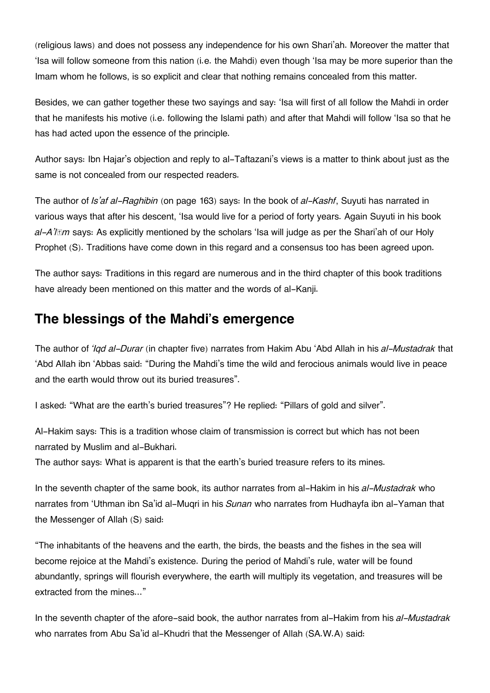(religious laws) and does not possess any independence for his own Shari'ah. Moreover the matter that 'Isa will follow someone from this nation (i.e. the Mahdi) even though 'Isa may be more superior than the Imam whom he follows, is so explicit and clear that nothing remains concealed from this matter.

Besides, we can gather together these two sayings and say: 'Isa will first of all follow the Mahdi in order that he manifests his motive (i.e. following the Islami path) and after that Mahdi will follow 'Isa so that he has had acted upon the essence of the principle.

Author says: Ibn Hajar's objection and reply to al-Taftazani's views is a matter to think about just as the same is not concealed from our respected readers.

The author of *Is'af al-Raghibin* (on page 163) says: In the book of *al-Kashf*, Suyuti has narrated in various ways that after his descent, 'Isa would live for a period of forty years. Again Suyuti in his book *al-A'lām* says: As explicitly mentioned by the scholars 'Isa will judge as per the Shari'ah of our Holy Prophet (S). Traditions have come down in this regard and a consensus too has been agreed upon.

The author says: Traditions in this regard are numerous and in the third chapter of this book traditions have already been mentioned on this matter and the words of al-Kanji.

### **[The blessings of the Mahdi's emergence](#page--1-0)**

The author of *'Iqd al-Durar* (in chapter five) narrates from Hakim Abu 'Abd Allah in his *al-Mustadrak* that 'Abd Allah ibn 'Abbas said: "During the Mahdi's time the wild and ferocious animals would live in peace and the earth would throw out its buried treasures".

I asked: "What are the earth's buried treasures"? He replied: "Pillars of gold and silver".

Al-Hakim says: This is a tradition whose claim of transmission is correct but which has not been narrated by Muslim and al-Bukhari.

The author says: What is apparent is that the earth's buried treasure refers to its mines.

In the seventh chapter of the same book, its author narrates from al-Hakim in his *al-Mustadrak* who narrates from 'Uthman ibn Sa'id al-Muqri in his *Sunan* who narrates from Hudhayfa ibn al-Yaman that the Messenger of Allah (S) said:

"The inhabitants of the heavens and the earth, the birds, the beasts and the fishes in the sea will become rejoice at the Mahdi's existence. During the period of Mahdi's rule, water will be found abundantly, springs will flourish everywhere, the earth will multiply its vegetation, and treasures will be extracted from the mines..."

In the seventh chapter of the afore-said book, the author narrates from al-Hakim from his *al-Mustadrak* who narrates from Abu Sa'id al-Khudri that the Messenger of Allah (SA.W.A) said: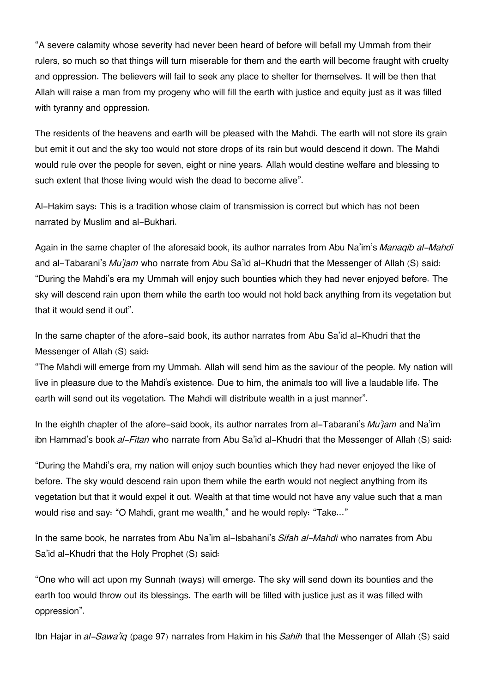"A severe calamity whose severity had never been heard of before will befall my Ummah from their rulers, so much so that things will turn miserable for them and the earth will become fraught with cruelty and oppression. The believers will fail to seek any place to shelter for themselves. It will be then that Allah will raise a man from my progeny who will fill the earth with justice and equity just as it was filled with tyranny and oppression.

The residents of the heavens and earth will be pleased with the Mahdi. The earth will not store its grain but emit it out and the sky too would not store drops of its rain but would descend it down. The Mahdi would rule over the people for seven, eight or nine years. Allah would destine welfare and blessing to such extent that those living would wish the dead to become alive".

Al-Hakim says: This is a tradition whose claim of transmission is correct but which has not been narrated by Muslim and al-Bukhari.

Again in the same chapter of the aforesaid book, its author narrates from Abu Na'im's *Manaqib al-Mahdi* and al-Tabarani's *Mu'jam* who narrate from Abu Sa'id al-Khudri that the Messenger of Allah (S) said: "During the Mahdi's era my Ummah will enjoy such bounties which they had never enjoyed before. The sky will descend rain upon them while the earth too would not hold back anything from its vegetation but that it would send it out".

In the same chapter of the afore-said book, its author narrates from Abu Sa'id al-Khudri that the Messenger of Allah (S) said:

"The Mahdi will emerge from my Ummah. Allah will send him as the saviour of the people. My nation will live in pleasure due to the Mahdi's existence. Due to him, the animals too will live a laudable life. The earth will send out its vegetation. The Mahdi will distribute wealth in a just manner".

In the eighth chapter of the afore-said book, its author narrates from al-Tabarani's *Mu'jam* and Na'im ibn Hammad's book *al-Fitan* who narrate from Abu Sa'id al-Khudri that the Messenger of Allah (S) said:

"During the Mahdi's era, my nation will enjoy such bounties which they had never enjoyed the like of before. The sky would descend rain upon them while the earth would not neglect anything from its vegetation but that it would expel it out. Wealth at that time would not have any value such that a man would rise and say: "O Mahdi, grant me wealth," and he would reply: "Take..."

In the same book, he narrates from Abu Na'im al-Isbahani's *Sifah al-Mahdi* who narrates from Abu Sa'id al-Khudri that the Holy Prophet (S) said:

"One who will act upon my Sunnah (ways) will emerge. The sky will send down its bounties and the earth too would throw out its blessings. The earth will be filled with justice just as it was filled with oppression".

Ibn Hajar in *al-Sawa'iq* (page 97) narrates from Hakim in his *Sahih* that the Messenger of Allah (S) said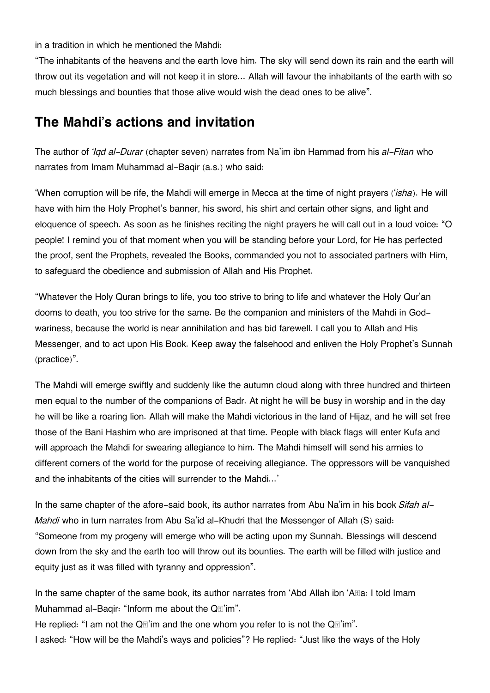in a tradition in which he mentioned the Mahdi:

"The inhabitants of the heavens and the earth love him. The sky will send down its rain and the earth will throw out its vegetation and will not keep it in store... Allah will favour the inhabitants of the earth with so much blessings and bounties that those alive would wish the dead ones to be alive".

### **[The Mahdi's actions and invitation](#page--1-0)**

The author of *'Iqd al-Durar* (chapter seven) narrates from Na'im ibn Hammad from his *al-Fitan* who narrates from Imam Muhammad al-Baqir (a.s.) who said:

'When corruption will be rife, the Mahdi will emerge in Mecca at the time of night prayers ('*isha*). He will have with him the Holy Prophet's banner, his sword, his shirt and certain other signs, and light and eloquence of speech. As soon as he finishes reciting the night prayers he will call out in a loud voice: "O people! I remind you of that moment when you will be standing before your Lord, for He has perfected the proof, sent the Prophets, revealed the Books, commanded you not to associated partners with Him, to safeguard the obedience and submission of Allah and His Prophet.

"Whatever the Holy Quran brings to life, you too strive to bring to life and whatever the Holy Qur'an dooms to death, you too strive for the same. Be the companion and ministers of the Mahdi in Godwariness, because the world is near annihilation and has bid farewell. I call you to Allah and His Messenger, and to act upon His Book. Keep away the falsehood and enliven the Holy Prophet's Sunnah (practice)".

The Mahdi will emerge swiftly and suddenly like the autumn cloud along with three hundred and thirteen men equal to the number of the companions of Badr. At night he will be busy in worship and in the day he will be like a roaring lion. Allah will make the Mahdi victorious in the land of Hijaz, and he will set free those of the Bani Hashim who are imprisoned at that time. People with black flags will enter Kufa and will approach the Mahdi for swearing allegiance to him. The Mahdi himself will send his armies to different corners of the world for the purpose of receiving allegiance. The oppressors will be vanquished and the inhabitants of the cities will surrender to the Mahdi...'

In the same chapter of the afore-said book, its author narrates from Abu Na'im in his book *Sifah al-Mahdi* who in turn narrates from Abu Sa'id al-Khudri that the Messenger of Allah (S) said: "Someone from my progeny will emerge who will be acting upon my Sunnah. Blessings will descend down from the sky and the earth too will throw out its bounties. The earth will be filled with justice and equity just as it was filled with tyranny and oppression".

In the same chapter of the same book, its author narrates from 'Abd Allah ibn 'A $I\mathbb{B}$ a: I told Imam Muhammad al-Baqir: "Inform me about the Q*T*'im".

He replied: "I am not the  $Q\vec{a}$ 'im and the one whom you refer to is not the  $Q\vec{a}'$ 'im". I asked: "How will be the Mahdi's ways and policies"? He replied: "Just like the ways of the Holy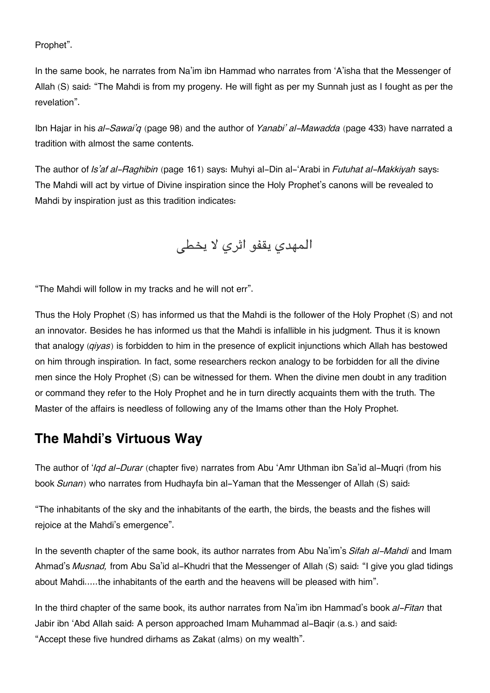Prophet".

In the same book, he narrates from Na'im ibn Hammad who narrates from 'A'isha that the Messenger of Allah (S) said: "The Mahdi is from my progeny. He will fight as per my Sunnah just as I fought as per the revelation".

Ibn Hajar in his *al-Sawai'q* (page 98) and the author of *Yanabi' al-Mawadda* (page 433) have narrated a tradition with almost the same contents.

The author of *Is'af al-Raghibin* (page 161) says: Muhyi al-Din al-'Arabi in *Futuhat al-Makkiyah* says: The Mahdi will act by virtue of Divine inspiration since the Holy Prophet's canons will be revealed to Mahdi by inspiration just as this tradition indicates:

المهدي يقفو اثري لا يخط

"The Mahdi will follow in my tracks and he will not err".

Thus the Holy Prophet (S) has informed us that the Mahdi is the follower of the Holy Prophet (S) and not an innovator. Besides he has informed us that the Mahdi is infallible in his judgment. Thus it is known that analogy (*qiyas*) is forbidden to him in the presence of explicit injunctions which Allah has bestowed on him through inspiration. In fact, some researchers reckon analogy to be forbidden for all the divine men since the Holy Prophet (S) can be witnessed for them. When the divine men doubt in any tradition or command they refer to the Holy Prophet and he in turn directly acquaints them with the truth. The Master of the affairs is needless of following any of the Imams other than the Holy Prophet.

### **[The Mahdi's Virtuous Way](#page--1-0)**

The author of '*Iqd al-Durar* (chapter five) narrates from Abu 'Amr Uthman ibn Sa'id al-Muqri (from his book *Sunan*) who narrates from Hudhayfa bin al-Yaman that the Messenger of Allah (S) said:

"The inhabitants of the sky and the inhabitants of the earth, the birds, the beasts and the fishes will rejoice at the Mahdi's emergence".

In the seventh chapter of the same book, its author narrates from Abu Na'im's *Sifah al-Mahdi* and Imam Ahmad's *Musnad,* from Abu Sa'id al-Khudri that the Messenger of Allah (S) said: "I give you glad tidings about Mahdi.....the inhabitants of the earth and the heavens will be pleased with him".

In the third chapter of the same book, its author narrates from Na'im ibn Hammad's book *al-Fitan* that Jabir ibn 'Abd Allah said: A person approached Imam Muhammad al-Baqir (a.s.) and said: "Accept these five hundred dirhams as Zakat (alms) on my wealth".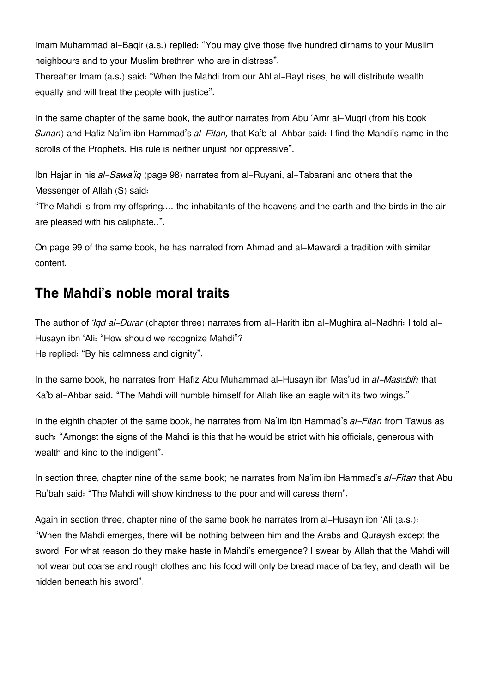Imam Muhammad al-Baqir (a.s.) replied: "You may give those five hundred dirhams to your Muslim neighbours and to your Muslim brethren who are in distress".

Thereafter Imam (a.s.) said: "When the Mahdi from our Ahl al-Bayt rises, he will distribute wealth equally and will treat the people with justice".

In the same chapter of the same book, the author narrates from Abu 'Amr al-Muqri (from his book *Sunan*) and Hafiz Na'im ibn Hammad's *al-Fitan,* that Ka'b al-Ahbar said: I find the Mahdi's name in the scrolls of the Prophets. His rule is neither unjust nor oppressive".

Ibn Hajar in his *al-Sawa'iq* (page 98) narrates from al-Ruyani, al-Tabarani and others that the Messenger of Allah (S) said:

"The Mahdi is from my offspring.... the inhabitants of the heavens and the earth and the birds in the air are pleased with his caliphate..".

On page 99 of the same book, he has narrated from Ahmad and al-Mawardi a tradition with similar content.

# **[The Mahdi's noble moral traits](#page--1-0)**

The author of *'Iqd al-Durar* (chapter three) narrates from al-Harith ibn al-Mughira al-Nadhri: I told al-Husayn ibn 'Ali: "How should we recognize Mahdi"? He replied: "By his calmness and dignity".

In the same book, he narrates from Hafiz Abu Muhammad al-Husayn ibn Mas'ud in *al-Masābih* that Ka'b al-Ahbar said: "The Mahdi will humble himself for Allah like an eagle with its two wings."

In the eighth chapter of the same book, he narrates from Na'im ibn Hammad's *al-Fitan* from Tawus as such: "Amongst the signs of the Mahdi is this that he would be strict with his officials, generous with wealth and kind to the indigent".

In section three, chapter nine of the same book; he narrates from Na'im ibn Hammad's *al-Fitan* that Abu Ru'bah said: "The Mahdi will show kindness to the poor and will caress them".

Again in section three, chapter nine of the same book he narrates from al-Husayn ibn 'Ali (a.s.): "When the Mahdi emerges, there will be nothing between him and the Arabs and Quraysh except the sword. For what reason do they make haste in Mahdi's emergence? I swear by Allah that the Mahdi will not wear but coarse and rough clothes and his food will only be bread made of barley, and death will be hidden beneath his sword".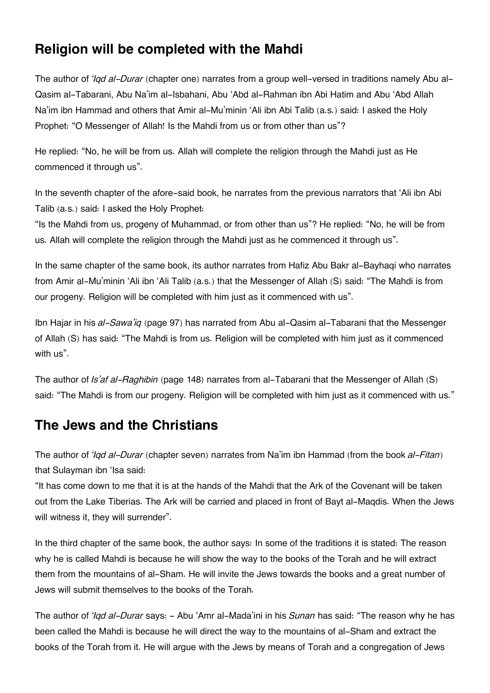# **[Religion will be completed with the Mahdi](#page--1-0)**

The author of *'Iqd al-Durar* (chapter one) narrates from a group well-versed in traditions namely Abu al-Qasim al-Tabarani, Abu Na'im al-Isbahani, Abu 'Abd al-Rahman ibn Abi Hatim and Abu 'Abd Allah Na'im ibn Hammad and others that Amir al-Mu'minin 'Ali ibn Abi Talib (a.s.) said: I asked the Holy Prophet: "O Messenger of Allah! Is the Mahdi from us or from other than us"?

He replied: "No, he will be from us. Allah will complete the religion through the Mahdi just as He commenced it through us".

In the seventh chapter of the afore-said book, he narrates from the previous narrators that 'Ali ibn Abi Talib (a.s.) said: I asked the Holy Prophet:

"Is the Mahdi from us, progeny of Muhammad, or from other than us"? He replied: "No, he will be from us. Allah will complete the religion through the Mahdi just as he commenced it through us".

In the same chapter of the same book, its author narrates from Hafiz Abu Bakr al-Bayhaqi who narrates from Amir al-Mu'minin 'Ali ibn 'Ali Talib (a.s.) that the Messenger of Allah (S) said: "The Mahdi is from our progeny. Religion will be completed with him just as it commenced with us".

Ibn Hajar in his *al-Sawa'iq* (page 97) has narrated from Abu al-Qasim al-Tabarani that the Messenger of Allah (S) has said: "The Mahdi is from us. Religion will be completed with him just as it commenced with us".

The author of *Is'af al-Raghibin* (page 148) narrates from al-Tabarani that the Messenger of Allah (S) said: "The Mahdi is from our progeny. Religion will be completed with him just as it commenced with us."

## **[The Jews and the Christians](#page--1-0)**

The author of *'Iqd al-Durar* (chapter seven) narrates from Na'im ibn Hammad (from the book *al-Fitan*) that Sulayman ibn 'Isa said:

"It has come down to me that it is at the hands of the Mahdi that the Ark of the Covenant will be taken out from the Lake Tiberias. The Ark will be carried and placed in front of Bayt al-Maqdis. When the Jews will witness it, they will surrender".

In the third chapter of the same book, the author says: In some of the traditions it is stated: The reason why he is called Mahdi is because he will show the way to the books of the Torah and he will extract them from the mountains of al-Sham. He will invite the Jews towards the books and a great number of Jews will submit themselves to the books of the Torah.

The author of *'Iqd al-Durar* says: - Abu 'Amr al-Mada'ini in his *Sunan* has said: "The reason why he has been called the Mahdi is because he will direct the way to the mountains of al-Sham and extract the books of the Torah from it. He will argue with the Jews by means of Torah and a congregation of Jews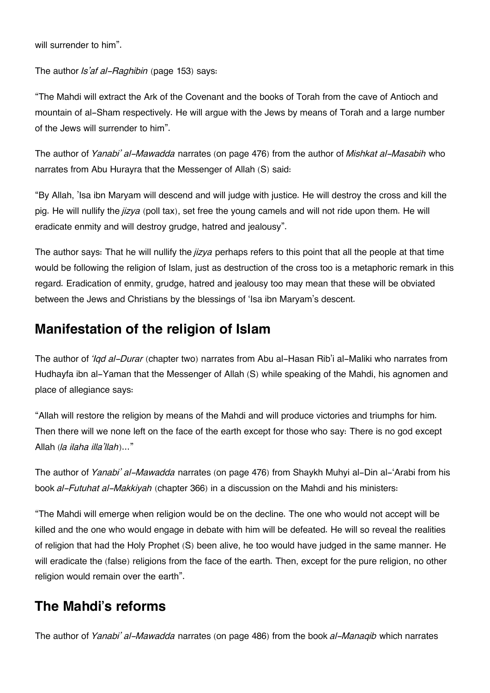will surrender to him".

The author *Is'af al-Raghibin* (page 153) says:

"The Mahdi will extract the Ark of the Covenant and the books of Torah from the cave of Antioch and mountain of al-Sham respectively. He will argue with the Jews by means of Torah and a large number of the Jews will surrender to him".

The author of *Yanabi' al-Mawadda* narrates (on page 476) from the author of *Mishkat al-Masabih* who narrates from Abu Hurayra that the Messenger of Allah (S) said:

"By Allah, 'Isa ibn Maryam will descend and will judge with justice. He will destroy the cross and kill the pig. He will nullify the *jizya* (poll tax), set free the young camels and will not ride upon them. He will eradicate enmity and will destroy grudge, hatred and jealousy".

The author says: That he will nullify the *jizya* perhaps refers to this point that all the people at that time would be following the religion of Islam, just as destruction of the cross too is a metaphoric remark in this regard. Eradication of enmity, grudge, hatred and jealousy too may mean that these will be obviated between the Jews and Christians by the blessings of 'Isa ibn Maryam's descent.

# **[Manifestation of the religion of Islam](#page--1-0)**

The author of *'Iqd al-Durar* (chapter two) narrates from Abu al-Hasan Rib'i al-Maliki who narrates from Hudhayfa ibn al-Yaman that the Messenger of Allah (S) while speaking of the Mahdi, his agnomen and place of allegiance says:

"Allah will restore the religion by means of the Mahdi and will produce victories and triumphs for him. Then there will we none left on the face of the earth except for those who say: There is no god except Allah (*la ilaha illa'llah*)..."

The author of *Yanabi' al-Mawadda* narrates (on page 476) from Shaykh Muhyi al-Din al-'Arabi from his book *al-Futuhat al-Makkiyah* (chapter 366) in a discussion on the Mahdi and his ministers:

"The Mahdi will emerge when religion would be on the decline. The one who would not accept will be killed and the one who would engage in debate with him will be defeated. He will so reveal the realities of religion that had the Holy Prophet (S) been alive, he too would have judged in the same manner. He will eradicate the (false) religions from the face of the earth. Then, except for the pure religion, no other religion would remain over the earth".

# **[The Mahdi's reforms](#page--1-0)**

The author of *Yanabi' al-Mawadda* narrates (on page 486) from the book *al-Manaqib* which narrates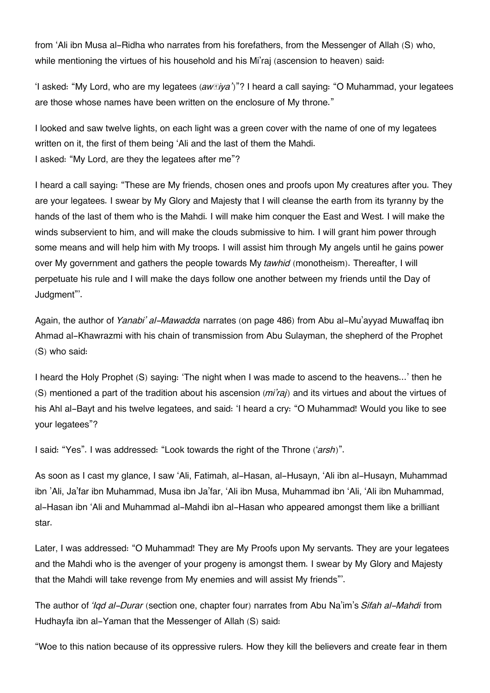from 'Ali ibn Musa al-Ridha who narrates from his forefathers, from the Messenger of Allah (S) who, while mentioning the virtues of his household and his Mi'raj (ascension to heaven) said:

'I asked: "My Lord, who are my legatees (*awṣiya'*)"? I heard a call saying: "O Muhammad, your legatees are those whose names have been written on the enclosure of My throne."

I looked and saw twelve lights, on each light was a green cover with the name of one of my legatees written on it, the first of them being 'Ali and the last of them the Mahdi. I asked: "My Lord, are they the legatees after me"?

I heard a call saying: "These are My friends, chosen ones and proofs upon My creatures after you. They are your legatees. I swear by My Glory and Majesty that I will cleanse the earth from its tyranny by the hands of the last of them who is the Mahdi. I will make him conquer the East and West. I will make the winds subservient to him, and will make the clouds submissive to him. I will grant him power through some means and will help him with My troops. I will assist him through My angels until he gains power over My government and gathers the people towards My *tawhid* (monotheism). Thereafter, I will perpetuate his rule and I will make the days follow one another between my friends until the Day of Judgment"'.

Again, the author of *Yanabi' al-Mawadda* narrates (on page 486) from Abu al-Mu'ayyad Muwaffaq ibn Ahmad al-Khawrazmi with his chain of transmission from Abu Sulayman, the shepherd of the Prophet (S) who said:

I heard the Holy Prophet (S) saying: 'The night when I was made to ascend to the heavens...' then he (S) mentioned a part of the tradition about his ascension (*mi'raj*) and its virtues and about the virtues of his Ahl al-Bayt and his twelve legatees, and said: 'I heard a cry: "O Muhammad! Would you like to see your legatees"?

I said: "Yes". I was addressed: "Look towards the right of the Throne ('*arsh*)".

As soon as I cast my glance, I saw 'Ali, Fatimah, al-Hasan, al-Husayn, 'Ali ibn al-Husayn, Muhammad ibn 'Ali, Ja'far ibn Muhammad, Musa ibn Ja'far, 'Ali ibn Musa, Muhammad ibn 'Ali, 'Ali ibn Muhammad, al-Hasan ibn 'Ali and Muhammad al-Mahdi ibn al-Hasan who appeared amongst them like a brilliant star.

Later, I was addressed: "O Muhammad! They are My Proofs upon My servants. They are your legatees and the Mahdi who is the avenger of your progeny is amongst them. I swear by My Glory and Majesty that the Mahdi will take revenge from My enemies and will assist My friends"'.

The author of *'Iqd al-Durar* (section one, chapter four) narrates from Abu Na'im's *Sifah al-Mahdi* from Hudhayfa ibn al-Yaman that the Messenger of Allah (S) said:

"Woe to this nation because of its oppressive rulers. How they kill the believers and create fear in them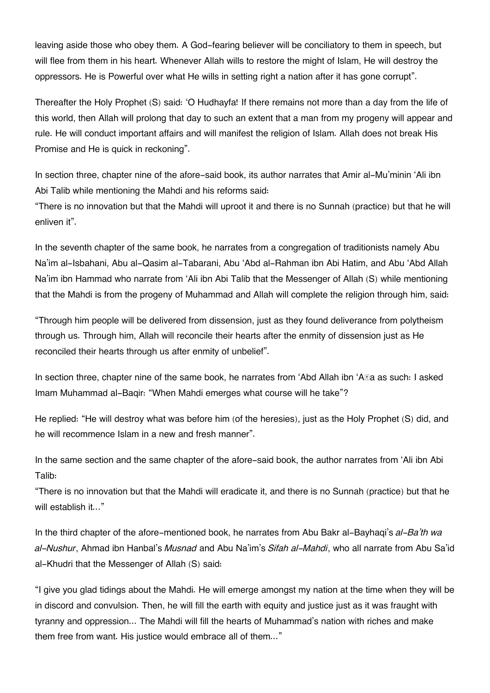leaving aside those who obey them. A God-fearing believer will be conciliatory to them in speech, but will flee from them in his heart. Whenever Allah wills to restore the might of Islam, He will destroy the oppressors. He is Powerful over what He wills in setting right a nation after it has gone corrupt".

Thereafter the Holy Prophet (S) said: 'O Hudhayfa! If there remains not more than a day from the life of this world, then Allah will prolong that day to such an extent that a man from my progeny will appear and rule. He will conduct important affairs and will manifest the religion of Islam. Allah does not break His Promise and He is quick in reckoning".

In section three, chapter nine of the afore-said book, its author narrates that Amir al-Mu'minin 'Ali ibn Abi Talib while mentioning the Mahdi and his reforms said:

"There is no innovation but that the Mahdi will uproot it and there is no Sunnah (practice) but that he will enliven it".

In the seventh chapter of the same book, he narrates from a congregation of traditionists namely Abu Na'im al-Isbahani, Abu al-Qasim al-Tabarani, Abu 'Abd al-Rahman ibn Abi Hatim, and Abu 'Abd Allah Na'im ibn Hammad who narrate from 'Ali ibn Abi Talib that the Messenger of Allah (S) while mentioning that the Mahdi is from the progeny of Muhammad and Allah will complete the religion through him, said:

"Through him people will be delivered from dissension, just as they found deliverance from polytheism through us. Through him, Allah will reconcile their hearts after the enmity of dissension just as He reconciled their hearts through us after enmity of unbelief".

In section three, chapter nine of the same book, he narrates from 'Abd Allah ibn 'A**Ra** as such: I asked Imam Muhammad al-Baqir: "When Mahdi emerges what course will he take"?

He replied: "He will destroy what was before him (of the heresies), just as the Holy Prophet (S) did, and he will recommence Islam in a new and fresh manner".

In the same section and the same chapter of the afore-said book, the author narrates from 'Ali ibn Abi Talib:

"There is no innovation but that the Mahdi will eradicate it, and there is no Sunnah (practice) but that he will establish it..."

In the third chapter of the afore-mentioned book, he narrates from Abu Bakr al-Bayhaqi's *al-Ba'th wa al-Nushur*, Ahmad ibn Hanbal's *Musnad* and Abu Na'im's *Sifah al-Mahdi*, who all narrate from Abu Sa'id al-Khudri that the Messenger of Allah (S) said:

"I give you glad tidings about the Mahdi. He will emerge amongst my nation at the time when they will be in discord and convulsion. Then, he will fill the earth with equity and justice just as it was fraught with tyranny and oppression... The Mahdi will fill the hearts of Muhammad's nation with riches and make them free from want. His justice would embrace all of them..."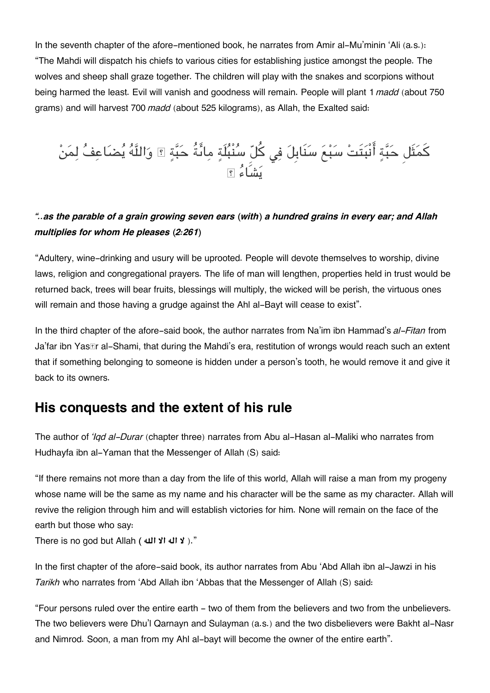In the seventh chapter of the afore-mentioned book, he narrates from Amir al-Mu'minin 'Ali (a.s.): "The Mahdi will dispatch his chiefs to various cities for establishing justice amongst the people. The wolves and sheep shall graze together. The children will play with the snakes and scorpions without being harmed the least. Evil will vanish and goodness will remain. People will plant 1 *madd* (about 750 grams) and will harvest 700 *madd* (about 525 kilograms), as Allah, the Exalted said:

# كمَثَل حَبّةٍ أَنبَتَتْ سَبْعَ سَنَابِلَ فِي كلّ سَنَبَلَةٍ مِائَةً حَبّةٍ ۩ وَاللّهُ يَضَاعِفُ لِمَنْ يشَاء ۗ

### *"..as the parable of a grain growing seven ears (with) a hundred grains in every ear; and Allah multiplies for whom He pleases (2:261)*

"Adultery, wine-drinking and usury will be uprooted. People will devote themselves to worship, divine laws, religion and congregational prayers. The life of man will lengthen, properties held in trust would be returned back, trees will bear fruits, blessings will multiply, the wicked will be perish, the virtuous ones will remain and those having a grudge against the Ahl al-Bayt will cease to exist".

In the third chapter of the afore-said book, the author narrates from Na'im ibn Hammad's *al-Fitan* from Ja'far ibn Yas*I***r al-Shami, that during the Mahdi's era**, restitution of wrongs would reach such an extent that if something belonging to someone is hidden under a person's tooth, he would remove it and give it back to its owners.

## **[His conquests and the extent of his rule](#page--1-0)**

The author of *'Iqd al-Durar* (chapter three) narrates from Abu al-Hasan al-Maliki who narrates from Hudhayfa ibn al-Yaman that the Messenger of Allah (S) said:

"If there remains not more than a day from the life of this world, Allah will raise a man from my progeny whose name will be the same as my name and his character will be the same as my character. Allah will revive the religion through him and will establish victories for him. None will remain on the face of the earth but those who say:

There is no god but Allah **( هال الا اله لا**( ."

In the first chapter of the afore-said book, its author narrates from Abu 'Abd Allah ibn al-Jawzi in his *Tarikh* who narrates from 'Abd Allah ibn 'Abbas that the Messenger of Allah (S) said:

"Four persons ruled over the entire earth - two of them from the believers and two from the unbelievers. The two believers were Dhu'l Qarnayn and Sulayman (a.s.) and the two disbelievers were Bakht al-Nasr and Nimrod. Soon, a man from my Ahl al-bayt will become the owner of the entire earth".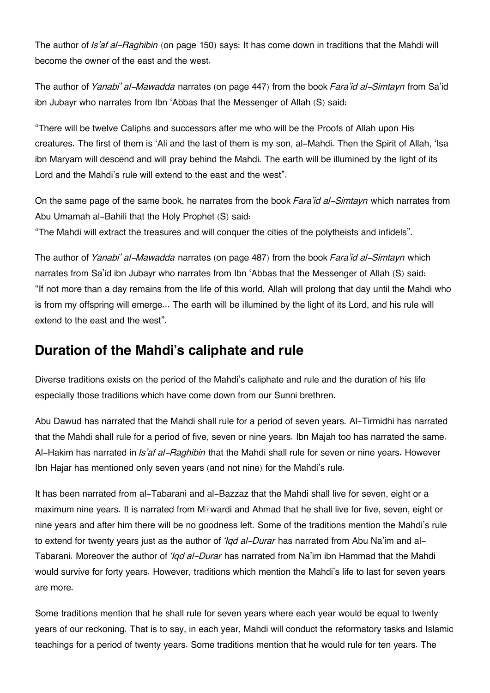The author of *Is'af al-Raghibin* (on page 150) says: It has come down in traditions that the Mahdi will become the owner of the east and the west.

The author of *Yanabi' al-Mawadda* narrates (on page 447) from the book *Fara'id al-Simtayn* from Sa'id ibn Jubayr who narrates from Ibn 'Abbas that the Messenger of Allah (S) said:

"There will be twelve Caliphs and successors after me who will be the Proofs of Allah upon His creatures. The first of them is 'Ali and the last of them is my son, al-Mahdi. Then the Spirit of Allah, 'Isa ibn Maryam will descend and will pray behind the Mahdi. The earth will be illumined by the light of its Lord and the Mahdi's rule will extend to the east and the west".

On the same page of the same book, he narrates from the book *Fara'id al-Simtayn* which narrates from Abu Umamah al-Bahili that the Holy Prophet (S) said:

"The Mahdi will extract the treasures and will conquer the cities of the polytheists and infidels".

The author of *Yanabi' al-Mawadda* narrates (on page 487) from the book *Fara'id al-Simtayn* which narrates from Sa'id ibn Jubayr who narrates from Ibn 'Abbas that the Messenger of Allah (S) said: "If not more than a day remains from the life of this world, Allah will prolong that day until the Mahdi who is from my offspring will emerge... The earth will be illumined by the light of its Lord, and his rule will extend to the east and the west".

# **[Duration of the Mahdi's caliphate and rule](#page--1-0)**

Diverse traditions exists on the period of the Mahdi's caliphate and rule and the duration of his life especially those traditions which have come down from our Sunni brethren.

Abu Dawud has narrated that the Mahdi shall rule for a period of seven years. Al-Tirmidhi has narrated that the Mahdi shall rule for a period of five, seven or nine years. Ibn Majah too has narrated the same. Al-Hakim has narrated in *Is'af al-Raghibin* that the Mahdi shall rule for seven or nine years. However Ibn Hajar has mentioned only seven years (and not nine) for the Mahdi's rule.

It has been narrated from al-Tabarani and al-Bazzaz that the Mahdi shall live for seven, eight or a maximum nine years. It is narrated from M*I***wardi and Ahmad that he shall live for five**, seven, eight or nine years and after him there will be no goodness left. Some of the traditions mention the Mahdi's rule to extend for twenty years just as the author of *'Iqd al-Durar* has narrated from Abu Na'im and al-Tabarani. Moreover the author of *'Iqd al-Durar* has narrated from Na'im ibn Hammad that the Mahdi would survive for forty years. However, traditions which mention the Mahdi's life to last for seven years are more.

Some traditions mention that he shall rule for seven years where each year would be equal to twenty years of our reckoning. That is to say, in each year, Mahdi will conduct the reformatory tasks and Islamic teachings for a period of twenty years. Some traditions mention that he would rule for ten years. The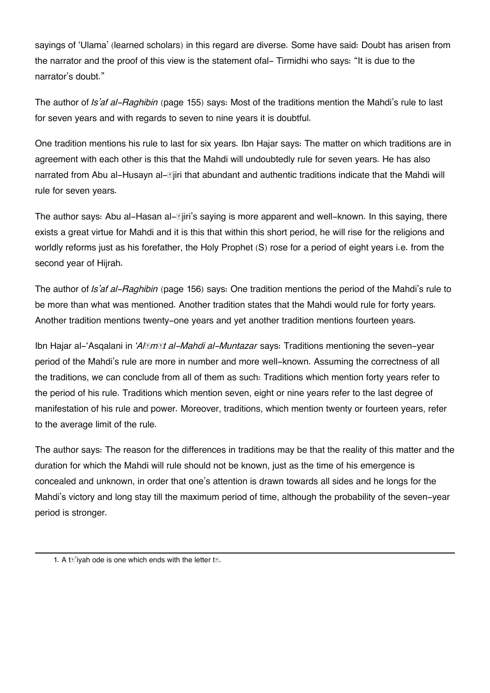sayings of 'Ulama' (learned scholars) in this regard are diverse. Some have said: Doubt has arisen from the narrator and the proof of this view is the statement ofal- Tirmidhi who says: "It is due to the narrator's doubt."

The author of *Is'af al-Raghibin* (page 155) says: Most of the traditions mention the Mahdi's rule to last for seven years and with regards to seven to nine years it is doubtful.

One tradition mentions his rule to last for six years. Ibn Hajar says: The matter on which traditions are in agreement with each other is this that the Mahdi will undoubtedly rule for seven years. He has also narrated from Abu al-Husayn al-*Ajiri* that abundant and authentic traditions indicate that the Mahdi will rule for seven years.

The author says: Abu al-Hasan al-*E***jiri's saying is more apparent and well**-known. In this saying, there exists a great virtue for Mahdi and it is this that within this short period, he will rise for the religions and worldly reforms just as his forefather, the Holy Prophet (S) rose for a period of eight years i.e. from the second year of Hijrah.

The author of *Is'af al-Raghibin* (page 156) says: One tradition mentions the period of the Mahdi's rule to be more than what was mentioned. Another tradition states that the Mahdi would rule for forty years. Another tradition mentions twenty-one years and yet another tradition mentions fourteen years.

Ibn Hajar al-'Asqalani in *'Alāmāt al-Mahdi al-Muntazar* says: Traditions mentioning the seven-year period of the Mahdi's rule are more in number and more well-known. Assuming the correctness of all the traditions, we can conclude from all of them as such: Traditions which mention forty years refer to the period of his rule. Traditions which mention seven, eight or nine years refer to the last degree of manifestation of his rule and power. Moreover, traditions, which mention twenty or fourteen years, refer to the average limit of the rule.

The author says: The reason for the differences in traditions may be that the reality of this matter and the duration for which the Mahdi will rule should not be known, just as the time of his emergence is concealed and unknown, in order that one's attention is drawn towards all sides and he longs for the Mahdi's victory and long stay till the maximum period of time, although the probability of the seven-year period is stronger.

[<sup>1.</sup>](#page--1-0) A twivah ode is one which ends with the letter  $t_{\mathbb{Z}}$ .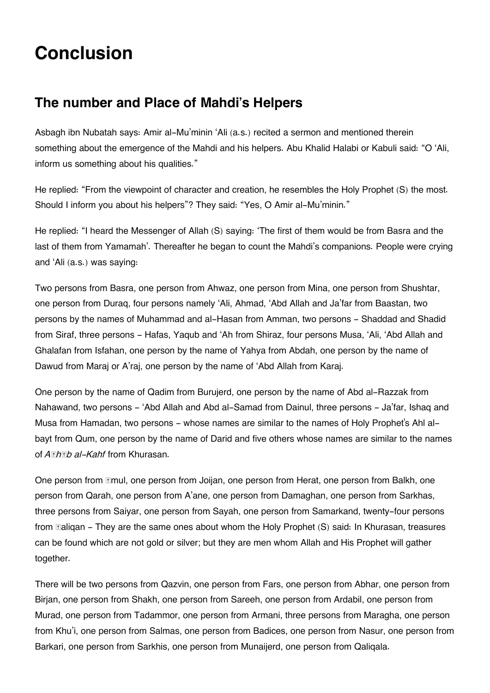# **Conclusion**

# **[The number and Place of Mahdi's Helpers](#page--1-0)**

Asbagh ibn Nubatah says: Amir al-Mu'minin 'Ali (a.s.) recited a sermon and mentioned therein something about the emergence of the Mahdi and his helpers. Abu Khalid Halabi or Kabuli said: "O 'Ali, inform us something about his qualities."

He replied: "From the viewpoint of character and creation, he resembles the Holy Prophet (S) the most. Should I inform you about his helpers"? They said: "Yes, O Amir al-Mu'minin."

He replied: "I heard the Messenger of Allah (S) saying: 'The first of them would be from Basra and the last of them from Yamamah'. Thereafter he began to count the Mahdi's companions. People were crying and 'Ali (a.s.) was saying:

Two persons from Basra, one person from Ahwaz, one person from Mina, one person from Shushtar, one person from Duraq, four persons namely 'Ali, Ahmad, 'Abd Allah and Ja'far from Baastan, two persons by the names of Muhammad and al-Hasan from Amman, two persons - Shaddad and Shadid from Siraf, three persons - Hafas, Yaqub and 'Ah from Shiraz, four persons Musa, 'Ali, 'Abd Allah and Ghalafan from Isfahan, one person by the name of Yahya from Abdah, one person by the name of Dawud from Maraj or A'raj, one person by the name of 'Abd Allah from Karaj.

One person by the name of Qadim from Burujerd, one person by the name of Abd al-Razzak from Nahawand, two persons - 'Abd Allah and Abd al-Samad from Dainul, three persons - Ja'far, Ishaq and Musa from Hamadan, two persons - whose names are similar to the names of Holy Prophet's Ahl albayt from Qum, one person by the name of Darid and five others whose names are similar to the names of *Arhab al-Kahf* from Khurasan.

One person from **Emul, one person from Joijan, one person from Herat**, one person from Balkh, one person from Qarah, one person from A'ane, one person from Damaghan, one person from Sarkhas, three persons from Saiyar, one person from Sayah, one person from Samarkand, twenty-four persons from **Ealigan** - They are the same ones about whom the Holy Prophet (S) said: In Khurasan, treasures can be found which are not gold or silver; but they are men whom Allah and His Prophet will gather together.

There will be two persons from Qazvin, one person from Fars, one person from Abhar, one person from Birjan, one person from Shakh, one person from Sareeh, one person from Ardabil, one person from Murad, one person from Tadammor, one person from Armani, three persons from Maragha, one person from Khu'i, one person from Salmas, one person from Badices, one person from Nasur, one person from Barkari, one person from Sarkhis, one person from Munaijerd, one person from Qaliqala.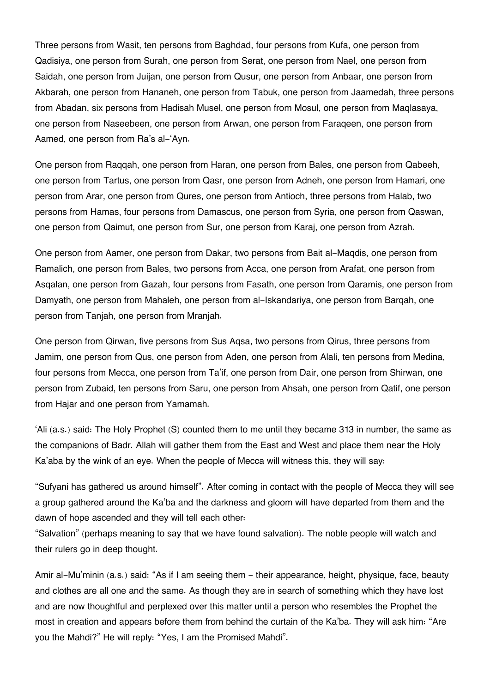Three persons from Wasit, ten persons from Baghdad, four persons from Kufa, one person from Qadisiya, one person from Surah, one person from Serat, one person from Nael, one person from Saidah, one person from Juijan, one person from Qusur, one person from Anbaar, one person from Akbarah, one person from Hananeh, one person from Tabuk, one person from Jaamedah, three persons from Abadan, six persons from Hadisah Musel, one person from Mosul, one person from Maqlasaya, one person from Naseebeen, one person from Arwan, one person from Faraqeen, one person from Aamed, one person from Ra's al-'Ayn.

One person from Raqqah, one person from Haran, one person from Bales, one person from Qabeeh, one person from Tartus, one person from Qasr, one person from Adneh, one person from Hamari, one person from Arar, one person from Qures, one person from Antioch, three persons from Halab, two persons from Hamas, four persons from Damascus, one person from Syria, one person from Qaswan, one person from Qaimut, one person from Sur, one person from Karaj, one person from Azrah.

One person from Aamer, one person from Dakar, two persons from Bait al-Maqdis, one person from Ramalich, one person from Bales, two persons from Acca, one person from Arafat, one person from Asqalan, one person from Gazah, four persons from Fasath, one person from Qaramis, one person from Damyath, one person from Mahaleh, one person from al-Iskandariya, one person from Barqah, one person from Tanjah, one person from Mranjah.

One person from Qirwan, five persons from Sus Aqsa, two persons from Qirus, three persons from Jamim, one person from Qus, one person from Aden, one person from Alali, ten persons from Medina, four persons from Mecca, one person from Ta'if, one person from Dair, one person from Shirwan, one person from Zubaid, ten persons from Saru, one person from Ahsah, one person from Qatif, one person from Hajar and one person from Yamamah.

'Ali (a.s.) said: The Holy Prophet (S) counted them to me until they became 313 in number, the same as the companions of Badr. Allah will gather them from the East and West and place them near the Holy Ka'aba by the wink of an eye. When the people of Mecca will witness this, they will say:

"Sufyani has gathered us around himself". After coming in contact with the people of Mecca they will see a group gathered around the Ka'ba and the darkness and gloom will have departed from them and the dawn of hope ascended and they will tell each other:

"Salvation" (perhaps meaning to say that we have found salvation). The noble people will watch and their rulers go in deep thought.

Amir al-Mu'minin (a.s.) said: "As if I am seeing them - their appearance, height, physique, face, beauty and clothes are all one and the same. As though they are in search of something which they have lost and are now thoughtful and perplexed over this matter until a person who resembles the Prophet the most in creation and appears before them from behind the curtain of the Ka'ba. They will ask him: "Are you the Mahdi?" He will reply: "Yes, I am the Promised Mahdi".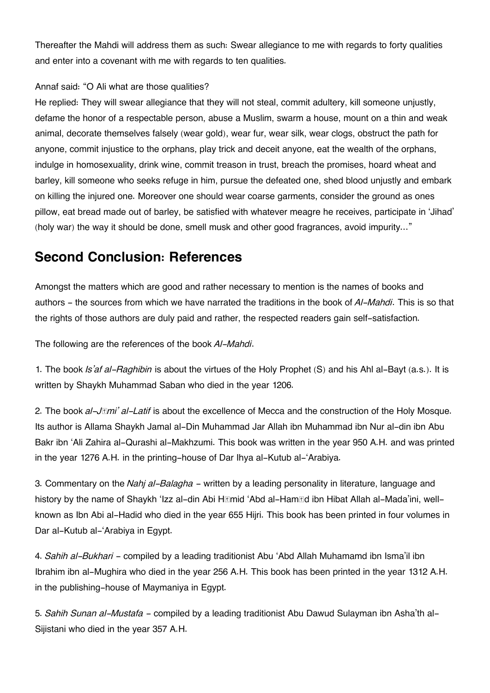Thereafter the Mahdi will address them as such: Swear allegiance to me with regards to forty qualities and enter into a covenant with me with regards to ten qualities.

### Annaf said: "O Ali what are those qualities?

He replied: They will swear allegiance that they will not steal, commit adultery, kill someone unjustly, defame the honor of a respectable person, abuse a Muslim, swarm a house, mount on a thin and weak animal, decorate themselves falsely (wear gold), wear fur, wear silk, wear clogs, obstruct the path for anyone, commit injustice to the orphans, play trick and deceit anyone, eat the wealth of the orphans, indulge in homosexuality, drink wine, commit treason in trust, breach the promises, hoard wheat and barley, kill someone who seeks refuge in him, pursue the defeated one, shed blood unjustly and embark on killing the injured one. Moreover one should wear coarse garments, consider the ground as ones pillow, eat bread made out of barley, be satisfied with whatever meagre he receives, participate in 'Jihad' (holy war) the way it should be done, smell musk and other good fragrances, avoid impurity…"

# **[Second Conclusion: References](#page--1-0)**

Amongst the matters which are good and rather necessary to mention is the names of books and authors - the sources from which we have narrated the traditions in the book of *Al-Mahdi*. This is so that the rights of those authors are duly paid and rather, the respected readers gain self-satisfaction.

The following are the references of the book *Al-Mahdi*.

1. The book *Is'af al-Raghibin* is about the virtues of the Holy Prophet (S) and his Ahl al-Bayt (a.s.). It is written by Shaykh Muhammad Saban who died in the year 1206.

2. The book *al-Jāmi' al-Latif* is about the excellence of Mecca and the construction of the Holy Mosque. Its author is Allama Shaykh Jamal al-Din Muhammad Jar Allah ibn Muhammad ibn Nur al-din ibn Abu Bakr ibn 'Ali Zahira al-Qurashi al-Makhzumi. This book was written in the year 950 A.H. and was printed in the year 1276 A.H. in the printing-house of Dar Ihya al-Kutub al-'Arabiya.

3. Commentary on the *Nahj al-Balagha* - written by a leading personality in literature, language and history by the name of Shaykh 'Izz al-din Abi H*Imid* 'Abd al-Ham*Id* ibn Hibat Allah al-Mada'ini, wellknown as Ibn Abi al-Hadid who died in the year 655 Hijri. This book has been printed in four volumes in Dar al-Kutub al-'Arabiya in Egypt.

4. *Sahih al-Bukhari* - compiled by a leading traditionist Abu 'Abd Allah Muhamamd ibn Isma'il ibn Ibrahim ibn al-Mughira who died in the year 256 A.H. This book has been printed in the year 1312 A.H. in the publishing-house of Maymaniya in Egypt.

5. *Sahih Sunan al-Mustafa* - compiled by a leading traditionist Abu Dawud Sulayman ibn Asha'th al-Sijistani who died in the year 357 A.H.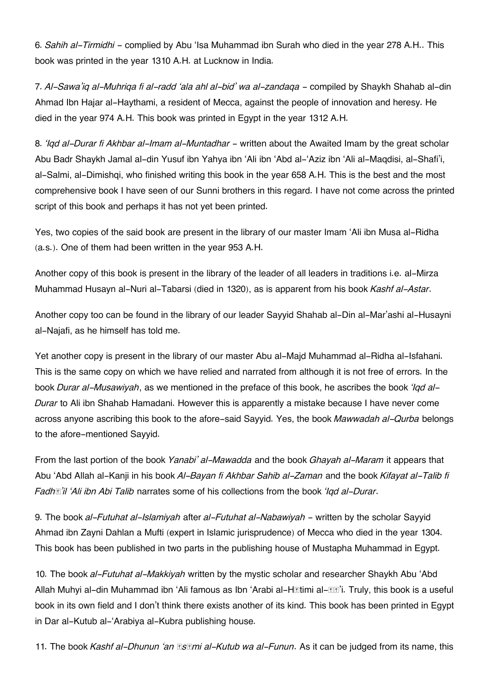6. *Sahih al-Tirmidhi* - complied by Abu 'Isa Muhammad ibn Surah who died in the year 278 A.H.. This book was printed in the year 1310 A.H. at Lucknow in India.

7. *Al-Sawa'iq al-Muhriqa fi al-radd 'ala ahl al-bid' wa al-zandaqa* - compiled by Shaykh Shahab al-din Ahmad Ibn Hajar al-Haythami, a resident of Mecca, against the people of innovation and heresy. He died in the year 974 A.H. This book was printed in Egypt in the year 1312 A.H.

8. 'Igd al-Durar fi Akhbar al-Imam al-Muntadhar - written about the Awaited Imam by the great scholar Abu Badr Shaykh Jamal al-din Yusuf ibn Yahya ibn 'Ali ibn 'Abd al-'Aziz ibn 'Ali al-Maqdisi, al-Shafi'i, al-Salmi, al-Dimishqi, who finished writing this book in the year 658 A.H. This is the best and the most comprehensive book I have seen of our Sunni brothers in this regard. I have not come across the printed script of this book and perhaps it has not yet been printed.

Yes, two copies of the said book are present in the library of our master Imam 'Ali ibn Musa al-Ridha (a.s.). One of them had been written in the year 953 A.H.

Another copy of this book is present in the library of the leader of all leaders in traditions i.e. al-Mirza Muhammad Husayn al-Nuri al-Tabarsi (died in 1320), as is apparent from his book *Kashf al-Astar*.

Another copy too can be found in the library of our leader Sayyid Shahab al-Din al-Mar'ashi al-Husayni al-Najafi, as he himself has told me.

Yet another copy is present in the library of our master Abu al-Majd Muhammad al-Ridha al-Isfahani. This is the same copy on which we have relied and narrated from although it is not free of errors. In the book *Durar al-Musawiyah*, as we mentioned in the preface of this book, he ascribes the book *'Iqd al-Durar* to Ali ibn Shahab Hamadani. However this is apparently a mistake because I have never come across anyone ascribing this book to the afore-said Sayyid. Yes, the book *Mawwadah al-Qurba* belongs to the afore-mentioned Sayyid.

From the last portion of the book *Yanabi' al-Mawadda* and the book *Ghayah al-Maram* it appears that Abu 'Abd Allah al-Kanji in his book *Al-Bayan fi Akhbar Sahib al-Zaman* and the book *Kifayat al-Talib fi Fadhā'il 'Ali ibn Abi Talib* narrates some of his collections from the book *'Iqd al-Durar*.

9. The book *al-Futuhat al-Islamiyah* after *al-Futuhat al-Nabawiyah* - written by the scholar Sayyid Ahmad ibn Zayni Dahlan a Mufti (expert in Islamic jurisprudence) of Mecca who died in the year 1304. This book has been published in two parts in the publishing house of Mustapha Muhammad in Egypt.

10. The book *al-Futuhat al-Makkiyah* written by the mystic scholar and researcher Shaykh Abu 'Abd Allah Muhyi al-din Muhammad ibn 'Ali famous as Ibn 'Arabi al-H**etimi al-Ee'i. Truly, this book is a useful** book in its own field and I don't think there exists another of its kind. This book has been printed in Egypt in Dar al-Kutub al-'Arabiya al-Kubra publishing house.

11. The book *Kashf al-Dhunun 'an Kami al-Kutub wa al-Funun. As it can be judged from its name, this*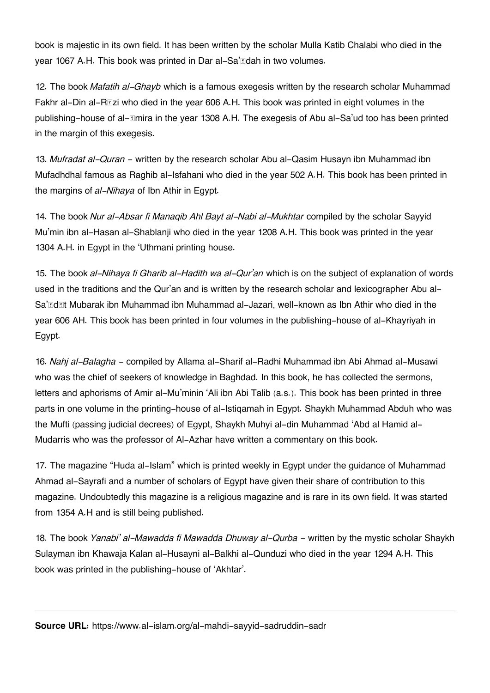book is majestic in its own field. It has been written by the scholar Mulla Katib Chalabi who died in the year 1067 A.H. This book was printed in Dar al-Sa'ādah in two volumes.

12. The book *Mafatih al-Ghayb* which is a famous exegesis written by the research scholar Muhammad Fakhr al-Din al-R**Ezi who died in the year 606 A.H.** This book was printed in eight volumes in the publishing-house of al-*Emira in the year 1308 A.H.* The exegesis of Abu al-Sa'ud too has been printed in the margin of this exegesis.

13. *Mufradat al-Quran* - written by the research scholar Abu al-Qasim Husayn ibn Muhammad ibn Mufadhdhal famous as Raghib al-Isfahani who died in the year 502 A.H. This book has been printed in the margins of *al-Nihaya* of Ibn Athir in Egypt.

14. The book *Nur al-Absar fi Manaqib Ahl Bayt al-Nabi al-Mukhtar* compiled by the scholar Sayyid Mu'min ibn al-Hasan al-Shablanji who died in the year 1208 A.H. This book was printed in the year 1304 A.H. in Egypt in the 'Uthmani printing house.

15. The book *al-Nihaya fi Gharib al-Hadith wa al-Qur'an* which is on the subject of explanation of words used in the traditions and the Qur'an and is written by the research scholar and lexicographer Abu al-Sa'ādāt Mubarak ibn Muhammad ibn Muhammad al-Jazari, well-known as Ibn Athir who died in the year 606 AH. This book has been printed in four volumes in the publishing-house of al-Khayriyah in Egypt.

16. *Nahj al-Balagha* - compiled by Allama al-Sharif al-Radhi Muhammad ibn Abi Ahmad al-Musawi who was the chief of seekers of knowledge in Baghdad. In this book, he has collected the sermons, letters and aphorisms of Amir al-Mu'minin 'Ali ibn Abi Talib (a.s.). This book has been printed in three parts in one volume in the printing-house of al-Istiqamah in Egypt. Shaykh Muhammad Abduh who was the Mufti (passing judicial decrees) of Egypt, Shaykh Muhyi al-din Muhammad 'Abd al Hamid al-Mudarris who was the professor of Al-Azhar have written a commentary on this book.

17. The magazine "Huda al-Islam" which is printed weekly in Egypt under the guidance of Muhammad Ahmad al-Sayrafi and a number of scholars of Egypt have given their share of contribution to this magazine. Undoubtedly this magazine is a religious magazine and is rare in its own field. It was started from 1354 A.H and is still being published.

18. The book *Yanabi' al-Mawadda fi Mawadda Dhuway al-Qurba* - written by the mystic scholar Shaykh Sulayman ibn Khawaja Kalan al-Husayni al-Balkhi al-Qunduzi who died in the year 1294 A.H. This book was printed in the publishing-house of 'Akhtar'.

**Source URL:** https://www.al-islam.org/al-mahdi-sayyid-sadruddin-sadr